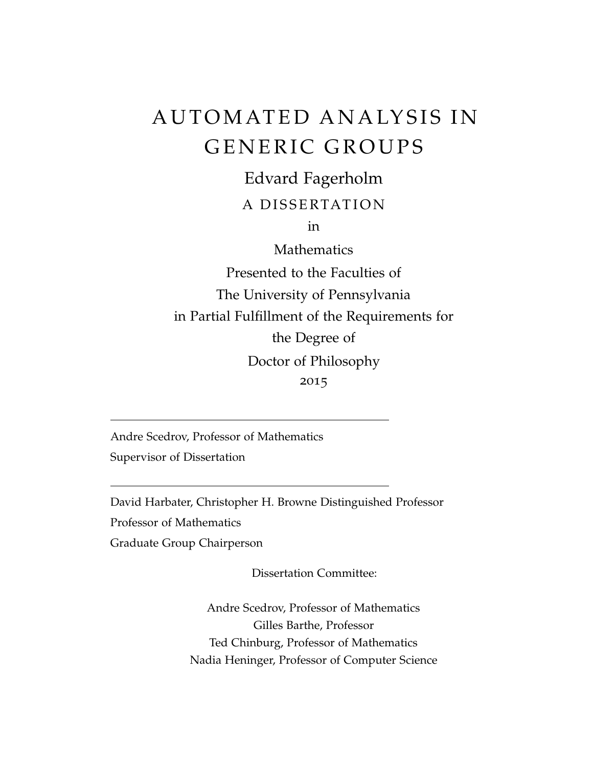# AUTOMATED ANALYSIS IN GENERIC GROUPS

Edvard Fagerholm

# A DISSERTATION

in

Mathematics

Presented to the Faculties of The University of Pennsylvania in Partial Fulfillment of the Requirements for the Degree of Doctor of Philosophy 2015

Andre Scedrov, Professor of Mathematics Supervisor of Dissertation

David Harbater, Christopher H. Browne Distinguished Professor Professor of Mathematics Graduate Group Chairperson

Dissertation Committee:

Andre Scedrov, Professor of Mathematics Gilles Barthe, Professor Ted Chinburg, Professor of Mathematics Nadia Heninger, Professor of Computer Science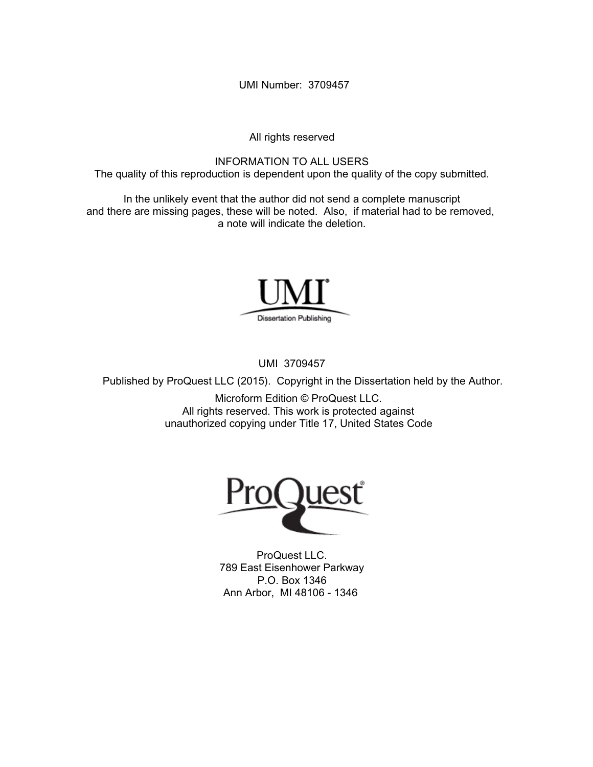UMI Number: 3709457

All rights reserved

INFORMATION TO ALL USERS The quality of this reproduction is dependent upon the quality of the copy submitted.

In the unlikely event that the author did not send a complete manuscript and there are missing pages, these will be noted. Also, if material had to be removed, a note will indicate the deletion.



UMI 3709457

Published by ProQuest LLC (2015). Copyright in the Dissertation held by the Author.

Microform Edition © ProQuest LLC. All rights reserved. This work is protected against unauthorized copying under Title 17, United States Code



ProQuest LLC. 789 East Eisenhower Parkway P.O. Box 1346 Ann Arbor, MI 48106 - 1346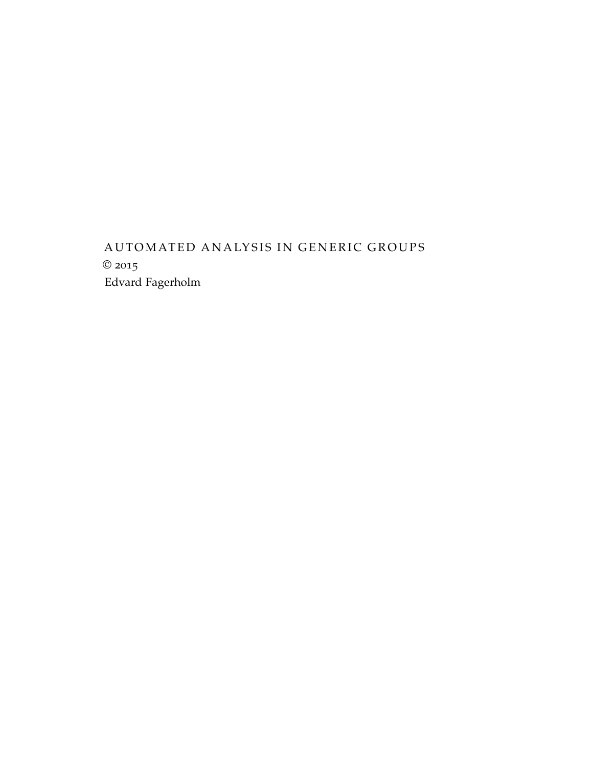# AUTOMATED ANALYSIS IN GENERIC GROUPS © 2015 Edvard Fagerholm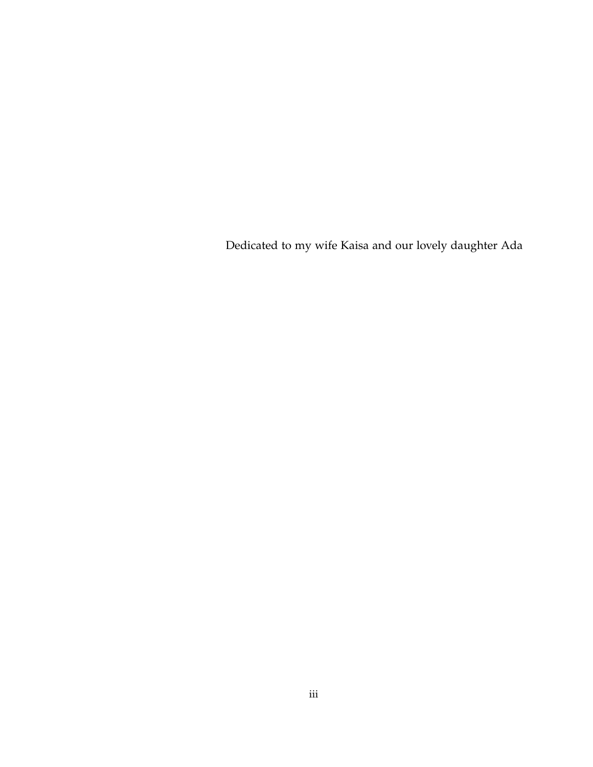Dedicated to my wife Kaisa and our lovely daughter Ada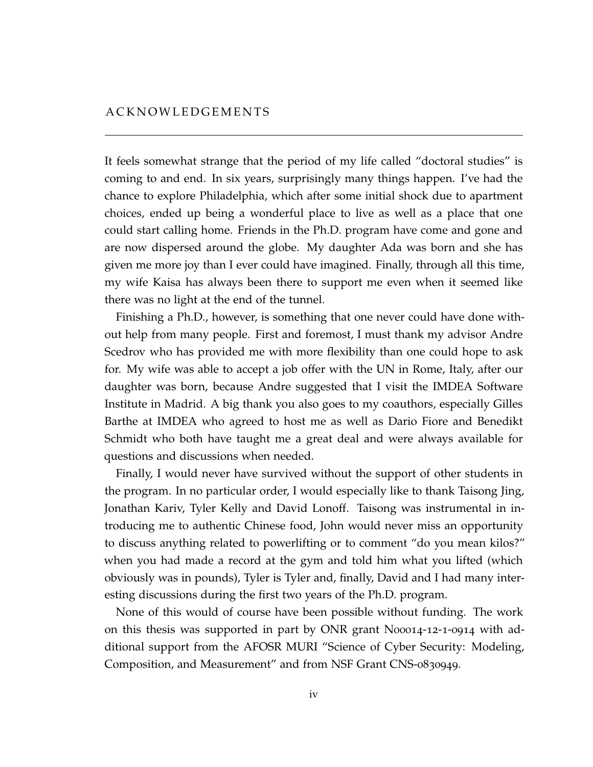<span id="page-4-0"></span>It feels somewhat strange that the period of my life called "doctoral studies" is coming to and end. In six years, surprisingly many things happen. I've had the chance to explore Philadelphia, which after some initial shock due to apartment choices, ended up being a wonderful place to live as well as a place that one could start calling home. Friends in the Ph.D. program have come and gone and are now dispersed around the globe. My daughter Ada was born and she has given me more joy than I ever could have imagined. Finally, through all this time, my wife Kaisa has always been there to support me even when it seemed like there was no light at the end of the tunnel.

Finishing a Ph.D., however, is something that one never could have done without help from many people. First and foremost, I must thank my advisor Andre Scedrov who has provided me with more flexibility than one could hope to ask for. My wife was able to accept a job offer with the UN in Rome, Italy, after our daughter was born, because Andre suggested that I visit the IMDEA Software Institute in Madrid. A big thank you also goes to my coauthors, especially Gilles Barthe at IMDEA who agreed to host me as well as Dario Fiore and Benedikt Schmidt who both have taught me a great deal and were always available for questions and discussions when needed.

Finally, I would never have survived without the support of other students in the program. In no particular order, I would especially like to thank Taisong Jing, Jonathan Kariv, Tyler Kelly and David Lonoff. Taisong was instrumental in introducing me to authentic Chinese food, John would never miss an opportunity to discuss anything related to powerlifting or to comment "do you mean kilos?" when you had made a record at the gym and told him what you lifted (which obviously was in pounds), Tyler is Tyler and, finally, David and I had many interesting discussions during the first two years of the Ph.D. program.

None of this would of course have been possible without funding. The work on this thesis was supported in part by ONR grant N00014-12-1-0914 with additional support from the AFOSR MURI "Science of Cyber Security: Modeling, Composition, and Measurement" and from NSF Grant CNS-0830949.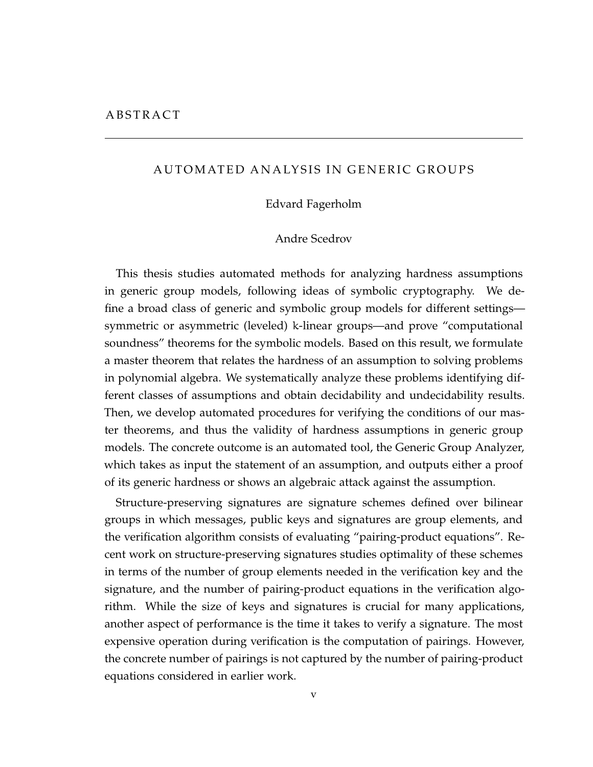#### <span id="page-5-0"></span>AUTOMATED ANALYSIS IN GENERIC GROUPS

#### Edvard Fagerholm

#### Andre Scedrov

This thesis studies automated methods for analyzing hardness assumptions in generic group models, following ideas of symbolic cryptography. We define a broad class of generic and symbolic group models for different settings symmetric or asymmetric (leveled) k-linear groups—and prove "computational soundness" theorems for the symbolic models. Based on this result, we formulate a master theorem that relates the hardness of an assumption to solving problems in polynomial algebra. We systematically analyze these problems identifying different classes of assumptions and obtain decidability and undecidability results. Then, we develop automated procedures for verifying the conditions of our master theorems, and thus the validity of hardness assumptions in generic group models. The concrete outcome is an automated tool, the Generic Group Analyzer, which takes as input the statement of an assumption, and outputs either a proof of its generic hardness or shows an algebraic attack against the assumption.

Structure-preserving signatures are signature schemes defined over bilinear groups in which messages, public keys and signatures are group elements, and the verification algorithm consists of evaluating "pairing-product equations". Recent work on structure-preserving signatures studies optimality of these schemes in terms of the number of group elements needed in the verification key and the signature, and the number of pairing-product equations in the verification algorithm. While the size of keys and signatures is crucial for many applications, another aspect of performance is the time it takes to verify a signature. The most expensive operation during verification is the computation of pairings. However, the concrete number of pairings is not captured by the number of pairing-product equations considered in earlier work.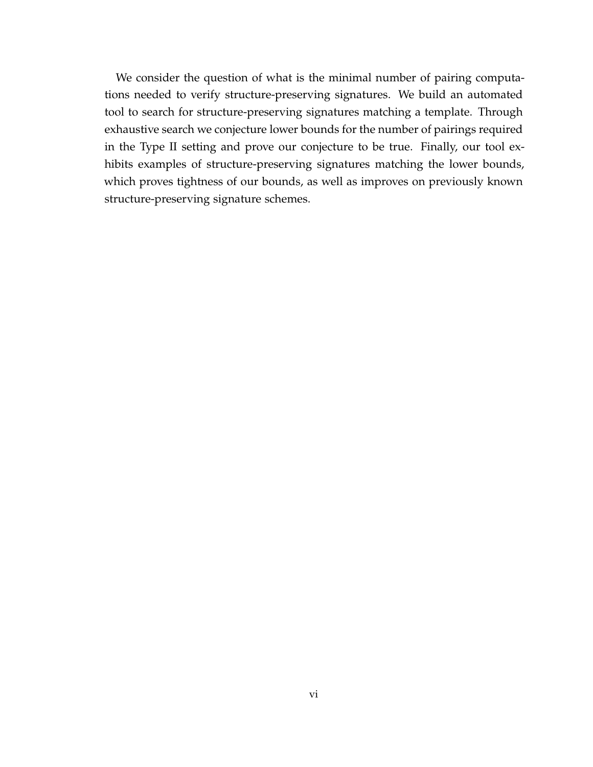We consider the question of what is the minimal number of pairing computations needed to verify structure-preserving signatures. We build an automated tool to search for structure-preserving signatures matching a template. Through exhaustive search we conjecture lower bounds for the number of pairings required in the Type II setting and prove our conjecture to be true. Finally, our tool exhibits examples of structure-preserving signatures matching the lower bounds, which proves tightness of our bounds, as well as improves on previously known structure-preserving signature schemes.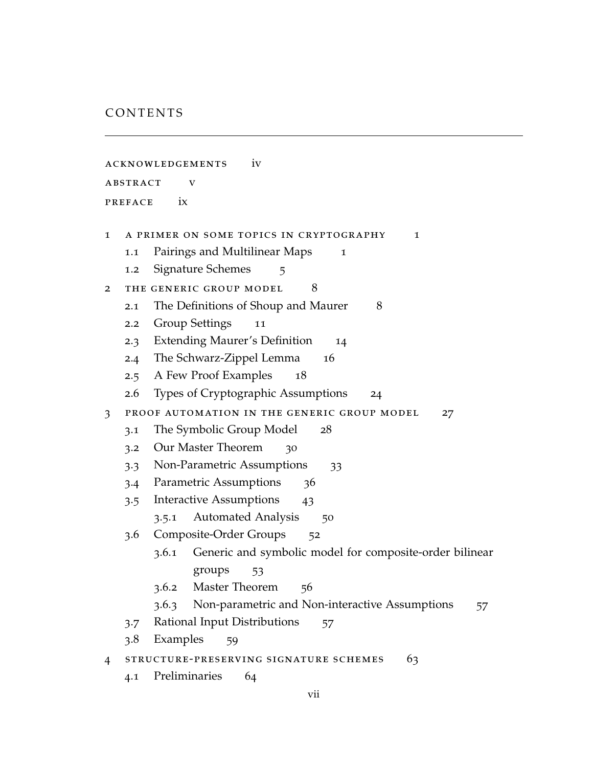### CONTENTS

| <b>ACKNOWLEDGEMENTS</b><br>1V |                                              |                                                                  |
|-------------------------------|----------------------------------------------|------------------------------------------------------------------|
| ABSTRACT<br>V                 |                                              |                                                                  |
| ix<br><b>PREFACE</b>          |                                              |                                                                  |
|                               |                                              |                                                                  |
| 1                             |                                              | A PRIMER ON SOME TOPICS IN CRYPTOGRAPHY<br>1                     |
|                               | 1.1                                          | Pairings and Multilinear Maps<br>1                               |
|                               | 1.2                                          | Signature Schemes<br>5                                           |
| 2                             |                                              | 8<br>THE GENERIC GROUP MODEL                                     |
|                               | 2.1                                          | The Definitions of Shoup and Maurer<br>8                         |
|                               | 2.2                                          | <b>Group Settings</b><br>11                                      |
|                               | 2.3                                          | <b>Extending Maurer's Definition</b><br>14                       |
|                               |                                              | 2.4 The Schwarz-Zippel Lemma<br>16                               |
|                               | 2.5                                          | A Few Proof Examples<br>18                                       |
|                               | 2.6                                          | Types of Cryptographic Assumptions<br>24                         |
| 3                             |                                              | PROOF AUTOMATION IN THE GENERIC GROUP MODEL<br>27                |
|                               | 3.1                                          | The Symbolic Group Model<br>28                                   |
|                               | 3.2                                          | Our Master Theorem<br>30                                         |
|                               | 3.3                                          | Non-Parametric Assumptions<br>33                                 |
|                               | 3.4                                          | Parametric Assumptions<br>36                                     |
|                               | 3.5                                          | Interactive Assumptions<br>43                                    |
|                               |                                              | <b>Automated Analysis</b><br>3.5.1<br>50                         |
|                               | 3.6                                          | Composite-Order Groups<br>52                                     |
|                               |                                              | Generic and symbolic model for composite-order bilinear<br>3.6.1 |
|                               |                                              | groups<br>53                                                     |
|                               |                                              | Master Theorem<br>3.6.2<br>56                                    |
|                               |                                              | Non-parametric and Non-interactive Assumptions<br>3.6.3<br>57    |
|                               | 3.7                                          | Rational Input Distributions<br>57                               |
|                               | 3.8                                          | Examples<br>59                                                   |
| $\overline{4}$                | STRUCTURE-PRESERVING SIGNATURE SCHEMES<br>63 |                                                                  |
|                               | 4.1                                          | Preliminaries<br>64                                              |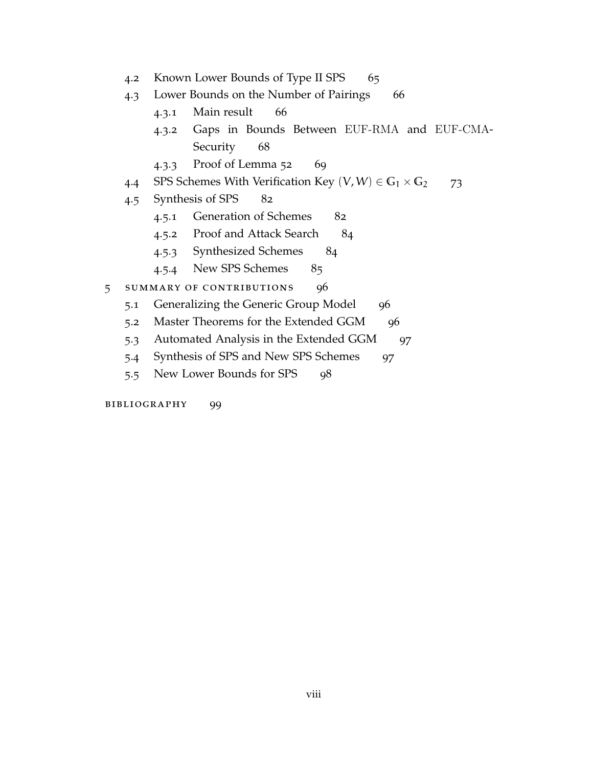- 4.2 Known Lower Bounds of Type II SPS [65](#page-76-0)
- 4.3 Lower Bounds on the Number of Pairings [66](#page-77-0)
	- 4.3.1 Main result [66](#page-77-1)
	- 4.3.2 Gaps in Bounds Between EUF-RMA and EUF-CMA-Security [68](#page-79-0)
	- 4.3.3 Proof of Lemma [52](#page-78-0) [69](#page-80-0)
- 4.4 SPS Schemes With Verification Key  $(V, W) \in G_1 \times G_2$  [73](#page-84-0)
- 4.5 Synthesis of SPS [82](#page-93-0)
	- 4.5.1 Generation of Schemes [82](#page-93-1)
	- 4.5.2 Proof and Attack Search [84](#page-95-0)
	- 4.5.3 Synthesized Schemes [84](#page-95-1)
	- 4.5.4 New SPS Schemes [85](#page-96-0)
- 5 summary of contributions [96](#page-107-0)
	- 5.1 Generalizing the Generic Group Model [96](#page-107-1)
	- 5.2 Master Theorems for the Extended GGM [96](#page-107-2)
	- 5.3 Automated Analysis in the Extended GGM [97](#page-108-0)
	- 5.4 Synthesis of SPS and New SPS Schemes [97](#page-108-1)
	- 5.5 New Lower Bounds for SPS [98](#page-108-2)

bibliography [99](#page-110-0)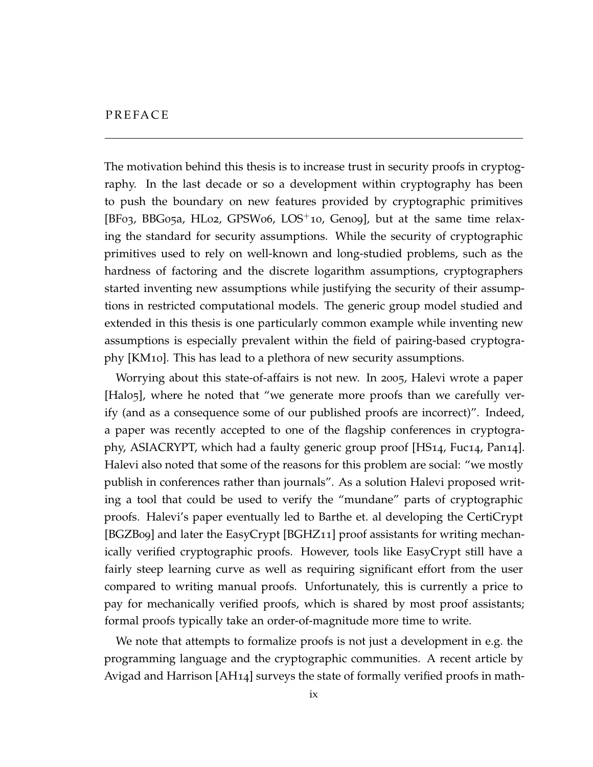<span id="page-9-0"></span>The motivation behind this thesis is to increase trust in security proofs in cryptography. In the last decade or so a development within cryptography has been to push the boundary on new features provided by cryptographic primitives [\[BF](#page-111-0)03, [BBG](#page-110-1)05a, [HL](#page-114-0)02, [GPSW](#page-114-1)06, [LOS](#page-115-0)<sup>+</sup>10, [Gen](#page-113-0)o9], but at the same time relaxing the standard for security assumptions. While the security of cryptographic primitives used to rely on well-known and long-studied problems, such as the hardness of factoring and the discrete logarithm assumptions, cryptographers started inventing new assumptions while justifying the security of their assumptions in restricted computational models. The generic group model studied and extended in this thesis is one particularly common example while inventing new assumptions is especially prevalent within the field of pairing-based cryptography [\[KM](#page-115-1)10]. This has lead to a plethora of new security assumptions.

Worrying about this state-of-affairs is not new. In 2005, Halevi wrote a paper [\[Hal](#page-114-2)05], where he noted that "we generate more proofs than we carefully verify (and as a consequence some of our published proofs are incorrect)". Indeed, a paper was recently accepted to one of the flagship conferences in cryptography, ASIACRYPT, which had a faulty generic group proof [\[HS](#page-114-3)14, [Fuc](#page-113-1)14, [Pan](#page-115-2)14]. Halevi also noted that some of the reasons for this problem are social: "we mostly publish in conferences rather than journals". As a solution Halevi proposed writing a tool that could be used to verify the "mundane" parts of cryptographic proofs. Halevi's paper eventually led to Barthe et. al developing the CertiCrypt [\[BGZB](#page-112-0)09] and later the EasyCrypt [\[BGHZ](#page-111-1)11] proof assistants for writing mechanically verified cryptographic proofs. However, tools like EasyCrypt still have a fairly steep learning curve as well as requiring significant effort from the user compared to writing manual proofs. Unfortunately, this is currently a price to pay for mechanically verified proofs, which is shared by most proof assistants; formal proofs typically take an order-of-magnitude more time to write.

We note that attempts to formalize proofs is not just a development in e.g. the programming language and the cryptographic communities. A recent article by Avigad and Harrison [\[AH](#page-110-2)14] surveys the state of formally verified proofs in math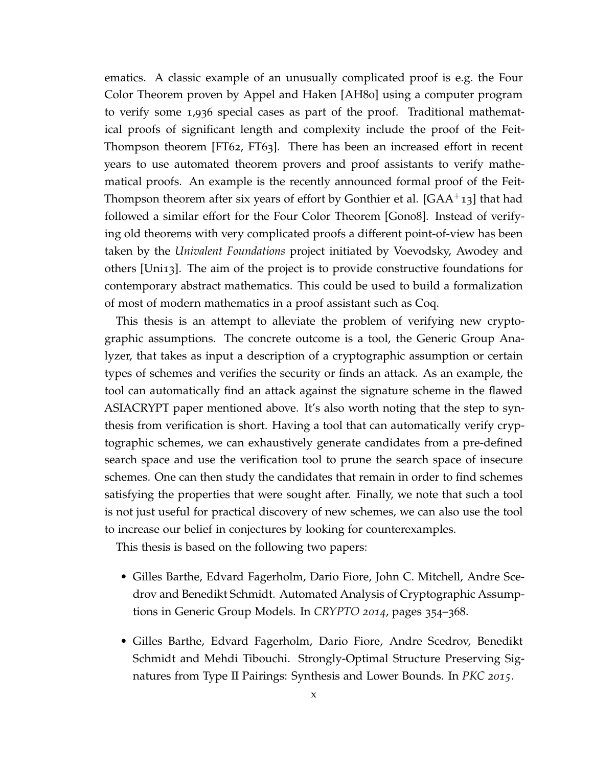ematics. A classic example of an unusually complicated proof is e.g. the Four Color Theorem proven by Appel and Haken [\[AH](#page-110-3)80] using a computer program to verify some 1,936 special cases as part of the proof. Traditional mathematical proofs of significant length and complexity include the proof of the Feit-Thompson theorem [\[FT](#page-113-2)62, [FT](#page-113-3)63]. There has been an increased effort in recent years to use automated theorem provers and proof assistants to verify mathematical proofs. An example is the recently announced formal proof of the Feit-Thompson theorem after six years of effort by Gonthier et al. [\[GAA](#page-113-4)<sup>+</sup>13] that had followed a similar effort for the Four Color Theorem [\[Gon](#page-114-4)08]. Instead of verifying old theorems with very complicated proofs a different point-of-view has been taken by the *Univalent Foundations* project initiated by Voevodsky, Awodey and others [\[Uni](#page-116-0)13]. The aim of the project is to provide constructive foundations for contemporary abstract mathematics. This could be used to build a formalization of most of modern mathematics in a proof assistant such as Coq.

This thesis is an attempt to alleviate the problem of verifying new cryptographic assumptions. The concrete outcome is a tool, the Generic Group Analyzer, that takes as input a description of a cryptographic assumption or certain types of schemes and verifies the security or finds an attack. As an example, the tool can automatically find an attack against the signature scheme in the flawed ASIACRYPT paper mentioned above. It's also worth noting that the step to synthesis from verification is short. Having a tool that can automatically verify cryptographic schemes, we can exhaustively generate candidates from a pre-defined search space and use the verification tool to prune the search space of insecure schemes. One can then study the candidates that remain in order to find schemes satisfying the properties that were sought after. Finally, we note that such a tool is not just useful for practical discovery of new schemes, we can also use the tool to increase our belief in conjectures by looking for counterexamples.

This thesis is based on the following two papers:

- Gilles Barthe, Edvard Fagerholm, Dario Fiore, John C. Mitchell, Andre Scedrov and Benedikt Schmidt. Automated Analysis of Cryptographic Assumptions in Generic Group Models. In *CRYPTO 2014*, pages 354–368.
- Gilles Barthe, Edvard Fagerholm, Dario Fiore, Andre Scedrov, Benedikt Schmidt and Mehdi Tibouchi. Strongly-Optimal Structure Preserving Signatures from Type II Pairings: Synthesis and Lower Bounds. In *PKC 2015*.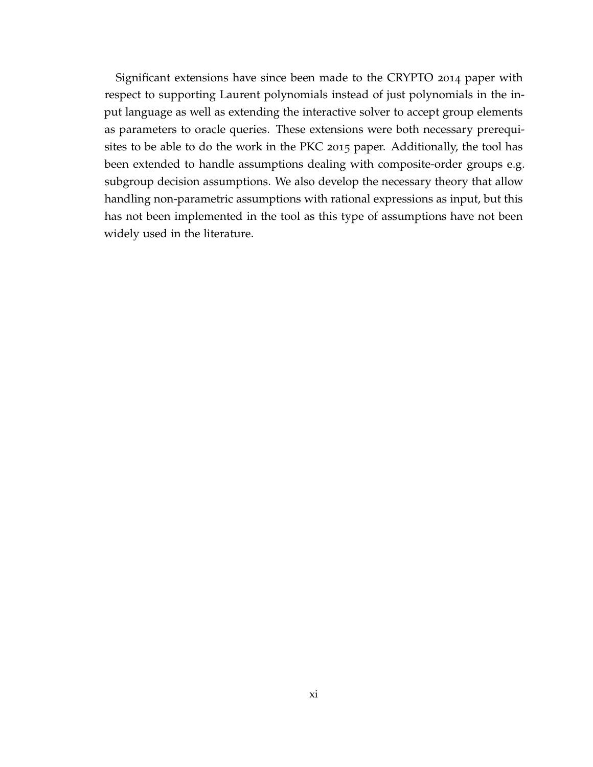Significant extensions have since been made to the CRYPTO 2014 paper with respect to supporting Laurent polynomials instead of just polynomials in the input language as well as extending the interactive solver to accept group elements as parameters to oracle queries. These extensions were both necessary prerequisites to be able to do the work in the PKC 2015 paper. Additionally, the tool has been extended to handle assumptions dealing with composite-order groups e.g. subgroup decision assumptions. We also develop the necessary theory that allow handling non-parametric assumptions with rational expressions as input, but this has not been implemented in the tool as this type of assumptions have not been widely used in the literature.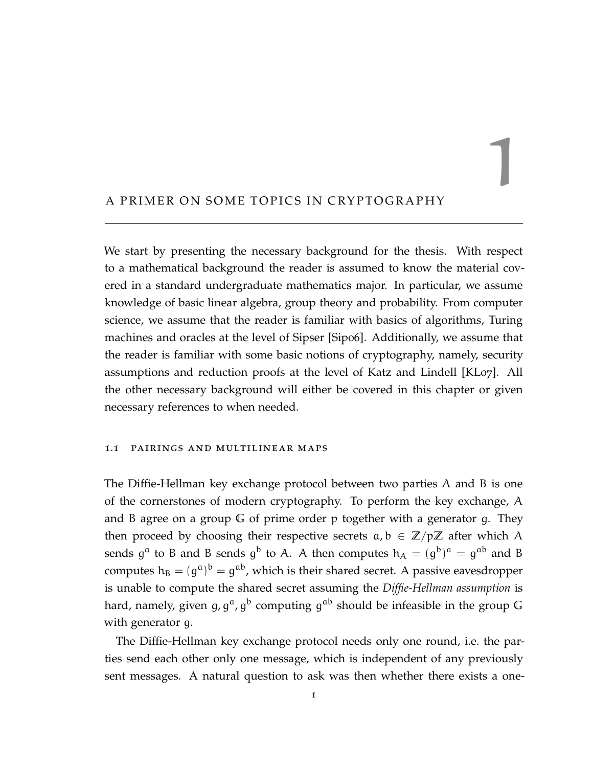#### <span id="page-12-0"></span>A PRIMER ON SOME TOPICS IN CRYPTOGRAPHY

We start by presenting the necessary background for the thesis. With respect to a mathematical background the reader is assumed to know the material covered in a standard undergraduate mathematics major. In particular, we assume knowledge of basic linear algebra, group theory and probability. From computer science, we assume that the reader is familiar with basics of algorithms, Turing machines and oracles at the level of Sipser [\[Sip](#page-116-1)06]. Additionally, we assume that the reader is familiar with some basic notions of cryptography, namely, security assumptions and reduction proofs at the level of Katz and Lindell [\[KL](#page-115-3)07]. All the other necessary background will either be covered in this chapter or given necessary references to when needed.

1

#### <span id="page-12-1"></span>1.1 pairings and multilinear maps

The Diffie-Hellman key exchange protocol between two parties A and B is one of the cornerstones of modern cryptography. To perform the key exchange, A and B agree on a group **G** of prime order p together with a generator g. They then proceed by choosing their respective secrets  $a, b \in \mathbb{Z}/p\mathbb{Z}$  after which A sends  $g^a$  to B and B sends  $g^b$  to A. A then computes  $h_A = (g^b)^a = g^{ab}$  and B computes  $h_B = (g^a)^b = g^{ab}$ , which is their shared secret. A passive eavesdropper is unable to compute the shared secret assuming the *Diffie-Hellman assumption* is hard, namely, given g, g<sup>a</sup>, g<sup>b</sup> computing g<sup>ab</sup> should be infeasible in the group G with generator g.

The Diffie-Hellman key exchange protocol needs only one round, i.e. the parties send each other only one message, which is independent of any previously sent messages. A natural question to ask was then whether there exists a one-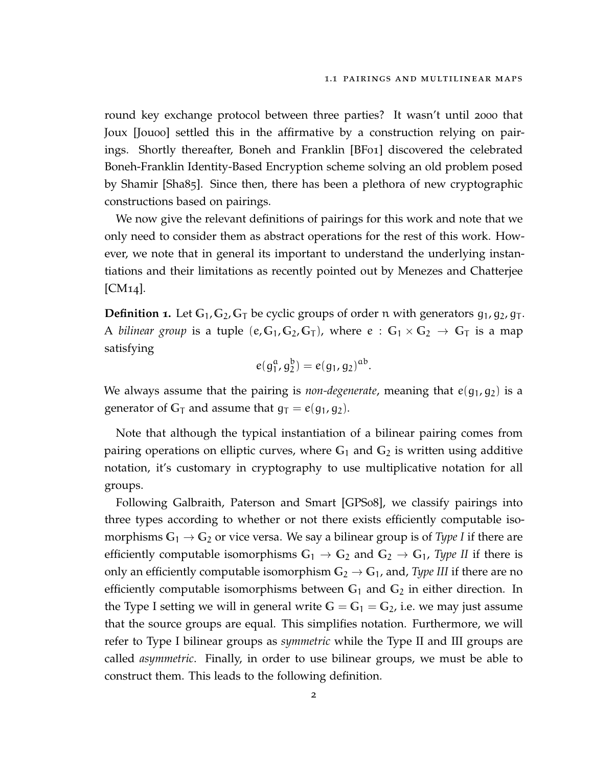round key exchange protocol between three parties? It wasn't until 2000 that Joux [\[Jou](#page-114-5)oo] settled this in the affirmative by a construction relying on pairings. Shortly thereafter, Boneh and Franklin [\[BF](#page-111-2)01] discovered the celebrated Boneh-Franklin Identity-Based Encryption scheme solving an old problem posed by Shamir [\[Sha](#page-115-4)85]. Since then, there has been a plethora of new cryptographic constructions based on pairings.

We now give the relevant definitions of pairings for this work and note that we only need to consider them as abstract operations for the rest of this work. However, we note that in general its important to understand the underlying instantiations and their limitations as recently pointed out by Menezes and Chatterjee [\[CM](#page-112-1)14].

**Definition <b>1**. Let  $G_1$ ,  $G_2$ ,  $G_T$  be cyclic groups of order n with generators  $g_1$ ,  $g_2$ ,  $g_T$ . A *bilinear group* is a tuple (e,  $G_1$ ,  $G_2$ ,  $G_T$ ), where  $e : G_1 \times G_2 \rightarrow G_T$  is a map satisfying

$$
e(g_1^a, g_2^b) = e(g_1, g_2)^{ab}.
$$

We always assume that the pairing is *non-degenerate*, meaning that  $e(g_1, g_2)$  is a generator of  $G_T$  and assume that  $g_T = e(g_1, g_2)$ .

Note that although the typical instantiation of a bilinear pairing comes from pairing operations on elliptic curves, where **G**<sup>1</sup> and **G**<sup>2</sup> is written using additive notation, it's customary in cryptography to use multiplicative notation for all groups.

Following Galbraith, Paterson and Smart [\[GPS](#page-114-6)08], we classify pairings into three types according to whether or not there exists efficiently computable isomorphisms  $G_1 \rightarrow G_2$  or vice versa. We say a bilinear group is of *Type I* if there are efficiently computable isomorphisms  $G_1 \rightarrow G_2$  and  $G_2 \rightarrow G_1$ , Type II if there is only an efficiently computable isomorphism  $G_2 \rightarrow G_1$ , and, *Type III* if there are no efficiently computable isomorphisms between  $G_1$  and  $G_2$  in either direction. In the Type I setting we will in general write  $G = G_1 = G_2$ , i.e. we may just assume that the source groups are equal. This simplifies notation. Furthermore, we will refer to Type I bilinear groups as *symmetric* while the Type II and III groups are called *asymmetric*. Finally, in order to use bilinear groups, we must be able to construct them. This leads to the following definition.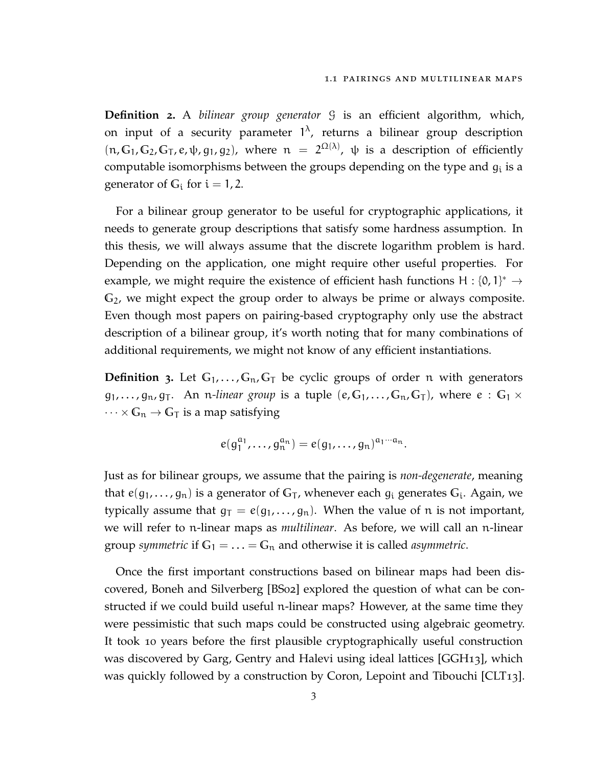**Definition 2.** A *bilinear group generator* G is an efficient algorithm, which, on input of a security parameter  $1^{\lambda}$ , returns a bilinear group description  $(\pi, \mathbb{G}_1, \mathbb{G}_2, \mathbb{G}_T, e, \psi, g_1, g_2)$ , where  $\pi = 2^{\Omega(\lambda)}$ ,  $\psi$  is a description of efficiently computable isomorphisms between the groups depending on the type and  $g_i$  is a generator of  $G_i$  for  $i = 1, 2$ .

For a bilinear group generator to be useful for cryptographic applications, it needs to generate group descriptions that satisfy some hardness assumption. In this thesis, we will always assume that the discrete logarithm problem is hard. Depending on the application, one might require other useful properties. For example, we might require the existence of efficient hash functions H : {0, 1}<sup>\*</sup>  $\rightarrow$ **G**2, we might expect the group order to always be prime or always composite. Even though most papers on pairing-based cryptography only use the abstract description of a bilinear group, it's worth noting that for many combinations of additional requirements, we might not know of any efficient instantiations.

**Definition** 3. Let  $G_1, \ldots, G_n, G_\top$  be cyclic groups of order n with generators  $g_1, \ldots, g_n, g_T$ . An *n-linear group* is a tuple  $(e, G_1, \ldots, G_n, G_T)$ , where  $e : G_1 \times$  $\cdots \times \mathbb{G}_{n} \to \mathbb{G}_{T}$  is a map satisfying

$$
e(g_1^{a_1},\ldots,g_n^{a_n})=e(g_1,\ldots,g_n)^{a_1\cdots a_n}.
$$

Just as for bilinear groups, we assume that the pairing is *non-degenerate*, meaning that  $e(g_1,\ldots,g_n)$  is a generator of  $\mathbb{G}_{\mathsf{T}}$ , whenever each  $g_i$  generates  $\mathbb{G}_i$ . Again, we typically assume that  $g_T = e(g_1, \ldots, g_n)$ . When the value of n is not important, we will refer to n-linear maps as *multilinear*. As before, we will call an n-linear group *symmetric* if  $G_1 = \ldots = G_n$  and otherwise it is called *asymmetric*.

Once the first important constructions based on bilinear maps had been discovered, Boneh and Silverberg [\[BS](#page-112-2)02] explored the question of what can be constructed if we could build useful n-linear maps? However, at the same time they were pessimistic that such maps could be constructed using algebraic geometry. It took 10 years before the first plausible cryptographically useful construction was discovered by Garg, Gentry and Halevi using ideal lattices [\[GGH](#page-113-5)13], which was quickly followed by a construction by Coron, Lepoint and Tibouchi [\[CLT](#page-112-3)13].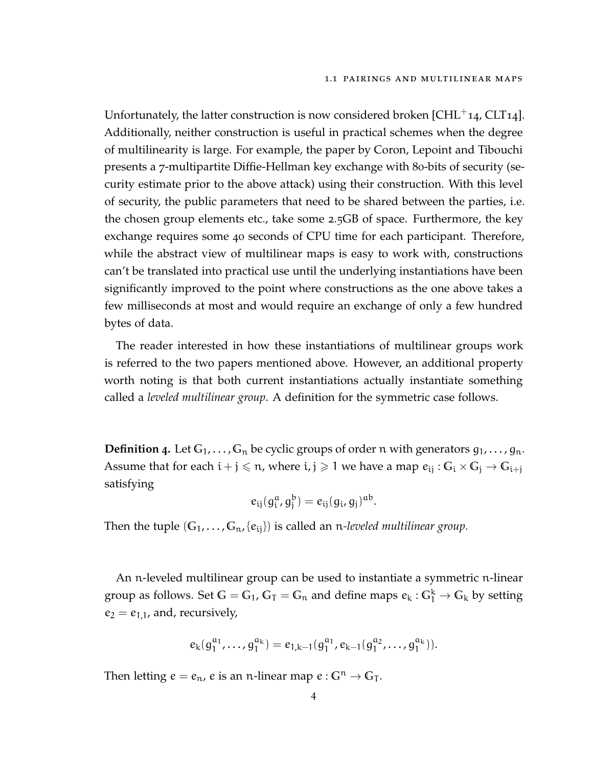Unfortunately, the latter construction is now considered broken  $[CHL^+14, CLT14]$  $[CHL^+14, CLT14]$  $[CHL^+14, CLT14]$  $[CHL^+14, CLT14]$ . Additionally, neither construction is useful in practical schemes when the degree of multilinearity is large. For example, the paper by Coron, Lepoint and Tibouchi presents a 7-multipartite Diffie-Hellman key exchange with 80-bits of security (security estimate prior to the above attack) using their construction. With this level of security, the public parameters that need to be shared between the parties, i.e. the chosen group elements etc., take some 2.5GB of space. Furthermore, the key exchange requires some 40 seconds of CPU time for each participant. Therefore, while the abstract view of multilinear maps is easy to work with, constructions can't be translated into practical use until the underlying instantiations have been significantly improved to the point where constructions as the one above takes a few milliseconds at most and would require an exchange of only a few hundred bytes of data.

The reader interested in how these instantiations of multilinear groups work is referred to the two papers mentioned above. However, an additional property worth noting is that both current instantiations actually instantiate something called a *leveled multilinear group*. A definition for the symmetric case follows.

**Definition 4.** Let  $G_1, \ldots, G_n$  be cyclic groups of order n with generators  $g_1, \ldots, g_n$ . Assume that for each  $i + j \le n$ , where  $i, j \ge 1$  we have a map  $e_{ij} : G_i \times G_j \to G_{i+j}$ satisfying

$$
e_{ij}(g_i^a, g_j^b) = e_{ij}(g_i, g_j)^{ab}.
$$

Then the tuple  $(G_1, \ldots, G_n, \{e_{ij}\})$  is called an *n-leveled multilinear group*.

An n-leveled multilinear group can be used to instantiate a symmetric n-linear group as follows. Set  $G = G_1$ ,  $G_T = G_n$  and define maps  $e_k: G_1^k \to G_k$  by setting  $e_2 = e_{1,1}$ , and, recursively,

$$
e_k(g_1^{a_1},\ldots,g_1^{a_k})=e_{1,k-1}(g_1^{a_1},e_{k-1}(g_1^{a_2},\ldots,g_1^{a_k})).
$$

<span id="page-15-0"></span>Then letting  $e = e_n$ , e is an n-linear map  $e : G^n \to G_T$ .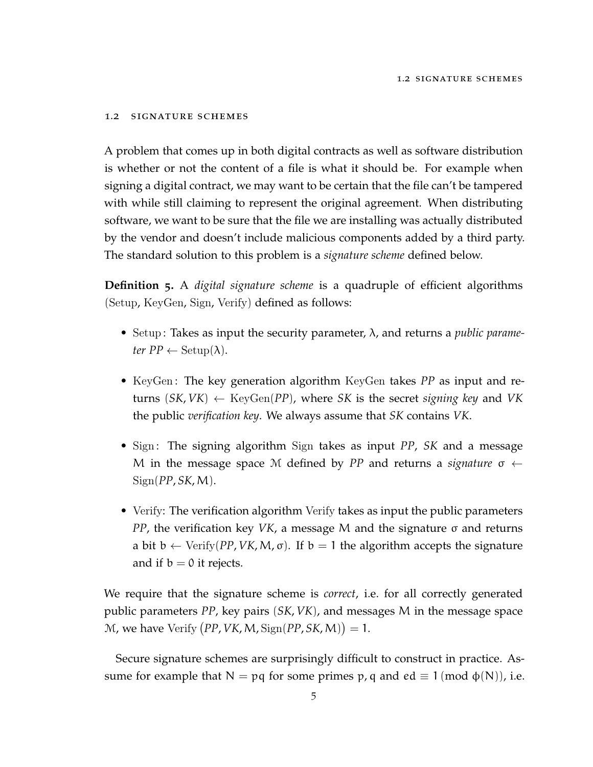#### 1.2 signature schemes

A problem that comes up in both digital contracts as well as software distribution is whether or not the content of a file is what it should be. For example when signing a digital contract, we may want to be certain that the file can't be tampered with while still claiming to represent the original agreement. When distributing software, we want to be sure that the file we are installing was actually distributed by the vendor and doesn't include malicious components added by a third party. The standard solution to this problem is a *signature scheme* defined below.

**Definition 5.** A *digital signature scheme* is a quadruple of efficient algorithms (Setup, KeyGen, Sign, Verify) defined as follows:

- Setup : Takes as input the security parameter, λ, and returns a *public parameter*  $PP \leftarrow$  Setup( $\lambda$ ).
- KeyGen : The key generation algorithm KeyGen takes *PP* as input and returns  $(SK, VK) \leftarrow \text{KeyGen}(PP)$ , where *SK* is the secret *signing key* and *VK* the public *verification key*. We always assume that *SK* contains *VK*.
- Sign: The signing algorithm Sign takes as input *PP*, *SK* and a message M in the message space M defined by *PP* and returns a *signature*  $\sigma \leftarrow$  $Sign(PP, SK, M)$ .
- Verify: The verification algorithm Verify takes as input the public parameters *PP*, the verification key *VK*, a message M and the signature σ and returns a bit  $b \leftarrow \text{Verify}(PP, VK, M, \sigma)$ . If  $b = 1$  the algorithm accepts the signature and if  $b = 0$  it rejects.

We require that the signature scheme is *correct*, i.e. for all correctly generated public parameters *PP*, key pairs (*SK*, *VK*), and messages M in the message space  $M$ , we have Verify  $(PP, VK, M, \text{Sign}(PP, SK, M)) = 1$ .

Secure signature schemes are surprisingly difficult to construct in practice. Assume for example that  $N = pq$  for some primes p, q and ed  $\equiv 1 \pmod{\phi(N)}$ , i.e.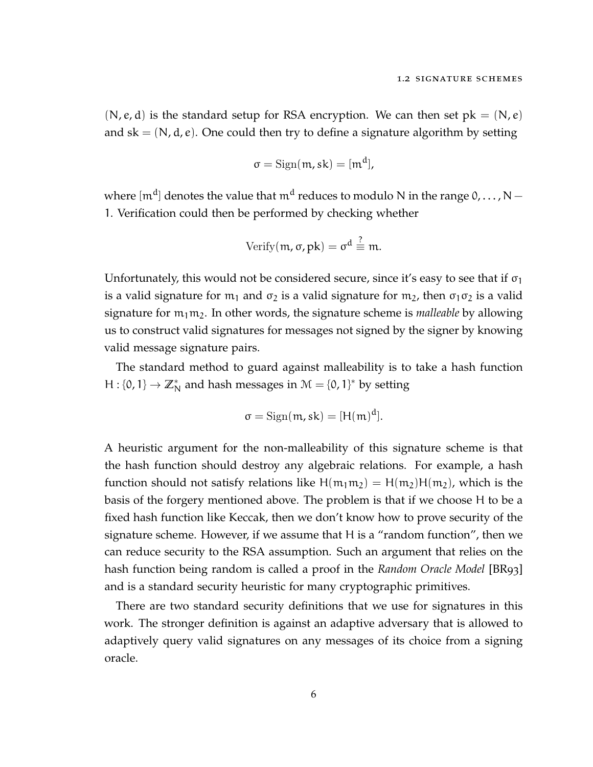$(N, e, d)$  is the standard setup for RSA encryption. We can then set  $pk = (N, e)$ and  $sk = (N, d, e)$ . One could then try to define a signature algorithm by setting

$$
\sigma = \operatorname{Sign}(m, sk) = [m^d],
$$

where  $[{\mathfrak m}^{\rm d}]$  denotes the value that  ${\mathfrak m}^{\rm d}$  reduces to modulo N in the range 0,  $\ldots$  , N  $-$ 1. Verification could then be performed by checking whether

Verify
$$
(m, \sigma, pk) = \sigma^d \stackrel{?}{\equiv} m.
$$

Unfortunately, this would not be considered secure, since it's easy to see that if  $\sigma_1$ is a valid signature for  $m_1$  and  $\sigma_2$  is a valid signature for  $m_2$ , then  $\sigma_1 \sigma_2$  is a valid signature for  $m_1m_2$ . In other words, the signature scheme is *malleable* by allowing us to construct valid signatures for messages not signed by the signer by knowing valid message signature pairs.

The standard method to guard against malleability is to take a hash function H : {0, 1}  $\rightarrow \mathbb{Z}_N^*$  and hash messages in  $\mathcal{M} = \{0, 1\}^*$  by setting

$$
\sigma = \operatorname{Sign}(\mathfrak{m}, sk) = [H(\mathfrak{m})^d].
$$

A heuristic argument for the non-malleability of this signature scheme is that the hash function should destroy any algebraic relations. For example, a hash function should not satisfy relations like  $H(m_1m_2) = H(m_2)H(m_2)$ , which is the basis of the forgery mentioned above. The problem is that if we choose H to be a fixed hash function like Keccak, then we don't know how to prove security of the signature scheme. However, if we assume that H is a "random function", then we can reduce security to the RSA assumption. Such an argument that relies on the hash function being random is called a proof in the *Random Oracle Model* [\[BR](#page-112-6)93] and is a standard security heuristic for many cryptographic primitives.

There are two standard security definitions that we use for signatures in this work. The stronger definition is against an adaptive adversary that is allowed to adaptively query valid signatures on any messages of its choice from a signing oracle.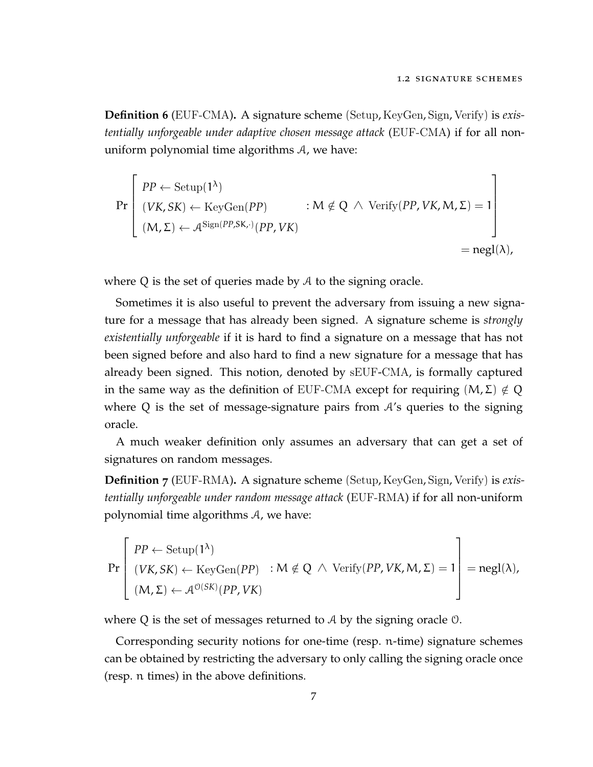**Definition 6** (EUF-CMA)**.** A signature scheme (Setup, KeyGen, Sign, Verify) is *existentially unforgeable under adaptive chosen message attack* (EUF-CMA) if for all nonuniform polynomial time algorithms A, we have:

$$
\Pr\left[\begin{array}{l} PP \leftarrow \text{Setup}(1^{\lambda}) \\ (VK, SK) \leftarrow \text{KeyGen}(PP) \\ (M, \Sigma) \leftarrow \mathcal{A}^{\text{Sign}(PP, SK, \cdot)}(PP, VK) \end{array} : M \notin Q \; \wedge \; \text{Verify}(PP, VK, M, \Sigma) = 1 \\ = \text{negl}(\lambda),
$$

where  $Q$  is the set of queries made by  $A$  to the signing oracle.

Sometimes it is also useful to prevent the adversary from issuing a new signature for a message that has already been signed. A signature scheme is *strongly existentially unforgeable* if it is hard to find a signature on a message that has not been signed before and also hard to find a new signature for a message that has already been signed. This notion, denoted by sEUF-CMA, is formally captured in the same way as the definition of EUF-CMA except for requiring  $(M, \Sigma) \notin Q$ where Q is the set of message-signature pairs from  $A$ 's queries to the signing oracle.

A much weaker definition only assumes an adversary that can get a set of signatures on random messages.

**Definition 7** (EUF-RMA)**.** A signature scheme (Setup, KeyGen, Sign, Verify) is *existentially unforgeable under random message attack* (EUF-RMA) if for all non-uniform polynomial time algorithms A, we have:

$$
\Pr\left[\begin{array}{l} PP \leftarrow \text{Setup}(1^{\lambda}) \\ (VK, SK) \leftarrow \text{KeyGen}(PP) \quad : M \notin Q \; \wedge \; \text{Verify}(PP, VK, M, \Sigma) = 1 \\ (M, \Sigma) \leftarrow \mathcal{A}^{O(SK)}(PP, VK) \end{array}\right] = negl(\lambda),
$$

where Q is the set of messages returned to A by the signing oracle O.

Corresponding security notions for one-time (resp. n-time) signature schemes can be obtained by restricting the adversary to only calling the signing oracle once (resp. n times) in the above definitions.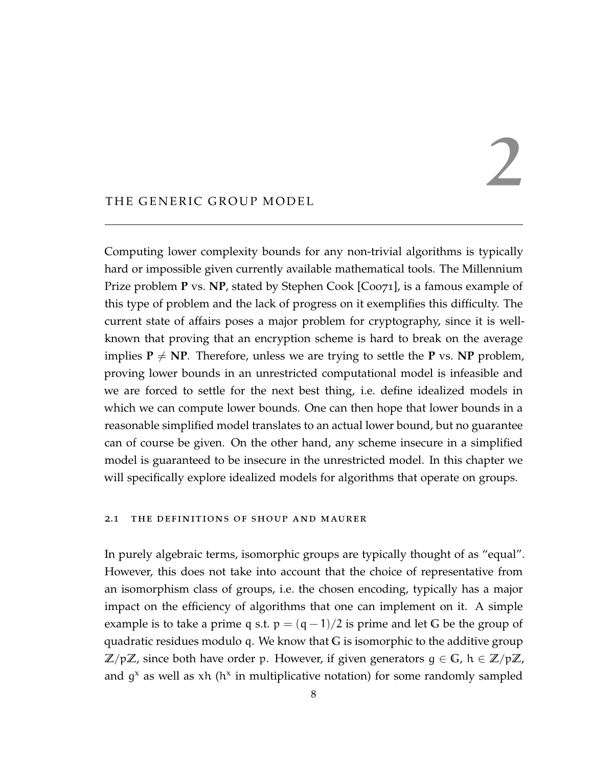# 2

#### <span id="page-19-0"></span>THE GENERIC GROUP MODEL

Computing lower complexity bounds for any non-trivial algorithms is typically hard or impossible given currently available mathematical tools. The Millennium Prize problem **P** vs. NP, stated by Stephen Cook [\[Coo](#page-113-6)71], is a famous example of this type of problem and the lack of progress on it exemplifies this difficulty. The current state of affairs poses a major problem for cryptography, since it is wellknown that proving that an encryption scheme is hard to break on the average implies  $P \neq NP$ . Therefore, unless we are trying to settle the **P** vs. **NP** problem, proving lower bounds in an unrestricted computational model is infeasible and we are forced to settle for the next best thing, i.e. define idealized models in which we can compute lower bounds. One can then hope that lower bounds in a reasonable simplified model translates to an actual lower bound, but no guarantee can of course be given. On the other hand, any scheme insecure in a simplified model is guaranteed to be insecure in the unrestricted model. In this chapter we will specifically explore idealized models for algorithms that operate on groups.

#### <span id="page-19-1"></span>2.1 the definitions of shoup and maurer

In purely algebraic terms, isomorphic groups are typically thought of as "equal". However, this does not take into account that the choice of representative from an isomorphism class of groups, i.e. the chosen encoding, typically has a major impact on the efficiency of algorithms that one can implement on it. A simple example is to take a prime q s.t.  $p = (q - 1)/2$  is prime and let G be the group of quadratic residues modulo q. We know that **G** is isomorphic to the additive group **Z**/p**Z**, since both have order p. However, if given generators g ∈ **G**, h ∈ **Z**/p**Z**, and  $g^x$  as well as xh ( $h^x$  in multiplicative notation) for some randomly sampled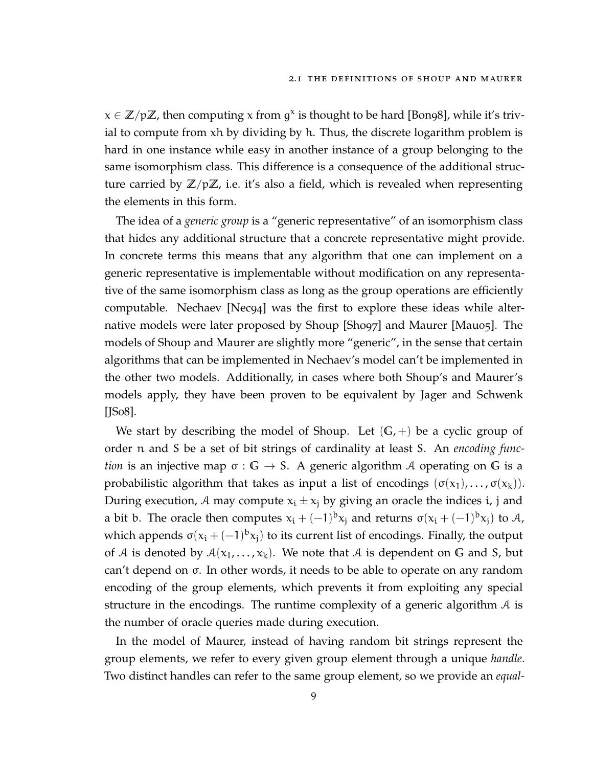$x \in \mathbb{Z}/p\mathbb{Z}$ , then computing x from  $g^x$  is thought to be hard [\[Bon](#page-112-7)98], while it's trivial to compute from xh by dividing by h. Thus, the discrete logarithm problem is hard in one instance while easy in another instance of a group belonging to the same isomorphism class. This difference is a consequence of the additional structure carried by **Z**/p**Z**, i.e. it's also a field, which is revealed when representing the elements in this form.

The idea of a *generic group* is a "generic representative" of an isomorphism class that hides any additional structure that a concrete representative might provide. In concrete terms this means that any algorithm that one can implement on a generic representative is implementable without modification on any representative of the same isomorphism class as long as the group operations are efficiently computable. Nechaev [\[Nec](#page-115-5)94] was the first to explore these ideas while alternative models were later proposed by Shoup [\[Sho](#page-116-2)97] and Maurer [\[Mau](#page-115-6)05]. The models of Shoup and Maurer are slightly more "generic", in the sense that certain algorithms that can be implemented in Nechaev's model can't be implemented in the other two models. Additionally, in cases where both Shoup's and Maurer's models apply, they have been proven to be equivalent by Jager and Schwenk [**JSo8**].

We start by describing the model of Shoup. Let  $(G, +)$  be a cyclic group of order n and S be a set of bit strings of cardinality at least S. An *encoding function* is an injective map σ : **G** → S. A generic algorithm A operating on **G** is a probabilistic algorithm that takes as input a list of encodings  $(\sigma(x_1), \ldots, \sigma(x_k))$ . During execution, A may compute  $x_i \pm x_j$  by giving an oracle the indices i, j and a bit b. The oracle then computes  $x_i + (-1)^b x_j$  and returns  $\sigma(x_i + (-1)^b x_j)$  to A, which appends  $\sigma(x_i + (-1)^b x_j)$  to its current list of encodings. Finally, the output of A is denoted by  $A(x_1,...,x_k)$ . We note that A is dependent on G and S, but can't depend on σ. In other words, it needs to be able to operate on any random encoding of the group elements, which prevents it from exploiting any special structure in the encodings. The runtime complexity of a generic algorithm  $\mathcal A$  is the number of oracle queries made during execution.

In the model of Maurer, instead of having random bit strings represent the group elements, we refer to every given group element through a unique *handle*. Two distinct handles can refer to the same group element, so we provide an *equal-*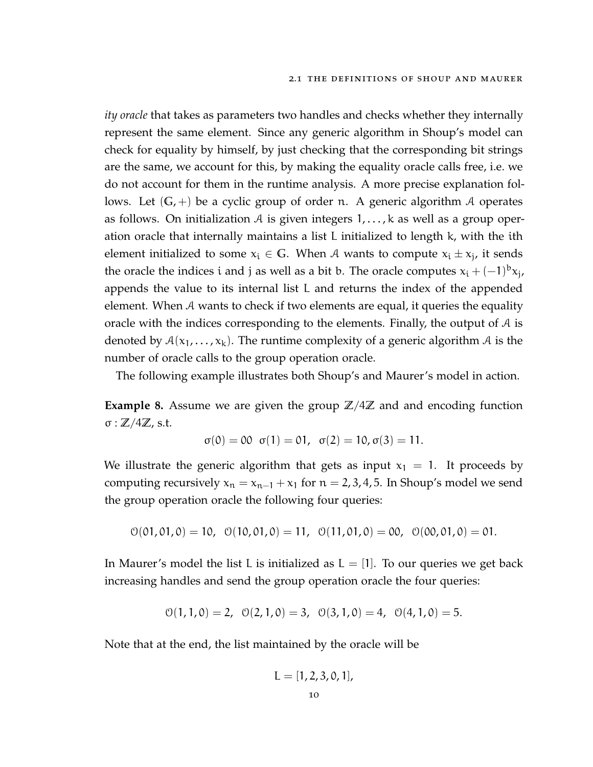*ity oracle* that takes as parameters two handles and checks whether they internally represent the same element. Since any generic algorithm in Shoup's model can check for equality by himself, by just checking that the corresponding bit strings are the same, we account for this, by making the equality oracle calls free, i.e. we do not account for them in the runtime analysis. A more precise explanation follows. Let  $(G,+)$  be a cyclic group of order n. A generic algorithm A operates as follows. On initialization A is given integers  $1, \ldots, k$  as well as a group operation oracle that internally maintains a list L initialized to length k, with the ith element initialized to some  $x_i \in \mathbb{G}$ . When A wants to compute  $x_i \pm x_j$ , it sends the oracle the indices i and j as well as a bit b. The oracle computes  $x_i + (-1)^b x_j$ , appends the value to its internal list L and returns the index of the appended element. When A wants to check if two elements are equal, it queries the equality oracle with the indices corresponding to the elements. Finally, the output of  $A$  is denoted by  $A(x_1,...,x_k)$ . The runtime complexity of a generic algorithm A is the number of oracle calls to the group operation oracle.

The following example illustrates both Shoup's and Maurer's model in action.

**Example 8.** Assume we are given the group  $\mathbb{Z}/4\mathbb{Z}$  and and encoding function σ : **Z**/4**Z**, s.t.

$$
\sigma(0) = 00 \ \sigma(1) = 01, \ \sigma(2) = 10, \sigma(3) = 11.
$$

We illustrate the generic algorithm that gets as input  $x_1 = 1$ . It proceeds by computing recursively  $x_n = x_{n-1} + x_1$  for  $n = 2, 3, 4, 5$ . In Shoup's model we send the group operation oracle the following four queries:

$$
\mathcal{O}(01, 01, 0) = 10, \ \ \mathcal{O}(10, 01, 0) = 11, \ \ \mathcal{O}(11, 01, 0) = 00, \ \ \mathcal{O}(00, 01, 0) = 01.
$$

In Maurer's model the list L is initialized as  $L = [1]$ . To our queries we get back increasing handles and send the group operation oracle the four queries:

$$
\mathcal{O}(1,1,0) = 2, \ \ \mathcal{O}(2,1,0) = 3, \ \ \mathcal{O}(3,1,0) = 4, \ \ \mathcal{O}(4,1,0) = 5.
$$

Note that at the end, the list maintained by the oracle will be

$$
L=[1,2,3,0,1],
$$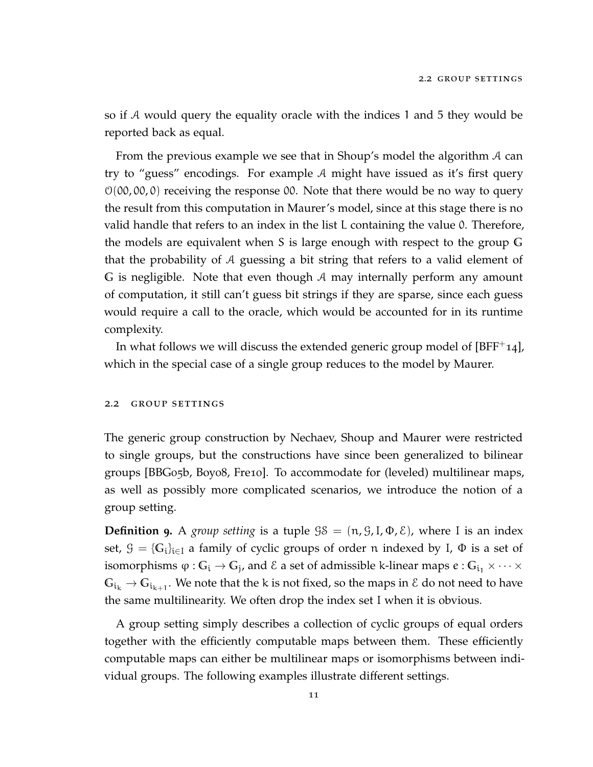so if A would query the equality oracle with the indices 1 and 5 they would be reported back as equal.

From the previous example we see that in Shoup's model the algorithm A can try to "guess" encodings. For example A might have issued as it's first query  $O(00, 00, 0)$  receiving the response 00. Note that there would be no way to query the result from this computation in Maurer's model, since at this stage there is no valid handle that refers to an index in the list L containing the value 0. Therefore, the models are equivalent when S is large enough with respect to the group **G** that the probability of A guessing a bit string that refers to a valid element of **G** is negligible. Note that even though A may internally perform any amount of computation, it still can't guess bit strings if they are sparse, since each guess would require a call to the oracle, which would be accounted for in its runtime complexity.

<span id="page-22-0"></span>In what follows we will discuss the extended generic group model of  $[BFF^+14]$  $[BFF^+14]$ , which in the special case of a single group reduces to the model by Maurer.

#### 2.2 group settings

The generic group construction by Nechaev, Shoup and Maurer were restricted to single groups, but the constructions have since been generalized to bilinear groups [\[BBG](#page-111-4)05b, [Boy](#page-112-8)08, [Fre](#page-113-7)10]. To accommodate for (leveled) multilinear maps, as well as possibly more complicated scenarios, we introduce the notion of a group setting.

**Definition 9.** A *group setting* is a tuple  $\mathcal{G}\mathcal{S} = (\mathfrak{n}, \mathcal{G}, I, \Phi, \mathcal{E})$ , where I is an index set,  $\mathcal{G} = \{G_i\}_{i \in I}$  a family of cyclic groups of order n indexed by I,  $\Phi$  is a set of isomorphisms  $\varphi:G_i\to G_j$ , and  $\mathcal E$  a set of admissible k-linear maps  $e:G_{i_1}\times\cdots\times$  $\mathbb{G}_{\mathfrak{i}_k} \to \mathbb{G}_{\mathfrak{i}_{k+1}}.$  We note that the k is not fixed, so the maps in  $\mathcal E$  do not need to have the same multilinearity. We often drop the index set I when it is obvious.

A group setting simply describes a collection of cyclic groups of equal orders together with the efficiently computable maps between them. These efficiently computable maps can either be multilinear maps or isomorphisms between individual groups. The following examples illustrate different settings.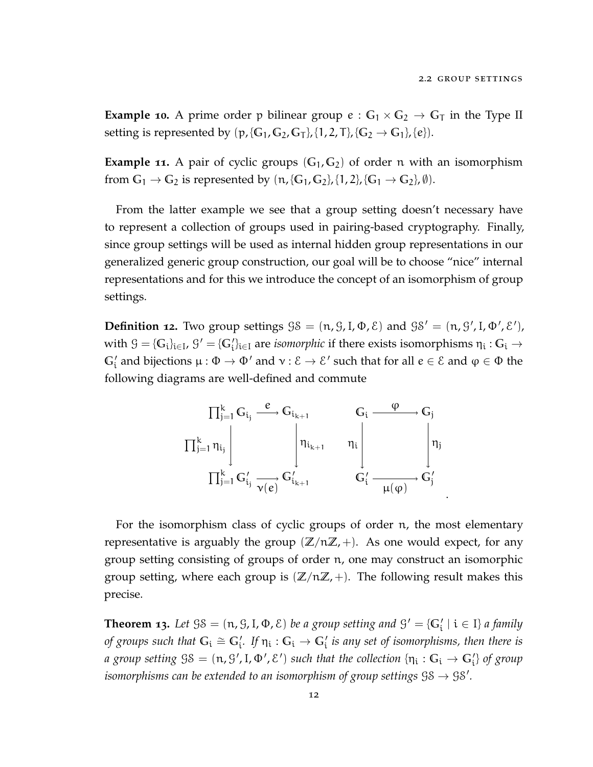**Example 10.** A prime order p bilinear group  $e: G_1 \times G_2 \rightarrow G_T$  in the Type II setting is represented by  $(p, {G_1, G_2, G_T}, {1, 2, T}, {G_2 \rightarrow G_1}, {e}).$ 

**Example 11.** A pair of cyclic groups  $(G_1, G_2)$  of order n with an isomorphism from  $G_1 \rightarrow G_2$  is represented by  $(n, {G_1, G_2}, {1, 2}, {G_1 \rightarrow G_2}, \emptyset)$ .

From the latter example we see that a group setting doesn't necessary have to represent a collection of groups used in pairing-based cryptography. Finally, since group settings will be used as internal hidden group representations in our generalized generic group construction, our goal will be to choose "nice" internal representations and for this we introduce the concept of an isomorphism of group settings.

**Definition 12.** Two group settings  $\mathcal{G}\mathcal{S} = (\mathfrak{n}, \mathcal{G}, \mathfrak{l}, \Phi, \mathcal{E})$  and  $\mathcal{G}\mathcal{S}' = (\mathfrak{n}, \mathcal{G}', \mathfrak{l}, \Phi', \mathcal{E}'),$ with  $\mathcal{G} = \{G_i\}_{i \in I}$ ,  $\mathcal{G}' = \{G'_i\}_{i \in I}$  are *isomorphic* if there exists isomorphisms  $\eta_i: G_i \to$  $\mathbb{G}_i'$  and bijections  $\mu: \Phi \to \Phi'$  and  $\nu: \mathcal{E} \to \mathcal{E}'$  such that for all  $e \in \mathcal{E}$  and  $\phi \in \Phi$  the following diagrams are well-defined and commute



For the isomorphism class of cyclic groups of order n, the most elementary representative is arguably the group  $(\mathbb{Z}/n\mathbb{Z},+)$ . As one would expect, for any group setting consisting of groups of order n, one may construct an isomorphic group setting, where each group is  $(\mathbb{Z}/n\mathbb{Z},+)$ . The following result makes this precise.

**Theorem 13.** Let  $\mathcal{G}\mathcal{S} = (\mathfrak{n}, \mathcal{G}, I, \Phi, \mathcal{E})$  be a group setting and  $\mathcal{G}' = \{G'_i \mid i \in I\}$  a family *of groups such that*  $G_i \cong G'_i$ . If  $\eta_i: G_i \to G'_i$  *is any set of isomorphisms, then there is*  $a$  group setting  $\Im S = (\mathfrak{n}, \Im', \mathrm{I}, \Phi', \mathcal{E}')$  such that the collection  $\{\mathfrak{n_i}: \mathbb{G}_\mathfrak{i} \to \mathbb{G}'_\mathfrak{i}\}$  of group *isomorphisms can be extended to an isomorphism of group settings*  $\mathcal{S}\mathcal{S}\rightarrow\mathcal{S}\mathcal{S}'$ *.*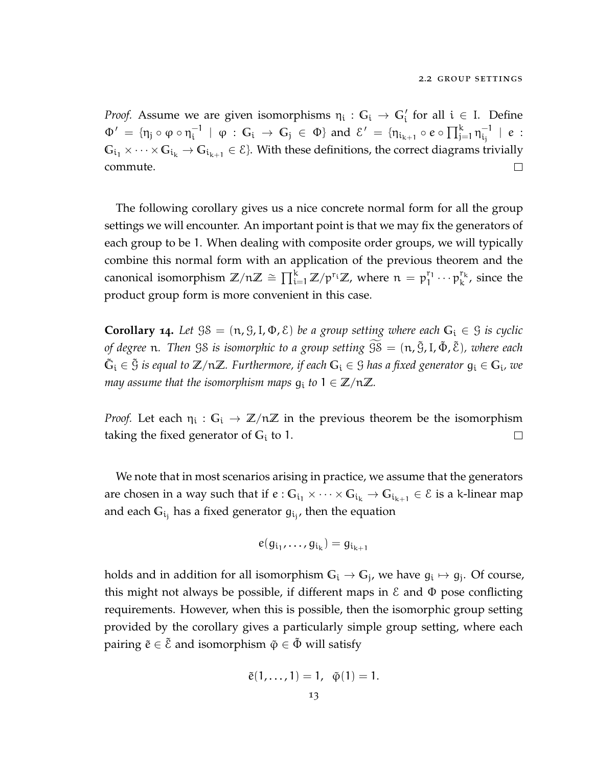*Proof.* Assume we are given isomorphisms  $\eta_i: G_i \to G'_i$  for all  $i \in I$ . Define  $\mathcal{E}_i^{-1}$  |  $\varphi : \mathbb{G}_i \to \mathbb{G}_j \in \Phi$  and  $\mathcal{E}' = \{ \eta_{i_{k+1}} \circ e \circ \prod_{j=1}^k \eta_{i_j}^{-1} \}$  $\Phi' = \{ \eta_j \circ \varphi \circ \eta_i^{-1} \}$  $\frac{-1}{\mathfrak{i}_\mathfrak{j}}$  | e :  $G_{i_1} \times \cdots \times G_{i_k} \to G_{i_{k+1}} \in \mathcal{E}$ . With these definitions, the correct diagrams trivially commute.  $\Box$ 

The following corollary gives us a nice concrete normal form for all the group settings we will encounter. An important point is that we may fix the generators of each group to be 1. When dealing with composite order groups, we will typically combine this normal form with an application of the previous theorem and the canonical isomorphism  $\mathbb{Z}/n\mathbb{Z} \cong \prod_{i=1}^k \mathbb{Z}/p^{r_i}\mathbb{Z}$ , where  $n = p_1^{r_1}$  $\begin{bmatrix}r_1\\1\end{bmatrix} \cdots \begin{bmatrix}r_k\\r_k\end{bmatrix}$  $k^{\prime k}$ , since the product group form is more convenient in this case.

**Corollary 14.** Let  $\mathcal{S}\mathcal{S} = (\mathfrak{n}, \mathcal{G}, I, \Phi, \mathcal{E})$  *be a group setting where each*  $G_i \in \mathcal{G}$  *is cyclic of degree* <sup>n</sup>*. Then* GS *is isomorphic to a group setting* GS<sup>f</sup> = (n, <sup>G</sup>˜,I, <sup>Φ</sup>˜ , <sup>E</sup>˜)*, where each*  $\tilde{G}_i \in \tilde{G}$  *is equal to*  $\mathbb{Z}/n\mathbb{Z}$ *. Furthermore, if each*  $G_i \in \mathcal{G}$  *has a fixed generator*  $g_i \in G_i$ *, we may assume that the isomorphism maps*  $g_i$  *to*  $1 \in \mathbb{Z}/n\mathbb{Z}$ *.* 

*Proof.* Let each  $\eta_i$ :  $G_i \to \mathbb{Z}/n\mathbb{Z}$  in the previous theorem be the isomorphism taking the fixed generator of **G**<sup>i</sup> to 1.  $\Box$ 

We note that in most scenarios arising in practice, we assume that the generators are chosen in a way such that if  $e: G_{i_1} \times \cdots \times G_{i_k} \to G_{i_{k+1}} \in \mathcal{E}$  is a k-linear map and each  $\mathbb{G}_{\mathfrak{i}_\mathfrak{j}}$  has a fixed generator  $g_{\mathfrak{i}_\mathfrak{j}}$ , then the equation

$$
e(g_{i_1},\ldots,g_{i_k})=g_{i_{k+1}}
$$

<span id="page-24-0"></span>holds and in addition for all isomorphism  $G_i \rightarrow G_j$ , we have  $g_i \mapsto g_j$ . Of course, this might not always be possible, if different maps in  $\epsilon$  and  $\Phi$  pose conflicting requirements. However, when this is possible, then the isomorphic group setting provided by the corollary gives a particularly simple group setting, where each pairing  $\tilde{e} \in \tilde{\mathcal{E}}$  and isomorphism  $\tilde{\varphi} \in \tilde{\Phi}$  will satisfy

$$
\tilde{e}(1,\ldots,1) = 1, \ \tilde{\varphi}(1) = 1.
$$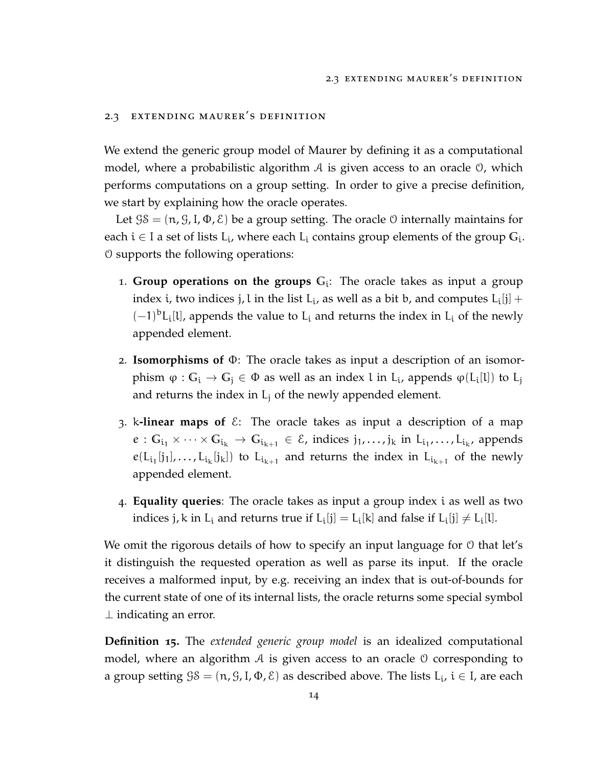#### 2.3 extending maurer's definition

We extend the generic group model of Maurer by defining it as a computational model, where a probabilistic algorithm  $A$  is given access to an oracle  $\mathcal{O}$ , which performs computations on a group setting. In order to give a precise definition, we start by explaining how the oracle operates.

Let  $\mathcal{G}\mathcal{S} = (\mathfrak{n}, \mathcal{G}, I, \Phi, \mathcal{E})$  be a group setting. The oracle  $\mathcal{O}$  internally maintains for each  $i \in I$  a set of lists  $L_i$ , where each  $L_i$  contains group elements of the group  $G_i$ . O supports the following operations:

- 1. **Group operations on the groups G**<sup>i</sup> : The oracle takes as input a group index i, two indices j, l in the list  $L_i$ , as well as a bit b, and computes  $L_i[j] +$  $(-1)^{b}L_{i}[l]$ , appends the value to  $L_{i}$  and returns the index in  $L_{i}$  of the newly appended element.
- 2. **Isomorphisms of** Φ: The oracle takes as input a description of an isomorphism  $\varphi : G_i \to G_j \in \Phi$  as well as an index l in  $L_i$ , appends  $\varphi(L_i[l])$  to  $L_j$ and returns the index in  $L_i$  of the newly appended element.
- 3. k**-linear maps of**  $\&$ : The oracle takes as input a description of a map  $e: G_{i_1} \times \cdots \times G_{i_k} \to G_{i_{k+1}} \in \mathcal{E}$ , indices  $j_1, \ldots, j_k$  in  $L_{i_1}, \ldots, L_{i_k}$ , appends  $e(L_{i_1}[j_1],...,L_{i_k}[j_k])$  to  $L_{i_{k+1}}$  and returns the index in  $L_{i_{k+1}}$  of the newly appended element.
- 4. **Equality queries**: The oracle takes as input a group index i as well as two indices j, k in  $L_i$  and returns true if  $L_i[j] = L_i[k]$  and false if  $L_i[j] \neq L_i[l]$ .

We omit the rigorous details of how to specify an input language for  $\theta$  that let's it distinguish the requested operation as well as parse its input. If the oracle receives a malformed input, by e.g. receiving an index that is out-of-bounds for the current state of one of its internal lists, the oracle returns some special symbol ⊥ indicating an error.

**Definition 15.** The *extended generic group model* is an idealized computational model, where an algorithm  $A$  is given access to an oracle  $\theta$  corresponding to a group setting  $\mathfrak{GS} = (\mathfrak{n}, \mathfrak{G}, I, \Phi, \mathcal{E})$  as described above. The lists  $L_i$ ,  $i \in I$ , are each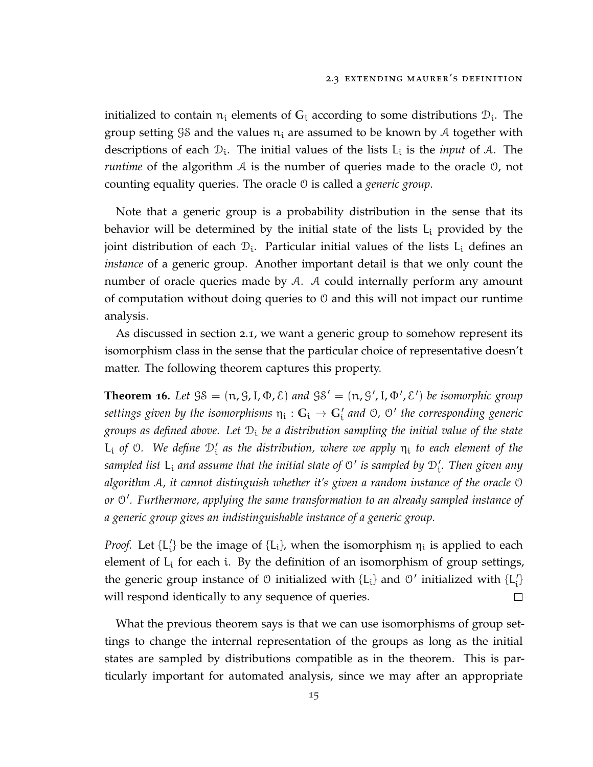initialized to contain  $n_i$  elements of  $G_i$  according to some distributions  $\mathcal{D}_i$ . The group setting  $\mathcal{G}\mathcal{S}$  and the values  $n_i$  are assumed to be known by A together with descriptions of each  $\mathcal{D}_i$ . The initial values of the lists  $L_i$  is the *input* of A. The *runtime* of the algorithm A is the number of queries made to the oracle 0, not counting equality queries. The oracle O is called a *generic group*.

Note that a generic group is a probability distribution in the sense that its behavior will be determined by the initial state of the lists  $L_i$  provided by the joint distribution of each  $\mathcal{D}_{i}$ . Particular initial values of the lists  $L_{i}$  defines an *instance* of a generic group. Another important detail is that we only count the number of oracle queries made by A. A could internally perform any amount of computation without doing queries to  $\theta$  and this will not impact our runtime analysis.

As discussed in section [2](#page-19-1).1, we want a generic group to somehow represent its isomorphism class in the sense that the particular choice of representative doesn't matter. The following theorem captures this property.

<span id="page-26-0"></span>**Theorem 16.** Let  $\mathcal{G}\mathcal{S} = (\mathfrak{n}, \mathcal{G}, I, \Phi, \mathcal{E})$  and  $\mathcal{G}\mathcal{S}' = (\mathfrak{n}, \mathcal{G}', I, \Phi', \mathcal{E}')$  be isomorphic group  $s$ ettings given by the isomorphisms  $\eta_i: \mathbb{G}_i \to \mathbb{G}_i'$  and  $\mathbb{O}$ ,  $\mathbb{O}'$  the corresponding generic *groups as defined above. Let* D<sup>i</sup> *be a distribution sampling the initial value of the state*  $L_i$  *of*  $\odot$ . We define  $\mathcal{D}'_i$  as the distribution, where we apply  $\eta_i$  to each element of the sampled list  $\sf L_i$  and assume that the initial state of  $\mathfrak{O}'$  is sampled by  $\mathfrak{D}'_i$ . Then given any *algorithm* A*, it cannot distinguish whether it's given a random instance of the oracle* O *or* O 0 *. Furthermore, applying the same transformation to an already sampled instance of a generic group gives an indistinguishable instance of a generic group.*

*Proof.* Let  $\{L'_{i}\}$  be the image of  $\{L_{i}\}$ , when the isomorphism  $\eta_{i}$  is applied to each element of  $L_i$  for each i. By the definition of an isomorphism of group settings, the generic group instance of  $\theta$  initialized with  $\{L_i\}$  and  $\theta'$  initialized with  $\{L'_i\}$ will respond identically to any sequence of queries.  $\Box$ 

What the previous theorem says is that we can use isomorphisms of group settings to change the internal representation of the groups as long as the initial states are sampled by distributions compatible as in the theorem. This is particularly important for automated analysis, since we may after an appropriate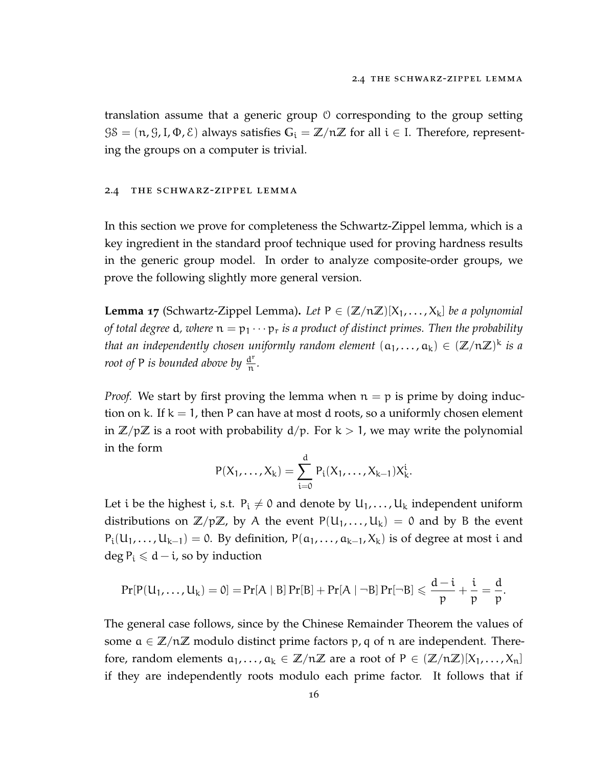translation assume that a generic group O corresponding to the group setting  $\mathcal{G}\mathcal{S} = (\mathfrak{n}, \mathcal{G}, I, \Phi, \mathcal{E})$  always satisfies  $G_i = \mathbb{Z}/n\mathbb{Z}$  for all  $i \in I$ . Therefore, representing the groups on a computer is trivial.

#### <span id="page-27-0"></span>2.4 the schwarz-zippel lemma

In this section we prove for completeness the Schwartz-Zippel lemma, which is a key ingredient in the standard proof technique used for proving hardness results in the generic group model. In order to analyze composite-order groups, we prove the following slightly more general version.

**Lemma 17** (Schwartz-Zippel Lemma). Let  $P \in (\mathbb{Z}/n\mathbb{Z})[X_1,\ldots,X_k]$  *be a polynomial of total degree* d, where  $n = p_1 \cdots p_r$  *is a product of distinct primes. Then the probability that an independently chosen uniformly random element*  $(a_1, \ldots, a_k) \in (\mathbb{Z}/n\mathbb{Z})^k$  *is a root of* P *is bounded above by*  $\frac{d^{r}}{n}$ n *.*

*Proof.* We start by first proving the lemma when  $n = p$  is prime by doing induction on k. If  $k = 1$ , then P can have at most d roots, so a uniformly chosen element in  $\mathbb{Z}/p\mathbb{Z}$  is a root with probability  $d/p$ . For  $k > 1$ , we may write the polynomial in the form

$$
P(X_1, \ldots, X_k) = \sum_{i=0}^d P_i(X_1, \ldots, X_{k-1}) X_k^i.
$$

Let i be the highest i, s.t.  $P_i \neq 0$  and denote by  $U_1, \ldots, U_k$  independent uniform distributions on  $\mathbb{Z}/p\mathbb{Z}$ , by A the event  $P(U_1,...,U_k) = 0$  and by B the event  $P_i(U_1,...,U_{k-1}) = 0$ . By definition,  $P(a_1,...,a_{k-1},X_k)$  is of degree at most i and  $\deg P_i \le d - i$ , so by induction

$$
Pr[P(U_1,\ldots,U_k)=0]=Pr[A \mid B]\Pr[B]+Pr[A \mid \neg B]\Pr[\neg B] \leqslant \frac{d-i}{p}+\frac{i}{p}=\frac{d}{p}.
$$

The general case follows, since by the Chinese Remainder Theorem the values of some  $a \in \mathbb{Z}/n\mathbb{Z}$  modulo distinct prime factors p, q of n are independent. Therefore, random elements  $a_1, \ldots, a_k \in \mathbb{Z}/n\mathbb{Z}$  are a root of  $P \in (\mathbb{Z}/n\mathbb{Z})[X_1, \ldots, X_n]$ if they are independently roots modulo each prime factor. It follows that if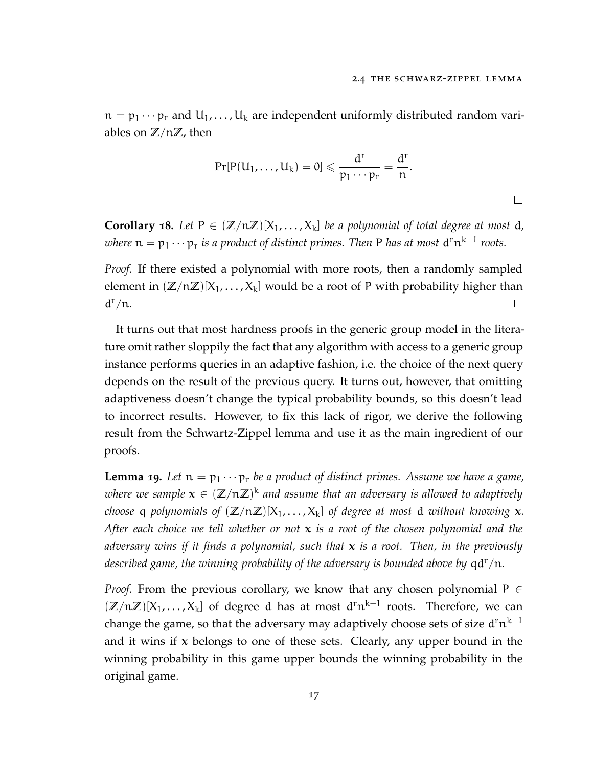$\Box$ 

 $n = p_1 \cdots p_r$  and  $U_1, \ldots, U_k$  are independent uniformly distributed random variables on **Z**/n**Z**, then

$$
Pr[P(U_1,\ldots,U_k)=0]\leqslant \frac{d^r}{p_1\cdots p_r}=\frac{d^r}{n}.
$$

**Corollary 18.** Let  $P \in (\mathbb{Z}/n\mathbb{Z})[X_1, \ldots, X_k]$  *be a polynomial of total degree at most d, <i>here*  $n = p_1 \cdots p_r$  *is a product of distinct primes. Then* P *has at most*  $d^r n^{k-1}$  *roots.* 

*Proof.* If there existed a polynomial with more roots, then a randomly sampled element in  $(\mathbb{Z}/n\mathbb{Z})[X_1,\ldots,X_k]$  would be a root of P with probability higher than  $d^r/n$ .  $\Box$ 

It turns out that most hardness proofs in the generic group model in the literature omit rather sloppily the fact that any algorithm with access to a generic group instance performs queries in an adaptive fashion, i.e. the choice of the next query depends on the result of the previous query. It turns out, however, that omitting adaptiveness doesn't change the typical probability bounds, so this doesn't lead to incorrect results. However, to fix this lack of rigor, we derive the following result from the Schwartz-Zippel lemma and use it as the main ingredient of our proofs.

<span id="page-28-0"></span>**Lemma 19.** Let  $n = p_1 \cdots p_r$  be a product of distinct primes. Assume we have a game, where we sample  $\mathbf{x} \in (\mathbb{Z}/n\mathbb{Z})^k$  and assume that an adversary is allowed to adaptively *choose* q *polynomials of*  $(\mathbb{Z}/n\mathbb{Z})[X_1,\ldots,X_k]$  *of degree at most* d *without knowing* x. *After each choice we tell whether or not* x *is a root of the chosen polynomial and the adversary wins if it finds a polynomial, such that* x *is a root. Then, in the previously described game, the winning probability of the adversary is bounded above by*  $qd^{r}/n$ *.* 

*Proof.* From the previous corollary, we know that any chosen polynomial  $P \in$  $(\mathbb{Z}/n\mathbb{Z})[X_1,\ldots,X_k]$  of degree d has at most  $d^rn^{k-1}$  roots. Therefore, we can change the game, so that the adversary may adaptively choose sets of size  $\mathrm{d}^\mathsf{r} \mathrm{n}^{\mathsf{k}-1}$ and it wins if  $x$  belongs to one of these sets. Clearly, any upper bound in the winning probability in this game upper bounds the winning probability in the original game.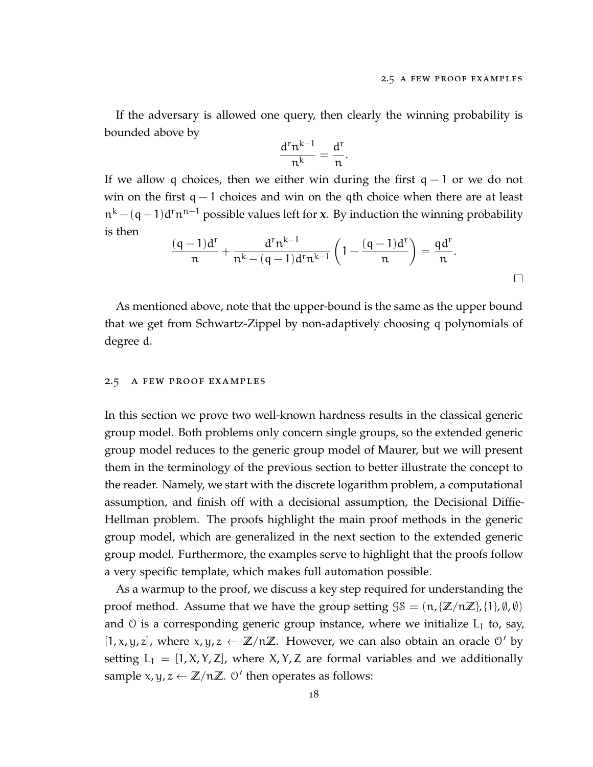If the adversary is allowed one query, then clearly the winning probability is bounded above by

$$
\frac{d^rn^{k-1}}{n^k}=\frac{d^r}{n}.
$$

If we allow q choices, then we either win during the first  $q - 1$  or we do not win on the first  $q - 1$  choices and win on the qth choice when there are at least  $\mathfrak{n}^k - (\mathfrak{q}-1)\mathfrak{d}^{\mathsf{r}} \mathfrak{n}^{\mathsf{n}-1}$  possible values left for **x**. By induction the winning probability is then

$$
\frac{(q-1)d^{r}}{n} + \frac{d^{r} n^{k-1}}{n^{k} - (q-1)d^{r} n^{k-1}} \left(1 - \frac{(q-1)d^{r}}{n}\right) = \frac{qd^{r}}{n}.
$$

As mentioned above, note that the upper-bound is the same as the upper bound that we get from Schwartz-Zippel by non-adaptively choosing q polynomials of degree d.

#### <span id="page-29-0"></span>2.5 a few proof examples

In this section we prove two well-known hardness results in the classical generic group model. Both problems only concern single groups, so the extended generic group model reduces to the generic group model of Maurer, but we will present them in the terminology of the previous section to better illustrate the concept to the reader. Namely, we start with the discrete logarithm problem, a computational assumption, and finish off with a decisional assumption, the Decisional Diffie-Hellman problem. The proofs highlight the main proof methods in the generic group model, which are generalized in the next section to the extended generic group model. Furthermore, the examples serve to highlight that the proofs follow a very specific template, which makes full automation possible.

As a warmup to the proof, we discuss a key step required for understanding the proof method. Assume that we have the group setting  $\mathcal{G}\mathcal{S} = \{n, \{\mathbb{Z}/n\mathbb{Z}\}, \{1\}, \emptyset, \emptyset\}$ and  $\theta$  is a corresponding generic group instance, where we initialize  $L_1$  to, say,  $[1, x, y, z]$ , where  $x, y, z \leftarrow \mathbb{Z}/n\mathbb{Z}$ . However, we can also obtain an oracle  $\theta'$  by setting  $L_1 = [1, X, Y, Z]$ , where  $X, Y, Z$  are formal variables and we additionally sample  $x, y, z \leftarrow \mathbb{Z}/n\mathbb{Z}$ .  $\theta'$  then operates as follows: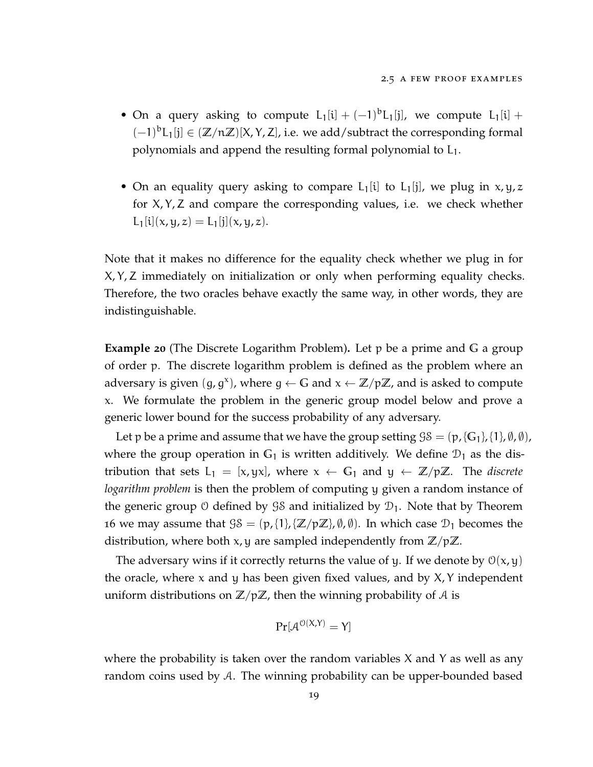- On a query asking to compute  $L_1[i] + (-1)^b L_1[j]$ , we compute  $L_1[i] +$ (−1) <sup>b</sup>L1[j] <sup>∈</sup> (**Z**/n**Z**)[X, <sup>Y</sup>, <sup>Z</sup>], i.e. we add/subtract the corresponding formal polynomials and append the resulting formal polynomial to  $L_1$ .
- On an equality query asking to compare  $L_1[i]$  to  $L_1[i]$ , we plug in  $x, y, z$ for X, Y, Z and compare the corresponding values, i.e. we check whether  $L_1[i](x, y, z) = L_1[j](x, y, z).$

Note that it makes no difference for the equality check whether we plug in for X, Y, Z immediately on initialization or only when performing equality checks. Therefore, the two oracles behave exactly the same way, in other words, they are indistinguishable.

**Example 20** (The Discrete Logarithm Problem)**.** Let p be a prime and **G** a group of order p. The discrete logarithm problem is defined as the problem where an adversary is given  $(g, g^x)$ , where  $g \leftarrow G$  and  $x \leftarrow \mathbb{Z}/p\mathbb{Z}$ , and is asked to compute x. We formulate the problem in the generic group model below and prove a generic lower bound for the success probability of any adversary.

Let p be a prime and assume that we have the group setting  $\mathcal{G}\mathcal{S} = (\mathbf{p}, {\mathcal{G}}_1, \{1\}, \emptyset, \emptyset)$ , where the group operation in  $G_1$  is written additively. We define  $\mathcal{D}_1$  as the distribution that sets  $L_1 = [x, yx]$ , where  $x \leftarrow G_1$  and  $y \leftarrow \mathbb{Z}/p\mathbb{Z}$ . The *discrete logarithm problem* is then the problem of computing y given a random instance of the generic group 0 defined by  $\mathcal{S}\mathcal{S}$  and initialized by  $\mathcal{D}_1$ . Note that by Theorem [16](#page-26-0) we may assume that  $\mathcal{G}\mathcal{S} = (\mathcal{p}, \{1\}, \{\mathbb{Z}/p\mathbb{Z}\}, \emptyset, \emptyset)$ . In which case  $\mathcal{D}_1$  becomes the distribution, where both x, y are sampled independently from **Z**/p**Z**.

The adversary wins if it correctly returns the value of y. If we denote by  $\mathcal{O}(x,y)$ the oracle, where  $x$  and  $y$  has been given fixed values, and by  $X$ ,  $Y$  independent uniform distributions on **Z**/p**Z**, then the winning probability of A is

$$
\Pr[\mathcal{A}^{\mathcal{O}(X,Y)} = Y]
$$

where the probability is taken over the random variables  $X$  and  $Y$  as well as any random coins used by A. The winning probability can be upper-bounded based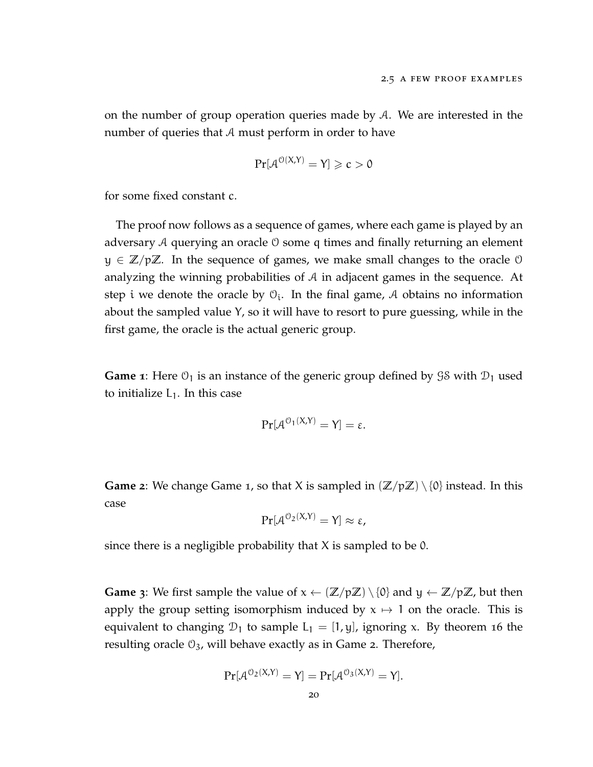on the number of group operation queries made by  $A$ . We are interested in the number of queries that A must perform in order to have

$$
\Pr[\mathcal{A}^{\mathcal{O}(X,Y)} = Y] \geqslant c > 0
$$

for some fixed constant c.

The proof now follows as a sequence of games, where each game is played by an adversary A querying an oracle O some q times and finally returning an element y ∈ **Z**/p**Z**. In the sequence of games, we make small changes to the oracle O analyzing the winning probabilities of A in adjacent games in the sequence. At step i we denote the oracle by  $\mathfrak{O}_{i}$ . In the final game, A obtains no information about the sampled value Y, so it will have to resort to pure guessing, while in the first game, the oracle is the actual generic group.

**Game 1**: Here  $\mathcal{O}_1$  is an instance of the generic group defined by  $\mathcal{G}\mathcal{S}$  with  $\mathcal{D}_1$  used to initialize  $L_1$ . In this case

$$
Pr[\mathcal{A}^{0_1(X,Y)} = Y] = \varepsilon.
$$

**Game** 2: We change Game 1, so that X is sampled in  $(\mathbb{Z}/p\mathbb{Z}) \setminus \{0\}$  instead. In this case

$$
\Pr[\mathcal{A}^{0_2(X,Y)}=Y]\approx \varepsilon,
$$

since there is a negligible probability that  $X$  is sampled to be 0.

**Game 3**: We first sample the value of  $x \leftarrow (\mathbb{Z}/p\mathbb{Z}) \setminus \{0\}$  and  $y \leftarrow \mathbb{Z}/p\mathbb{Z}$ , but then apply the group setting isomorphism induced by  $x \mapsto 1$  on the oracle. This is equivalent to changing  $\mathcal{D}_1$  to sample  $L_1 = [1, y]$ , ignoring x. By theorem [16](#page-26-0) the resulting oracle  $\mathcal{O}_3$ , will behave exactly as in Game 2. Therefore,

$$
Pr[\mathcal{A}^{O_2(X,Y)} = Y] = Pr[\mathcal{A}^{O_3(X,Y)} = Y].
$$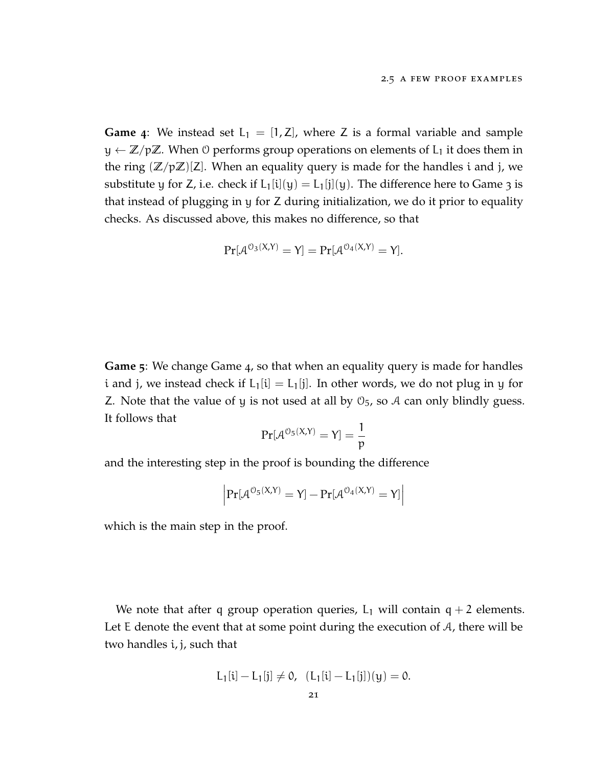**Game** 4: We instead set  $L_1 = [1, Z]$ , where Z is a formal variable and sample  $y \leftarrow \mathbb{Z}/p\mathbb{Z}$ . When 0 performs group operations on elements of  $L_1$  it does them in the ring  $(\mathbb{Z}/p\mathbb{Z})[\mathsf{Z}]$ . When an equality query is made for the handles i and j, we substitute y for Z, i.e. check if  $L_1[i](y) = L_1[j](y)$ . The difference here to Game 3 is that instead of plugging in y for Z during initialization, we do it prior to equality checks. As discussed above, this makes no difference, so that

$$
Pr[\mathcal{A}^{O_3(X,Y)} = Y] = Pr[\mathcal{A}^{O_4(X,Y)} = Y].
$$

**Game 5**: We change Game 4, so that when an equality query is made for handles i and j, we instead check if  $L_1[i] = L_1[j]$ . In other words, we do not plug in y for Z. Note that the value of y is not used at all by  $\mathcal{O}_5$ , so A can only blindly guess. It follows that

$$
Pr[\mathcal{A}^{0_5(X,Y)}=Y]=\frac{1}{p}
$$

and the interesting step in the proof is bounding the difference

$$
\left|\Pr[\mathcal{A}^{\mathcal{O}_5(X,Y)}=Y]-\Pr[\mathcal{A}^{\mathcal{O}_4(X,Y)}=Y]\right|
$$

which is the main step in the proof.

We note that after q group operation queries,  $L_1$  will contain  $q + 2$  elements. Let E denote the event that at some point during the execution of  $A$ , there will be two handles i, j, such that

$$
L_1[i] - L_1[j] \neq 0, \ \ (L_1[i] - L_1[j])(y) = 0.
$$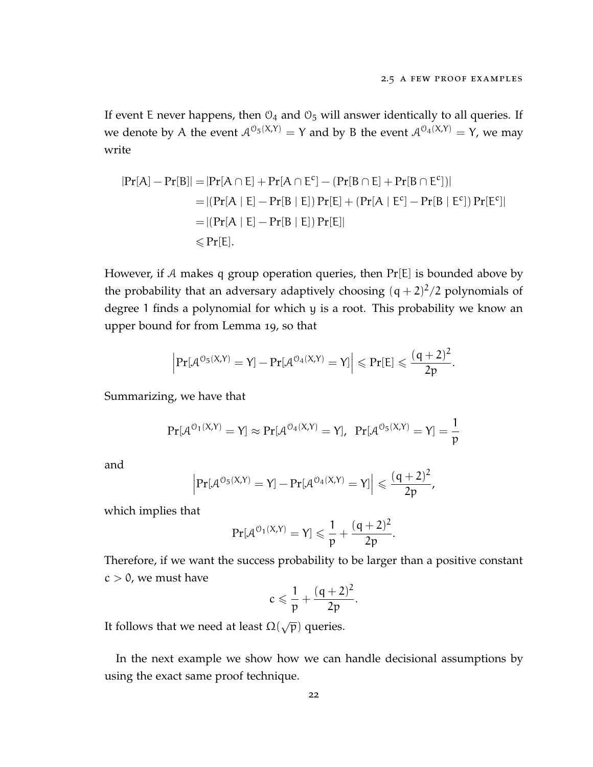If event E never happens, then  $\mathcal{O}_4$  and  $\mathcal{O}_5$  will answer identically to all queries. If we denote by A the event  $A^{0}(\theta;X,Y) = Y$  and by B the event  $A^{0}(\theta;X,Y) = Y$ , we may write

$$
|Pr[A] - Pr[B]| = |Pr[A \cap E] + Pr[A \cap E^{c}] - (Pr[B \cap E] + Pr[B \cap E^{c}])|
$$
  
= |(Pr[A | E] - Pr[B | E]) Pr[E] + (Pr[A | E^{c}] - Pr[B | E^{c}]) Pr[E^{c}]|  
= |(Pr[A | E] - Pr[B | E]) Pr[E]|  

$$
\leq Pr[E].
$$

However, if A makes q group operation queries, then  $Pr[E]$  is bounded above by the probability that an adversary adaptively choosing  $(q + 2)^2/2$  polynomials of degree 1 finds a polynomial for which y is a root. This probability we know an upper bound for from Lemma [19](#page-28-0), so that

$$
\left|\Pr[\mathcal{A}^{\mathcal{O}_5(X,Y)}=Y]-\Pr[\mathcal{A}^{\mathcal{O}_4(X,Y)}=Y]\right|\leqslant\Pr[E]\leqslant\frac{(q+2)^2}{2p}.
$$

Summarizing, we have that

$$
\Pr[\mathcal{A}^{O_1(X,Y)}=Y] \approx \Pr[\mathcal{A}^{O_4(X,Y)}=Y], \ \Pr[\mathcal{A}^{O_5(X,Y)}=Y] = \frac{1}{p}
$$

and

$$
\left|\Pr[\mathcal{A}^{\mathcal{O}_5(X,Y)}=Y]-\Pr[\mathcal{A}^{\mathcal{O}_4(X,Y)}=Y]\right|\leqslant \frac{(q+2)^2}{2p},
$$

which implies that

$$
\Pr[\mathcal{A}^{\mathcal{O}_1(X,Y)}=Y]\leqslant \frac{1}{p}+\frac{(q+2)^2}{2p}.
$$

Therefore, if we want the success probability to be larger than a positive constant  $c > 0$ , we must have

$$
c\leqslant \frac{1}{p}+\frac{(q+2)^2}{2p}.
$$

It follows that we need at least  $\Omega(\sqrt{p})$  queries.

In the next example we show how we can handle decisional assumptions by using the exact same proof technique.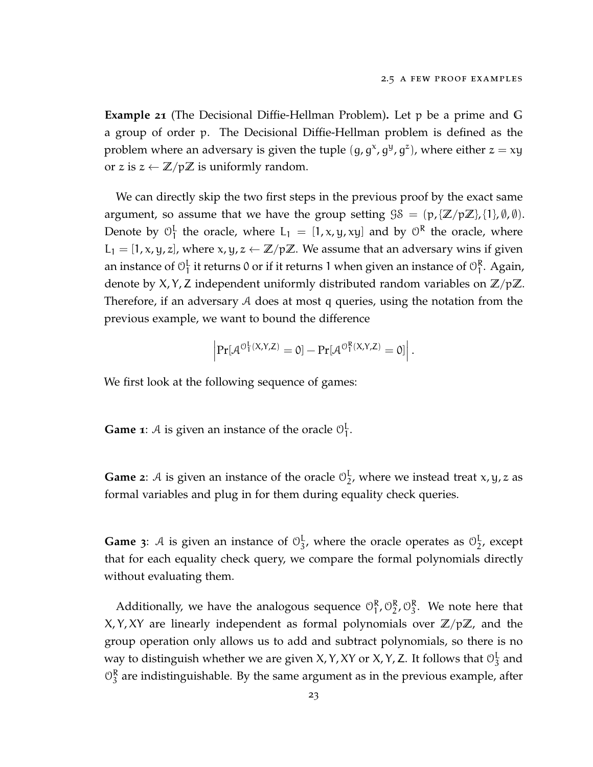**Example 21** (The Decisional Diffie-Hellman Problem)**.** Let p be a prime and **G** a group of order p. The Decisional Diffie-Hellman problem is defined as the problem where an adversary is given the tuple  $(g, g^x, g^y, g^z)$ , where either  $z = xy$ or z is  $z \leftarrow \mathbb{Z}/p\mathbb{Z}$  is uniformly random.

We can directly skip the two first steps in the previous proof by the exact same argument, so assume that we have the group setting  $\mathcal{G}\mathcal{S} = (\mathfrak{p}, \{\mathbb{Z}/p\mathbb{Z}\}, \{1\}, \emptyset, \emptyset).$ Denote by  $\mathcal{O}_1^L$  $_1^L$  the oracle, where  $L_1 = [1, x, y, xy]$  and by  $\theta^R$  the oracle, where  $L_1 = [1, x, y, z]$ , where  $x, y, z \leftarrow \mathbb{Z}/p\mathbb{Z}$ . We assume that an adversary wins if given an instance of  $\mathcal{O}_1^{\mathsf{L}}$  $\frac{1}{1}$  it returns 0 or if it returns 1 when given an instance of  $\mathcal{O}_1^{\mathsf{R}}$ 1 . Again, denote by X, Y, Z independent uniformly distributed random variables on **Z**/p**Z**. Therefore, if an adversary A does at most q queries, using the notation from the previous example, we want to bound the difference

$$
\left|\Pr[\mathcal{A}^{\mathcal{O}^L_1(X,Y,Z)}=0]-\Pr[\mathcal{A}^{\mathcal{O}^R_1(X,Y,Z)}=0]\right|.
$$

We first look at the following sequence of games:

**Game 1**: A is given an instance of the oracle  $\mathbb{O}^L_1$ լ<br>1

**Game** 2: A is given an instance of the oracle  $\mathbb{O}^{\mathbb{L}}_2$  $\frac{1}{2}$ , where we instead treat x, y, z as formal variables and plug in for them during equality check queries.

**Game** 3: A is given an instance of  $\mathcal{O}_3^L$  $\frac{L}{3}$ , where the oracle operates as  $\mathcal{O}_2^L$  $\frac{1}{2}$ , except that for each equality check query, we compare the formal polynomials directly without evaluating them.

Additionally, we have the analogous sequence  $\mathcal{O}_1^R$  $\begin{smallmatrix} R & 0 R \\ 1, 02 \end{smallmatrix}$  $\frac{R}{2}$ ,  $\mathcal{O}_3^R$  $\frac{R}{3}$ . We note here that  $X, Y, XY$  are linearly independent as formal polynomials over  $\mathbb{Z}/p\mathbb{Z}$ , and the group operation only allows us to add and subtract polynomials, so there is no way to distinguish whether we are given X, Y, XY or X, Y, Z. It follows that  $\mathcal{O}^{\text{L}}_3$  $\frac{1}{3}$  and  $\mathcal{O}_3^{\mathsf{R}}$  $_3^{\kappa}$  are indistinguishable. By the same argument as in the previous example, after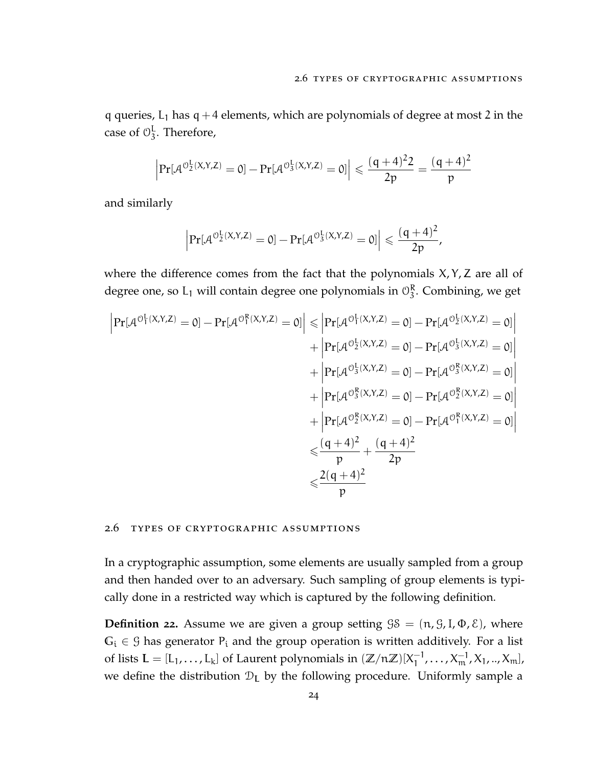q queries,  $L_1$  has  $q + 4$  elements, which are polynomials of degree at most 2 in the case of  $\mathcal{O}_3^{\mathsf{L}}$  $\frac{L}{3}$ . Therefore,

$$
\left|\Pr[\mathcal{A}^{\mathcal{O}_2^L(X,Y,Z)}=0]-\Pr[\mathcal{A}^{\mathcal{O}_3^L(X,Y,Z)}=0]\right|\leqslant \frac{(q+4)^22}{2p}=\frac{(q+4)^2}{p}
$$

and similarly

$$
\left|\Pr[\mathcal{A}^{\mathcal{O}_2^L(X,Y,Z)}=0]-\Pr[\mathcal{A}^{\mathcal{O}_3^L(X,Y,Z)}=0]\right|\leqslant \frac{(q+4)^2}{2p},
$$

where the difference comes from the fact that the polynomials  $X, Y, Z$  are all of degree one, so L<sub>1</sub> will contain degree one polynomials in  $\mathcal{O}_3^R$  $\frac{1}{3}$ . Combining, we get

$$
\begin{aligned}\n\left| \Pr[\mathcal{A}^{\mathcal{O}_1^L(X,Y,Z)} = 0] - \Pr[\mathcal{A}^{\mathcal{O}_1^R(X,Y,Z)} = 0] \right| &\leq \left| \Pr[\mathcal{A}^{\mathcal{O}_2^L(X,Y,Z)} = 0] - \Pr[\mathcal{A}^{\mathcal{O}_2^L(X,Y,Z)} = 0] \right| \\
&\quad + \left| \Pr[\mathcal{A}^{\mathcal{O}_2^L(X,Y,Z)} = 0] - \Pr[\mathcal{A}^{\mathcal{O}_3^R(X,Y,Z)} = 0] \right| \\
&\quad + \left| \Pr[\mathcal{A}^{\mathcal{O}_3^R(X,Y,Z)} = 0] - \Pr[\mathcal{A}^{\mathcal{O}_3^R(X,Y,Z)} = 0] \right| \\
&\quad + \left| \Pr[\mathcal{A}^{\mathcal{O}_3^R(X,Y,Z)} = 0] - \Pr[\mathcal{A}^{\mathcal{O}_2^R(X,Y,Z)} = 0] \right| \\
&\leqslant \frac{(q+4)^2}{p} + \frac{(q+4)^2}{2p} \\
&\leqslant \frac{2(q+4)^2}{p}\n\end{aligned}
$$

#### <span id="page-35-0"></span>2.6 types of cryptographic assumptions

In a cryptographic assumption, some elements are usually sampled from a group and then handed over to an adversary. Such sampling of group elements is typically done in a restricted way which is captured by the following definition.

**Definition 22.** Assume we are given a group setting  $\mathcal{G}\mathcal{S} = (\mathfrak{n}, \mathcal{G}, I, \Phi, \mathcal{E})$ , where  $G_i \in \mathcal{G}$  has generator  $P_i$  and the group operation is written additively. For a list of lists  $L = [L_1, ..., L_k]$  of Laurent polynomials in  $(\mathbb{Z}/n\mathbb{Z})[X_1^{-1}]$  $\frac{-1}{1}, \ldots, X_{m}^{-1}, X_1, \ldots, X_{m}$ ], we define the distribution  $D_L$  by the following procedure. Uniformly sample a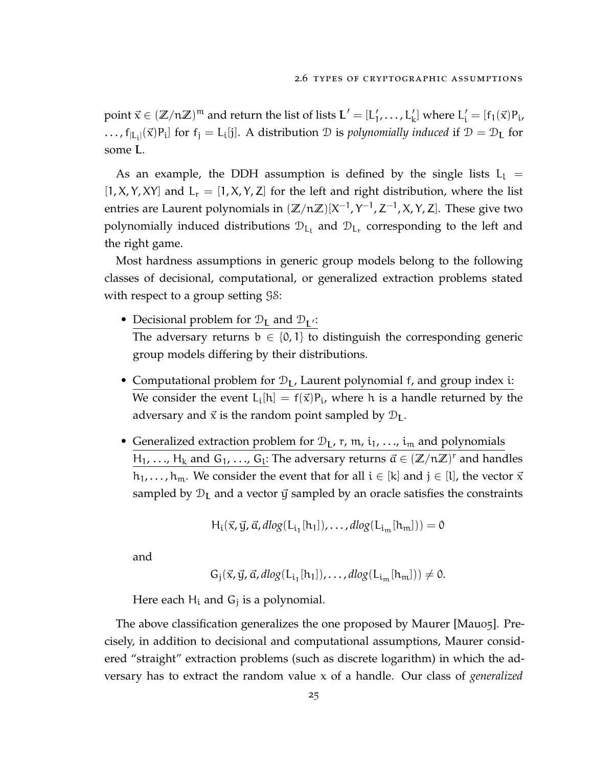point  $\vec{x} \in (\mathbb{Z}/n\mathbb{Z})^m$  and return the list of lists  $L' = [L'_1, \ldots, L'_k]$  where  $L'_i = [f_1(\vec{x})P_i,$ ...,  $f_{|L_i|}(\vec{x})P_i$  for  $f_j = L_i[j]$ . A distribution  $\mathcal D$  is *polynomially induced* if  $\mathcal D = \mathcal D_L$  for some L.

As an example, the DDH assumption is defined by the single lists  $L_1$  =  $[1, X, Y, XY]$  and  $L_r = [1, X, Y, Z]$  for the left and right distribution, where the list entries are Laurent polynomials in (ℤ/nℤ)[X<sup>-1</sup>, Y<sup>-1</sup>, Z<sup>-1</sup>, X, Y, Z]. These give two polynomially induced distributions  $\mathcal{D}_{L_1}$  and  $\mathcal{D}_{L_r}$  corresponding to the left and the right game.

Most hardness assumptions in generic group models belong to the following classes of decisional, computational, or generalized extraction problems stated with respect to a group setting  $\mathcal{G}\mathcal{S}$ :

- Decisional problem for  $\mathcal{D}_L$  and  $\mathcal{D}_{L'}$ : The adversary returns  $b \in \{0, 1\}$  to distinguish the corresponding generic group models differing by their distributions.
- Computational problem for  $\mathcal{D}_L$ , Laurent polynomial f, and group index i: We consider the event  $L_i[h] = f(\vec{x})P_i$ , where h is a handle returned by the adversary and  $\vec{x}$  is the random point sampled by  $\mathcal{D}_L$ .
- Generalized extraction problem for  $\mathcal{D}_L$ , r, m,  $i_1$ , ...,  $i_m$  and polynomials  $H_1, \ldots, H_k$  and  $G_1, \ldots, G_l$ : The adversary returns  $\vec{a} \in (\mathbb{Z}/n\mathbb{Z})^r$  and handles  $h_1, \ldots, h_m$ . We consider the event that for all  $i \in [k]$  and  $j \in [l]$ , the vector  $\vec{x}$ sampled by  $\mathcal{D}_L$  and a vector  $\vec{y}$  sampled by an oracle satisfies the constraints

$$
H_i(\vec{x}, \vec{y}, \vec{\alpha}, \text{dlog}(L_{i_1}[h_1]), \dots, \text{dlog}(L_{i_m}[h_m])) = 0
$$

and

$$
G_j(\vec{x}, \vec{y}, \vec{\alpha}, dlog(L_{i_1}[h_1]), \ldots, dlog(L_{i_m}[h_m])) \neq 0.
$$

Here each  $H_i$  and  $G_j$  is a polynomial.

The above classification generalizes the one proposed by Maurer [\[Mau](#page-115-0)05]. Precisely, in addition to decisional and computational assumptions, Maurer considered "straight" extraction problems (such as discrete logarithm) in which the adversary has to extract the random value x of a handle. Our class of *generalized*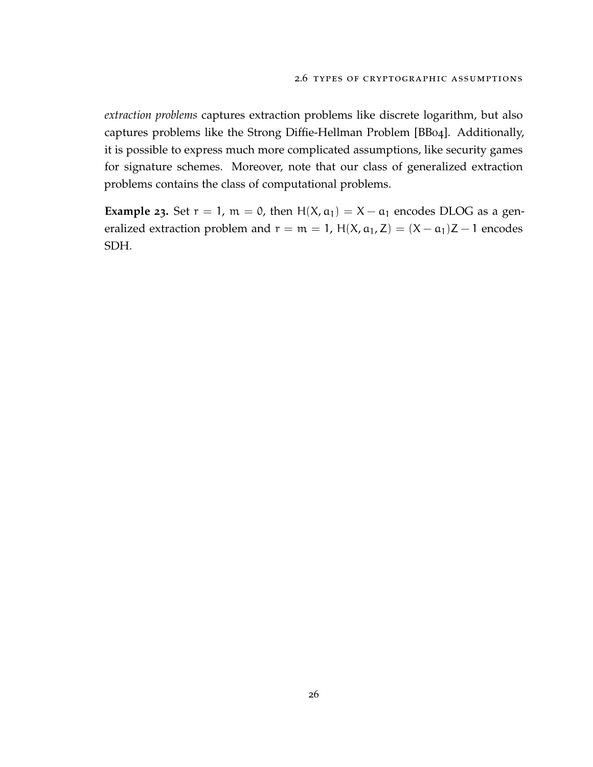*extraction problems* captures extraction problems like discrete logarithm, but also captures problems like the Strong Diffie-Hellman Problem [\[BB](#page-110-0)04]. Additionally, it is possible to express much more complicated assumptions, like security games for signature schemes. Moreover, note that our class of generalized extraction problems contains the class of computational problems.

**Example 23.** Set  $r = 1$ ,  $m = 0$ , then  $H(X, \alpha_1) = X - \alpha_1$  encodes DLOG as a generalized extraction problem and  $r = m = 1$ , H(X,  $a_1$ , Z) = (X –  $a_1$ )Z – 1 encodes SDH.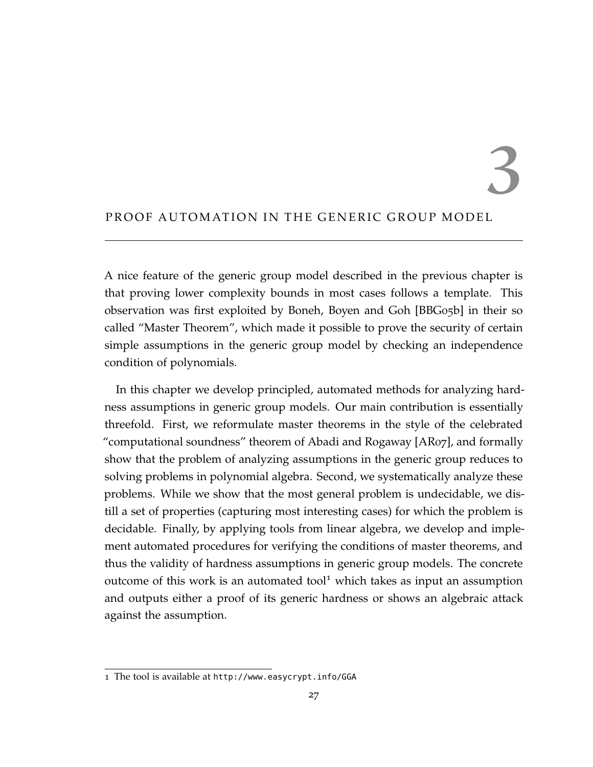3

## PROOF AUTOMATION IN THE GENERIC GROUP MODEL

A nice feature of the generic group model described in the previous chapter is that proving lower complexity bounds in most cases follows a template. This observation was first exploited by Boneh, Boyen and Goh [\[BBG](#page-111-0)05b] in their so called "Master Theorem", which made it possible to prove the security of certain simple assumptions in the generic group model by checking an independence condition of polynomials.

In this chapter we develop principled, automated methods for analyzing hardness assumptions in generic group models. Our main contribution is essentially threefold. First, we reformulate master theorems in the style of the celebrated "computational soundness" theorem of Abadi and Rogaway [\[AR](#page-110-1)07], and formally show that the problem of analyzing assumptions in the generic group reduces to solving problems in polynomial algebra. Second, we systematically analyze these problems. While we show that the most general problem is undecidable, we distill a set of properties (capturing most interesting cases) for which the problem is decidable. Finally, by applying tools from linear algebra, we develop and implement automated procedures for verifying the conditions of master theorems, and thus the validity of hardness assumptions in generic group models. The concrete outcome of this work is an automated tool<sup>[1](#page-38-0)</sup> which takes as input an assumption and outputs either a proof of its generic hardness or shows an algebraic attack against the assumption.

<span id="page-38-0"></span><sup>1</sup> The tool is available at <http://www.easycrypt.info/GGA>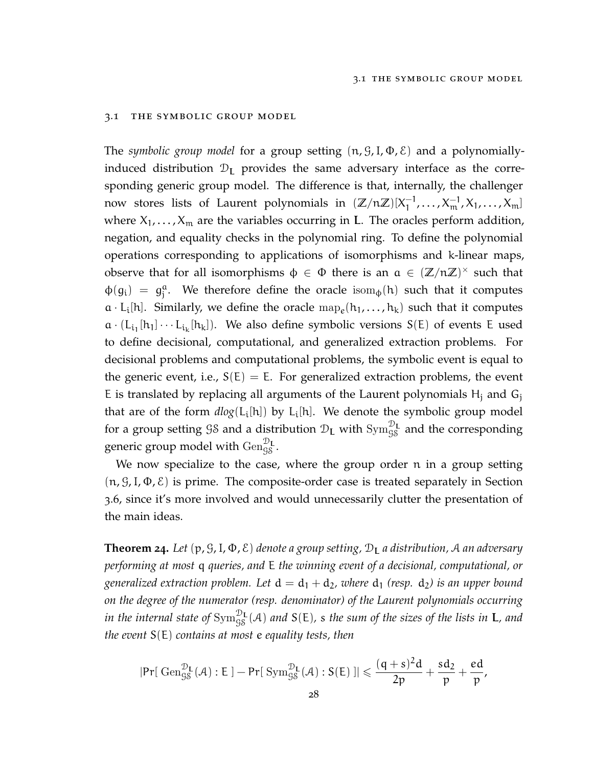#### 3.1 the symbolic group model

The *symbolic group model* for a group setting (n, G,I, Φ, E) and a polynomiallyinduced distribution  $D_L$  provides the same adversary interface as the corresponding generic group model. The difference is that, internally, the challenger now stores lists of Laurent polynomials in  $(\mathbb{Z}/n\mathbb{Z})[X_1^{-1}]$  $\frac{-1}{1}, \ldots, X_{m}^{-1}, X_1, \ldots, X_{m}$ where  $X_1, \ldots, X_m$  are the variables occurring in L. The oracles perform addition, negation, and equality checks in the polynomial ring. To define the polynomial operations corresponding to applications of isomorphisms and k-linear maps, observe that for all isomorphisms  $\phi \in \Phi$  there is an  $a \in (\mathbb{Z}/n\mathbb{Z})^{\times}$  such that  $\phi(g_i) = g_i^a$ <sup>a</sup>. We therefore define the oracle isom<sub> $\phi$ </sub>(h) such that it computes  $a \cdot L_i[h]$ . Similarly, we define the oracle  $\text{map}_e(h_1, \ldots, h_k)$  such that it computes  $a \cdot (L_{i_1}[h_1] \cdots L_{i_k}[h_k])$ . We also define symbolic versions  $S(E)$  of events E used to define decisional, computational, and generalized extraction problems. For decisional problems and computational problems, the symbolic event is equal to the generic event, i.e.,  $S(E) = E$ . For generalized extraction problems, the event E is translated by replacing all arguments of the Laurent polynomials  $H_i$  and  $G_i$ that are of the form  $dlog(L_i[h])$  by  $L_i[h]$ . We denote the symbolic group model for a group setting  ${\cal G} {\cal S}$  and a distribution  ${\cal D}_{\bf L}$  with  ${\rm Sym}_{\cal G {\cal S}}^{{\cal D}_{\bf L}}$  and the corresponding generic group model with  $\text{Gen}_{\mathcal{G\mathcal{S}}}^{\mathcal{D}_{\text{L}}}$ .

We now specialize to the case, where the group order n in a group setting  $(n, \mathcal{G}, I, \Phi, \mathcal{E})$  is prime. The composite-order case is treated separately in Section [3](#page-62-0).6, since it's more involved and would unnecessarily clutter the presentation of the main ideas.

<span id="page-39-0"></span>**Theorem 24.** Let  $(p, \mathcal{G}, I, \Phi, \mathcal{E})$  denote a group setting,  $\mathcal{D}_{I}$  a distribution, A an adversary *performing at most* q *queries, and* E *the winning event of a decisional, computational, or generalized extraction problem. Let*  $d = d_1 + d_2$ *, where*  $d_1$  *(resp.*  $d_2$ *) is an upper bound on the degree of the numerator (resp. denominator) of the Laurent polynomials occurring* in the internal state of  $\text{Sym}_{\text{GS}}^{\mathcal{D}_{\text{L}}}(\mathcal{A})$  and  $\mathcal{S}(\mathsf{E})$ , s the sum of the sizes of the lists in **L**, and *the event* S(E) *contains at most* e *equality tests, then*

$$
|\text{Pr}[ \ \mathrm{Gen}_{\mathcal{G}\mathcal{S}}^{\mathcal{D}_L}(\mathcal{A}) : E \ ] - \text{Pr}[ \ \mathrm{Sym}_{\mathcal{G}\mathcal{S}}^{\mathcal{D}_L}(\mathcal{A}) : S(E) \ ]| \leqslant \frac{(q+s)^2d}{2p} + \frac{sd_2}{p} + \frac{ed}{p},
$$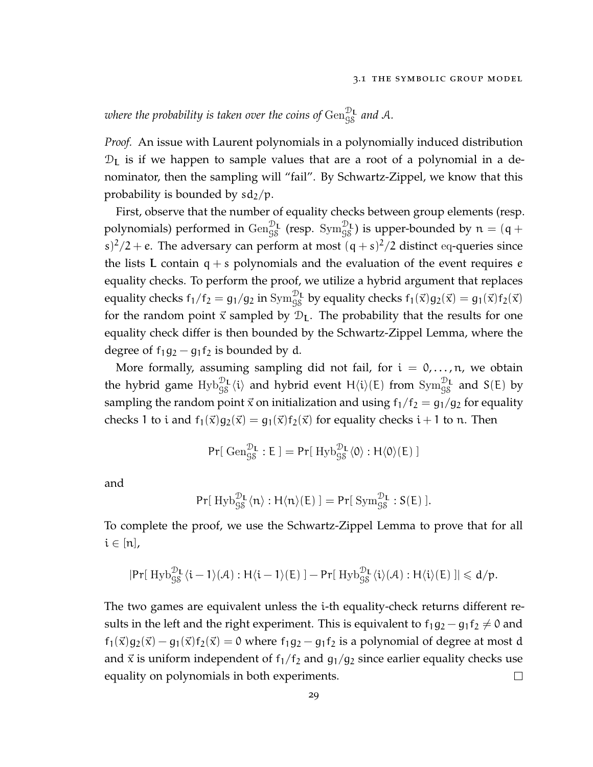# where the probability is taken over the coins of  $\mathrm{Gen}_{\mathrm{S} \mathrm{S}}^{\mathcal{D}_{\mathrm{L}}}$  and A.

*Proof.* An issue with Laurent polynomials in a polynomially induced distribution  $\mathcal{D}_L$  is if we happen to sample values that are a root of a polynomial in a denominator, then the sampling will "fail". By Schwartz-Zippel, we know that this probability is bounded by  $sd_2/p$ .

First, observe that the number of equality checks between group elements (resp. polynomials) performed in  $\text{Gen}_{\text{GS}}^{\mathcal{D}_\mathbf{L}}$  (resp.  $\text{Sym}_{\text{GS}}^{\mathcal{D}_\mathbf{L}}$ ) is upper-bounded by  $\mathfrak{n}=(\mathfrak{q}+$ s)<sup>2</sup>/2 + e. The adversary can perform at most  $(q + s)^2/2$  distinct eq-queries since the lists L contain  $q + s$  polynomials and the evaluation of the event requires  $e$ equality checks. To perform the proof, we utilize a hybrid argument that replaces equality checks  $f_1/f_2 = g_1/g_2$  in  $Sym_{gs}^{\mathcal{D}_L}$  by equality checks  $f_1(\vec{x})g_2(\vec{x}) = g_1(\vec{x})f_2(\vec{x})$ for the random point  $\vec{x}$  sampled by  $\mathcal{D}_L$ . The probability that the results for one equality check differ is then bounded by the Schwartz-Zippel Lemma, where the degree of  $f_1g_2 - g_1f_2$  is bounded by d.

More formally, assuming sampling did not fail, for  $i = 0, \ldots, n$ , we obtain the hybrid game  $Hyb_{gs}^{\mathcal{D}_L}\langle i\rangle$  and hybrid event  $H\langle i\rangle (E)$  from  $\text{Sym}^{\mathcal{D}_L}_{gs}$  and  $S(E)$  by sampling the random point  $\vec{x}$  on initialization and using  $f_1/f_2 = g_1/g_2$  for equality checks 1 to i and  $f_1(\vec{x})g_2(\vec{x}) = g_1(\vec{x})f_2(\vec{x})$  for equality checks i + 1 to n. Then

$$
Pr[\;\mathrm{Gen}_{\mathcal{G}\mathcal{S}}^{\mathcal{D}_L}:\mathsf{E}\;]=Pr[\;\mathrm{Hyb}_{\mathcal{G}\mathcal{S}}^{\mathcal{D}_L}\langle 0\rangle : H\langle 0\rangle(\mathsf{E})\;]
$$

and

$$
\text{Pr}[\;H\text{yb}_{\text{GS}}^{\mathcal{D}_\text{L}}\langle n\rangle:H\langle n\rangle(E)\;]=\text{Pr}[\;\text{Sym}_{\text{GS}}^{\mathcal{D}_\text{L}}:S(E)\;].
$$

To complete the proof, we use the Schwartz-Zippel Lemma to prove that for all  $i \in [n]$ ,

$$
|\text{Pr}[\text{ Hyb}_{gg}^{\mathcal{D}_L}\langle i-1\rangle(\mathcal{A}):H\langle i-1\rangle(E)\text{ }]-\text{Pr}[\text{ Hyb}_{gg}^{\mathcal{D}_L}\langle i\rangle(\mathcal{A}):H\langle i\rangle(E)\text{ }]|\leqslant d/p.
$$

The two games are equivalent unless the i-th equality-check returns different results in the left and the right experiment. This is equivalent to  $f_1g_2 - g_1f_2 \neq 0$  and  $f_1(\vec{x})g_2(\vec{x}) - g_1(\vec{x})f_2(\vec{x}) = 0$  where  $f_1g_2 - g_1f_2$  is a polynomial of degree at most d and  $\vec{x}$  is uniform independent of  $f_1/f_2$  and  $g_1/g_2$  since earlier equality checks use equality on polynomials in both experiments.  $\Box$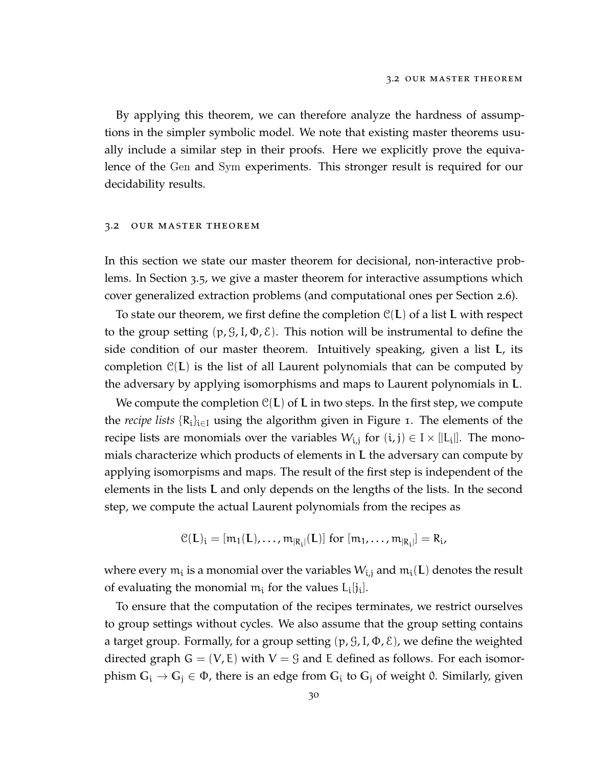By applying this theorem, we can therefore analyze the hardness of assumptions in the simpler symbolic model. We note that existing master theorems usually include a similar step in their proofs. Here we explicitly prove the equivalence of the Gen and Sym experiments. This stronger result is required for our decidability results.

#### 3.2 our master theorem

In this section we state our master theorem for decisional, non-interactive problems. In Section [3](#page-54-0).5, we give a master theorem for interactive assumptions which cover generalized extraction problems (and computational ones per Section [2](#page-35-0).6).

To state our theorem, we first define the completion  $C(L)$  of a list L with respect to the group setting  $(p, \mathcal{G}, I, \Phi, \mathcal{E})$ . This notion will be instrumental to define the side condition of our master theorem. Intuitively speaking, given a list L, its completion  $\mathcal{C}(L)$  is the list of all Laurent polynomials that can be computed by the adversary by applying isomorphisms and maps to Laurent polynomials in L.

We compute the completion  $\mathcal{C}(L)$  of L in two steps. In the first step, we compute the *recipe lists* {R<sup>i</sup> }i∈<sup>I</sup> using the algorithm given in Figure [1](#page-42-0). The elements of the recipe lists are monomials over the variables  $W_{i,j}$  for  $(i,j) \in I \times [|L_i|]$ . The monomials characterize which products of elements in L the adversary can compute by applying isomorpisms and maps. The result of the first step is independent of the elements in the lists L and only depends on the lengths of the lists. In the second step, we compute the actual Laurent polynomials from the recipes as

$$
\mathcal{C}(L)_i = [m_1(L), \dots, m_{|R_i|}(L)] \text{ for } [m_1, \dots, m_{|R_i|}] = R_i,
$$

where every  $\mathfrak{m}_{\mathfrak{i}}$  is a monomial over the variables  $W_{\mathfrak{i},\mathfrak{j}}$  and  $\mathfrak{m}_{\mathfrak{i}}(\mathsf{L})$  denotes the result of evaluating the monomial  $m_i$  for the values  $L_i[j_i]$ .

To ensure that the computation of the recipes terminates, we restrict ourselves to group settings without cycles. We also assume that the group setting contains a target group. Formally, for a group setting  $(p, \mathcal{G}, I, \Phi, \mathcal{E})$ , we define the weighted directed graph  $G = (V, E)$  with  $V = G$  and E defined as follows. For each isomorphism  $G_i \to G_j \in \Phi$ , there is an edge from  $G_i$  to  $G_j$  of weight 0. Similarly, given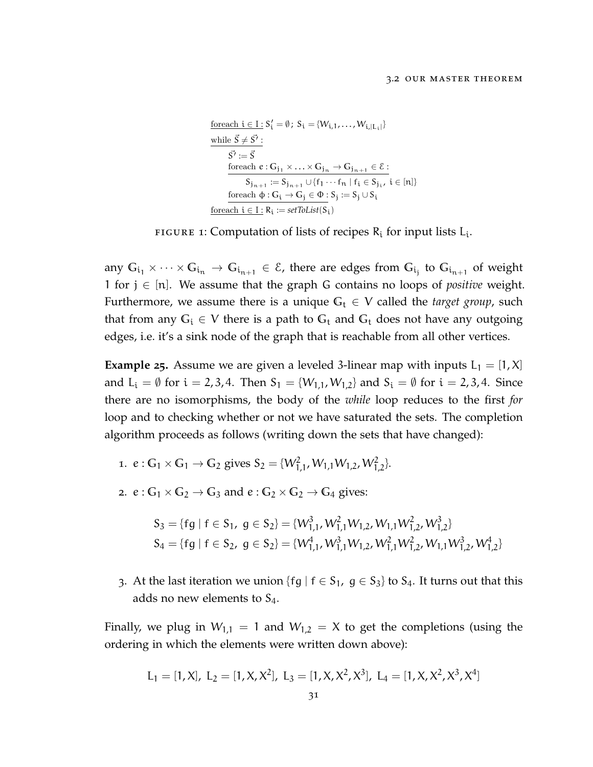<span id="page-42-0"></span>
$$
\begin{aligned} &\frac{\text{foreach } i \in I: S_i' = \emptyset\:;\: S_i = \{W_{i,1},\ldots,W_{i,|L_i|}\} \\ &\frac{\text{while } \vec{S} \neq \vec{S'}:}{\vec{S'} := \vec{S}} \\ &\frac{\text{foreach } e: G_{j_1} \times \ldots \times G_{j_n} \to G_{j_{n+1}} \in \mathcal{E}:}{S_{j_{n+1}} := S_{j_{n+1}} \cup \{f_1 \cdots f_n \mid f_i \in S_{j_i}, \, i \in [n]\}} \\ &\frac{\text{foreach } \varphi: G_i \to G_j \in \Phi: S_j := S_j \cup S_i}{\text{foreach } i \in I: R_i := \mathit{setToList}(S_i)} \end{aligned}
$$

FIGURE 1: Computation of lists of recipes  $R_i$  for input lists  $L_i$ .

any  $G_{i_1}\times \cdots \times G_{i_n}\to G_{i_{n+1}}\in \mathcal{E}$ , there are edges from  $G_{i_j}$  to  $G_{i_{n+1}}$  of weight 1 for j ∈ [n]. We assume that the graph G contains no loops of *positive* weight. Furthermore, we assume there is a unique  $G_t \in V$  called the *target group*, such that from any  $G_i \in V$  there is a path to  $G_t$  and  $G_t$  does not have any outgoing edges, i.e. it's a sink node of the graph that is reachable from all other vertices.

<span id="page-42-2"></span>**Example** 25. Assume we are given a leveled 3-linear map with inputs  $L_1 = [1, X]$ and  $L_i = \emptyset$  for  $i = 2, 3, 4$ . Then  $S_1 = \{W_{1,1}, W_{1,2}\}$  and  $S_i = \emptyset$  for  $i = 2, 3, 4$ . Since there are no isomorphisms, the body of the *while* loop reduces to the first *for* loop and to checking whether or not we have saturated the sets. The completion algorithm proceeds as follows (writing down the sets that have changed):

- 1.  $e: G_1 \times G_1 \to G_2$  gives  $S_2 = \{W_{1,1}^2, W_{1,1}W_{1,2}, W_{1,2}^2\}.$
- 2.  $e: G_1 \times G_2 \rightarrow G_3$  and  $e: G_2 \times G_2 \rightarrow G_4$  gives:

$$
S_3 = \{fg \mid f \in S_1, g \in S_2\} = \{W_{1,1}^3, W_{1,1}^2 W_{1,2}, W_{1,1} W_{1,2}^2, W_{1,2}^3\}
$$
  
\n
$$
S_4 = \{fg \mid f \in S_2, g \in S_2\} = \{W_{1,1}^4, W_{1,1}^3 W_{1,2}, W_{1,1}^2 W_{1,2}^2, W_{1,1} W_{1,2}^3, W_{1,2}^4\}
$$

3. At the last iteration we union {fg |  $f \in S_1$ ,  $g \in S_3$ } to  $S_4$ . It turns out that this adds no new elements to  $S_4$ .

Finally, we plug in  $W_{1,1} = 1$  and  $W_{1,2} = X$  to get the completions (using the ordering in which the elements were written down above):

<span id="page-42-1"></span>
$$
L_1 = [1, X], L_2 = [1, X, X^2], L_3 = [1, X, X^2, X^3], L_4 = [1, X, X^2, X^3, X^4]
$$
  
31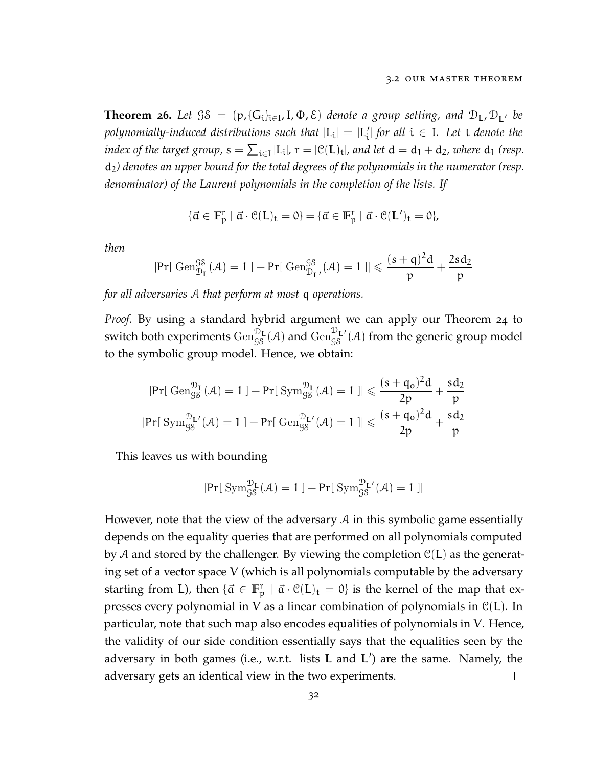**Theorem 26.** Let  $\Im S = (p, \{G_i\}_{i \in I}, I, \Phi, \mathcal{E})$  denote a group setting, and  $D_L, D_{L'}$  be  $p$ olynomially-induced distributions such that  $|{\rm L_i}|$  =  $|{\rm L'_i}|$  for all  ${\rm i\in I}$ . Let  ${\rm t}$  denote the *index of the target group,*  $s = \sum_{i \in I} |L_i|$ ,  $r = |C(L)_t|$ , and let  $d = d_1 + d_2$ , where  $d_1$  (resp. d2*) denotes an upper bound for the total degrees of the polynomials in the numerator (resp. denominator) of the Laurent polynomials in the completion of the lists. If*

$$
\{\vec{\alpha} \in \mathbb{F}_p^r \mid \vec{\alpha} \cdot \mathcal{C}(\mathbf{L})_t = 0\} = \{\vec{\alpha} \in \mathbb{F}_p^r \mid \vec{\alpha} \cdot \mathcal{C}(\mathbf{L}')_t = 0\},
$$

*then*

$$
|\text{Pr}[ \ \mathrm{Gen}_{\mathcal{D}_L}^{\mathcal{G}\mathcal{S}}(\mathcal{A}) = 1 \ ] - \text{Pr}[ \ \mathrm{Gen}_{\mathcal{D}_{L'}}^{\mathcal{G}\mathcal{S}}(\mathcal{A}) = 1 \ ]| \leqslant \frac{(s+q)^2d}{p} + \frac{2sd_2}{p}
$$

*for all adversaries* A *that perform at most* q *operations.*

*Proof.* By using a standard hybrid argument we can apply our Theorem [24](#page-39-0) to switch both experiments  $\operatorname{Gen}_{\rm GS}^{{\mathcal{D}}_{\mathbf{L}}}(\mathcal{A})$  and  $\operatorname{Gen}_{\rm GS}^{{\mathcal{D}}_{\mathbf{L}'}}(\mathcal{A})$  from the generic group model to the symbolic group model. Hence, we obtain:

$$
\begin{aligned}&|\text{Pr}[\ \operatorname{Gen}^{\mathcal{D}_L}_{\mathcal{G}\mathcal{S}}(\mathcal{A})=1]-\text{Pr}[\ \operatorname{Sym}^{\mathcal{D}_L}_{\mathcal{G}\mathcal{S}}(\mathcal{A})=1]\| \leqslant \frac{(s+q_o)^2d}{2p}+\frac{sd_2}{p}\\&|\text{Pr}[\ \operatorname{Sym}^{\mathcal{D}_L}_{\mathcal{G}\mathcal{S}}(\mathcal{A})=1]-\text{Pr}[\ \operatorname{Gen}^{\mathcal{D}_L}_{\mathcal{G}\mathcal{S}}(\mathcal{A})=1]\| \leqslant \frac{(s+q_o)^2d}{2p}+\frac{sd_2}{p}\end{aligned}
$$

This leaves us with bounding

$$
|\text{Pr}[\ \mathrm{Sym}^{\mathcal{D}_L}_{\mathcal{G}\mathcal{S}}(\mathcal{A})=1\ ]-\text{Pr}[\ \mathrm{Sym}^{\mathcal{D}_L}_{\mathcal{G}\mathcal{S}}(\mathcal{A})=1\ ]|
$$

However, note that the view of the adversary  $A$  in this symbolic game essentially depends on the equality queries that are performed on all polynomials computed by A and stored by the challenger. By viewing the completion  $\mathcal{C}(L)$  as the generating set of a vector space V (which is all polynomials computable by the adversary starting from L), then  $\{\vec{\alpha} \in \mathbb{F}_p^r \mid \vec{\alpha} \cdot \mathcal{C}(L)_t = 0\}$  is the kernel of the map that expresses every polynomial in V as a linear combination of polynomials in  $C(L)$ . In particular, note that such map also encodes equalities of polynomials in V. Hence, the validity of our side condition essentially says that the equalities seen by the adversary in both games (i.e., w.r.t. lists **L** and **L**') are the same. Namely, the adversary gets an identical view in the two experiments.  $\Box$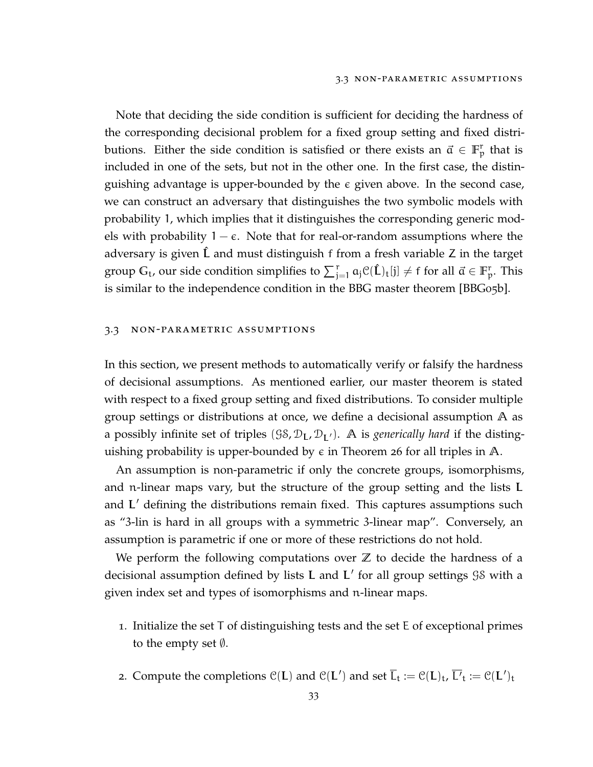Note that deciding the side condition is sufficient for deciding the hardness of the corresponding decisional problem for a fixed group setting and fixed distributions. Either the side condition is satisfied or there exists an  $\vec{a} \in \mathbb{F}_p^r$  that is included in one of the sets, but not in the other one. In the first case, the distinguishing advantage is upper-bounded by the given above. In the second case, we can construct an adversary that distinguishes the two symbolic models with probability 1, which implies that it distinguishes the corresponding generic models with probability  $1 - \epsilon$ . Note that for real-or-random assumptions where the adversary is given L and must distinguish f from a fresh variable Z in the target group  $G_t$ , our side condition simplifies to  $\sum_{j=1}^r a_j \mathcal{C}(\hat{L})_t[j] \neq f$  for all  $\vec{\alpha} \in \mathbb{F}_p^r$ . This is similar to the independence condition in the BBG master theorem [\[BBG](#page-111-0)05b].

#### <span id="page-44-0"></span>3.3 non-parametric assumptions

In this section, we present methods to automatically verify or falsify the hardness of decisional assumptions. As mentioned earlier, our master theorem is stated with respect to a fixed group setting and fixed distributions. To consider multiple group settings or distributions at once, we define a decisional assumption **A** as a possibly infinite set of triples  $(38, \mathcal{D}_L, \mathcal{D}_{L'})$ . A is *generically hard* if the distinguishing probability is upper-bounded by  $\epsilon$  in Theorem [26](#page-42-1) for all triples in  $\mathbb{A}$ .

An assumption is non-parametric if only the concrete groups, isomorphisms, and n-linear maps vary, but the structure of the group setting and the lists L and  $L'$  defining the distributions remain fixed. This captures assumptions such as "3-lin is hard in all groups with a symmetric 3-linear map". Conversely, an assumption is parametric if one or more of these restrictions do not hold.

We perform the following computations over **Z** to decide the hardness of a decisional assumption defined by lists L and L' for all group settings  $98$  with a given index set and types of isomorphisms and n-linear maps.

- 1. Initialize the set T of distinguishing tests and the set E of exceptional primes to the empty set ∅.
- 2. Compute the completions  $\mathcal{C}(L)$  and  $\mathcal{C}(L')$  and set  $\overline{L}_t := \mathcal{C}(L)_{t}$ ,  $\overline{L'}_t := \mathcal{C}(L')_{t}$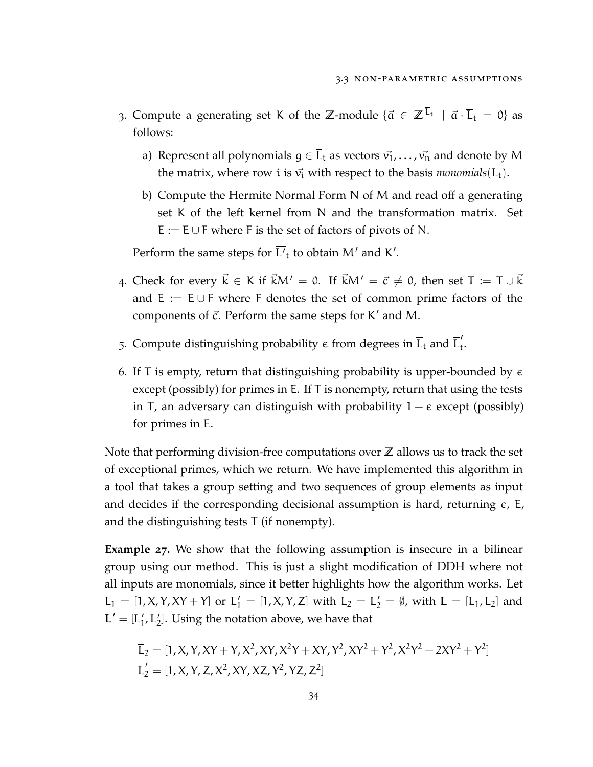- 3. Compute a generating set K of the  $\mathbb{Z}$ -module  $\{\vec{\alpha} \in \mathbb{Z}^{|\overline{L}_t|} \mid \vec{\alpha} \cdot \overline{L}_t = 0\}$  as follows:
	- a) Represent all polynomials  $g \in \overline{L}_t$  as vectors  $\vec{v}_1, \ldots, \vec{v}_n$  and denote by M the matrix, where row *i* is  $\vec{v_i}$  with respect to the basis *monomials*( $\vec{L_t}$ ).
	- b) Compute the Hermite Normal Form N of M and read off a generating set K of the left kernel from N and the transformation matrix. Set  $E := E \cup F$  where F is the set of factors of pivots of N.

Perform the same steps for L'<sub>t</sub> to obtain M' and K'.

- 4. Check for every  $\vec{k} \in K$  if  $\vec{k}M' = 0$ . If  $\vec{k}M' = \vec{c} \neq 0$ , then set  $T := T \cup \vec{k}$ and  $E := E \cup F$  where F denotes the set of common prime factors of the components of  $\vec{c}$ . Perform the same steps for K' and M.
- 5. Compute distinguishing probability  $\epsilon$  from degrees in  $\overline{L}_t$  and  $\overline{L}'_t$ .
- 6. If T is empty, return that distinguishing probability is upper-bounded by  $\epsilon$ except (possibly) for primes in E. If T is nonempty, return that using the tests in T, an adversary can distinguish with probability  $1 - \epsilon$  except (possibly) for primes in E.

Note that performing division-free computations over **Z** allows us to track the set of exceptional primes, which we return. We have implemented this algorithm in a tool that takes a group setting and two sequences of group elements as input and decides if the corresponding decisional assumption is hard, returning  $\epsilon$ , E, and the distinguishing tests T (if nonempty).

**Example 27.** We show that the following assumption is insecure in a bilinear group using our method. This is just a slight modification of DDH where not all inputs are monomials, since it better highlights how the algorithm works. Let  $L_1 = [1, X, Y, XY + Y]$  or  $L'_1 = [1, X, Y, Z]$  with  $L_2 = L'_2 = \emptyset$ , with  $L = [L_1, L_2]$  and  $L' = [L'_1, L'_2]$ . Using the notation above, we have that

$$
\overline{L}_2 = [1, X, Y, XY + Y, X^2, XY, X^2Y + XY, Y^2, XY^2 + Y^2, X^2Y^2 + 2XY^2 + Y^2] \n\overline{L}'_2 = [1, X, Y, Z, X^2, XY, XZ, Y^2, YZ, Z^2]
$$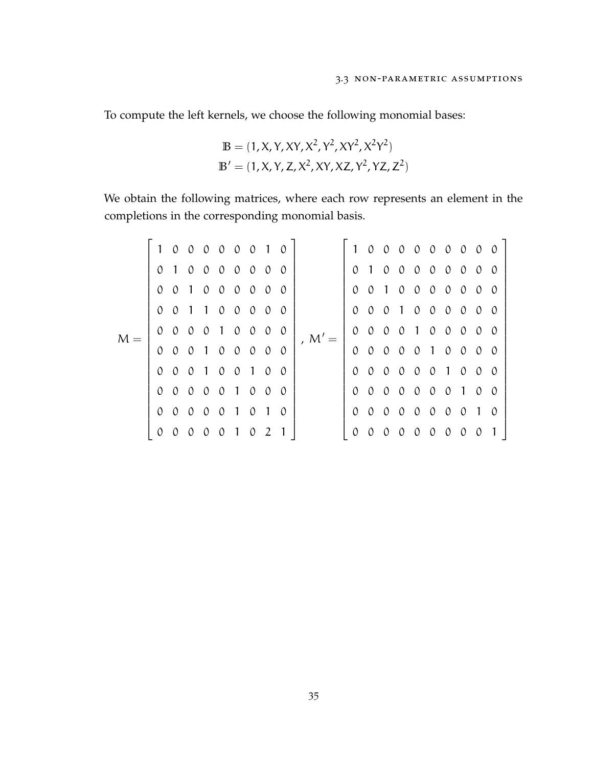To compute the left kernels, we choose the following monomial bases:

$$
\mathbb{B} = (1, X, Y, XY, X^2, Y^2, XY^2, X^2Y^2)
$$

$$
\mathbb{B}' = (1, X, Y, Z, X^2, XY, XZ, Y^2, YZ, Z^2)
$$

We obtain the following matrices, where each row represents an element in the completions in the corresponding monomial basis.

|       | $\mathbf{1}$   |               | 0 0 0 0 0 0 1 0 |               |                |               |   |          |          |          |               |          |               |               |               | 1 0 0 0 0 0 0 0 0 0 |               |                |          |
|-------|----------------|---------------|-----------------|---------------|----------------|---------------|---|----------|----------|----------|---------------|----------|---------------|---------------|---------------|---------------------|---------------|----------------|----------|
| $M =$ |                |               | 0 1 0 0 0 0 0 0 |               |                |               |   | $\circ$  | , $M' =$ |          |               |          |               |               |               | 0 1 0 0 0 0 0 0     |               | $\mathcal{O}$  | $\Omega$ |
|       | $\theta$       |               | 0 1 0 0 0 0 0   |               |                |               |   | $\theta$ |          |          |               |          |               |               |               | 0 0 1 0 0 0 0 0 0   |               |                | $\theta$ |
|       | $\mathcal{O}$  |               | 0 1 1 0 0 0 0   |               |                |               |   | 0        |          |          |               |          |               |               |               | 0 0 0 1 0 0 0 0     |               | $\mathcal{O}$  | $\Omega$ |
|       | $\mathcal{O}$  |               | $0 \quad 0$     | $0 1 0 0 0$   |                |               |   | $\circ$  |          |          |               |          |               |               |               | 0 0 0 0 1 0 0 0 0 0 |               |                |          |
|       | $\Omega$       | $\mathcal{O}$ | 0 1 0 0 0 0     |               |                |               |   | $\theta$ |          |          | 0 0 0 0 0 1 0 |          |               |               |               |                     | $\mathcal{O}$ | $\circ$        | $\theta$ |
|       | $\mathfrak{O}$ |               | 0 0 1 0 0 1 0   |               |                |               |   | $\theta$ |          |          | 0 0 0 0 0 0 1 |          |               |               |               |                     | $\mathcal{O}$ | $\mathcal{O}$  | $\theta$ |
|       | $\Omega$       |               | 0 0 0 0 1 0 0   |               |                |               |   | $\theta$ |          |          |               |          |               |               |               | 0 0 0 0 0 0 0 1     |               | $\mathcal{O}$  | $\Omega$ |
|       |                |               | 0 0 0 0 0 1 0   |               |                |               |   | $\theta$ |          |          | 0 0 0 0 0 0 0 |          |               |               |               |                     | $\theta$      | $\overline{1}$ | $\Omega$ |
|       |                | $\mathcal{O}$ | $\theta$        | $\mathcal{O}$ | 0 <sub>1</sub> | $\mathcal{O}$ | 2 |          |          | $\Omega$ | $\theta$      | $\theta$ | $\mathcal{O}$ | $\mathcal{O}$ | $\mathcal{O}$ | $\mathcal{O}$       | $\mathcal{O}$ | $\theta$       |          |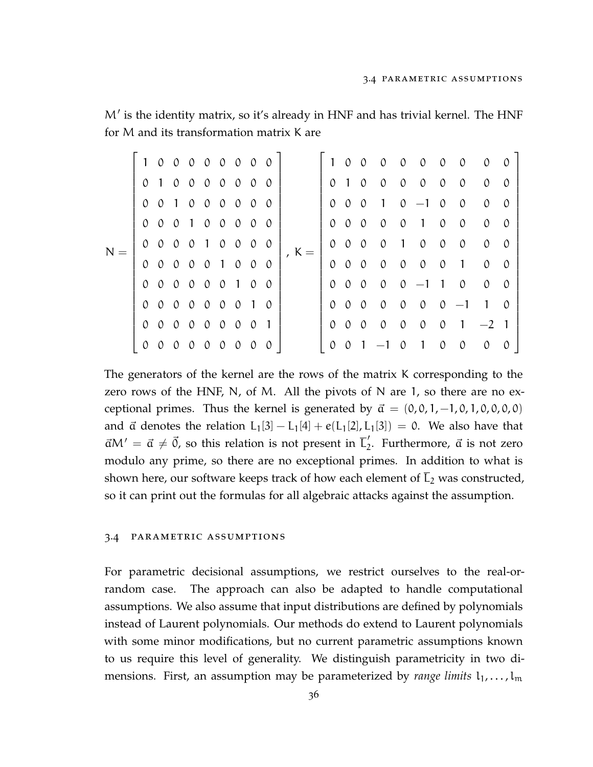$M'$  is the identity matrix, so it's already in HNF and has trivial kernel. The HNF for M and its transformation matrix K are

| $N =$ |               |               |               |               | 1 0 0 0 0 0 0 0 0                                                                                    |               |                |          |         |               | $0 \quad 0$   | $\mathcal{O}$    |                | $0 \quad 0 \quad 0$ |               | $\mathcal{O}$  | $\mathcal{O}$  | $\Omega$ |
|-------|---------------|---------------|---------------|---------------|------------------------------------------------------------------------------------------------------|---------------|----------------|----------|---------|---------------|---------------|------------------|----------------|---------------------|---------------|----------------|----------------|----------|
|       |               |               |               |               | 0 1 0 0 0 0 0 0                                                                                      |               |                | $\Omega$ |         | $\mathcal{O}$ | $1\quad 0$    | $\mathcal{O}$    |                | $0 \quad 0$         | $\mathcal{O}$ | $\mathcal{O}$  | $\mathcal{O}$  | $\Omega$ |
|       | $\Omega$      |               |               |               | 0 1 0 0 0 0 0 0                                                                                      |               |                |          |         | $\theta$      | $0 \quad 0$   | $1 \t0 \t-1 \t0$ |                |                     |               | $\mathcal{O}$  | $\mathcal{O}$  | $\Omega$ |
|       | $\mathcal{O}$ |               |               |               | 0 0 1 0 0 0                                                                                          |               | $\mathcal{O}$  | $\theta$ |         | $\mathcal{O}$ | $0\quad 0$    | $\theta$         | $\mathcal{O}$  | $\overline{1}$      | $\circ$       | $\mathcal{O}$  | $\mathcal{O}$  | $\Omega$ |
|       | $\mathcal{O}$ | $0 \quad 0$   |               | $\mathcal{O}$ | $1\quad 0$                                                                                           | $\mathcal{O}$ | $\mathcal{O}$  | $\Omega$ | , $K =$ | $\Omega$      | $0 \quad 0$   | $\mathcal{O}$    | $\overline{1}$ | $\mathcal{O}$       | $\mathcal{O}$ | $\mathcal{O}$  | $\mathcal{O}$  | $\theta$ |
|       | $\mathcal{O}$ | $0 \quad 0$   |               |               | 0 0 1 0 0                                                                                            |               |                | $\Omega$ |         | $\mathcal{O}$ | $0\quad 0$    | $\mathcal{O}$    | $\mathcal{O}$  | $\mathcal{O}$       | $\mathcal{O}$ | $\overline{1}$ | $\mathcal{O}$  | $\Omega$ |
|       | $\mathcal{O}$ |               |               |               | 0 0 0 0 0 1 0                                                                                        |               |                | $\theta$ |         | $\Omega$      | $0 \quad 0$   | $\mathcal{O}$    |                | $0 -1 1$            |               | $\mathcal{O}$  | $\mathcal{O}$  | $\theta$ |
|       |               |               |               |               | 0 0 0 0 0 0                                                                                          | $\mathcal{O}$ | $\overline{1}$ | $\Omega$ |         | $\mathcal{O}$ | $0\quad 0$    | $\mathcal{O}$    | $\mathcal{O}$  | $\mathcal{O}$       | $\mathcal{O}$ | $-1$           | $\overline{1}$ | $\Omega$ |
|       | $\mathcal{O}$ |               |               |               | $\begin{array}{ccccccccccccccccc} \circ & \circ & \circ & \circ & \circ & \circ & \circ \end{array}$ |               | $\mathcal{O}$  | 1        |         | $\mathcal{O}$ | $0\quad 0$    | $\mathcal{O}$    | $\mathcal{O}$  | $\mathcal{O}$       | $\mathcal{O}$ | $\overline{1}$ | $-2$ 1         |          |
|       | $\mathcal{O}$ | $\mathcal{O}$ | $\mathcal{O}$ | $\mathcal{O}$ | $0 \quad 0$                                                                                          | $\mathcal{O}$ | $\mathcal{O}$  | $\theta$ |         | $\Omega$      | $\mathcal{O}$ |                  | $\theta$       |                     | $\mathcal{O}$ | $\theta$       | $\mathcal{O}$  | $\theta$ |

The generators of the kernel are the rows of the matrix K corresponding to the zero rows of the HNF, N, of M. All the pivots of N are 1, so there are no exceptional primes. Thus the kernel is generated by  $\vec{a} = (0, 0, 1, -1, 0, 1, 0, 0, 0, 0)$ and  $\vec{a}$  denotes the relation L<sub>1</sub>[3] – L<sub>1</sub>[4] + e(L<sub>1</sub>[2], L<sub>1</sub>[3]) = 0. We also have that  $\vec{\alpha}M' = \vec{\alpha} \neq \vec{0}$ , so this relation is not present in  $\vec{L}'_2$ . Furthermore,  $\vec{\alpha}$  is not zero modulo any prime, so there are no exceptional primes. In addition to what is shown here, our software keeps track of how each element of  $\overline{L}_2$  was constructed, so it can print out the formulas for all algebraic attacks against the assumption.

#### 3.4 parametric assumptions

For parametric decisional assumptions, we restrict ourselves to the real-orrandom case. The approach can also be adapted to handle computational assumptions. We also assume that input distributions are defined by polynomials instead of Laurent polynomials. Our methods do extend to Laurent polynomials with some minor modifications, but no current parametric assumptions known to us require this level of generality. We distinguish parametricity in two dimensions. First, an assumption may be parameterized by *range limits*  $l_1, \ldots, l_m$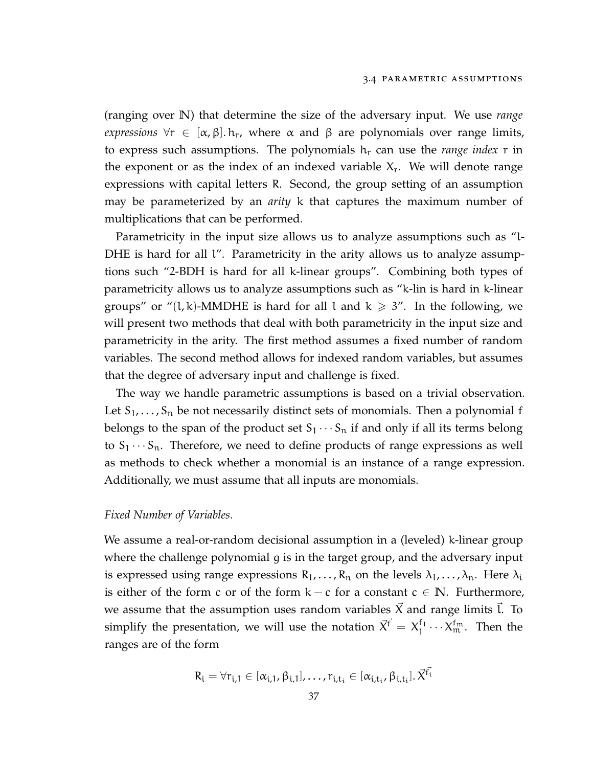(ranging over **N**) that determine the size of the adversary input. We use *range expressions*  $\forall r \in [\alpha, \beta]$ .  $h_r$ , where  $\alpha$  and  $\beta$  are polynomials over range limits, to express such assumptions. The polynomials  $h_r$  can use the *range index* r in the exponent or as the index of an indexed variable  $X_r$ . We will denote range expressions with capital letters R. Second, the group setting of an assumption may be parameterized by an *arity* k that captures the maximum number of multiplications that can be performed.

Parametricity in the input size allows us to analyze assumptions such as "l-DHE is hard for all  $\mathfrak l''$ . Parametricity in the arity allows us to analyze assumptions such "2-BDH is hard for all k-linear groups". Combining both types of parametricity allows us to analyze assumptions such as "k-lin is hard in k-linear groups" or "(l, k)-MMDHE is hard for all l and  $k \geq 3$ ". In the following, we will present two methods that deal with both parametricity in the input size and parametricity in the arity. The first method assumes a fixed number of random variables. The second method allows for indexed random variables, but assumes that the degree of adversary input and challenge is fixed.

The way we handle parametric assumptions is based on a trivial observation. Let  $S_1, \ldots, S_n$  be not necessarily distinct sets of monomials. Then a polynomial f belongs to the span of the product set  $S_1 \cdots S_n$  if and only if all its terms belong to  $S_1 \cdots S_n$ . Therefore, we need to define products of range expressions as well as methods to check whether a monomial is an instance of a range expression. Additionally, we must assume that all inputs are monomials.

#### *Fixed Number of Variables.*

We assume a real-or-random decisional assumption in a (leveled) k-linear group where the challenge polynomial g is in the target group, and the adversary input is expressed using range expressions  $R_1, \ldots, R_n$  on the levels  $\lambda_1, \ldots, \lambda_n$ . Here  $\lambda_i$ is either of the form c or of the form  $k - c$  for a constant  $c \in \mathbb{N}$ . Furthermore, we assume that the assumption uses random variables  $\vec{X}$  and range limits  $\vec{l}$ . To simplify the presentation, we will use the notation  $\vec{X}^{\vec{f}} = X_1^{f_1}$  $1 \n\begin{bmatrix} 1 & \cdots & X_m^{\mathrm{f}_m} \\ \cdots & \cdots & \cdots & \cdots \end{bmatrix}$  Then the ranges are of the form

$$
R_{i} = \forall r_{i,1} \in [\alpha_{i,1}, \beta_{i,1}], \ldots, r_{i,t_{i}} \in [\alpha_{i,t_{i}}, \beta_{i,t_{i}}]. \vec{X}^{\vec{f}_{i}}
$$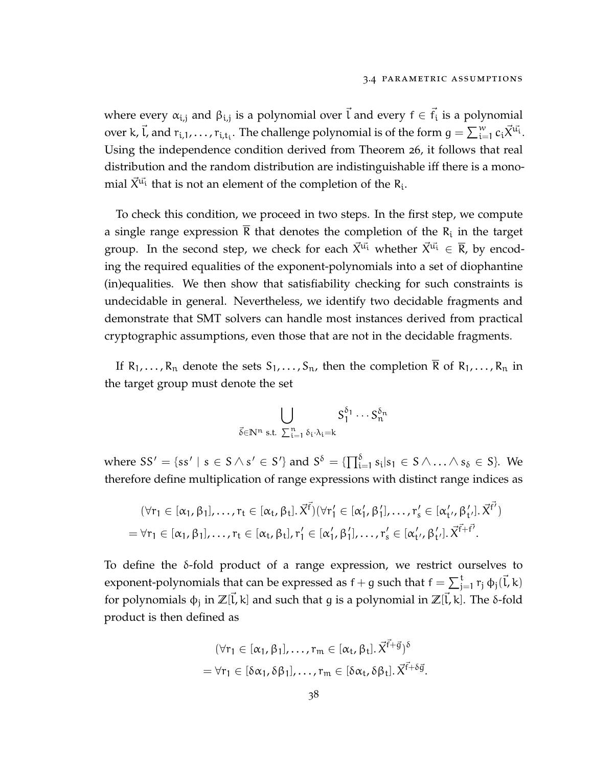where every  $\alpha_{i,j}$  and  $\beta_{i,j}$  is a polynomial over  $\vec{l}$  and every  $f \in \vec{f}_i$  is a polynomial over k,  $\vec{l}$ , and  $r_{i,1},\ldots,r_{i,t_i}.$  The challenge polynomial is of the form  $g=\sum_{i=1}^w c_i \vec{X}^{\vec{u_i}}.$ Using the independence condition derived from Theorem [26](#page-42-1), it follows that real distribution and the random distribution are indistinguishable iff there is a monomial  $\vec{X}^{\vec{u_i}}$  that is not an element of the completion of the  $R_i$ .

To check this condition, we proceed in two steps. In the first step, we compute a single range expression R that denotes the completion of the  $R_i$  in the target group. In the second step, we check for each  $\vec{X}^{\vec{u}}$  whether  $\vec{X}^{\vec{u}} \in \overline{R}$ , by encoding the required equalities of the exponent-polynomials into a set of diophantine (in)equalities. We then show that satisfiability checking for such constraints is undecidable in general. Nevertheless, we identify two decidable fragments and demonstrate that SMT solvers can handle most instances derived from practical cryptographic assumptions, even those that are not in the decidable fragments.

If  $R_1, \ldots, R_n$  denote the sets  $S_1, \ldots, S_n$ , then the completion  $\overline{R}$  of  $R_1, \ldots, R_n$  in the target group must denote the set

$$
\bigcup_{\vec{\delta}\in\mathbb{N}^n\text{ s.t. }\sum_{i=1}^n\delta_i\cdot\lambda_i=k}S_1^{\delta_1}\cdots S_n^{\delta_n}
$$

where  $SS' = \{ss' \mid s \in S \land s' \in S'\}$  and  $S^{\delta} = \{\prod_{i=1}^{\delta} s_i | s_1 \in S \land \dots \land s_{\delta} \in S\}$ . We therefore define multiplication of range expressions with distinct range indices as

$$
(\forall r_1 \in [\alpha_1, \beta_1], \dots, r_t \in [\alpha_t, \beta_t], \vec{X}^{\vec{f}})(\forall r_1' \in [\alpha_1', \beta_1'], \dots, r_s' \in [\alpha_{t'}', \beta_{t'}'], \vec{X}^{\vec{f'}})
$$
  
=  $\forall r_1 \in [\alpha_1, \beta_1], \dots, r_t \in [\alpha_t, \beta_t], r_1' \in [\alpha_1', \beta_1'], \dots, r_s' \in [\alpha_{t'}', \beta_{t'}'], \vec{X}^{\vec{f}+\vec{f'}}.$ 

To define the δ-fold product of a range expression, we restrict ourselves to exponent-polynomials that can be expressed as  $f + g$  such that  $f = \sum_{j=1}^t r_j \, \varphi_j(\vec{l}, k)$ for polynomials φ<sub>j</sub> in Z[l̄, k] and such that g is a polynomial in Z[l̄, k]. The δ-fold product is then defined as

$$
(\forall r_1 \in [\alpha_1, \beta_1], \dots, r_m \in [\alpha_t, \beta_t], \vec{X}^{\vec{f}+\vec{g}})^{\delta}
$$
  
=  $\forall r_1 \in [\delta\alpha_1, \delta\beta_1], \dots, r_m \in [\delta\alpha_t, \delta\beta_t], \vec{X}^{\vec{f}+\delta\vec{g}}.$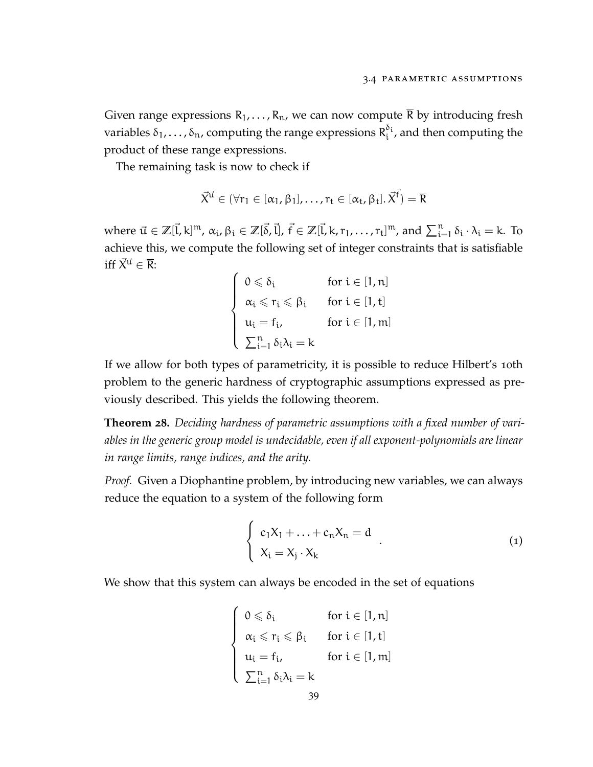Given range expressions  $R_1, \ldots, R_n$ , we can now compute  $\overline{R}$  by introducing fresh variables  $\delta_1,\ldots,\delta_{\mathfrak{n}}$ , computing the range expressions  $\mathsf{R}^{\delta_\mathfrak{i}}_\mathfrak{i}$  $\int_{\mathfrak{t}}^{\mathfrak{v}_{\mathfrak{l}}}$ , and then computing the product of these range expressions.

The remaining task is now to check if

$$
\vec{X}^{\vec{u}} \in (\forall r_1 \in [\alpha_1, \beta_1], \ldots, r_t \in [\alpha_t, \beta_t], \vec{X}^{\vec{f}}) = \overline{R}
$$

where  $\vec{u} \in \mathbb{Z}[\vec{l}, k]^m$ ,  $\alpha_i$ ,  $\beta_i \in \mathbb{Z}[\vec{\delta}, \vec{l}]$ ,  $\vec{f} \in \mathbb{Z}[\vec{l}, k, r_1, \ldots, r_t]^m$ , and  $\sum_{i=1}^n \delta_i \cdot \lambda_i = k$ . To achieve this, we compute the following set of integer constraints that is satisfiable iff  $\vec{X}^{\vec{u}} \in \overline{\mathsf{R}}$ :

$$
\left\{\begin{array}{ll} 0\leqslant\delta_i &\text{ for } i\in[1,n] \\ \alpha_i\leqslant r_i\leqslant\beta_i &\text{ for } i\in[1,t] \\ u_i=f_i, &\text{ for } i\in[1,m] \\ \sum_{i=1}^n\delta_i\lambda_i=k & \end{array}\right.
$$

If we allow for both types of parametricity, it is possible to reduce Hilbert's 10th problem to the generic hardness of cryptographic assumptions expressed as previously described. This yields the following theorem.

**Theorem 28.** *Deciding hardness of parametric assumptions with a fixed number of variables in the generic group model is undecidable, even if all exponent-polynomials are linear in range limits, range indices, and the arity.*

*Proof.* Given a Diophantine problem, by introducing new variables, we can always reduce the equation to a system of the following form

<span id="page-50-0"></span>
$$
\begin{cases}\nc_1X_1 + \ldots + c_nX_n = d \\
X_i = X_j \cdot X_k\n\end{cases}.
$$
\n(1)

We show that this system can always be encoded in the set of equations

$$
\left\{\begin{array}{ll} 0\leqslant\delta_i &\text{for }i\in[1,n] \\ \alpha_i\leqslant r_i\leqslant\beta_i &\text{for }i\in[1,t] \\ u_i=f_{i}, &\text{for }i\in[1,m] \\ \sum_{i=1}^n\delta_i\lambda_i=k \end{array}\right.
$$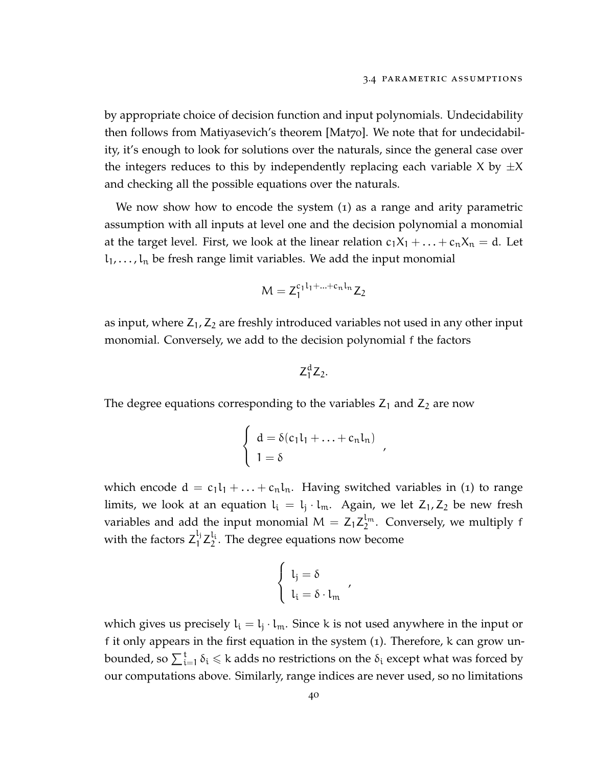by appropriate choice of decision function and input polynomials. Undecidability then follows from Matiyasevich's theorem [\[Mat](#page-115-1)70]. We note that for undecidability, it's enough to look for solutions over the naturals, since the general case over the integers reduces to this by independently replacing each variable X by  $\pm X$ and checking all the possible equations over the naturals.

We now show how to encode the system ([1](#page-50-0)) as a range and arity parametric assumption with all inputs at level one and the decision polynomial a monomial at the target level. First, we look at the linear relation  $c_1X_1 + ... + c_nX_n = d$ . Let  $l_1, \ldots, l_n$  be fresh range limit variables. We add the input monomial

$$
M = Z_1^{c_1 l_1 + \ldots + c_n l_n} Z_2
$$

as input, where  $Z_1$ ,  $Z_2$  are freshly introduced variables not used in any other input monomial. Conversely, we add to the decision polynomial f the factors

$$
Z_1^dZ_2.
$$

The degree equations corresponding to the variables  $Z_1$  and  $Z_2$  are now

$$
\begin{cases}\nd = \delta(c_1 l_1 + \ldots + c_n l_n) \\
1 = \delta\n\end{cases}
$$

,

which encode  $d = c_1l_1 + ... + c_nl_n$  $d = c_1l_1 + ... + c_nl_n$  $d = c_1l_1 + ... + c_nl_n$ . Having switched variables in (1) to range limits, we look at an equation  $l_i = l_j \cdot l_m$ . Again, we let  $Z_1, Z_2$  be new fresh variables and add the input monomial  $\mathsf{M}=\mathsf{Z}_1\mathsf{Z}_2^{\mathsf{l}_\mathfrak{m}}$  $\int_2^{\ell_m}$ . Conversely, we multiply f with the factors  $Z_1^{l_j}$  $\frac{l_j}{1}Z_2^{l_i}$  $2<sup>i</sup>$ . The degree equations now become

$$
\left\{ \begin{array}{l} l_j = \delta \\ l_i = \delta \cdot l_m \end{array} \right.
$$

,

which gives us precisely  $l_i = l_j \cdot l_m$ . Since k is not used anywhere in the input or f it only appears in the first equation in the system ([1](#page-50-0)). Therefore, k can grow unbounded, so  $\sum_{\mathfrak{i}=1}^{\mathfrak{t}}\delta_\mathfrak{i}\leqslant$  k adds no restrictions on the  $\delta_\mathfrak{i}$  except what was forced by our computations above. Similarly, range indices are never used, so no limitations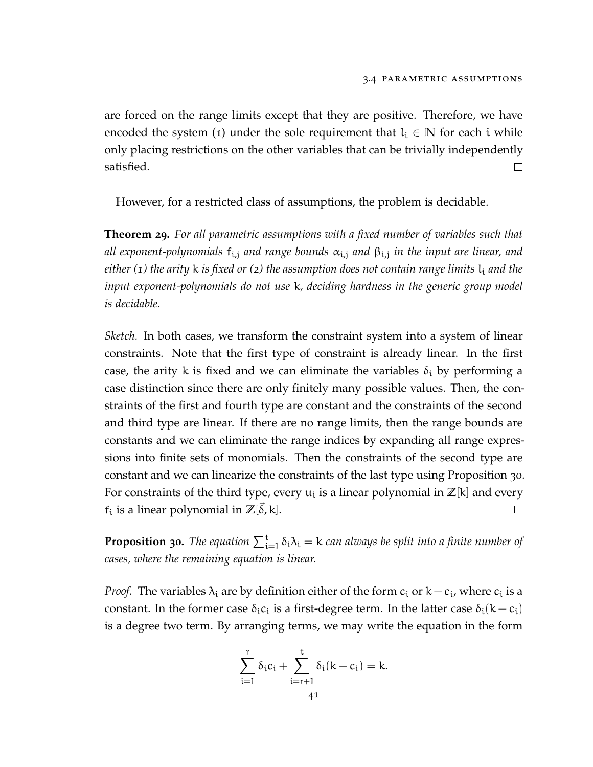are forced on the range limits except that they are positive. Therefore, we have encoded the system ([1](#page-50-0)) under the sole requirement that  $l_i \in \mathbb{N}$  for each i while only placing restrictions on the other variables that can be trivially independently satisfied.  $\Box$ 

However, for a restricted class of assumptions, the problem is decidable.

**Theorem 29.** *For all parametric assumptions with a fixed number of variables such that all exponent-polynomials* fi,<sup>j</sup> *and range bounds* αi,<sup>j</sup> *and* βi,<sup>j</sup> *in the input are linear, and either (1) the arity k is fixed or (2) the assumption does not contain range limits*  $l_i$  *and the input exponent-polynomials do not use* k*, deciding hardness in the generic group model is decidable.*

*Sketch.* In both cases, we transform the constraint system into a system of linear constraints. Note that the first type of constraint is already linear. In the first case, the arity k is fixed and we can eliminate the variables  $\delta_i$  by performing a case distinction since there are only finitely many possible values. Then, the constraints of the first and fourth type are constant and the constraints of the second and third type are linear. If there are no range limits, then the range bounds are constants and we can eliminate the range indices by expanding all range expressions into finite sets of monomials. Then the constraints of the second type are constant and we can linearize the constraints of the last type using Proposition [30](#page-52-0). For constraints of the third type, every  $u_i$  is a linear polynomial in  $\mathbb{Z}[\mathsf{k}]$  and every  $f_i$  is a linear polynomial in  $\mathbb{Z}[\vec{\delta}, k]$ .  $\Box$ 

<span id="page-52-0"></span>**Proposition 30.** The equation  $\sum_{i=1}^{t} \delta_i \lambda_i = k$  can always be split into a finite number of *cases, where the remaining equation is linear.*

*Proof.* The variables  $\lambda_i$  are by definition either of the form  $c_i$  or k –  $c_i$ , where  $c_i$  is a constant. In the former case  $\delta_i c_i$  is a first-degree term. In the latter case  $\delta_i(k-c_i)$ is a degree two term. By arranging terms, we may write the equation in the form

$$
\sum_{i=1}^r \delta_i c_i + \sum_{i=r+1}^t \delta_i (k-c_i) = k.
$$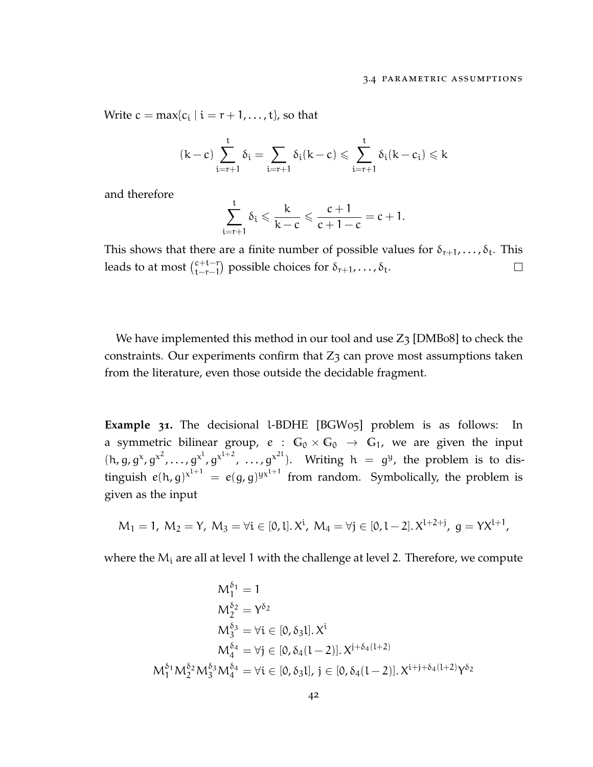Write  $c = max\{c_i \mid i = r + 1, \ldots, t\}$ , so that

$$
(k-c)\sum_{i=r+1}^t \delta_i = \sum_{i=r+1} \delta_i (k-c) \leqslant \sum_{i=r+1}^t \delta_i (k-c_i) \leqslant k
$$

and therefore

$$
\sum_{i=r+1}^t \delta_i \leqslant \frac{k}{k-c} \leqslant \frac{c+1}{c+1-c} = c+1.
$$

This shows that there are a finite number of possible values for  $\delta_{r+1}, \ldots, \delta_t$ . This leads to at most  $\binom{c+t-r}{t-r-1}$  $_{t-r-1}^{c+t-r}$ ) possible choices for  $\delta_{r+1}, \ldots, \delta_t$ .  $\Box$ 

We have implemented this method in our tool and use  $Z_3$  [\[DMB](#page-113-0)08] to check the constraints. Our experiments confirm that  $Z_3$  can prove most assumptions taken from the literature, even those outside the decidable fragment.

**Example 31.** The decisional l-BDHE [\[BGW](#page-111-1)05] problem is as follows: In a symmetric bilinear group,  $e : G_0 \times G_0 \rightarrow G_1$ , we are given the input  $(h, g, g^x, g^{x^2}, \ldots, g^{x^l}, g^{x^{l+2}}, \ldots, g^{x^{2l}}).$  Writing  $h = g^y$ , the problem is to distinguish  $e(h, g)^{x^{l+1}} = e(g, g)^{yx^{l+1}}$  from random. Symbolically, the problem is given as the input

$$
M_1 = 1
$$
,  $M_2 = Y$ ,  $M_3 = \forall i \in [0, 1]$ .  $X^i$ ,  $M_4 = \forall j \in [0, 1 - 2]$ .  $X^{l+2+j}$ ,  $g = YX^{l+1}$ ,

where the  $M_i$  are all at level 1 with the challenge at level 2. Therefore, we compute

$$
M_1^{\delta_1} = 1
$$
  
\n
$$
M_2^{\delta_2} = Y^{\delta_2}
$$
  
\n
$$
M_3^{\delta_3} = \forall i \in [0, \delta_3 l]. X^i
$$
  
\n
$$
M_4^{\delta_4} = \forall j \in [0, \delta_4 (l-2)]. X^{j+\delta_4(l+2)}
$$
  
\n
$$
M_1^{\delta_1} M_2^{\delta_2} M_3^{\delta_3} M_4^{\delta_4} = \forall i \in [0, \delta_3 l], j \in [0, \delta_4 (l-2)]. X^{i+j+\delta_4(l+2)} Y^{\delta_2}
$$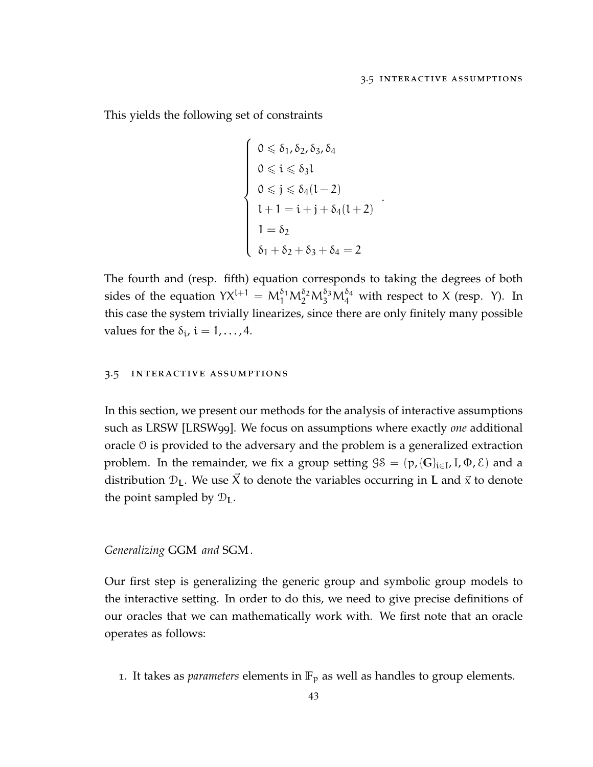This yields the following set of constraints

$$
\begin{cases}\n0 \leq \delta_1, \delta_2, \delta_3, \delta_4 \\
0 \leq i \leq \delta_3 l \\
0 \leq j \leq \delta_4 (l-2) \\
l+1 = i+j+\delta_4 (l+2) \\
1 = \delta_2 \\
\delta_1 + \delta_2 + \delta_3 + \delta_4 = 2\n\end{cases}
$$

.

The fourth and (resp. fifth) equation corresponds to taking the degrees of both sides of the equation  $YX^{l+1} = M_1^{\delta_1}M_2^{\delta_2}M_3^{\delta_3}M_4^{\delta_4}$  with respect to X (resp. Y). In this case the system trivially linearizes, since there are only finitely many possible values for the  $\delta_i$ ,  $i = 1, \ldots, 4$ .

## <span id="page-54-0"></span>3.5 interactive assumptions

In this section, we present our methods for the analysis of interactive assumptions such as LRSW [\[LRSW](#page-115-2)99]. We focus on assumptions where exactly *one* additional oracle O is provided to the adversary and the problem is a generalized extraction problem. In the remainder, we fix a group setting  $\mathcal{G}S = (p, \{G\}_{i \in I}, I, \Phi, \mathcal{E})$  and a distribution  $\mathcal{D}_L$ . We use  $\vec{X}$  to denote the variables occurring in L and  $\vec{x}$  to denote the point sampled by  $\mathcal{D}_L$ .

## *Generalizing* GGM *and* SGM *.*

Our first step is generalizing the generic group and symbolic group models to the interactive setting. In order to do this, we need to give precise definitions of our oracles that we can mathematically work with. We first note that an oracle operates as follows:

1. It takes as *parameters* elements in  $\mathbb{F}_p$  as well as handles to group elements.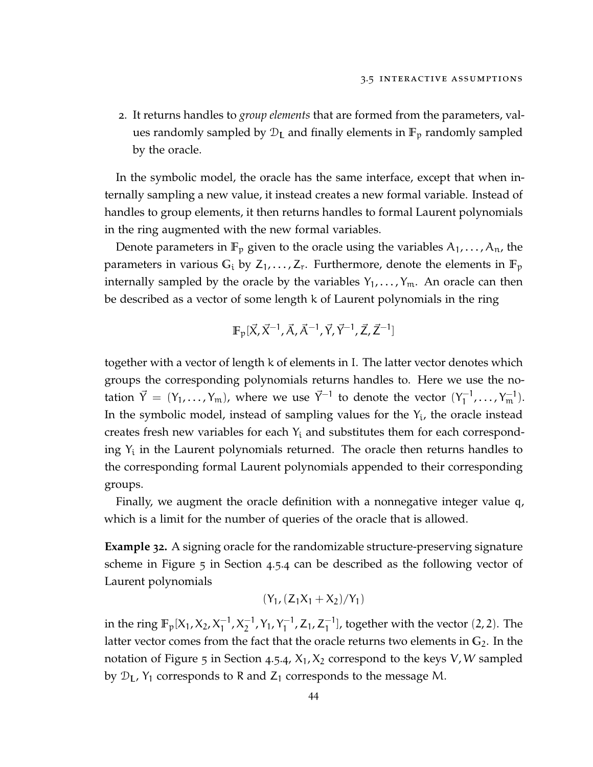2. It returns handles to *group elements* that are formed from the parameters, values randomly sampled by  $\mathcal{D}_L$  and finally elements in  $\mathbb{F}_p$  randomly sampled by the oracle.

In the symbolic model, the oracle has the same interface, except that when internally sampling a new value, it instead creates a new formal variable. Instead of handles to group elements, it then returns handles to formal Laurent polynomials in the ring augmented with the new formal variables.

Denote parameters in  $\mathbb{F}_p$  given to the oracle using the variables  $A_1, \ldots, A_n$ , the parameters in various  $G_i$  by  $Z_1, \ldots, Z_r$ . Furthermore, denote the elements in  $\mathbb{F}_p$ internally sampled by the oracle by the variables  $Y_1, \ldots, Y_m$ . An oracle can then be described as a vector of some length k of Laurent polynomials in the ring

$$
\mathbb{F}_p[\vec{X}, \vec{X}^{-1}, \vec{A}, \vec{A}^{-1}, \vec{Y}, \vec{Y}^{-1}, \vec{Z}, \vec{Z}^{-1}]
$$

together with a vector of length k of elements in I. The latter vector denotes which groups the corresponding polynomials returns handles to. Here we use the notation  $\vec{Y} = (Y_1, \ldots, Y_m)$ , where we use  $\vec{Y}^{-1}$  to denote the vector  $(Y_1^{-1})$  $\frac{1}{1}$ , ...,  $Y_{m}^{-1}$ ). In the symbolic model, instead of sampling values for the  $Y_i$ , the oracle instead creates fresh new variables for each  $Y_i$  and substitutes them for each corresponding  $Y_i$  in the Laurent polynomials returned. The oracle then returns handles to the corresponding formal Laurent polynomials appended to their corresponding groups.

Finally, we augment the oracle definition with a nonnegative integer value q, which is a limit for the number of queries of the oracle that is allowed.

**Example 32.** A signing oracle for the randomizable structure-preserving signature scheme in Figure [5](#page-100-0) in Section [4](#page-96-0).5.4 can be described as the following vector of Laurent polynomials

$$
(Y_1, (Z_1X_1+X_2)/Y_1)
$$

in the ring  $\mathbb{F}_p[X_1, X_2, X_1^{-1}]$  $\frac{-1}{1}$ ,  $X_2^{-1}$  $_2^{-1}$ , Y<sub>1</sub>, Y<sub>1</sub><sup>-1</sup>  $i_1^{-1}$ , Z<sub>1</sub>, Z<sub>1</sub><sup>-1</sup>  $\begin{bmatrix} -1 \\ 1 \end{bmatrix}$ , together with the vector (2, 2). The latter vector comes from the fact that the oracle returns two elements in **G**2. In the notation of Figure [5](#page-100-0) in Section [4](#page-96-0).5.4,  $X_1, X_2$  correspond to the keys V, W sampled by  $\mathcal{D}_L$ , Y<sub>1</sub> corresponds to R and Z<sub>1</sub> corresponds to the message M.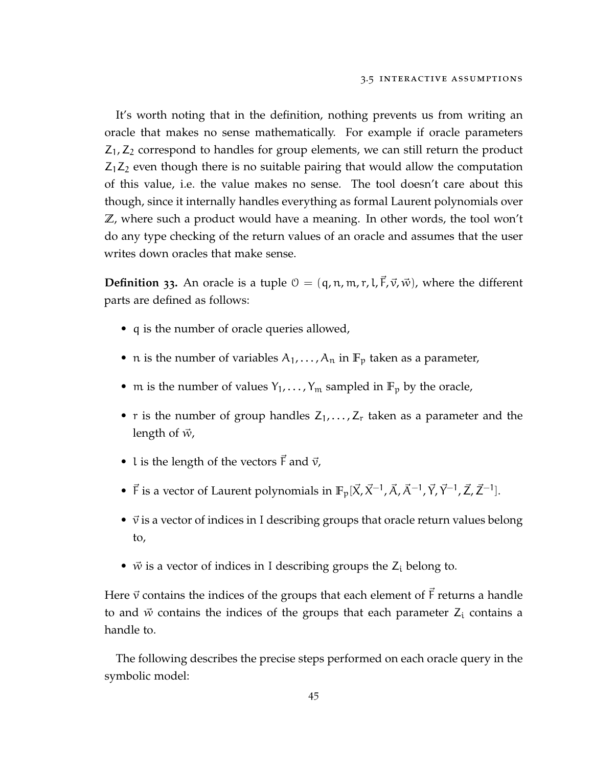It's worth noting that in the definition, nothing prevents us from writing an oracle that makes no sense mathematically. For example if oracle parameters  $Z_1$ ,  $Z_2$  correspond to handles for group elements, we can still return the product  $Z_1Z_2$  even though there is no suitable pairing that would allow the computation of this value, i.e. the value makes no sense. The tool doesn't care about this though, since it internally handles everything as formal Laurent polynomials over **Z**, where such a product would have a meaning. In other words, the tool won't do any type checking of the return values of an oracle and assumes that the user writes down oracles that make sense.

**Definition** 33. An oracle is a tuple  $\mathcal{O} = (q, n, m, r, l, \vec{F}, \vec{v}, \vec{w})$ , where the different parts are defined as follows:

- q is the number of oracle queries allowed,
- n is the number of variables  $A_1, \ldots, A_n$  in  $\mathbb{F}_p$  taken as a parameter,
- m is the number of values  $Y_1, \ldots, Y_m$  sampled in  $\mathbb{F}_p$  by the oracle,
- r is the number of group handles  $Z_1, \ldots, Z_r$  taken as a parameter and the length of  $\vec{w}$ ,
- l is the length of the vectors  $\vec{F}$  and  $\vec{v}$ ,
- $\vec{F}$  is a vector of Laurent polynomials in  $\mathbb{F}_p[\vec{X}, \vec{X}^{-1}, \vec{A}, \vec{A}^{-1}, \vec{Y}, \vec{Y}^{-1}, \vec{Z}, \vec{Z}^{-1}]$ .
- $\vec{v}$  is a vector of indices in I describing groups that oracle return values belong to,
- $\vec{w}$  is a vector of indices in I describing groups the  $Z_i$  belong to.

Here  $\vec{v}$  contains the indices of the groups that each element of  $\vec{F}$  returns a handle to and  $\vec{w}$  contains the indices of the groups that each parameter  $Z_i$  contains a handle to.

The following describes the precise steps performed on each oracle query in the symbolic model: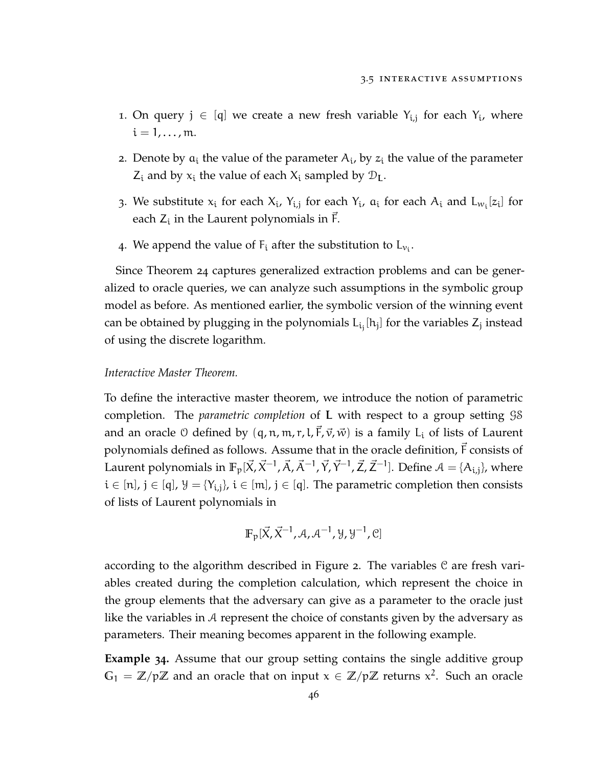- 1. On query  $j \in [q]$  we create a new fresh variable  $Y_{i,j}$  for each  $Y_i$ , where  $i = 1, \ldots, m$ .
- 2. Denote by  $a_i$  the value of the parameter  $A_i$ , by  $z_i$  the value of the parameter  $Z_i$  and by  $x_i$  the value of each  $X_i$  sampled by  $\mathcal{D}_L$ .
- 3. We substitute  $x_i$  for each  $X_i$ ,  $Y_{i,j}$  for each  $Y_i$ ,  $a_i$  for each  $A_i$  and  $L_{w_i}[z_i]$  for each  $Z_i$  in the Laurent polynomials in  $\vec{F}$ .
- 4. We append the value of  $F_i$  after the substitution to  $L_{v_i}$ .

Since Theorem [24](#page-39-0) captures generalized extraction problems and can be generalized to oracle queries, we can analyze such assumptions in the symbolic group model as before. As mentioned earlier, the symbolic version of the winning event can be obtained by plugging in the polynomials  $L_{i_j}[h_j]$  for the variables  $Z_j$  instead of using the discrete logarithm.

## *Interactive Master Theorem.*

To define the interactive master theorem, we introduce the notion of parametric completion. The *parametric completion* of L with respect to a group setting GS and an oracle  $\theta$  defined by  $(q, n, m, r, l, \vec{F}, \vec{v}, \vec{w})$  is a family L<sub>i</sub> of lists of Laurent polynomials defined as follows. Assume that in the oracle definition,  $\vec{F}$  consists of Laurent polynomials in  $\mathbb{F}_p[\vec{X},\vec{X}^{-1},\vec{A},\vec{A}^{-1},\vec{Y},\vec{Y}^{-1},\vec{Z},\vec{Z}^{-1}]$ . Define  $\mathcal{A}=\{A_{i,j}\}$ , where  $i \in [n]$ ,  $j \in [q]$ ,  $\mathcal{Y} = \{Y_{i,j}\}$ ,  $i \in [m]$ ,  $j \in [q]$ . The parametric completion then consists of lists of Laurent polynomials in

$$
\mathbb{F}_p[\vec{X}, \vec{X}^{-1}, \mathcal{A}, \mathcal{A}^{-1}, \mathcal{Y}, \mathcal{Y}^{-1}, \mathcal{C}]
$$

according to the algorithm described in Figure [2](#page-58-0). The variables C are fresh variables created during the completion calculation, which represent the choice in the group elements that the adversary can give as a parameter to the oracle just like the variables in A represent the choice of constants given by the adversary as parameters. Their meaning becomes apparent in the following example.

**Example 34.** Assume that our group setting contains the single additive group  $G_1 = \mathbb{Z}/p\mathbb{Z}$  and an oracle that on input  $x \in \mathbb{Z}/p\mathbb{Z}$  returns  $x^2$ . Such an oracle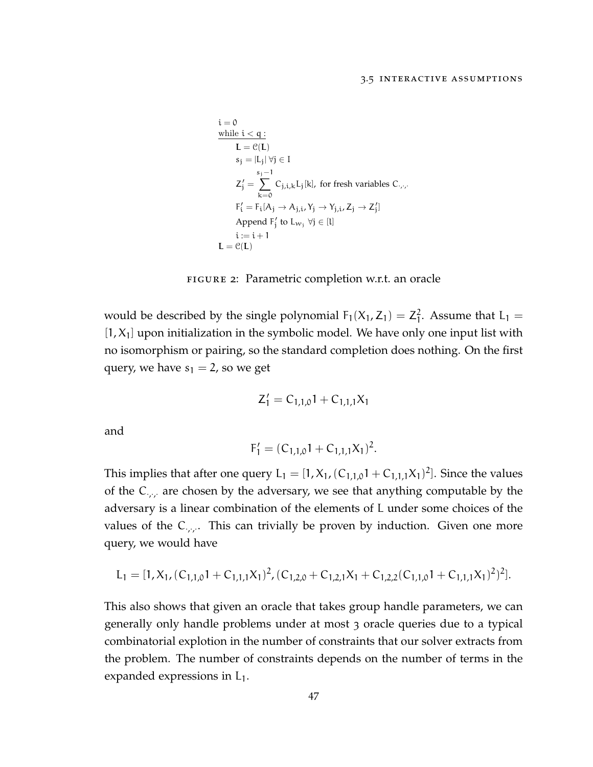<span id="page-58-0"></span>
$$
\begin{aligned}\n\text{i} &= 0 \\
\text{while } \text{i} < q: \\
\text{L} &= \mathcal{C}(\text{L}) \\
\text{s}_j &= |\text{L}_j| \,\forall j \in \text{I} \\
\text{Z}'_j &= \sum_{k=0}^{s_j - 1} C_{j,i,k} L_j[k], \text{ for fresh variables } C_{\cdot,\cdot,\cdot} \\
\text{F}'_i &= \text{F}_i[A_j \rightarrow A_{j,i}, Y_j \rightarrow Y_{j,i}, Z_j \rightarrow Z'_j] \\
\text{Append } \text{F}'_j \text{ to } L_{w_j} \,\forall j \in [l] \\
\text{i} &:= \text{i} + 1 \\
\text{L} &= \mathcal{C}(\text{L})\n\end{aligned}
$$

figure 2: Parametric completion w.r.t. an oracle

would be described by the single polynomial  $F_1(X_1, Z_1) = Z_1^2$  $\frac{2}{1}$ . Assume that  $L_1 =$  $[1, X<sub>1</sub>]$  upon initialization in the symbolic model. We have only one input list with no isomorphism or pairing, so the standard completion does nothing. On the first query, we have  $s_1 = 2$ , so we get

$$
Z'_1 = C_{1,1,0}1 + C_{1,1,1}X_1
$$

and

$$
F_1' = (C_{1,1,0}1 + C_{1,1,1}X_1)^2.
$$

This implies that after one query  $L_1 = [1, X_1, (C_{1,1,0}1 + C_{1,1,1}X_1)^2]$ . Since the values of the  $C_{\cdot,\cdot}$  are chosen by the adversary, we see that anything computable by the adversary is a linear combination of the elements of L under some choices of the values of the C<sub>*i*</sub>,.. This can trivially be proven by induction. Given one more query, we would have

$$
L_1 = [1, X_1, (C_{1,1,0}1 + C_{1,1,1}X_1)^2, (C_{1,2,0} + C_{1,2,1}X_1 + C_{1,2,2}(C_{1,1,0}1 + C_{1,1,1}X_1)^2)^2].
$$

This also shows that given an oracle that takes group handle parameters, we can generally only handle problems under at most 3 oracle queries due to a typical combinatorial explotion in the number of constraints that our solver extracts from the problem. The number of constraints depends on the number of terms in the expanded expressions in  $L_1$ .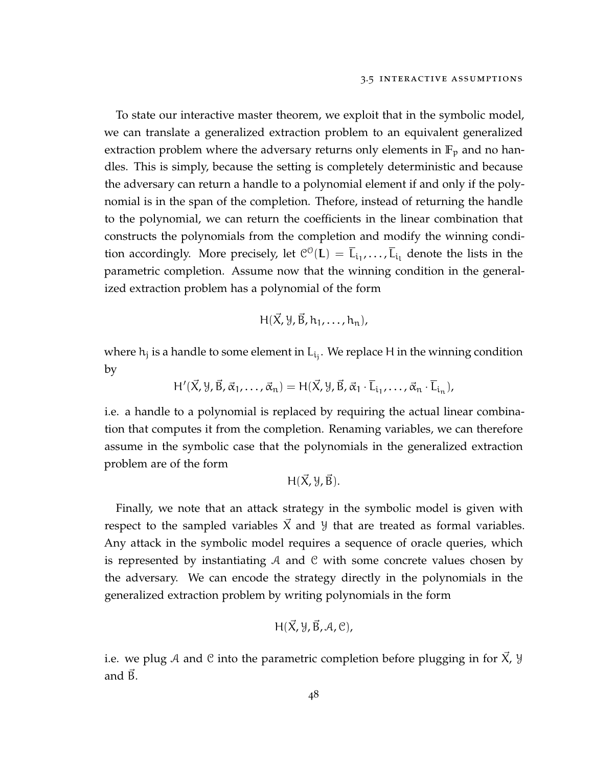To state our interactive master theorem, we exploit that in the symbolic model, we can translate a generalized extraction problem to an equivalent generalized extraction problem where the adversary returns only elements in  $\mathbb{F}_p$  and no handles. This is simply, because the setting is completely deterministic and because the adversary can return a handle to a polynomial element if and only if the polynomial is in the span of the completion. Thefore, instead of returning the handle to the polynomial, we can return the coefficients in the linear combination that constructs the polynomials from the completion and modify the winning condition accordingly. More precisely, let  $\mathcal{C}^{\mathcal{O}}(L) = \overline{L}_{i_1}, \ldots, \overline{L}_{i_l}$  denote the lists in the parametric completion. Assume now that the winning condition in the generalized extraction problem has a polynomial of the form

$$
H(\vec{X}, \mathcal{Y}, \vec{B}, h_1, \ldots, h_n),
$$

where  $h_j$  is a handle to some element in  $L_{i_j}$ . We replace H in the winning condition by

$$
H'(\vec{X}, \mathcal{Y}, \vec{B}, \vec{\alpha}_1, \ldots, \vec{\alpha}_n) = H(\vec{X}, \mathcal{Y}, \vec{B}, \vec{\alpha}_1 \cdot \bar{L}_{i_1}, \ldots, \vec{\alpha}_n \cdot \bar{L}_{i_n}),
$$

i.e. a handle to a polynomial is replaced by requiring the actual linear combination that computes it from the completion. Renaming variables, we can therefore assume in the symbolic case that the polynomials in the generalized extraction problem are of the form

$$
H(\vec{X}, \mathcal{Y}, \vec{B}).
$$

Finally, we note that an attack strategy in the symbolic model is given with respect to the sampled variables  $\chi$  and  $\chi$  that are treated as formal variables. Any attack in the symbolic model requires a sequence of oracle queries, which is represented by instantiating  $A$  and  $C$  with some concrete values chosen by the adversary. We can encode the strategy directly in the polynomials in the generalized extraction problem by writing polynomials in the form

$$
H(\vec{X}, \mathcal{Y}, \vec{B}, \mathcal{A}, \mathcal{C}),
$$

<span id="page-59-0"></span>i.e. we plug A and C into the parametric completion before plugging in for  $X$ ,  $Y$ and  $\overline{B}$ .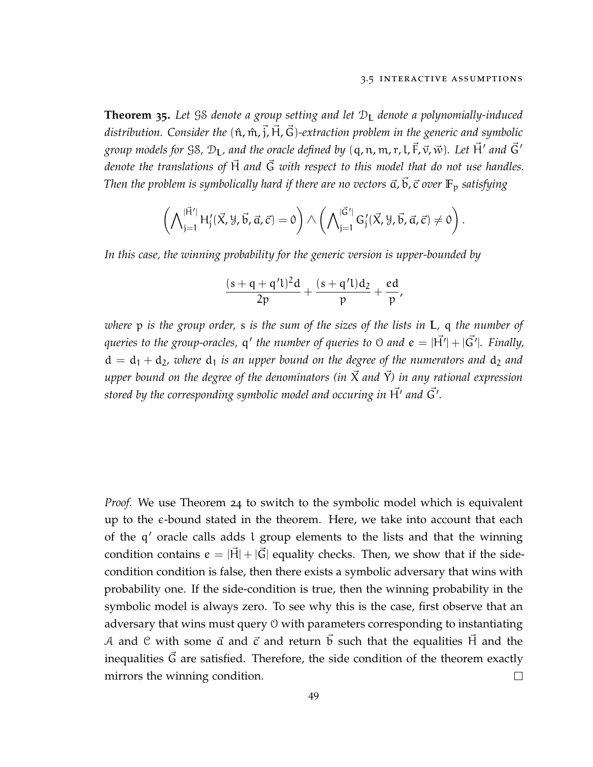*.*

**Theorem 35.** Let GS denote a group setting and let  $D<sub>I</sub>$  denote a polynomially-induced distribution. Consider the  $(\hat{n}, \hat{m}, \vec{j}, \vec{H}, \vec{G})$ -extraction problem in the generic and symbolic group models for SS,  $\mathfrak{D}_\mathsf{L}$ , and the oracle defined by  $(\mathsf{q},\mathfrak{n},\mathfrak{m},\mathfrak{r},\mathsf{L},\vec{\mathsf{F}},\vec{\mathsf{v}},\vec{\mathsf{w}})$ . Let  $\vec{\mathsf{H}}'$  and  $\vec{\mathsf{G}}'$ *denote the translations of* H~ *and* G~ *with respect to this model that do not use handles. Then the problem is symbolically hard if there are no vectors*  $\vec{a}$ ,  $\vec{b}$ ,  $\vec{c}$  *over*  $\mathbb{F}_p$  *satisfying* 

$$
\left(\bigwedge\nolimits_{j=1}^{\vert\vec{H}'\vert}H'_j(\vec{X},\mathcal{Y},\vec{b},\vec{\alpha},\vec{c})=0\right)\wedge\left(\bigwedge\nolimits_{j=1}^{\vert\vec{G}'\vert}G'_j(\vec{X},\mathcal{Y},\vec{b},\vec{\alpha},\vec{c})\neq 0\right)
$$

*In this case, the winning probability for the generic version is upper-bounded by*

$$
\frac{(s+q+q'l)^2d}{2p}+\frac{(s+q'l)d_2}{p}+\frac{ed}{p},
$$

*where* p *is the group order,* s *is the sum of the sizes of the lists in* L*,* q *the number of* queries to the group-oracles,  ${\sf q}'$  the number of queries to  $\mathbb O$  and  ${\sf e}=|\vec{\sf H'}|+|\vec{\sf G'}|$ . Finally,  $d = d_1 + d_2$ , where  $d_1$  *is an upper bound on the degree of the numerators and*  $d_2$  *and upper bound on the degree of the denominators (in*  $\vec{X}$  *and*  $\vec{Y}$ *) in any rational expression* stored by the corresponding symbolic model and occuring in  $\vec{\mathsf H'}$  and  $\vec{\mathsf G'}$ .

*Proof.* We use Theorem [24](#page-39-0) to switch to the symbolic model which is equivalent up to the  $\epsilon$ -bound stated in the theorem. Here, we take into account that each of the q' oracle calls adds l group elements to the lists and that the winning condition contains  $e = |\vec{H}| + |\vec{G}|$  equality checks. Then, we show that if the sidecondition condition is false, then there exists a symbolic adversary that wins with probability one. If the side-condition is true, then the winning probability in the symbolic model is always zero. To see why this is the case, first observe that an adversary that wins must query O with parameters corresponding to instantiating A and C with some  $\vec{a}$  and  $\vec{c}$  and return  $\vec{b}$  such that the equalities  $\vec{H}$  and the inequalities  $\vec{G}$  are satisfied. Therefore, the side condition of the theorem exactly mirrors the winning condition.  $\Box$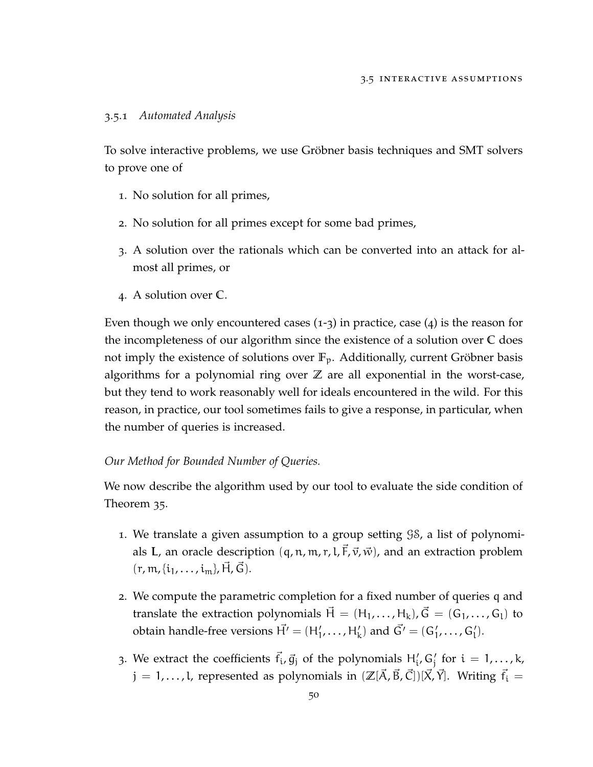## 3.5.1 *Automated Analysis*

To solve interactive problems, we use Gröbner basis techniques and SMT solvers to prove one of

- 1. No solution for all primes,
- 2. No solution for all primes except for some bad primes,
- 3. A solution over the rationals which can be converted into an attack for almost all primes, or
- 4. A solution over **C**.

Even though we only encountered cases  $(1-3)$  in practice, case  $(4)$  is the reason for the incompleteness of our algorithm since the existence of a solution over **C** does not imply the existence of solutions over **F**p. Additionally, current Gröbner basis algorithms for a polynomial ring over **Z** are all exponential in the worst-case, but they tend to work reasonably well for ideals encountered in the wild. For this reason, in practice, our tool sometimes fails to give a response, in particular, when the number of queries is increased.

## *Our Method for Bounded Number of Queries.*

We now describe the algorithm used by our tool to evaluate the side condition of Theorem [35](#page-59-0).

- 1. We translate a given assumption to a group setting GS, a list of polynomials L, an oracle description  $(q, n, m, r, l, \vec{F}, \vec{v}, \vec{w})$ , and an extraction problem  $(r, m, \{i_1, \ldots, i_m\}, H, G).$
- 2. We compute the parametric completion for a fixed number of queries q and translate the extraction polynomials  $\vec{H} = (H_1, \ldots, H_k), \vec{G} = (G_1, \ldots, G_l)$  to obtain handle-free versions  $\vec{H'} = (H'_1, \ldots, H'_k)$  and  $\vec{G'} = (G'_1, \ldots, G'_l)$ .
- 3. We extract the coefficients  $\vec{f}_i$ ,  $\vec{g}_j$  of the polynomials  $H'_i$ ,  $G'_j$  for  $i = 1,...,k$ ,  $j = 1, \ldots, l$ , represented as polynomials in  $(\mathbb{Z}[\vec{A}, \vec{B}, \vec{C}])[\vec{X}, \vec{Y}]$ . Writing  $\vec{f}_i =$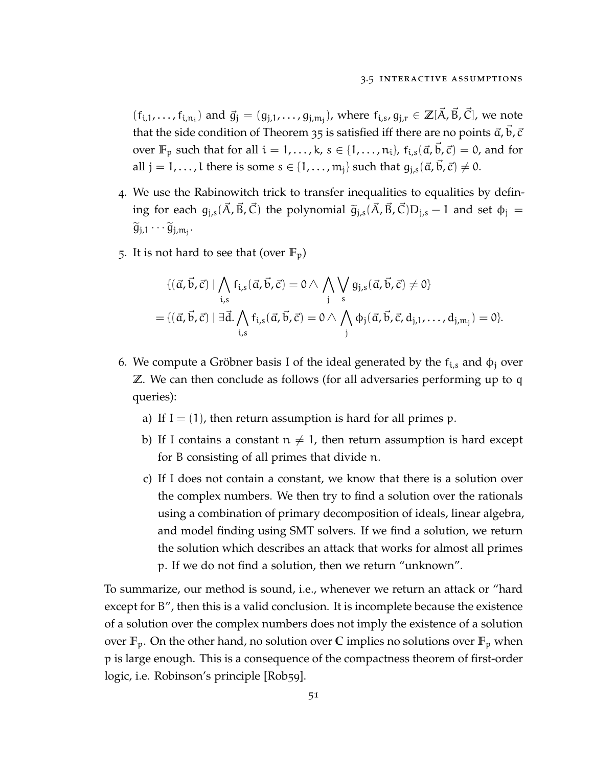$(f_{i,1},...,f_{i,n_i})$  and  $\vec{g}_j = (g_{j,1},...,g_{j,n_j})$ , where  $f_{i,s},g_{j,r} \in \mathbb{Z}[\vec{A}, \vec{B}, \vec{C}]$ , we note that the side condition of Theorem [35](#page-59-0) is satisfied iff there are no points  $\vec{a}$ ,  $\vec{b}$ ,  $\vec{c}$ over  $\mathbb{F}_p$  such that for all  $i = 1, ..., k$ ,  $s \in \{1, ..., n_i\}$ ,  $f_{i,s}(\vec{a}, \vec{b}, \vec{c}) = 0$ , and for all  $j = 1, \ldots, l$  there is some  $s \in \{1, \ldots, m_j\}$  such that  $g_{j,s}(\vec{\alpha}, \vec{b}, \vec{c}) \neq 0$ .

- 4. We use the Rabinowitch trick to transfer inequalities to equalities by defining for each  $g_{i,s}(\vec{A}, \vec{B}, \vec{C})$  the polynomial  $\tilde{g}_{i,s}(\vec{A}, \vec{B}, \vec{C})D_{i,s} - 1$  and set  $\phi_i =$  $\widetilde{g}_{j,1}\cdots\widetilde{g}_{j,m_j}.$
- 5. It is not hard to see that (over  $\mathbb{F}_p$ )

$$
\{(\vec{\alpha}, \vec{b}, \vec{c}) \mid \bigwedge_{i,s} f_{i,s}(\vec{\alpha}, \vec{b}, \vec{c}) = 0 \land \bigwedge_{j} \bigvee_{s} g_{j,s}(\vec{\alpha}, \vec{b}, \vec{c}) \neq 0\}
$$
  
= 
$$
\{(\vec{\alpha}, \vec{b}, \vec{c}) \mid \exists \vec{d} \cdot \bigwedge_{i,s} f_{i,s}(\vec{\alpha}, \vec{b}, \vec{c}) = 0 \land \bigwedge_{j} \varphi_{j}(\vec{\alpha}, \vec{b}, \vec{c}, d_{j,1}, \dots, d_{j,m_{j}}) = 0\}.
$$

- 6. We compute a Gröbner basis I of the ideal generated by the  $f_{i,s}$  and  $\phi_j$  over **Z**. We can then conclude as follows (for all adversaries performing up to q queries):
	- a) If  $I = (1)$ , then return assumption is hard for all primes p.
	- b) If I contains a constant  $n \neq 1$ , then return assumption is hard except for B consisting of all primes that divide n.
	- c) If I does not contain a constant, we know that there is a solution over the complex numbers. We then try to find a solution over the rationals using a combination of primary decomposition of ideals, linear algebra, and model finding using SMT solvers. If we find a solution, we return the solution which describes an attack that works for almost all primes p. If we do not find a solution, then we return "unknown".

<span id="page-62-0"></span>To summarize, our method is sound, i.e., whenever we return an attack or "hard except for B", then this is a valid conclusion. It is incomplete because the existence of a solution over the complex numbers does not imply the existence of a solution over  $\mathbb{F}_p$ . On the other hand, no solution over C implies no solutions over  $\mathbb{F}_p$  when p is large enough. This is a consequence of the compactness theorem of first-order logic, i.e. Robinson's principle [\[Rob](#page-115-3)59].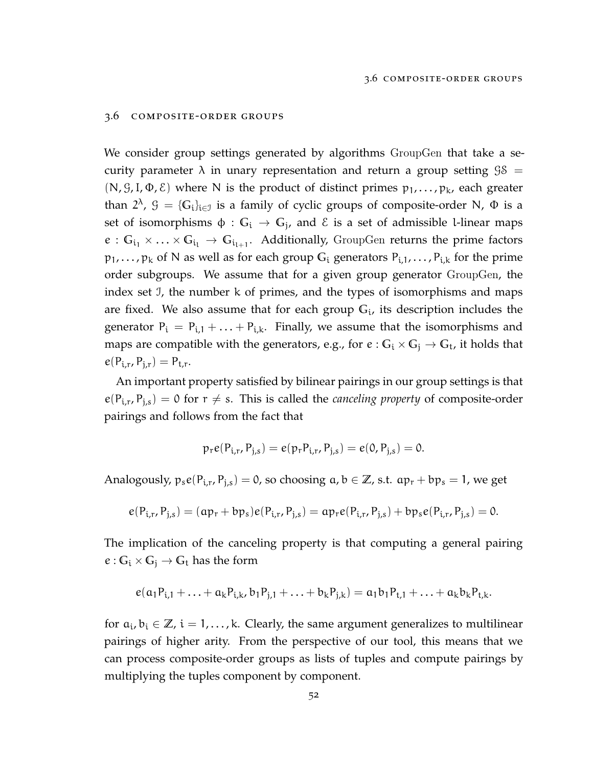#### 3.6 composite-order groups

We consider group settings generated by algorithms GroupGen that take a security parameter  $\lambda$  in unary representation and return a group setting  $\Im S =$ (N, G, I,  $\Phi$ ,  $\epsilon$ ) where N is the product of distinct primes  $p_1, \ldots, p_k$ , each greater than  $2^{\lambda}$ ,  $\mathcal{G} = {\{\mathbb{G}_i\}}_{i \in \mathcal{I}}$  is a family of cyclic groups of composite-order N,  $\Phi$  is a set of isomorphisms  $\phi: \mathbb{G}_\mathfrak{i} \to \mathbb{G}_\mathfrak{j}$ , and  $\mathfrak{E}$  is a set of admissible l-linear maps  $e: \mathbb{G}_{i_1} \times \ldots \times \mathbb{G}_{i_l} \to \mathbb{G}_{i_{l+1}}$ . Additionally, GroupGen returns the prime factors  $p_1, \ldots, p_k$  of N as well as for each group  $G_i$  generators  $P_{i,1}, \ldots, P_{i,k}$  for the prime order subgroups. We assume that for a given group generator GroupGen, the index set I, the number k of primes, and the types of isomorphisms and maps are fixed. We also assume that for each group **G**<sup>i</sup> , its description includes the generator  $P_i = P_{i,1} + ... + P_{i,k}$ . Finally, we assume that the isomorphisms and maps are compatible with the generators, e.g., for  $e : G_i \times G_j \to G_t$ , it holds that  $e(P_{i,r}, P_{j,r}) = P_{t,r}.$ 

An important property satisfied by bilinear pairings in our group settings is that  $e(P_{i,r}, P_{j,s}) = 0$  for  $r \neq s$ . This is called the *canceling property* of composite-order pairings and follows from the fact that

$$
p_r e(P_{i,r}, P_{j,s}) = e(p_r P_{i,r}, P_{j,s}) = e(0, P_{j,s}) = 0.
$$

Analogously,  $p_s e(P_{i,r}, P_{j,s}) = 0$ , so choosing  $a, b \in \mathbb{Z}$ , s.t.  $ap_r + bp_s = 1$ , we get

$$
e(P_{i,r}, P_{j,s}) = (ap_r + bp_s)e(P_{i,r}, P_{j,s}) = ap_re(P_{i,r}, P_{j,s}) + bp_se(P_{i,r}, P_{j,s}) = 0.
$$

The implication of the canceling property is that computing a general pairing  $e: G_i \times G_j \rightarrow G_t$  has the form

$$
e(\alpha_1 P_{i,1} + \ldots + \alpha_k P_{i,k}, b_1 P_{j,1} + \ldots + b_k P_{j,k}) = a_1 b_1 P_{t,1} + \ldots + a_k b_k P_{t,k}.
$$

for  $a_i, b_i \in \mathbb{Z}$ ,  $i = 1, ..., k$ . Clearly, the same argument generalizes to multilinear pairings of higher arity. From the perspective of our tool, this means that we can process composite-order groups as lists of tuples and compute pairings by multiplying the tuples component by component.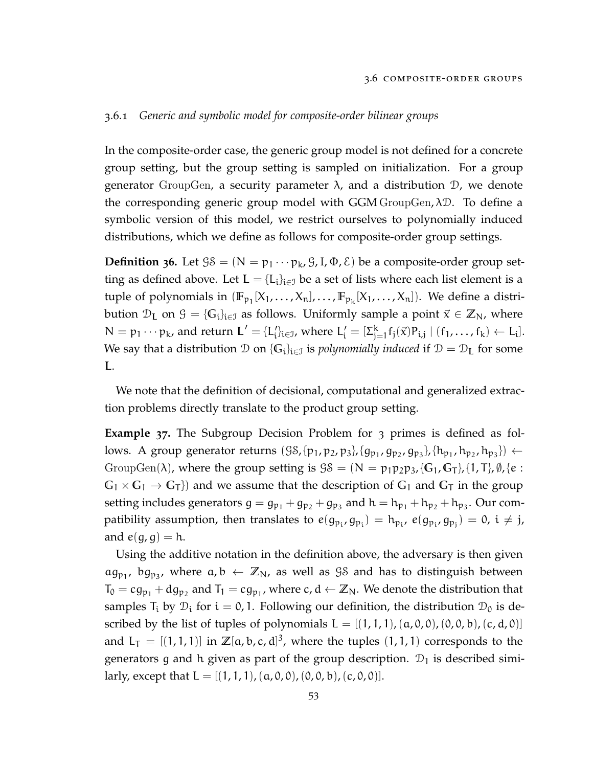## 3.6.1 *Generic and symbolic model for composite-order bilinear groups*

In the composite-order case, the generic group model is not defined for a concrete group setting, but the group setting is sampled on initialization. For a group generator GroupGen, a security parameter  $\lambda$ , and a distribution  $\mathcal{D}$ , we denote the corresponding generic group model with GGM GroupGen,  $\lambda \mathcal{D}$ . To define a symbolic version of this model, we restrict ourselves to polynomially induced distributions, which we define as follows for composite-order group settings.

**Definition 36.** Let  $\mathcal{G}\mathcal{S} = (\mathbb{N} = p_1 \cdots p_k, \mathcal{G}, I, \Phi, \mathcal{E})$  be a composite-order group setting as defined above. Let  $\mathbf{L} = \{L_i\}_{i \in \mathcal{I}}$  be a set of lists where each list element is a tuple of polynomials in  $(\mathbb{F}_{p_1}[X_1, \ldots, X_n], \ldots, \mathbb{F}_{p_k}[X_1, \ldots, X_n])$ . We define a distribution  $\mathcal{D}_L$  on  $\mathcal{G} = \{G_i\}_{i \in \mathcal{I}}$  as follows. Uniformly sample a point  $\vec{x} \in \mathbb{Z}_N$ , where  $N = p_1 \cdots p_k$ , and return  $L' = \{L'_i\}_{i \in J}$ , where  $L'_i = [\Sigma_{j}^k]$  $_{j=1}^{k} f_j(\vec{x}) P_{i,j} | (f_1, ..., f_k) \leftarrow L_i].$ We say that a distribution  $\mathcal D$  on  $\{G_i\}_{i\in\mathcal I}$  is *polynomially induced* if  $\mathcal D=\mathcal D_{\mathbf L}$  for some L.

We note that the definition of decisional, computational and generalized extraction problems directly translate to the product group setting.

<span id="page-64-0"></span>**Example 37.** The Subgroup Decision Problem for 3 primes is defined as follows. A group generator returns  $(\c{S}S, \{p_1, p_2, p_3\}, \{g_{p_1}, g_{p_2}, g_{p_3}\}, \{h_{p_1}, h_{p_2}, h_{p_3}\}) \leftarrow$ GroupGen( $\lambda$ ), where the group setting is  $\mathcal{G}\mathcal{S} = (\mathbb{N} = p_1p_2p_3, \{G_1, G_T\}, \{1, T\}, \emptyset, \{e :$  $G_1 \times G_1 \rightarrow G_T$ }) and we assume that the description of  $G_1$  and  $G_T$  in the group setting includes generators  $g = g_{p_1} + g_{p_2} + g_{p_3}$  and  $h = h_{p_1} + h_{p_2} + h_{p_3}$ . Our compatibility assumption, then translates to  $e(g_{p_i}, g_{p_i}) = h_{p_i}$ ,  $e(g_{p_i}, g_{p_j}) = 0$ ,  $i \neq j$ , and  $e(g, g) = h$ .

Using the additive notation in the definition above, the adversary is then given  $\alpha g_{p_1}$ ,  $\beta g_{p_3}$ , where  $\alpha, \beta \leftarrow \mathbb{Z}_N$ , as well as  $\mathcal{G}\mathcal{S}$  and has to distinguish between  $T_0 = cg_{p_1} + dg_{p_2}$  and  $T_1 = cg_{p_1}$ , where  $c, d \leftarrow \mathbb{Z}_N$ . We denote the distribution that samples  $T_i$  by  $\mathcal{D}_i$  for  $i = 0, 1$ . Following our definition, the distribution  $\mathcal{D}_0$  is described by the list of tuples of polynomials  $L = [(1, 1, 1), (a, 0, 0), (0, 0, b), (c, d, 0)]$ and  $L_T = [(1, 1, 1)]$  in  $\mathbb{Z}[a, b, c, d]^3$ , where the tuples  $(1, 1, 1)$  corresponds to the generators g and h given as part of the group description.  $\mathcal{D}_1$  is described similarly, except that  $L = [(1, 1, 1), (a, 0, 0), (0, 0, b), (c, 0, 0)].$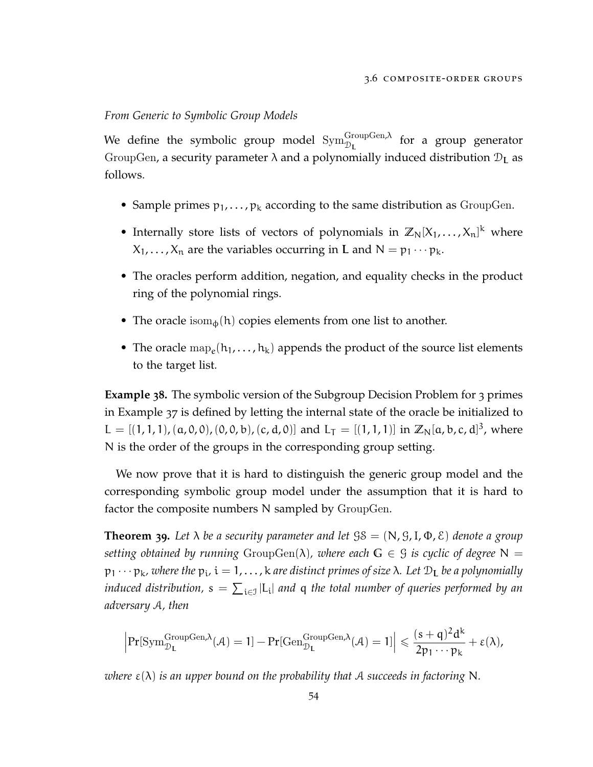## *From Generic to Symbolic Group Models*

We define the symbolic group model  $\mathrm{Sym}^\mathrm{GroupGen,\lambda}_{\mathbb{D}_\mathbf{L}}$  for a group generator GroupGen, a security parameter  $\lambda$  and a polynomially induced distribution  $\mathcal{D}_L$  as follows.

- Sample primes  $p_1, \ldots, p_k$  according to the same distribution as GroupGen.
- Internally store lists of vectors of polynomials in  $\mathbb{Z}_N[X_1, \ldots, X_n]^k$  where  $X_1, \ldots, X_n$  are the variables occurring in **L** and  $N = p_1 \cdots p_k$ .
- The oracles perform addition, negation, and equality checks in the product ring of the polynomial rings.
- The oracle isom $_{\phi}$ (h) copies elements from one list to another.
- The oracle  $\text{map}_e(h_1, \ldots, h_k)$  appends the product of the source list elements to the target list.

**Example 38.** The symbolic version of the Subgroup Decision Problem for 3 primes in Example [37](#page-64-0) is defined by letting the internal state of the oracle be initialized to  $L = [(1, 1, 1), (\alpha, 0, 0), (0, 0, b), (c, d, 0)]$  and  $L_T = [(1, 1, 1)]$  in  $\mathbb{Z}_N[\alpha, b, c, d]^3$ , where N is the order of the groups in the corresponding group setting.

We now prove that it is hard to distinguish the generic group model and the corresponding symbolic group model under the assumption that it is hard to factor the composite numbers N sampled by GroupGen.

<span id="page-65-0"></span>**Theorem 39.** Let  $\lambda$  be a security parameter and let  $\beta \delta = (\mathbb{N}, \mathcal{G}, \mathbb{I}, \Phi, \mathcal{E})$  denote a group *setting obtained by running*  $GroupGen(\lambda)$ *, where each*  $G \in \mathcal{G}$  *is cyclic of degree*  $N =$ p<sup>1</sup> · · · pk*, where the* p<sup>i</sup> *,* i = 1, . . . , k *are distinct primes of size* λ*. Let* D<sup>L</sup> *be a polynomially* induced distribution,  $s = \sum_{i \in \mathcal{I}} | \mathsf{L}_i |$  and  $\mathsf{q}$  the total number of queries performed by an *adversary* A*, then*

$$
\Big|\mathrm{Pr}[\mathrm{Sym}_{\mathcal{D}_L}^{\mathrm{GroupGen},\lambda}(\mathcal{A})=1]-\mathrm{Pr}[\mathrm{Gen}_{\mathcal{D}_L}^{\mathrm{GroupGen},\lambda}(\mathcal{A})=1]\Big|\leqslant \frac{(s+q)^2d^k}{2p_1\cdots p_k}+\epsilon(\lambda),
$$

*where*  $\varepsilon(\lambda)$  *is an upper bound on the probability that* A *succeeds in factoring* N.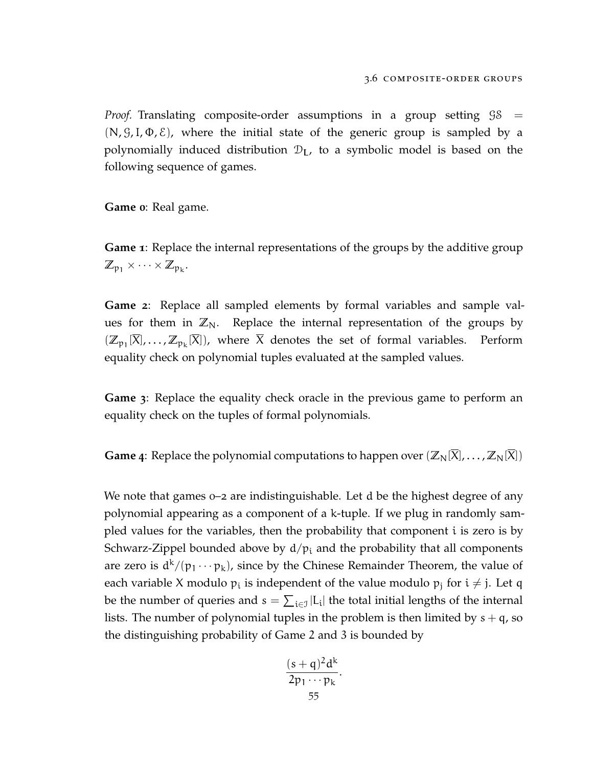*Proof.* Translating composite-order assumptions in a group setting  $\Im S =$  $(N, \mathcal{G}, I, \Phi, \mathcal{E})$ , where the initial state of the generic group is sampled by a polynomially induced distribution  $\mathcal{D}_L$ , to a symbolic model is based on the following sequence of games.

**Game 0**: Real game.

**Game 1**: Replace the internal representations of the groups by the additive group  $\mathbb{Z}_{p_1} \times \cdots \times \mathbb{Z}_{p_k}$ .

**Game 2**: Replace all sampled elements by formal variables and sample values for them in  $\mathbb{Z}_N$ . Replace the internal representation of the groups by  $(\mathbb{Z}_{p_1}[X], \ldots, \mathbb{Z}_{p_k}[X])$ , where X denotes the set of formal variables. Perform equality check on polynomial tuples evaluated at the sampled values.

**Game 3**: Replace the equality check oracle in the previous game to perform an equality check on the tuples of formal polynomials.

**Game** 4: Replace the polynomial computations to happen over  $(\mathbb{Z}_N[\overline{X}], \ldots, \mathbb{Z}_N[\overline{X}])$ 

We note that games  $0-2$  are indistinguishable. Let d be the highest degree of any polynomial appearing as a component of a k-tuple. If we plug in randomly sampled values for the variables, then the probability that component i is zero is by Schwarz-Zippel bounded above by  $d/p_i$  and the probability that all components are zero is  $d^k/(p_1 \cdots p_k)$ , since by the Chinese Remainder Theorem, the value of each variable X modulo  $\mathfrak{p}_\mathfrak{i}$  is independent of the value modulo  $\mathfrak{p}_\mathfrak{j}$  for  $\mathfrak{i} \neq \mathfrak{j}$ . Let q be the number of queries and  $s = \sum_{i \in \mathcal{I}} |L_i|$  the total initial lengths of the internal lists. The number of polynomial tuples in the problem is then limited by  $s + q$ , so the distinguishing probability of Game 2 and 3 is bounded by

$$
\frac{(s+q)^2d^k}{2p_1\cdots p_k}.
$$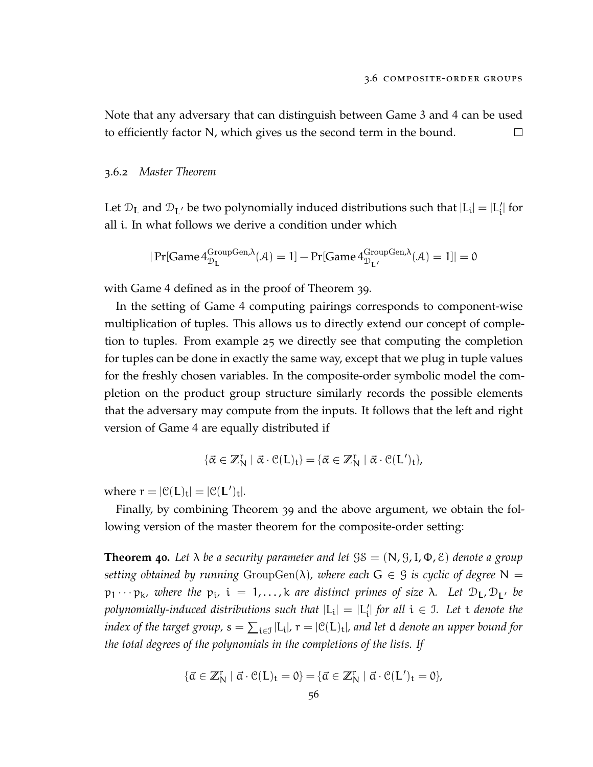Note that any adversary that can distinguish between Game 3 and 4 can be used to efficiently factor N, which gives us the second term in the bound.  $\Box$ 

## 3.6.2 *Master Theorem*

Let  $\mathcal{D}_L$  and  $\mathcal{D}_{L'}$  be two polynomially induced distributions such that  $|L_i| = |L'_i|$  for all i. In what follows we derive a condition under which

$$
|\Pr[\text{Game 4}_{\mathcal{D}_{\mathbf{L}}}^{\text{GroupGen},\lambda}(\mathcal{A})=1]-\Pr[\text{Game 4}_{\mathcal{D}_{\mathbf{L}'}}^{\text{GroupGen},\lambda}(\mathcal{A})=1]|=0
$$

with Game 4 defined as in the proof of Theorem [39](#page-65-0).

In the setting of Game 4 computing pairings corresponds to component-wise multiplication of tuples. This allows us to directly extend our concept of completion to tuples. From example [25](#page-42-2) we directly see that computing the completion for tuples can be done in exactly the same way, except that we plug in tuple values for the freshly chosen variables. In the composite-order symbolic model the completion on the product group structure similarly records the possible elements that the adversary may compute from the inputs. It follows that the left and right version of Game 4 are equally distributed if

$$
\{\vec{\alpha}\in\mathbb{Z}_N^r\mid \vec{\alpha}\cdot\mathbb{C}(\mathsf{L})_t\}=\{\vec{\alpha}\in\mathbb{Z}_N^r\mid \vec{\alpha}\cdot\mathbb{C}(\mathsf{L}')_t\},
$$

where  $r = |\mathcal{C}(L)_t| = |\mathcal{C}(L')_t|.$ 

Finally, by combining Theorem [39](#page-65-0) and the above argument, we obtain the following version of the master theorem for the composite-order setting:

**Theorem 40.** Let  $\lambda$  be a security parameter and let  $\beta \delta = (\mathbb{N}, \mathcal{G}, \mathbb{I}, \Phi, \mathcal{E})$  denote a group *setting obtained by running* GroupGen( $\lambda$ ), where each  $G \in \mathcal{G}$  *is cyclic of degree*  $N =$  $p_1 \cdots p_k$ , where the  $p_i$ ,  $i = 1,...,k$  are distinct primes of size  $\lambda$ . Let  $D_{L}$ ,  $D_{L'}$  be polynomially-induced distributions such that  $|{\rm L_i}|$  =  $|{\rm L'_i}|$  for all  ${\rm i\in J.}$  Let  ${\rm t\,}$  denote the index of the target group,  $s = \sum_{i \in J} |L_i|$ ,  $r = |\mathcal{C}(L)_t|$ , and let  $d$  denote an upper bound for *the total degrees of the polynomials in the completions of the lists. If*

$$
\{\vec{\alpha} \in \mathbb{Z}_N^r \mid \vec{\alpha} \cdot \mathcal{C}(L)_t = 0\} = \{\vec{\alpha} \in \mathbb{Z}_N^r \mid \vec{\alpha} \cdot \mathcal{C}(L')_t = 0\},\
$$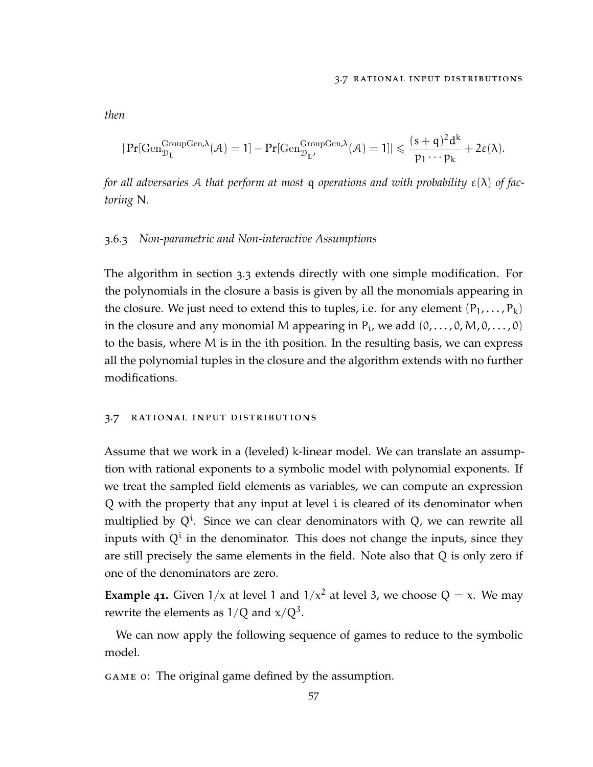#### 3.7 rational input distributions

$$
|\Pr[\mathrm{Gen}^{\mathrm{GroupGen},\lambda}_{\mathcal{D}_L}(\mathcal{A})=1]-\Pr[\mathrm{Gen}^{\mathrm{GroupGen},\lambda}_{\mathcal{D}_{L'}}(\mathcal{A})=1]|\leqslant \frac{(s+q)^2d^k}{p_1\cdots p_k}+2\epsilon(\lambda).
$$

*for all adversaries* A *that perform at most* q *operations and with probability* ε(λ) *of factoring* N*.*

#### 3.6.3 *Non-parametric and Non-interactive Assumptions*

The algorithm in section [3](#page-44-0).3 extends directly with one simple modification. For the polynomials in the closure a basis is given by all the monomials appearing in the closure. We just need to extend this to tuples, i.e. for any element  $(P_1, \ldots, P_k)$ in the closure and any monomial M appearing in  $P_i$ , we add  $(0, \ldots, 0, M, 0, \ldots, 0)$ to the basis, where M is in the ith position. In the resulting basis, we can express all the polynomial tuples in the closure and the algorithm extends with no further modifications.

#### 3.7 rational input distributions

Assume that we work in a (leveled) k-linear model. We can translate an assumption with rational exponents to a symbolic model with polynomial exponents. If we treat the sampled field elements as variables, we can compute an expression Q with the property that any input at level i is cleared of its denominator when multiplied by  $Q^i$ . Since we can clear denominators with  $Q$ , we can rewrite all inputs with  $Q^i$  in the denominator. This does not change the inputs, since they are still precisely the same elements in the field. Note also that Q is only zero if one of the denominators are zero.

**Example 41.** Given  $1/x$  at level 1 and  $1/x^2$  at level 3, we choose  $Q = x$ . We may rewrite the elements as  $1/Q$  and  $x/Q^3$ .

We can now apply the following sequence of games to reduce to the symbolic model.

game 0: The original game defined by the assumption.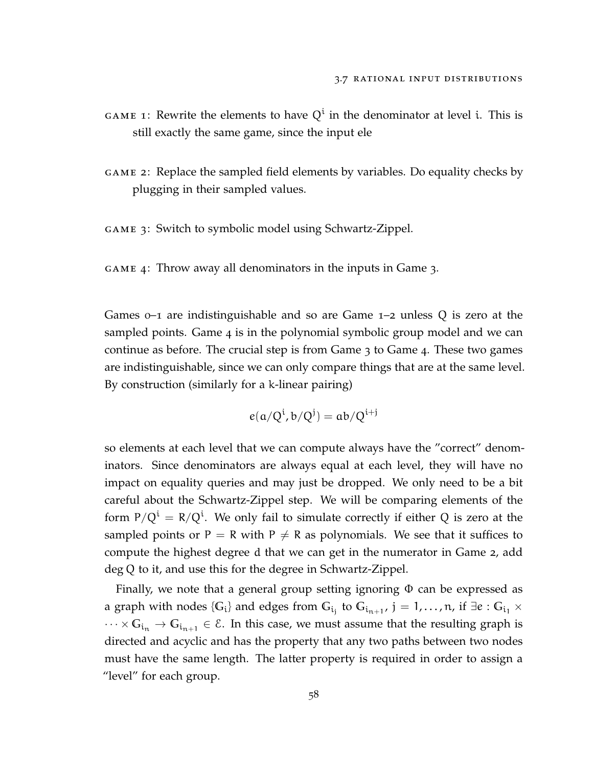- GAME 1: Rewrite the elements to have  $Q^i$  in the denominator at level i. This is still exactly the same game, since the input ele
- game 2: Replace the sampled field elements by variables. Do equality checks by plugging in their sampled values.

game 3: Switch to symbolic model using Schwartz-Zippel.

game 4: Throw away all denominators in the inputs in Game 3.

Games 0–1 are indistinguishable and so are Game 1–2 unless Q is zero at the sampled points. Game 4 is in the polynomial symbolic group model and we can continue as before. The crucial step is from Game 3 to Game 4. These two games are indistinguishable, since we can only compare things that are at the same level. By construction (similarly for a k-linear pairing)

$$
e(\alpha/Q^i,b/Q^j)=\alpha b/Q^{i+j}
$$

so elements at each level that we can compute always have the "correct" denominators. Since denominators are always equal at each level, they will have no impact on equality queries and may just be dropped. We only need to be a bit careful about the Schwartz-Zippel step. We will be comparing elements of the form P/Q $^{\rm i}$  = R/Q $^{\rm i}$ . We only fail to simulate correctly if either Q is zero at the sampled points or P = R with P  $\neq$  R as polynomials. We see that it suffices to compute the highest degree d that we can get in the numerator in Game 2, add deg Q to it, and use this for the degree in Schwartz-Zippel.

Finally, we note that a general group setting ignoring  $\Phi$  can be expressed as a graph with nodes  $\{G_i\}$  and edges from  $G_{i_j}$  to  $G_{i_{n+1}},$   $j=1,\ldots,n$ , if  $\exists e:G_{i_1}\times G_{i_2}$  $\cdots \times G_{i_n} \to G_{i_{n+1}} \in \mathcal{E}$ . In this case, we must assume that the resulting graph is directed and acyclic and has the property that any two paths between two nodes must have the same length. The latter property is required in order to assign a "level" for each group.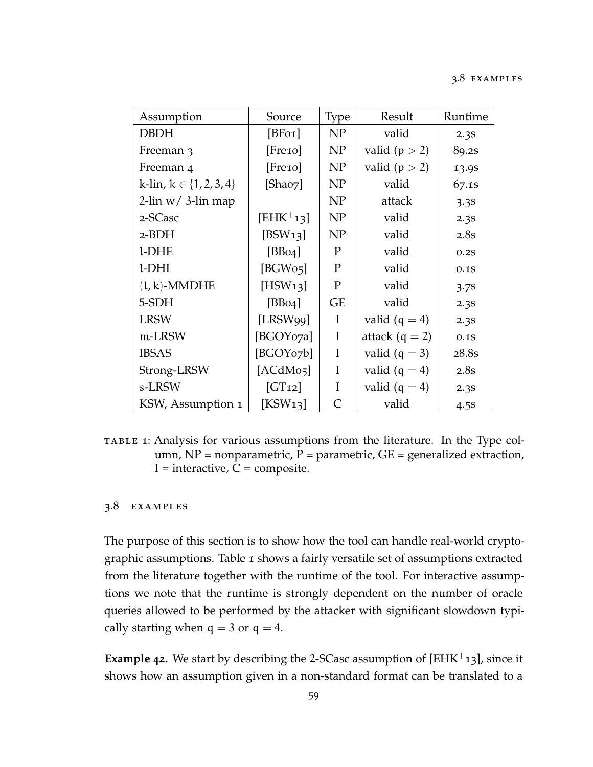<span id="page-70-0"></span>

| Assumption                    | Source                | Type                        | Result            | Runtime           |  |  |
|-------------------------------|-----------------------|-----------------------------|-------------------|-------------------|--|--|
| <b>DBDH</b>                   | [BF01]                | N <sub>P</sub>              | valid             | 2.3s              |  |  |
| Freeman 3                     | [Free10]              | NP                          | valid ( $p > 2$ ) | 89.2s             |  |  |
| Freeman 4                     | $[$ Fre10 $]$         | NP                          | valid ( $p > 2$ ) | 13.9 <sub>S</sub> |  |  |
| k-lin, $k \in \{1, 2, 3, 4\}$ | [Shao7]               | NP                          | valid             | 67.1s             |  |  |
| $2$ -lin w/ 3-lin map         |                       | NP                          | attack            | 3.3s              |  |  |
| 2-SCasc                       | $[EHK^+13]$           | NP                          | valid             | 2.3S              |  |  |
| $2-BDH$                       | [ $BSW13$ ]           | NP                          | valid             | 2.8s              |  |  |
| l-DHE                         | [BB04]                | P                           | valid             | 0.2S              |  |  |
| l-DHI                         | [BGWo5]               | $\mathbf P$                 | valid             | 0.1S              |  |  |
| $(l, k)$ -MMDHE               | [HSW13]               | $\mathbf{P}$                | valid             | 3.7 <sup>s</sup>  |  |  |
| 5-SDH                         | [BB04]                | <b>GE</b>                   | valid             | 2.3S              |  |  |
| <b>LRSW</b>                   | [LRSW99]              | I                           | valid $(q = 4)$   | 2.3s              |  |  |
| m-LRSW                        | [BGOY07a]             | I                           | attack $(q = 2)$  | 0.1S              |  |  |
| <b>IBSAS</b>                  | [BGOY07b]             | I                           | valid $(q = 3)$   | 28.8s             |  |  |
| Strong-LRSW                   | [ACdMo <sub>5</sub> ] | I                           | valid $(q = 4)$   | 2.8s              |  |  |
| s-LRSW                        | [GT12]                | I                           | valid $(q = 4)$   | 2.3s              |  |  |
| KSW, Assumption 1             | [KSW13]               | $\mathcal{C}_{\mathcal{C}}$ | valid             | 4.5 <sub>s</sub>  |  |  |

table 1: Analysis for various assumptions from the literature. In the Type column,  $NP = nonparametric$ ,  $P = parametric$ ,  $GE = generalized extraction$ ,  $I =$  interactive,  $C =$  composite.

## 3.8 examples

The purpose of this section is to show how the tool can handle real-world cryptographic assumptions. Table [1](#page-70-0) shows a fairly versatile set of assumptions extracted from the literature together with the runtime of the tool. For interactive assumptions we note that the runtime is strongly dependent on the number of oracle queries allowed to be performed by the attacker with significant slowdown typically starting when  $q = 3$  or  $q = 4$ .

**Example 42.** We start by describing the 2-SCasc assumption of [\[EHK](#page-113-2)<sup>+</sup>13], since it shows how an assumption given in a non-standard format can be translated to a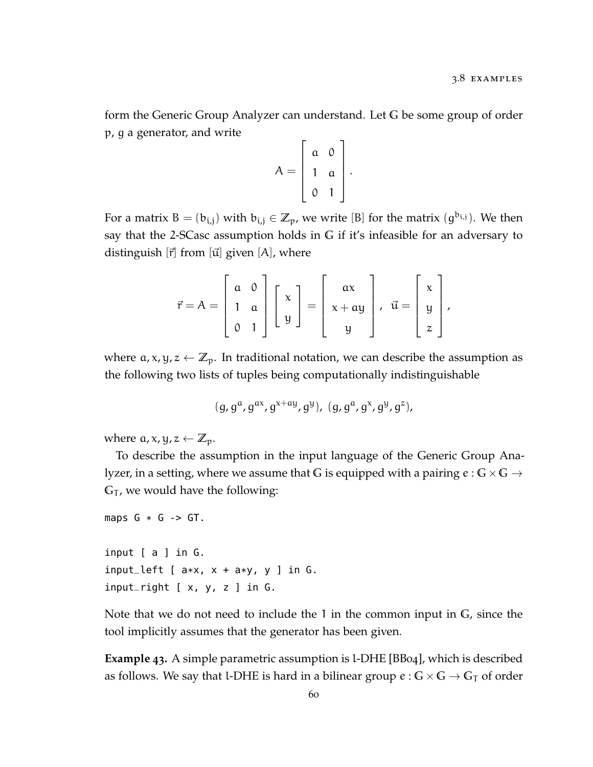form the Generic Group Analyzer can understand. Let **G** be some group of order p, g a generator, and write

$$
A = \left[ \begin{array}{cc} a & 0 \\ 1 & a \\ 0 & 1 \end{array} \right].
$$

For a matrix  $B = (b_{i,j})$  with  $b_{i,j} \in \mathbb{Z}_p$ , we write [B] for the matrix  $(g^{b_{i,j}})$ . We then say that the 2-SCasc assumption holds in **G** if it's infeasible for an adversary to distinguish  $[\vec{r}]$  from  $[\vec{u}]$  given  $[A]$ , where

$$
\vec{r} = A = \begin{bmatrix} a & 0 \\ 1 & a \\ 0 & 1 \end{bmatrix} \begin{bmatrix} x \\ y \end{bmatrix} = \begin{bmatrix} ax \\ x + ay \\ y \end{bmatrix}, \quad \vec{u} = \begin{bmatrix} x \\ y \\ z \end{bmatrix},
$$

where  $\alpha$ ,  $x$ ,  $y$ ,  $z \leftarrow \mathbb{Z}_p$ . In traditional notation, we can describe the assumption as the following two lists of tuples being computationally indistinguishable

$$
(g, g^a, g^{ax}, g^{x+ay}, g^y), (g, g^a, g^x, g^y, g^z),
$$

where  $a, x, y, z \leftarrow \mathbb{Z}_p$ .

To describe the assumption in the input language of the Generic Group Analyzer, in a setting, where we assume that G is equipped with a pairing  $e : G \times G \rightarrow$  $G_T$ , we would have the following:

```
maps G * G \rightarrow GT.
```
input [ a ] in G. input\_left  $[a*x, x + a*y, y]$  in  $G$ . input\_right  $[x, y, z]$  in G.

Note that we do not need to include the 1 in the common input in **G**, since the tool implicitly assumes that the generator has been given.

**Example 43.** A simple parametric assumption is l-DHE [\[BB](#page-110-0)04], which is described as follows. We say that l-DHE is hard in a bilinear group  $e : G \times G \to G<sub>T</sub>$  of order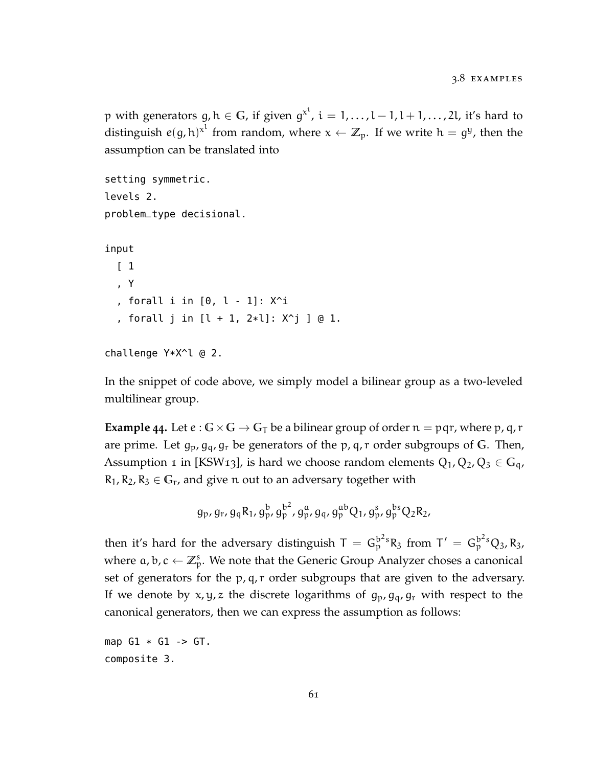p with generators  $g, h \in G$ , if given  $g^{x^i}$ ,  $i = 1, ..., l - 1, l + 1, ..., 2l$ , it's hard to distinguish  $e(g, h)^{x^l}$  from random, where  $x \leftarrow \mathbb{Z}_p$ . If we write  $h = g^y$ , then the assumption can be translated into

```
setting symmetric.
levels 2.
problem_type decisional.
input
  \lceil 1
  , Y
  , forall i in [0, l - 1]: X^i
  , forall j in [l + 1, 2*l]: X^j ] @ 1.
```

```
challenge Y*X^l @ 2.
```
In the snippet of code above, we simply model a bilinear group as a two-leveled multilinear group.

**Example** 44. Let  $e : G \times G \to G_T$  be a bilinear group of order  $n = pqr$ , where p, q, r are prime. Let  $g_p$ ,  $g_q$ ,  $g_r$  be generators of the  $p$ ,  $q$ ,  $r$  order subgroups of G. Then, Assumption 1 in [\[KSW](#page-115-0)13], is hard we choose random elements  $Q_1$ ,  $Q_2$ ,  $Q_3 \in G_q$ ,  $R_1, R_2, R_3 \in G_r$ , and give n out to an adversary together with

$$
g_p, g_r, g_q R_1, g_p^b, g_p^{b^2}, g_q^a, g_q^a, g_p^{ab} Q_1, g_p^s, g_p^{bs} Q_2 R_2,
$$

then it's hard for the adversary distinguish  $T = G_p^{b^2s}R_3$  from  $T' = G_p^{b^2s}Q_3$ ,  $R_3$ , where  $a, b, c \leftarrow \mathbb{Z}_p^s$ . We note that the Generic Group Analyzer choses a canonical set of generators for the p, q, r order subgroups that are given to the adversary. If we denote by x, y, z the discrete logarithms of  $g_p$ ,  $g_q$ ,  $g_r$  with respect to the canonical generators, then we can express the assumption as follows:

```
map G1 * G1 \rightarrow GT.
composite 3.
```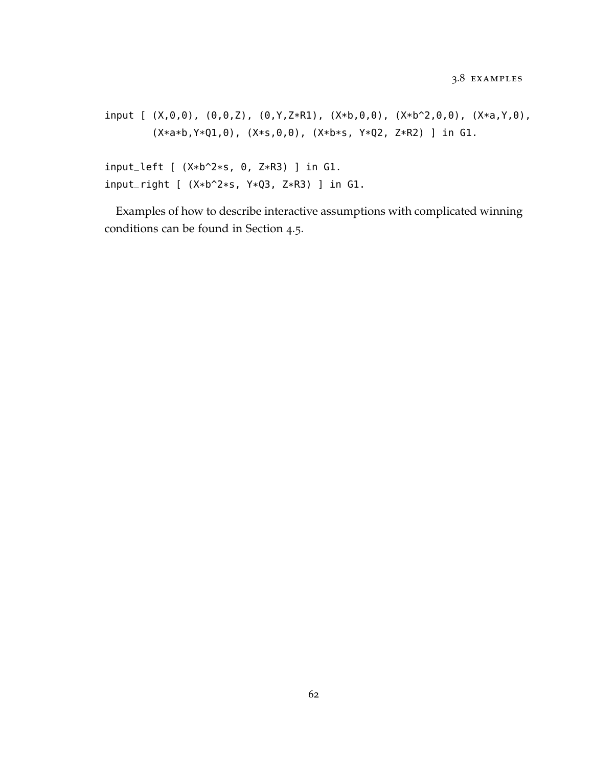input  $[(X,0,0), (0,0,Z), (0,Y,Z*R1), (X*b,0,0), (X*b^2,0,0), (X*a,Y,0),$ (X\*a\*b,Y\*Q1,0), (X\*s,0,0), (X\*b\*s, Y\*Q2, Z\*R2) ] in G1.

input\_left [ (X\*b^2\*s, 0, Z\*R3) ] in G1. input\_right [ (X\*b^2\*s, Y\*Q3, Z\*R3) ] in G1.

Examples of how to describe interactive assumptions with complicated winning conditions can be found in Section [4](#page-93-0).5.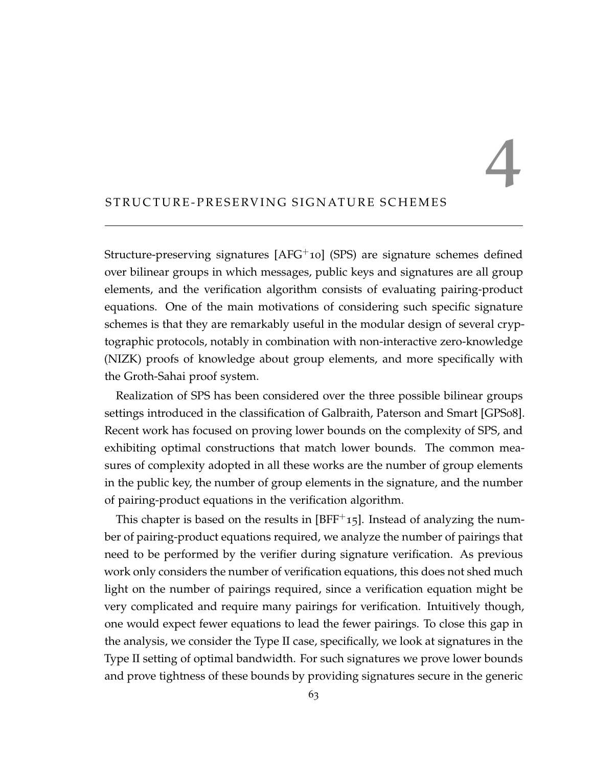4

# STRUCTURE-PRESERVING SIGNATURE SCHEMES

Structure-preserving signatures [\[AFG](#page-110-0)+10] (SPS) are signature schemes defined over bilinear groups in which messages, public keys and signatures are all group elements, and the verification algorithm consists of evaluating pairing-product equations. One of the main motivations of considering such specific signature schemes is that they are remarkably useful in the modular design of several cryptographic protocols, notably in combination with non-interactive zero-knowledge (NIZK) proofs of knowledge about group elements, and more specifically with the Groth-Sahai proof system.

Realization of SPS has been considered over the three possible bilinear groups settings introduced in the classification of Galbraith, Paterson and Smart [\[GPS](#page-114-0)08]. Recent work has focused on proving lower bounds on the complexity of SPS, and exhibiting optimal constructions that match lower bounds. The common measures of complexity adopted in all these works are the number of group elements in the public key, the number of group elements in the signature, and the number of pairing-product equations in the verification algorithm.

This chapter is based on the results in  $[BFF^+15]$  $[BFF^+15]$ . Instead of analyzing the number of pairing-product equations required, we analyze the number of pairings that need to be performed by the verifier during signature verification. As previous work only considers the number of verification equations, this does not shed much light on the number of pairings required, since a verification equation might be very complicated and require many pairings for verification. Intuitively though, one would expect fewer equations to lead the fewer pairings. To close this gap in the analysis, we consider the Type II case, specifically, we look at signatures in the Type II setting of optimal bandwidth. For such signatures we prove lower bounds and prove tightness of these bounds by providing signatures secure in the generic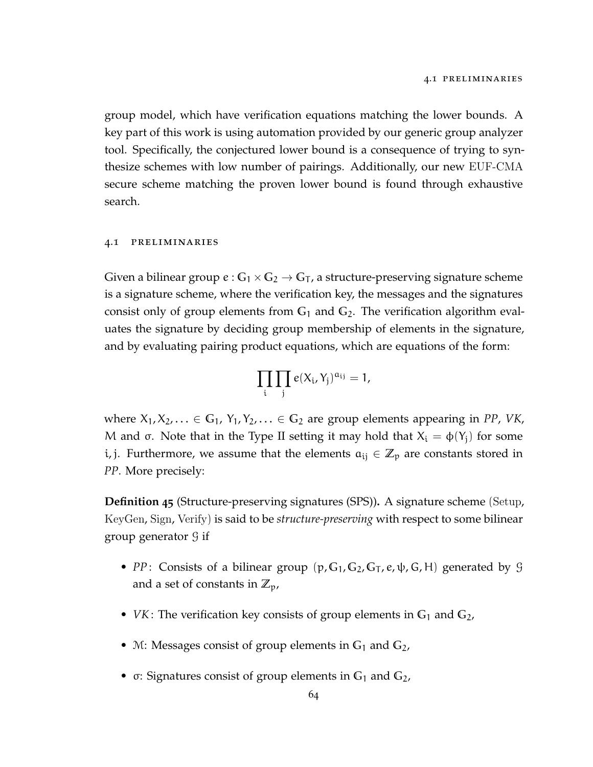group model, which have verification equations matching the lower bounds. A key part of this work is using automation provided by our generic group analyzer tool. Specifically, the conjectured lower bound is a consequence of trying to synthesize schemes with low number of pairings. Additionally, our new EUF-CMA secure scheme matching the proven lower bound is found through exhaustive search.

#### 4.1 preliminaries

Given a bilinear group  $e: G_1 \times G_2 \to G_T$ , a structure-preserving signature scheme is a signature scheme, where the verification key, the messages and the signatures consist only of group elements from **G**<sup>1</sup> and **G**2. The verification algorithm evaluates the signature by deciding group membership of elements in the signature, and by evaluating pairing product equations, which are equations of the form:

$$
\prod_i \prod_j e(X_i,Y_j)^{\alpha_{ij}} = 1,
$$

where  $X_1, X_2, \ldots \in \mathbb{G}_1$ ,  $Y_1, Y_2, \ldots \in \mathbb{G}_2$  are group elements appearing in *PP*, *VK*, M and σ. Note that in the Type II setting it may hold that  $X_i = \varphi(Y_i)$  for some i, j. Furthermore, we assume that the elements  $a_{ij} \in \mathbb{Z}_p$  are constants stored in *PP*. More precisely:

**Definition 45** (Structure-preserving signatures (SPS))**.** A signature scheme (Setup, KeyGen, Sign, Verify) is said to be *structure-preserving* with respect to some bilinear group generator G if

- *PP*: Consists of a bilinear group  $(p, G_1, G_2, G_T, e, \psi, G, H)$  generated by G and a set of constants in  $\mathbb{Z}_p$ ,
- *VK*: The verification key consists of group elements in G<sub>1</sub> and G<sub>2</sub>,
- M: Messages consist of group elements in **G**<sup>1</sup> and **G**2,
- σ: Signatures consist of group elements in **G**<sup>1</sup> and **G**2,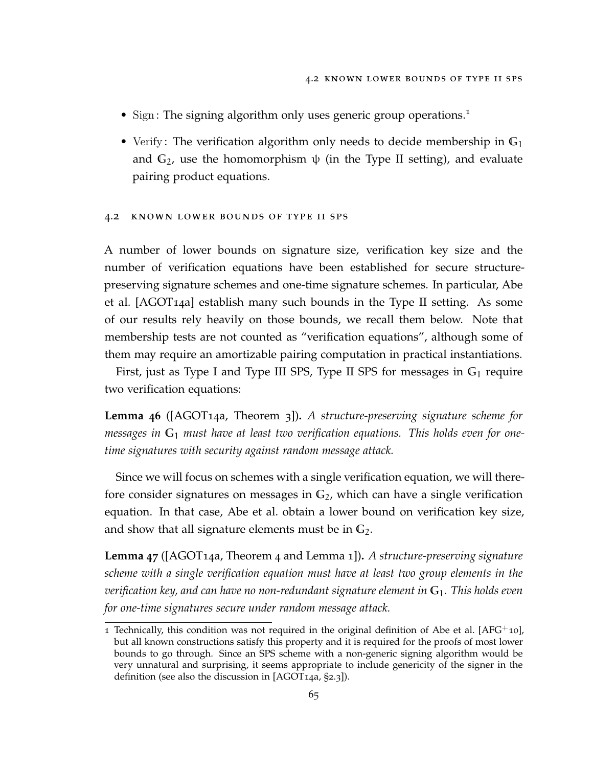- Sign: The signing algorithm only uses generic group operations.<sup>[1](#page-76-0)</sup>
- Verify : The verification algorithm only needs to decide membership in **G**<sup>1</sup> and  $G_2$ , use the homomorphism  $\psi$  (in the Type II setting), and evaluate pairing product equations.

#### 4.2 known lower bounds of type ii sps

A number of lower bounds on signature size, verification key size and the number of verification equations have been established for secure structurepreserving signature schemes and one-time signature schemes. In particular, Abe et al. [\[AGOT](#page-110-1)14a] establish many such bounds in the Type II setting. As some of our results rely heavily on those bounds, we recall them below. Note that membership tests are not counted as "verification equations", although some of them may require an amortizable pairing computation in practical instantiations.

First, just as Type I and Type III SPS, Type II SPS for messages in **G**<sup>1</sup> require two verification equations:

**Lemma 46** ([\[AGOT](#page-110-1)14a, Theorem 3])**.** *A structure-preserving signature scheme for messages in* **G**<sup>1</sup> *must have at least two verification equations. This holds even for onetime signatures with security against random message attack.*

Since we will focus on schemes with a single verification equation, we will therefore consider signatures on messages in **G**2, which can have a single verification equation. In that case, Abe et al. obtain a lower bound on verification key size, and show that all signature elements must be in **G**2.

<span id="page-76-1"></span>**Lemma 47** ([\[AGOT](#page-110-1)14a, Theorem 4 and Lemma 1])**.** *A structure-preserving signature scheme with a single verification equation must have at least two group elements in the verification key, and can have no non-redundant signature element in* **G**1*. This holds even for one-time signatures secure under random message attack.*

<span id="page-76-0"></span><sup>1</sup> Technically, this condition was not required in the original definition of Abe et al.  $[AFG^+10]$  $[AFG^+10]$ , but all known constructions satisfy this property and it is required for the proofs of most lower bounds to go through. Since an SPS scheme with a non-generic signing algorithm would be very unnatural and surprising, it seems appropriate to include genericity of the signer in the definition (see also the discussion in [\[AGOT](#page-110-1)14a, §2.3]).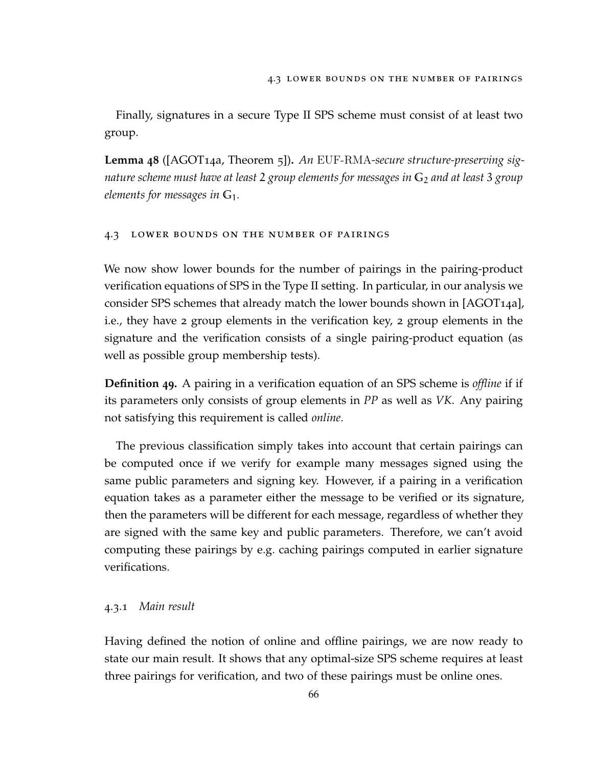Finally, signatures in a secure Type II SPS scheme must consist of at least two group.

<span id="page-77-0"></span>**Lemma 48** ([\[AGOT](#page-110-1)14a, Theorem 5])**.** *An* EUF-RMA*-secure structure-preserving signature scheme must have at least* 2 *group elements for messages in* **G**<sup>2</sup> *and at least* 3 *group elements for messages in* **G**1*.*

#### 4.3 lower bounds on the number of pairings

We now show lower bounds for the number of pairings in the pairing-product verification equations of SPS in the Type II setting. In particular, in our analysis we consider SPS schemes that already match the lower bounds shown in [\[AGOT](#page-110-1)14a], i.e., they have 2 group elements in the verification key, 2 group elements in the signature and the verification consists of a single pairing-product equation (as well as possible group membership tests).

**Definition 49.** A pairing in a verification equation of an SPS scheme is *offline* if if its parameters only consists of group elements in *PP* as well as *VK*. Any pairing not satisfying this requirement is called *online*.

The previous classification simply takes into account that certain pairings can be computed once if we verify for example many messages signed using the same public parameters and signing key. However, if a pairing in a verification equation takes as a parameter either the message to be verified or its signature, then the parameters will be different for each message, regardless of whether they are signed with the same key and public parameters. Therefore, we can't avoid computing these pairings by e.g. caching pairings computed in earlier signature verifications.

## 4.3.1 *Main result*

<span id="page-77-1"></span>Having defined the notion of online and offline pairings, we are now ready to state our main result. It shows that any optimal-size SPS scheme requires at least three pairings for verification, and two of these pairings must be online ones.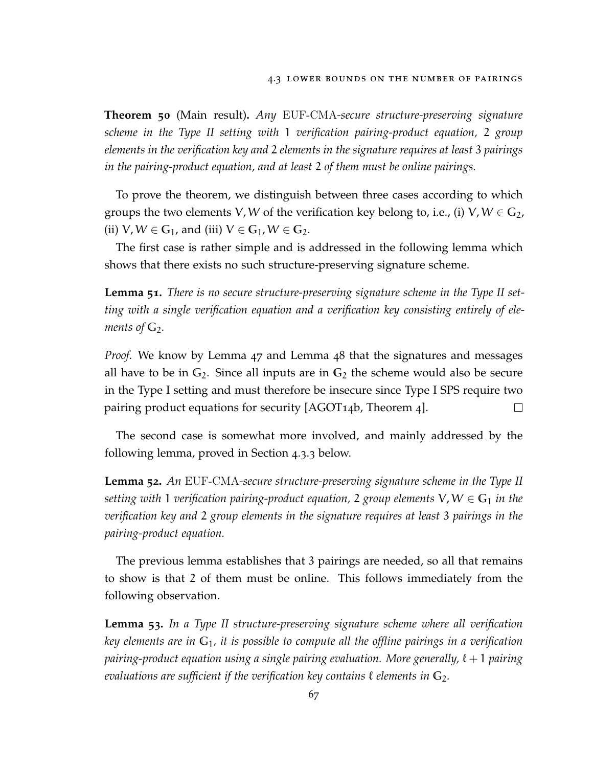**Theorem 50** (Main result)**.** *Any* EUF-CMA*-secure structure-preserving signature scheme in the Type II setting with* 1 *verification pairing-product equation,* 2 *group elements in the verification key and* 2 *elements in the signature requires at least* 3 *pairings in the pairing-product equation, and at least* 2 *of them must be online pairings.*

To prove the theorem, we distinguish between three cases according to which groups the two elements V, W of the verification key belong to, i.e., (i)  $V, W \in \mathbb{G}_2$ , (ii)  $V, W \in \mathbb{G}_1$ , and (iii)  $V \in \mathbb{G}_1$ ,  $W \in \mathbb{G}_2$ .

The first case is rather simple and is addressed in the following lemma which shows that there exists no such structure-preserving signature scheme.

**Lemma 51.** *There is no secure structure-preserving signature scheme in the Type II setting with a single verification equation and a verification key consisting entirely of elements of*  $\mathbb{G}_2$ *.* 

*Proof.* We know by Lemma [47](#page-76-1) and Lemma [48](#page-77-0) that the signatures and messages all have to be in  $G_2$ . Since all inputs are in  $G_2$  the scheme would also be secure in the Type I setting and must therefore be insecure since Type I SPS require two pairing product equations for security [\[AGOT](#page-110-2)14b, Theorem 4].  $\Box$ 

The second case is somewhat more involved, and mainly addressed by the following lemma, proved in Section [4](#page-80-0).3.3 below.

<span id="page-78-0"></span>**Lemma 52.** *An* EUF-CMA*-secure structure-preserving signature scheme in the Type II setting with* 1 *verification pairing-product equation,* 2 *group elements*  $V, W \in G_1$  *in the verification key and* 2 *group elements in the signature requires at least* 3 *pairings in the pairing-product equation.*

The previous lemma establishes that 3 pairings are needed, so all that remains to show is that 2 of them must be online. This follows immediately from the following observation.

**Lemma 53.** *In a Type II structure-preserving signature scheme where all verification key elements are in* **G**1*, it is possible to compute all the offline pairings in a verification pairing-product equation using a single pairing evaluation. More generally,*  $\ell + 1$  *pairing evaluations are sufficient if the verification key contains*  $\ell$  *elements in*  $\mathbb{G}_2$ *.*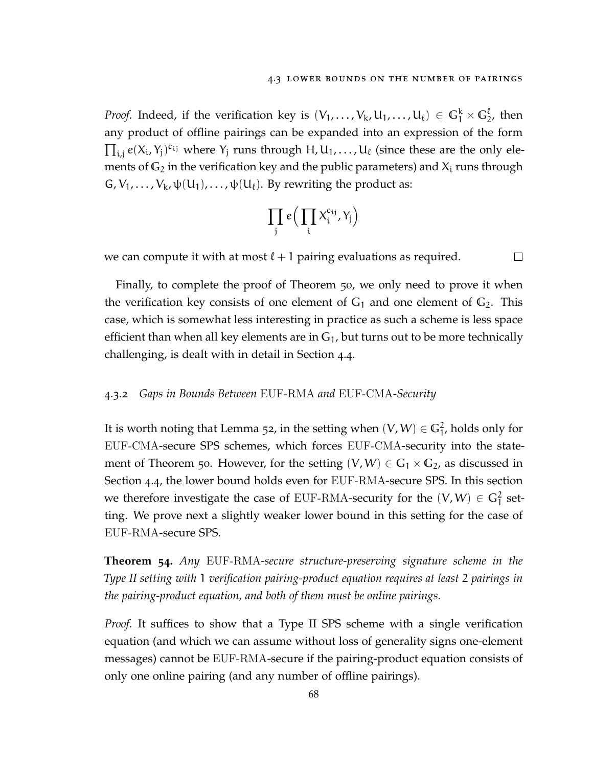*Proof.* Indeed, if the verification key is  $(V_1, \ldots, V_k, U_1, \ldots, U_\ell) \in \mathbb{G}_1^k \times \mathbb{G}_2^\ell$ , then any product of offline pairings can be expanded into an expression of the form  $\prod_{i,j} e(X_i, Y_j)^{c_{ij}}$  where  $Y_j$  runs through H,  $U_1, \ldots, U_\ell$  (since these are the only elements of  $G_2$  in the verification key and the public parameters) and  $X_i$  runs through  $G, V_1, \ldots, V_k, \psi(U_1), \ldots, \psi(U_\ell)$ . By rewriting the product as:

$$
\prod_j e\Big(\prod_i X_i^{c_{ij}}, Y_j\Big)
$$

we can compute it with at most  $\ell + 1$  pairing evaluations as required.  $\Box$ 

Finally, to complete the proof of Theorem [50](#page-77-1), we only need to prove it when the verification key consists of one element of  $G_1$  and one element of  $G_2$ . This case, which is somewhat less interesting in practice as such a scheme is less space efficient than when all key elements are in **G**1, but turns out to be more technically challenging, is dealt with in detail in Section [4](#page-84-0).4.

#### <span id="page-79-1"></span>4.3.2 *Gaps in Bounds Between* EUF-RMA *and* EUF-CMA*-Security*

It is worth noting that Lemma [52](#page-78-0), in the setting when  $(V, W) \in \mathbb{G}^2_1$ , holds only for EUF-CMA-secure SPS schemes, which forces EUF-CMA-security into the state-ment of Theorem [50](#page-77-1). However, for the setting  $(V, W) \in G_1 \times G_2$ , as discussed in Section [4](#page-84-0).4, the lower bound holds even for EUF-RMA-secure SPS. In this section we therefore investigate the case of EUF-RMA-security for the  $(V, W) \in \mathbb{G}_1^2$  setting. We prove next a slightly weaker lower bound in this setting for the case of EUF-RMA-secure SPS.

<span id="page-79-0"></span>**Theorem 54.** *Any* EUF-RMA*-secure structure-preserving signature scheme in the Type II setting with* 1 *verification pairing-product equation requires at least* 2 *pairings in the pairing-product equation, and both of them must be online pairings.*

*Proof.* It suffices to show that a Type II SPS scheme with a single verification equation (and which we can assume without loss of generality signs one-element messages) cannot be EUF-RMA-secure if the pairing-product equation consists of only one online pairing (and any number of offline pairings).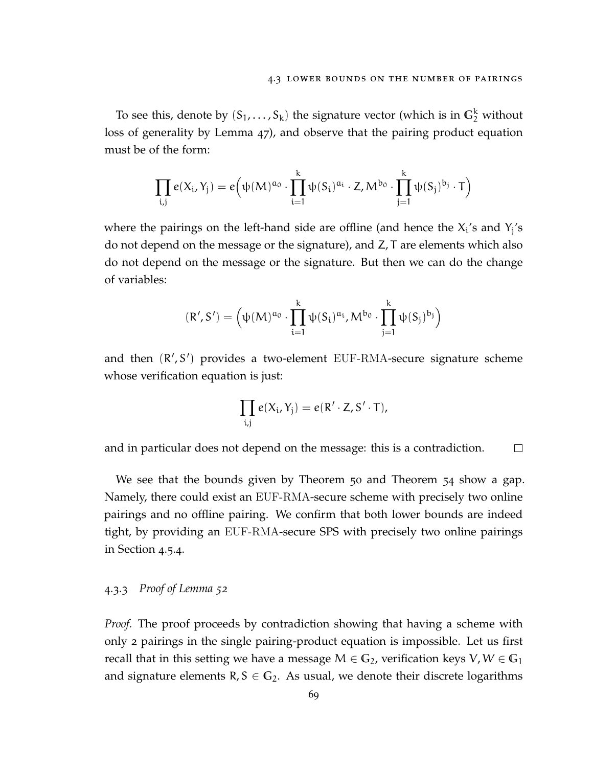To see this, denote by  $(S_1, \ldots, S_k)$  the signature vector (which is in  $\mathbb{G}_2^k$  without loss of generality by Lemma [47](#page-76-1)), and observe that the pairing product equation must be of the form:

$$
\prod_{i,j} e(X_i,Y_j) = e\Big(\psi(M)^{\alpha_0} \cdot \prod_{i=1}^k \psi(S_i)^{\alpha_i} \cdot Z, M^{b_0} \cdot \prod_{j=1}^k \psi(S_j)^{b_j} \cdot T\Big)
$$

where the pairings on the left-hand side are offline (and hence the  $X_i$ 's and  $Y_j$ 's do not depend on the message or the signature), and Z, T are elements which also do not depend on the message or the signature. But then we can do the change of variables:

$$
(R',S')=\Big(\psi(M)^{\alpha_0}\cdot\prod_{i=1}^k\psi(S_i)^{\alpha_i},M^{b_0}\cdot\prod_{j=1}^k\psi(S_j)^{b_j}\Big)
$$

and then  $(R', S')$  provides a two-element EUF-RMA-secure signature scheme whose verification equation is just:

$$
\prod_{i,j} e(X_i,Y_j) = e(R'\cdot Z,S'\cdot T),
$$

and in particular does not depend on the message: this is a contradiction.  $\Box$ 

We see that the bounds given by Theorem [50](#page-77-1) and Theorem [54](#page-79-0) show a gap. Namely, there could exist an EUF-RMA-secure scheme with precisely two online pairings and no offline pairing. We confirm that both lower bounds are indeed tight, by providing an EUF-RMA-secure SPS with precisely two online pairings in Section [4](#page-96-0).5.4.

## <span id="page-80-0"></span>4.3.3 *Proof of Lemma [52](#page-78-0)*

*Proof.* The proof proceeds by contradiction showing that having a scheme with only 2 pairings in the single pairing-product equation is impossible. Let us first recall that in this setting we have a message  $M \in \mathbb{G}_2$ , verification keys  $V, W \in \mathbb{G}_1$ and signature elements  $R, S \in \mathbb{G}_2$ . As usual, we denote their discrete logarithms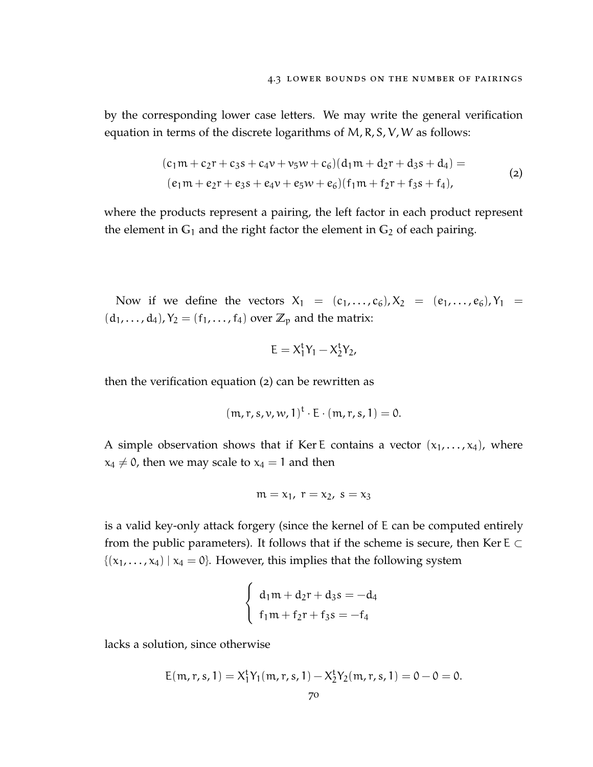by the corresponding lower case letters. We may write the general verification equation in terms of the discrete logarithms of M, R, S, V, W as follows:

$$
(c1m + c2r + c3s + c4v + v5w + c6)(d1m + d2r + d3s + d4) =
$$
  
(e<sub>1</sub>m + e<sub>2</sub>r + e<sub>3</sub>s + e<sub>4</sub>v + e<sub>5</sub>w + e<sub>6</sub>)(f<sub>1</sub>m + f<sub>2</sub>r + f<sub>3</sub>s + f<sub>4</sub>), (2)

where the products represent a pairing, the left factor in each product represent the element in  $G_1$  and the right factor the element in  $G_2$  of each pairing.

Now if we define the vectors  $X_1 = (c_1, ..., c_6), X_2 = (e_1, ..., e_6), Y_1 =$  $(d_1, \ldots, d_4)$ ,  $Y_2 = (f_1, \ldots, f_4)$  over  $\mathbb{Z}_p$  and the matrix:

<span id="page-81-0"></span>
$$
E=X_1^tY_1-X_2^tY_2,\\
$$

then the verification equation ([2](#page-81-0)) can be rewritten as

$$
(\mathfrak{m},\mathfrak{r},\mathfrak{s},\nu,\nu,1)^{\mathrm{t}}\cdot E\cdot(\mathfrak{m},\mathfrak{r},\mathfrak{s},1)=0.
$$

A simple observation shows that if Ker E contains a vector  $(x_1, \ldots, x_4)$ , where  $x_4 \neq 0$ , then we may scale to  $x_4 = 1$  and then

$$
m = x_1
$$
,  $r = x_2$ ,  $s = x_3$ 

is a valid key-only attack forgery (since the kernel of E can be computed entirely from the public parameters). It follows that if the scheme is secure, then Ker E  $\subset$  $\{(x_1, \ldots, x_4) \mid x_4 = 0\}$ . However, this implies that the following system

$$
\begin{cases}\nd_1m + d_2r + d_3s = -d_4 \\
f_1m + f_2r + f_3s = -f_4\n\end{cases}
$$

lacks a solution, since otherwise

$$
E(m, r, s, 1) = X_1^t Y_1(m, r, s, 1) - X_2^t Y_2(m, r, s, 1) = 0 - 0 = 0.
$$
  
<sub>70</sub>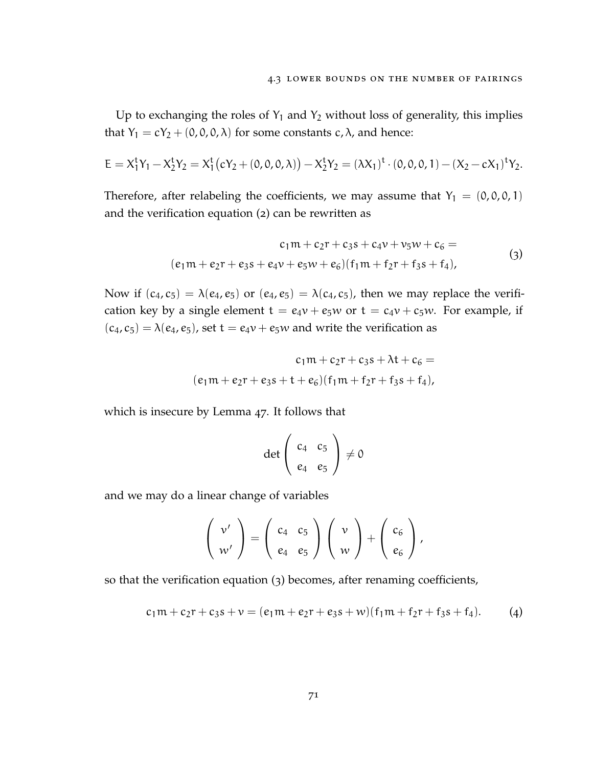Up to exchanging the roles of  $Y_1$  and  $Y_2$  without loss of generality, this implies that  $Y_1 = cY_2 + (0, 0, 0, \lambda)$  for some constants  $c, \lambda$ , and hence:

$$
E = X_1^t Y_1 - X_2^t Y_2 = X_1^t (cY_2 + (0, 0, 0, \lambda)) - X_2^t Y_2 = (\lambda X_1)^t \cdot (0, 0, 0, 1) - (X_2 - cX_1)^t Y_2.
$$

Therefore, after relabeling the coefficients, we may assume that  $Y_1 = (0, 0, 0, 1)$ and the verification equation ([2](#page-81-0)) can be rewritten as

$$
c_1m + c_2r + c_3s + c_4v + v_5w + c_6 =
$$
  
(e<sub>1</sub>m + e<sub>2</sub>r + e<sub>3</sub>s + e<sub>4</sub>v + e<sub>5</sub>w + e<sub>6</sub>)(f<sub>1</sub>m + f<sub>2</sub>r + f<sub>3</sub>s + f<sub>4</sub>), (3)

Now if  $(c_4, c_5) = \lambda(e_4, e_5)$  or  $(e_4, e_5) = \lambda(c_4, c_5)$ , then we may replace the verification key by a single element  $t = e_4v + e_5w$  or  $t = c_4v + c_5w$ . For example, if  $(c_4, c_5) = \lambda(e_4, e_5)$ , set t =  $e_4v + e_5w$  and write the verification as

$$
c_1m + c_2r + c_3s + \lambda t + c_6 =
$$
  

$$
(e_1m + e_2r + e_3s + t + e_6)(f_1m + f_2r + f_3s + f_4),
$$

which is insecure by Lemma [47](#page-76-1). It follows that

<span id="page-82-1"></span><span id="page-82-0"></span>
$$
\det\left(\begin{array}{cc}c_4&c_5\\e_4&e_5\end{array}\right)\neq 0
$$

and we may do a linear change of variables

$$
\left(\begin{array}{c}v'\\w'\end{array}\right)=\left(\begin{array}{cc}c_4&c_5\\e_4&e_5\end{array}\right)\left(\begin{array}{c}v\\w\end{array}\right)+\left(\begin{array}{c}c_6\\e_6\end{array}\right),
$$

so that the verification equation ([3](#page-82-0)) becomes, after renaming coefficients,

$$
c_1m + c_2r + c_3s + v = (e_1m + e_2r + e_3s + w)(f_1m + f_2r + f_3s + f_4). \tag{4}
$$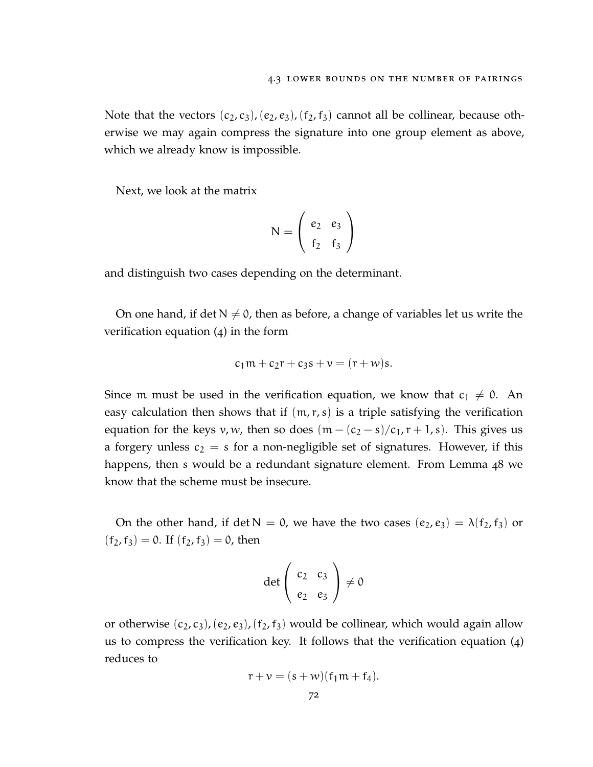Note that the vectors  $(c_2, c_3)$ ,  $(e_2, e_3)$ ,  $(f_2, f_3)$  cannot all be collinear, because otherwise we may again compress the signature into one group element as above, which we already know is impossible.

Next, we look at the matrix

$$
N = \left(\begin{array}{cc} e_2 & e_3 \\ f_2 & f_3 \end{array}\right)
$$

and distinguish two cases depending on the determinant.

On one hand, if det  $N \neq 0$ , then as before, a change of variables let us write the verification equation ([4](#page-82-1)) in the form

$$
c_1m + c_2r + c_3s + v = (r + w)s.
$$

Since m must be used in the verification equation, we know that  $c_1 \neq 0$ . An easy calculation then shows that if  $(m, r, s)$  is a triple satisfying the verification equation for the keys v, w, then so does  $(m - (c_2 - s)/c_1, r + 1, s)$ . This gives us a forgery unless  $c_2 = s$  for a non-negligible set of signatures. However, if this happens, then s would be a redundant signature element. From Lemma [48](#page-77-0) we know that the scheme must be insecure.

On the other hand, if det  $N = 0$ , we have the two cases  $(e_2, e_3) = \lambda(f_2, f_3)$  or  $(f_2, f_3) = 0$ . If  $(f_2, f_3) = 0$ , then

$$
\det\left(\begin{array}{cc}c_2&c_3\\e_2&e_3\end{array}\right)\neq 0
$$

or otherwise  $(c_2, c_3)$ ,  $(e_2, e_3)$ ,  $(f_2, f_3)$  would be collinear, which would again allow us to compress the verification key. It follows that the verification equation ([4](#page-82-1)) reduces to

$$
r + v = (s + w)(f_1m + f_4).
$$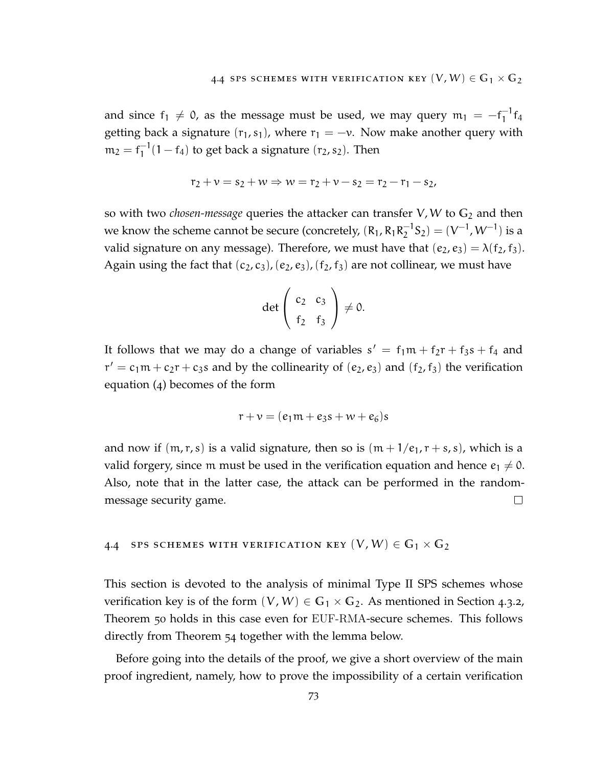and since  $f_1 \neq 0$ , as the message must be used, we may query  $m_1 = -f_1^{-1}$  $^{-1}_{1}$ f<sub>4</sub> getting back a signature  $(r_1, s_1)$ , where  $r_1 = -v$ . Now make another query with  $m_2 = f_1^{-1}$  $1^{-1}(1-f_4)$  to get back a signature  $(r_2, s_2)$ . Then

$$
r_2 + \nu = s_2 + w \Rightarrow w = r_2 + \nu - s_2 = r_2 - r_1 - s_2,
$$

so with two *chosen-message* queries the attacker can transfer V, W to **G**<sup>2</sup> and then we know the scheme cannot be secure (concretely,  $(R_1, R_1R_2^{-1})$  $\binom{-1}{2}$ S<sub>2</sub>) = (V<sup>-1</sup>, W<sup>-1</sup>) is a valid signature on any message). Therefore, we must have that  $(e_2, e_3) = \lambda(f_2, f_3)$ . Again using the fact that  $(c_2, c_3)$ ,  $(e_2, e_3)$ ,  $(f_2, f_3)$  are not collinear, we must have

$$
\det\left(\begin{array}{cc}c_2&c_3\\f_2&f_3\end{array}\right)\neq 0.
$$

It follows that we may do a change of variables  $s' = f_1m + f_2r + f_3s + f_4$  and  $r' = c_1m + c_2r + c_3s$  and by the collinearity of  $(e_2, e_3)$  and  $(f_2, f_3)$  the verification equation ([4](#page-82-1)) becomes of the form

$$
r+v=(e_1m+e_3s+w+e_6)s
$$

and now if  $(m, r, s)$  is a valid signature, then so is  $(m + 1/e_1, r + s, s)$ , which is a valid forgery, since m must be used in the verification equation and hence  $e_1 \neq 0$ . Also, note that in the latter case, the attack can be performed in the randommessage security game.  $\Box$ 

### <span id="page-84-0"></span>4.4 SPS SCHEMES WITH VERIFICATION KEY  $(V, W) \in \mathbb{G}_1 \times \mathbb{G}_2$

This section is devoted to the analysis of minimal Type II SPS schemes whose verification key is of the form  $(V, W) \in \mathbb{G}_1 \times \mathbb{G}_2$ . As mentioned in Section [4](#page-79-1).3.2, Theorem [50](#page-77-1) holds in this case even for EUF-RMA-secure schemes. This follows directly from Theorem [54](#page-79-0) together with the lemma below.

Before going into the details of the proof, we give a short overview of the main proof ingredient, namely, how to prove the impossibility of a certain verification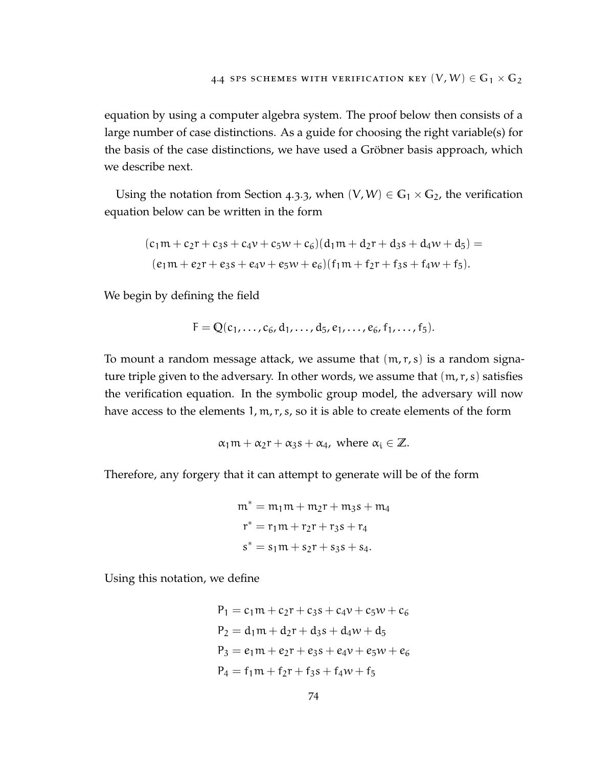equation by using a computer algebra system. The proof below then consists of a large number of case distinctions. As a guide for choosing the right variable(s) for the basis of the case distinctions, we have used a Gröbner basis approach, which we describe next.

Using the notation from Section [4](#page-80-0).3.3, when  $(V, W) \in G_1 \times G_2$ , the verification equation below can be written in the form

$$
(c_1m + c_2r + c_3s + c_4v + c_5w + c_6)(d_1m + d_2r + d_3s + d_4w + d_5) =
$$
  

$$
(e_1m + e_2r + e_3s + e_4v + e_5w + e_6)(f_1m + f_2r + f_3s + f_4w + f_5).
$$

We begin by defining the field

$$
F = Q(c_1, \ldots, c_6, d_1, \ldots, d_5, e_1, \ldots, e_6, f_1, \ldots, f_5).
$$

To mount a random message attack, we assume that  $(m, r, s)$  is a random signature triple given to the adversary. In other words, we assume that  $(m, r, s)$  satisfies the verification equation. In the symbolic group model, the adversary will now have access to the elements 1, m, r, s, so it is able to create elements of the form

$$
\alpha_1 m + \alpha_2 r + \alpha_3 s + \alpha_4
$$
, where  $\alpha_i \in \mathbb{Z}$ .

Therefore, any forgery that it can attempt to generate will be of the form

$$
m^* = m_1 m + m_2 r + m_3 s + m_4
$$
  

$$
r^* = r_1 m + r_2 r + r_3 s + r_4
$$
  

$$
s^* = s_1 m + s_2 r + s_3 s + s_4.
$$

Using this notation, we define

$$
P_1 = c_1m + c_2r + c_3s + c_4v + c_5w + c_6
$$
  
\n
$$
P_2 = d_1m + d_2r + d_3s + d_4w + d_5
$$
  
\n
$$
P_3 = e_1m + e_2r + e_3s + e_4v + e_5w + e_6
$$
  
\n
$$
P_4 = f_1m + f_2r + f_3s + f_4w + f_5
$$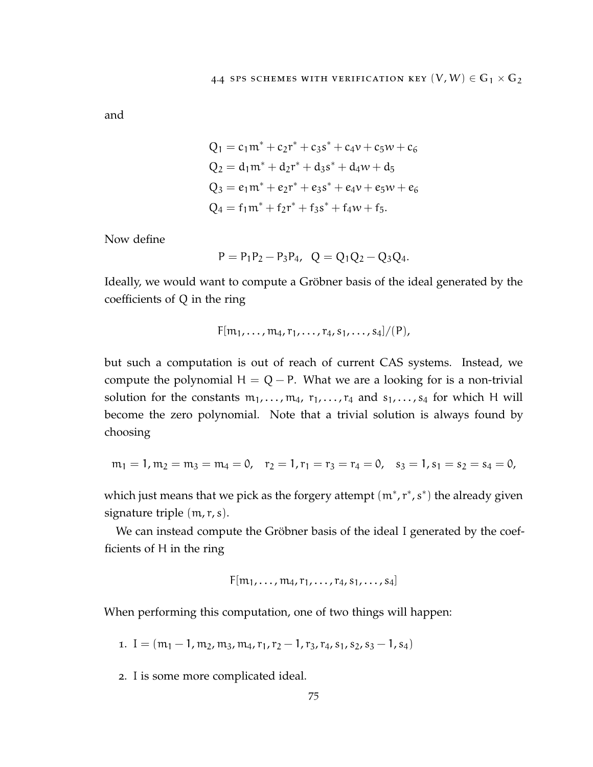and

$$
Q_1 = c_1 m^* + c_2 r^* + c_3 s^* + c_4 v + c_5 w + c_6
$$
  
\n
$$
Q_2 = d_1 m^* + d_2 r^* + d_3 s^* + d_4 w + d_5
$$
  
\n
$$
Q_3 = e_1 m^* + e_2 r^* + e_3 s^* + e_4 v + e_5 w + e_6
$$
  
\n
$$
Q_4 = f_1 m^* + f_2 r^* + f_3 s^* + f_4 w + f_5.
$$

Now define

$$
P = P_1 P_2 - P_3 P_4, \quad Q = Q_1 Q_2 - Q_3 Q_4.
$$

Ideally, we would want to compute a Gröbner basis of the ideal generated by the coefficients of Q in the ring

$$
F[m_1, ..., m_4, r_1, ..., r_4, s_1, ..., s_4]/(P)
$$
,

but such a computation is out of reach of current CAS systems. Instead, we compute the polynomial  $H = Q - P$ . What we are a looking for is a non-trivial solution for the constants  $m_1, \ldots, m_4, r_1, \ldots, r_4$  and  $s_1, \ldots, s_4$  for which H will become the zero polynomial. Note that a trivial solution is always found by choosing

$$
m_1 = 1, m_2 = m_3 = m_4 = 0, r_2 = 1, r_1 = r_3 = r_4 = 0, s_3 = 1, s_1 = s_2 = s_4 = 0,
$$

which just means that we pick as the forgery attempt  $(m^*, r^*, s^*)$  the already given signature triple  $(m, r, s)$ .

We can instead compute the Gröbner basis of the ideal I generated by the coefficients of H in the ring

$$
F[m_1,\ldots,m_4,r_1,\ldots,r_4,s_1,\ldots,s_4]
$$

When performing this computation, one of two things will happen:

1. I =  $(m_1 - 1, m_2, m_3, m_4, r_1, r_2 - 1, r_3, r_4, s_1, s_2, s_3 - 1, s_4)$ 

2. I is some more complicated ideal.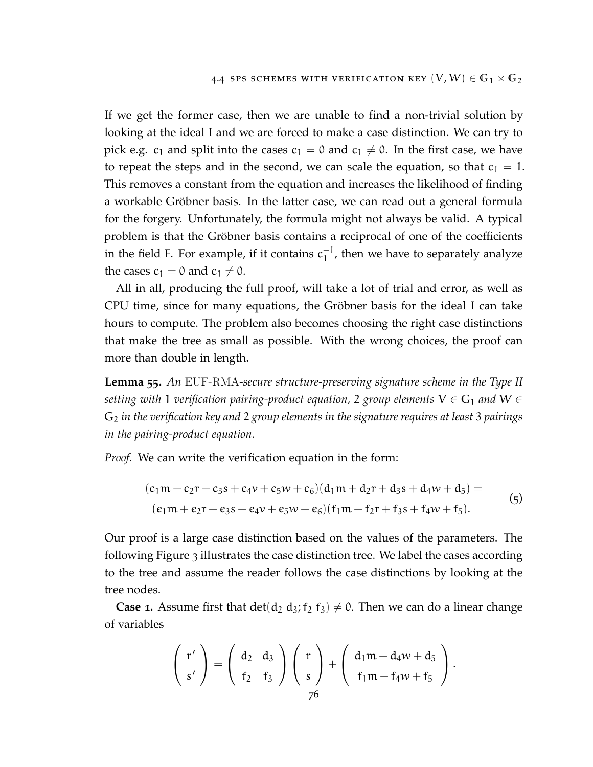If we get the former case, then we are unable to find a non-trivial solution by looking at the ideal I and we are forced to make a case distinction. We can try to pick e.g.  $c_1$  and split into the cases  $c_1 = 0$  and  $c_1 \neq 0$ . In the first case, we have to repeat the steps and in the second, we can scale the equation, so that  $c_1 = 1$ . This removes a constant from the equation and increases the likelihood of finding a workable Gröbner basis. In the latter case, we can read out a general formula for the forgery. Unfortunately, the formula might not always be valid. A typical problem is that the Gröbner basis contains a reciprocal of one of the coefficients in the field F. For example, if it contains  $c_1^{-1}$  $_1^{-1}$ , then we have to separately analyze the cases  $c_1 = 0$  and  $c_1 \neq 0$ .

All in all, producing the full proof, will take a lot of trial and error, as well as CPU time, since for many equations, the Gröbner basis for the ideal I can take hours to compute. The problem also becomes choosing the right case distinctions that make the tree as small as possible. With the wrong choices, the proof can more than double in length.

<span id="page-87-0"></span>**Lemma 55.** *An* EUF-RMA*-secure structure-preserving signature scheme in the Type II setting with* 1 *verification pairing-product equation,* 2 *group elements*  $V \in G_1$  *and*  $W \in$ **G**<sup>2</sup> *in the verification key and* 2 *group elements in the signature requires at least* 3 *pairings in the pairing-product equation.*

*Proof.* We can write the verification equation in the form:

<span id="page-87-1"></span>
$$
(c1m + c2r + c3s + c4v + c5w + c6)(d1m + d2r + d3s + d4w + d5) =
$$
  
(e<sub>1</sub>m + e<sub>2</sub>r + e<sub>3</sub>s + e<sub>4</sub>v + e<sub>5</sub>w + e<sub>6</sub>)(f<sub>1</sub>m + f<sub>2</sub>r + f<sub>3</sub>s + f<sub>4</sub>w + f<sub>5</sub>). (5)

Our proof is a large case distinction based on the values of the parameters. The following Figure [3](#page-88-0) illustrates the case distinction tree. We label the cases according to the tree and assume the reader follows the case distinctions by looking at the tree nodes.

**Case 1.** Assume first that  $\det(d_2 d_3; f_2 f_3) \neq 0$ . Then we can do a linear change of variables

$$
\left(\begin{array}{c}r'\\s'\end{array}\right)=\left(\begin{array}{cc}d_2&d_3\\f_2&f_3\end{array}\right)\left(\begin{array}{c}r\\s\end{array}\right)+\left(\begin{array}{c}d_1m+d_4w+d_5\\f_1m+f_4w+f_5\\76\end{array}\right).
$$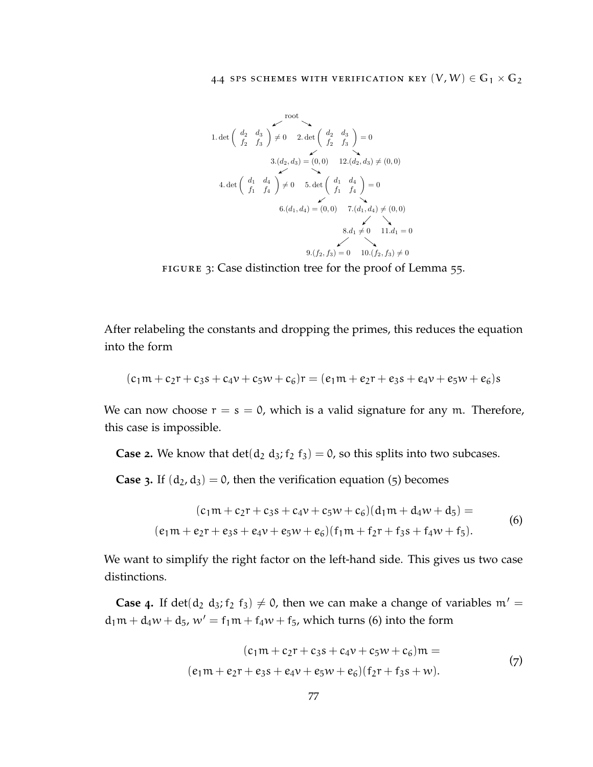# 4.4 SPS SCHEMES WITH VERIFICATION KEY  $(V, W) \in \mathbb{G}_1 \times \mathbb{G}_2$

<span id="page-88-0"></span>1. det 
$$
\begin{pmatrix} d_2 & d_3 \\ f_2 & f_3 \end{pmatrix} \neq 0
$$
 2. det  $\begin{pmatrix} d_2 & d_3 \\ f_2 & f_3 \end{pmatrix} = 0$   
\n3.  $(d_2, d_3) = (0, 0)$  12.  $(d_2, d_3) \neq (0, 0)$   
\n4. det  $\begin{pmatrix} d_1 & d_4 \\ f_1 & f_4 \end{pmatrix} \neq 0$  5. det  $\begin{pmatrix} d_1 & d_4 \\ f_1 & f_4 \end{pmatrix} = 0$   
\n6.  $(d_1, d_4) = (0, 0)$  7.  $(d_1, d_4) \neq (0, 0)$   
\n8.  $d_1 \neq 0$  11.  $d_1 = 0$   
\n9.  $(f_2, f_3) = 0$  10.  $(f_2, f_3) \neq 0$ 

FIGURE 3: Case distinction tree for the proof of Lemma [55](#page-87-0).

After relabeling the constants and dropping the primes, this reduces the equation into the form

$$
(c_1m + c_2r + c_3s + c_4v + c_5w + c_6)r = (e_1m + e_2r + e_3s + e_4v + e_5w + e_6)s
$$

We can now choose  $r = s = 0$ , which is a valid signature for any m. Therefore, this case is impossible.

**Case 2.** We know that  $det(d_2 d_3; f_2 f_3) = 0$ , so this splits into two subcases.

**Case 3.** If  $(d_2, d_3) = 0$ , then the verification equation ([5](#page-87-1)) becomes

$$
(c_1m + c_2r + c_3s + c_4v + c_5w + c_6)(d_1m + d_4w + d_5) =
$$
  
(e\_1m + e\_2r + e\_3s + e\_4v + e\_5w + e\_6)(f\_1m + f\_2r + f\_3s + f\_4w + f\_5). (6)

We want to simplify the right factor on the left-hand side. This gives us two case distinctions.

**Case** 4. If det(d<sub>2</sub> d<sub>3</sub>; f<sub>2</sub> f<sub>3</sub>)  $\neq$  0, then we can make a change of variables m' =  $d_1m + d_4w + d_5$ ,  $w' = f_1m + f_4w + f_5$ , which turns ([6](#page-88-1)) into the form

<span id="page-88-2"></span><span id="page-88-1"></span>
$$
(c1m + c2r + c3s + c4v + c5w + c6)m =
$$
  
(e<sub>1</sub>m + e<sub>2</sub>r + e<sub>3</sub>s + e<sub>4</sub>v + e<sub>5</sub>w + e<sub>6</sub>)(f<sub>2</sub>r + f<sub>3</sub>s + w). (7)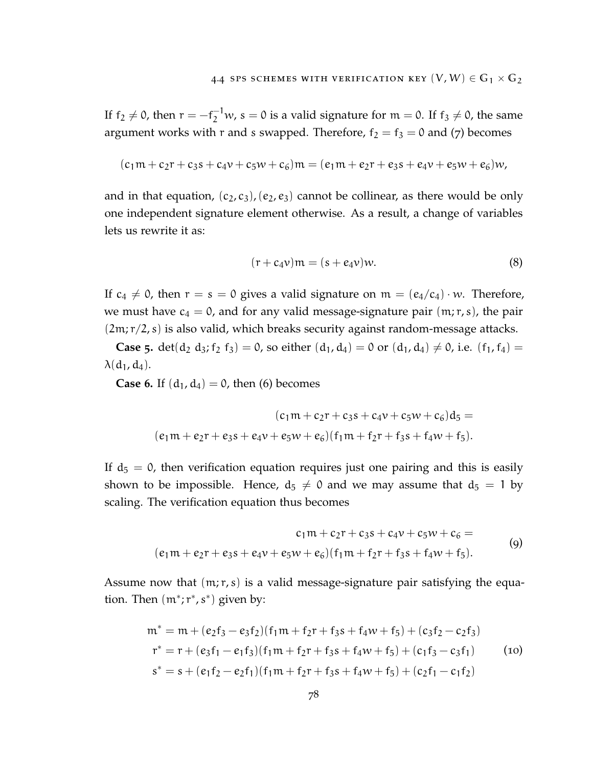If  $f_2 \neq 0$ , then  $r = -f_2^{-1}w$ ,  $s = 0$  is a valid signature for  $m = 0$ . If  $f_3 \neq 0$ , the same argument works with r and s swapped. Therefore,  $f_2 = f_3 = 0$  and ([7](#page-88-2)) becomes

$$
(c_1m + c_2r + c_3s + c_4v + c_5w + c_6)m = (e_1m + e_2r + e_3s + e_4v + e_5w + e_6)w,
$$

and in that equation,  $(c_2, c_3)$ ,  $(e_2, e_3)$  cannot be collinear, as there would be only one independent signature element otherwise. As a result, a change of variables lets us rewrite it as:

$$
(\mathbf{r} + \mathbf{c}_4 \mathbf{v}) \mathbf{m} = (\mathbf{s} + \mathbf{e}_4 \mathbf{v}) \mathbf{w}.\tag{8}
$$

If  $c_4 \neq 0$ , then  $r = s = 0$  gives a valid signature on  $m = (e_4/c_4) \cdot w$ . Therefore, we must have  $c_4 = 0$ , and for any valid message-signature pair  $(m;r,s)$ , the pair  $(2m; r/2, s)$  is also valid, which breaks security against random-message attacks.

**Case 5.** det(d<sub>2</sub> d<sub>3</sub>; f<sub>2</sub> f<sub>3</sub>) = 0, so either  $(d_1, d_4) = 0$  or  $(d_1, d_4) \neq 0$ , i.e.  $(f_1, f_4) =$  $\lambda(d_1, d_4)$ .

**Case [6](#page-88-1).** If  $(d_1, d_4) = 0$ , then (6) becomes

$$
(c_1m + c_2r + c_3s + c_4v + c_5w + c_6)d_5 =
$$
  

$$
(e_1m + e_2r + e_3s + e_4v + e_5w + e_6)(f_1m + f_2r + f_3s + f_4w + f_5).
$$

If  $d_5 = 0$ , then verification equation requires just one pairing and this is easily shown to be impossible. Hence,  $d_5 \neq 0$  and we may assume that  $d_5 = 1$  by scaling. The verification equation thus becomes

<span id="page-89-0"></span>
$$
c_1m + c_2r + c_3s + c_4v + c_5w + c_6 =
$$
  
(e<sub>1</sub>m + e<sub>2</sub>r + e<sub>3</sub>s + e<sub>4</sub>v + e<sub>5</sub>w + e<sub>6</sub>)(f<sub>1</sub>m + f<sub>2</sub>r + f<sub>3</sub>s + f<sub>4</sub>w + f<sub>5</sub>). (9)

Assume now that  $(m;r,s)$  is a valid message-signature pair satisfying the equation. Then  $(m^*; r^*, s^*)$  given by:

$$
m^* = m + (e_2f_3 - e_3f_2)(f_1m + f_2r + f_3s + f_4w + f_5) + (c_3f_2 - c_2f_3)
$$
  
\n
$$
r^* = r + (e_3f_1 - e_1f_3)(f_1m + f_2r + f_3s + f_4w + f_5) + (c_1f_3 - c_3f_1)
$$
  
\n
$$
s^* = s + (e_1f_2 - e_2f_1)(f_1m + f_2r + f_3s + f_4w + f_5) + (c_2f_1 - c_1f_2)
$$
\n(10)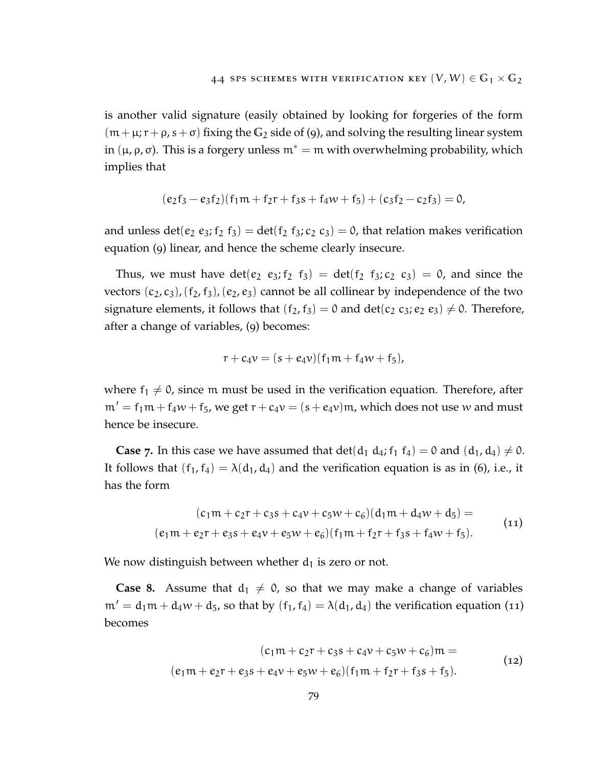is another valid signature (easily obtained by looking for forgeries of the form  $(m+\mu, r+\rho, s+\sigma)$  fixing the  $G_2$  side of ([9](#page-89-0)), and solving the resulting linear system in (μ, ρ, σ). This is a forgery unless  $m^* = m$  with overwhelming probability, which implies that

$$
(e_2f_3 - e_3f_2)(f_1m + f_2r + f_3s + f_4w + f_5) + (c_3f_2 - c_2f_3) = 0,
$$

and unless det( $e_2 e_3$ ;  $f_2 f_3$ ) = det( $f_2 f_3$ ;  $c_2 c_3$ ) = 0, that relation makes verification equation ([9](#page-89-0)) linear, and hence the scheme clearly insecure.

Thus, we must have  $det(e_2 \t e_3; f_2 \t f_3) = det(f_2 \t f_3; c_2 \t c_3) = 0$ , and since the vectors  $(c_2, c_3)$ ,  $(f_2, f_3)$ ,  $(e_2, e_3)$  cannot be all collinear by independence of the two signature elements, it follows that  $(f_2, f_3) = 0$  and  $\det(c_2 \ c_3; e_2 \ e_3) \neq 0$ . Therefore, after a change of variables, ([9](#page-89-0)) becomes:

<span id="page-90-0"></span>
$$
r + c_4 v = (s + e_4 v)(f_1 m + f_4 w + f_5),
$$

where  $f_1 \neq 0$ , since m must be used in the verification equation. Therefore, after  $m' = f_1m + f_4w + f_5$ , we get  $r + c_4v = (s + e_4v)m$ , which does not use w and must hence be insecure.

**Case** 7. In this case we have assumed that  $\det(d_1 d_4; f_1 f_4) = 0$  and  $(d_1, d_4) \neq 0$ . It follows that  $(f_1, f_4) = \lambda(d_1, d_4)$  and the verification equation is as in ([6](#page-88-1)), i.e., it has the form

$$
(c_1m + c_2r + c_3s + c_4v + c_5w + c_6)(d_1m + d_4w + d_5) =
$$
  
(e\_1m + e\_2r + e\_3s + e\_4v + e\_5w + e\_6)(f\_1m + f\_2r + f\_3s + f\_4w + f\_5). (11)

We now distinguish between whether  $d_1$  is zero or not.

**Case 8.** Assume that  $d_1 \neq 0$ , so that we may make a change of variables  $m' = d_1m + d_4w + d_5$ , so that by  $(f_1, f_4) = \lambda(d_1, d_4)$  the verification equation ([11](#page-90-0)) becomes

<span id="page-90-1"></span>
$$
(c_1m + c_2r + c_3s + c_4v + c_5w + c_6)m =
$$
  
(e<sub>1</sub>m + e<sub>2</sub>r + e<sub>3</sub>s + e<sub>4</sub>v + e<sub>5</sub>w + e<sub>6</sub>)(f<sub>1</sub>m + f<sub>2</sub>r + f<sub>3</sub>s + f<sub>5</sub>). (12)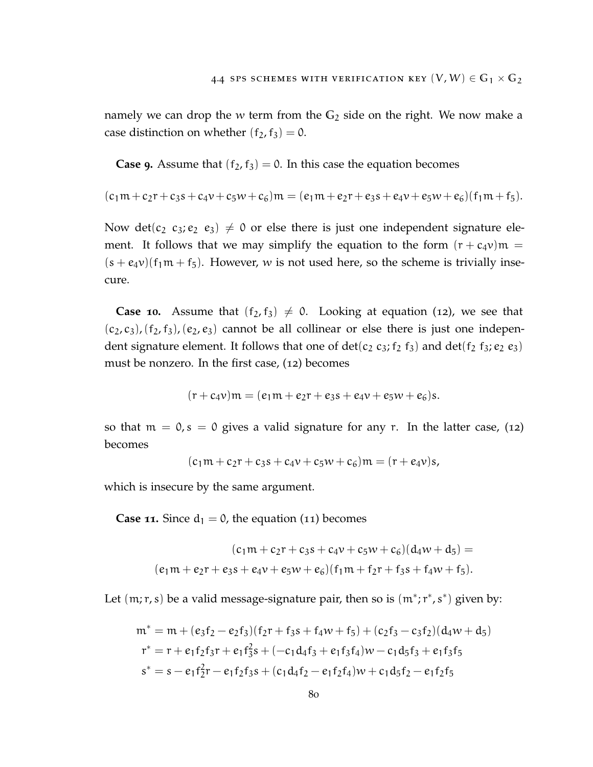namely we can drop the w term from the **G**<sup>2</sup> side on the right. We now make a case distinction on whether  $(f_2, f_3) = 0$ .

**Case 9.** Assume that  $(f_2, f_3) = 0$ . In this case the equation becomes

$$
(c_1m+c_2r+c_3s+c_4v+c_5w+c_6)m=(e_1m+e_2r+e_3s+e_4v+e_5w+e_6)(f_1m+f_5).
$$

Now det(c<sub>2</sub> c<sub>3</sub>; e<sub>2</sub> e<sub>3</sub>)  $\neq$  0 or else there is just one independent signature element. It follows that we may simplify the equation to the form  $(r + c_4v)m =$  $(s + e_4v)(f_1m + f_5)$ . However, w is not used here, so the scheme is trivially insecure.

**Case 10.** Assume that  $(f_2, f_3) \neq 0$ . Looking at equation ([12](#page-90-1)), we see that  $(c_2, c_3)$ ,  $(f_2, f_3)$ ,  $(e_2, e_3)$  cannot be all collinear or else there is just one independent signature element. It follows that one of  $\det(c_2 c_3; f_2 f_3)$  and  $\det(f_2 f_3; e_2 e_3)$ must be nonzero. In the first case, ([12](#page-90-1)) becomes

$$
(r+c_4v)m = (e_1m + e_2r + e_3s + e_4v + e_5w + e_6)s.
$$

so that  $m = 0$ ,  $s = 0$  gives a valid signature for any r. In the latter case, ([12](#page-90-1)) becomes

$$
(c_1m + c_2r + c_3s + c_4v + c_5w + c_6)m = (r + e_4v)s,
$$

which is insecure by the same argument.

**Case [11](#page-90-0).** Since  $d_1 = 0$ , the equation (11) becomes

$$
(c_1m + c_2r + c_3s + c_4v + c_5w + c_6)(d_4w + d_5) =
$$
  

$$
(e_1m + e_2r + e_3s + e_4v + e_5w + e_6)(f_1m + f_2r + f_3s + f_4w + f_5).
$$

Let  $(m,r,s)$  be a valid message-signature pair, then so is  $(m^*;r^*,s^*)$  given by:

$$
m^* = m + (e_3f_2 - e_2f_3)(f_2r + f_3s + f_4w + f_5) + (c_2f_3 - c_3f_2)(d_4w + d_5)
$$
  
\n
$$
r^* = r + e_1f_2f_3r + e_1f_3^2s + (-c_1d_4f_3 + e_1f_3f_4)w - c_1d_5f_3 + e_1f_3f_5
$$
  
\n
$$
s^* = s - e_1f_2^2r - e_1f_2f_3s + (c_1d_4f_2 - e_1f_2f_4)w + c_1d_5f_2 - e_1f_2f_5
$$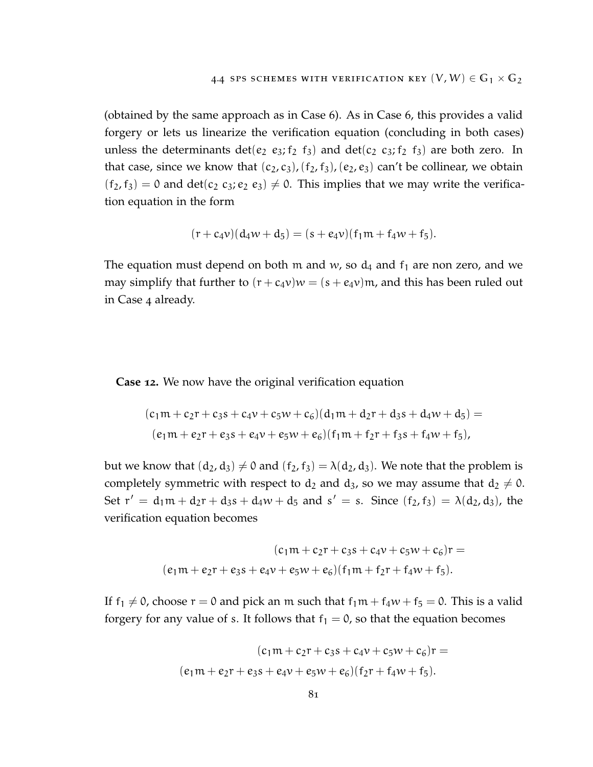(obtained by the same approach as in Case 6). As in Case 6, this provides a valid forgery or lets us linearize the verification equation (concluding in both cases) unless the determinants det( $e_2$   $e_3$ ;  $f_2$   $f_3$ ) and det( $c_2$   $c_3$ ;  $f_2$   $f_3$ ) are both zero. In that case, since we know that  $(c_2, c_3)$ ,  $(f_2, f_3)$ ,  $(e_2, e_3)$  can't be collinear, we obtain  $(f_2, f_3) = 0$  and  $det(c_2, c_3; e_2, e_3) \neq 0$ . This implies that we may write the verification equation in the form

$$
(r+c_4v)(d_4w+d_5)=(s+e_4v)(f_1m+f_4w+f_5).
$$

The equation must depend on both m and  $w$ , so  $d_4$  and  $f_1$  are non zero, and we may simplify that further to  $(r + c_4v)w = (s + e_4v)$ m, and this has been ruled out in Case 4 already.

**Case 12.** We now have the original verification equation

$$
(c_1m + c_2r + c_3s + c_4v + c_5w + c_6)(d_1m + d_2r + d_3s + d_4w + d_5) =
$$
  

$$
(e_1m + e_2r + e_3s + e_4v + e_5w + e_6)(f_1m + f_2r + f_3s + f_4w + f_5),
$$

but we know that  $(d_2, d_3) \neq 0$  and  $(f_2, f_3) = \lambda(d_2, d_3)$ . We note that the problem is completely symmetric with respect to  $d_2$  and  $d_3$ , so we may assume that  $d_2 \neq 0$ . Set  $r' = d_1m + d_2r + d_3s + d_4w + d_5$  and  $s' = s$ . Since  $(f_2, f_3) = \lambda(d_2, d_3)$ , the verification equation becomes

$$
(c_1m + c_2r + c_3s + c_4v + c_5w + c_6)r =
$$

$$
(e_1m + e_2r + e_3s + e_4v + e_5w + e_6)(f_1m + f_2r + f_4w + f_5).
$$

If  $f_1 \neq 0$ , choose  $r = 0$  and pick an m such that  $f_1m + f_4w + f_5 = 0$ . This is a valid forgery for any value of s. It follows that  $f_1 = 0$ , so that the equation becomes

$$
(c_1m + c_2r + c_3s + c_4v + c_5w + c_6)r =
$$

$$
(e_1m + e_2r + e_3s + e_4v + e_5w + e_6)(f_2r + f_4w + f_5).
$$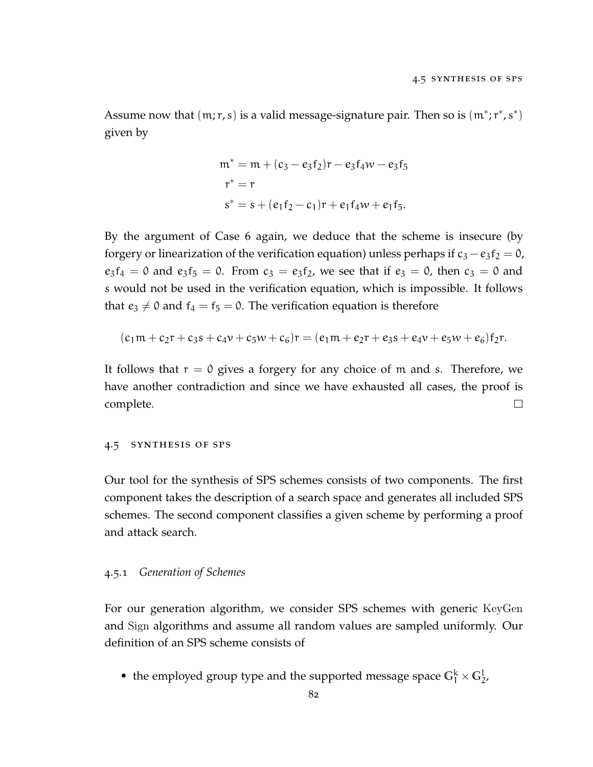Assume now that  $(m;r,s)$  is a valid message-signature pair. Then so is  $(m^*;r^*,s^*)$ given by

$$
m^* = m + (c_3 - e_3f_2)r - e_3f_4w - e_3f_5
$$
  
\n
$$
r^* = r
$$
  
\n
$$
s^* = s + (e_1f_2 - c_1)r + e_1f_4w + e_1f_5.
$$

By the argument of Case 6 again, we deduce that the scheme is insecure (by forgery or linearization of the verification equation) unless perhaps if  $c_3 - e_3f_2 = 0$ ,  $e_3f_4 = 0$  and  $e_3f_5 = 0$ . From  $c_3 = e_3f_2$ , we see that if  $e_3 = 0$ , then  $c_3 = 0$  and s would not be used in the verification equation, which is impossible. It follows that  $e_3 \neq 0$  and  $f_4 = f_5 = 0$ . The verification equation is therefore

$$
(c_1m + c_2r + c_3s + c_4v + c_5w + c_6)r = (e_1m + e_2r + e_3s + e_4v + e_5w + e_6)f_2r.
$$

It follows that  $r = 0$  gives a forgery for any choice of m and s. Therefore, we have another contradiction and since we have exhausted all cases, the proof is complete.  $\Box$ 

### <span id="page-93-0"></span>4.5 synthesis of sps

Our tool for the synthesis of SPS schemes consists of two components. The first component takes the description of a search space and generates all included SPS schemes. The second component classifies a given scheme by performing a proof and attack search.

#### 4.5.1 *Generation of Schemes*

For our generation algorithm, we consider SPS schemes with generic KeyGen and Sign algorithms and assume all random values are sampled uniformly. Our definition of an SPS scheme consists of

• the employed group type and the supported message space  $G_1^k \times G_2^l$ ,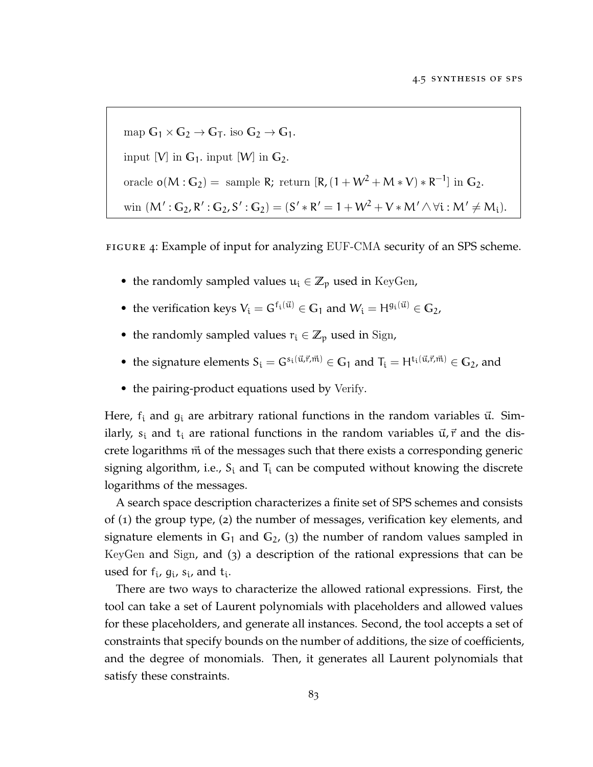<span id="page-94-0"></span> $\text{map } G_1 \times G_2 \to G_T$ . iso  $G_2 \to G_1$ . input [V] in  $\mathbb{G}_1$ . input [W] in  $\mathbb{G}_2$ . oracle **o**( $M: G_2$ ) = sample R; return [R,  $(1 + W^2 + M * V) * R^{-1}$ ] in  $G_2$ . win  $(M': G_2, R': G_2, S': G_2) = (S' * R' = 1 + W^2 + V * M' \wedge \forall i : M' \neq M_i).$ 

FIGURE 4: Example of input for analyzing EUF-CMA security of an SPS scheme.

- the randomly sampled values  $u_i \in \mathbb{Z}_p$  used in KeyGen,
- the verification keys  $V_i = G^{f_i(\vec{u})} \in \mathbb{G}_1$  and  $W_i = H^{g_i(\vec{u})} \in \mathbb{G}_2$ ,
- the randomly sampled values  $r_i \in \mathbb{Z}_p$  used in Sign,
- the signature elements  $S_i = G^{s_i(\vec{u},\vec{r},\vec{m})} \in \mathbb{G}_1$  and  $T_i = H^{t_i(\vec{u},\vec{r},\vec{m})} \in \mathbb{G}_2$ , and
- the pairing-product equations used by Verify.

Here,  $f_i$  and  $g_i$  are arbitrary rational functions in the random variables  $\vec{u}$ . Similarly,  $s_i$  and  $t_i$  are rational functions in the random variables  $\vec{u}, \vec{r}$  and the discrete logarithms  $\vec{m}$  of the messages such that there exists a corresponding generic signing algorithm, i.e.,  $S_i$  and  $T_i$  can be computed without knowing the discrete logarithms of the messages.

A search space description characterizes a finite set of SPS schemes and consists of (1) the group type, (2) the number of messages, verification key elements, and signature elements in  $G_1$  and  $G_2$ , (3) the number of random values sampled in KeyGen and Sign, and (3) a description of the rational expressions that can be used for  $f_i$ ,  $g_i$ ,  $s_i$ , and  $t_i$ .

There are two ways to characterize the allowed rational expressions. First, the tool can take a set of Laurent polynomials with placeholders and allowed values for these placeholders, and generate all instances. Second, the tool accepts a set of constraints that specify bounds on the number of additions, the size of coefficients, and the degree of monomials. Then, it generates all Laurent polynomials that satisfy these constraints.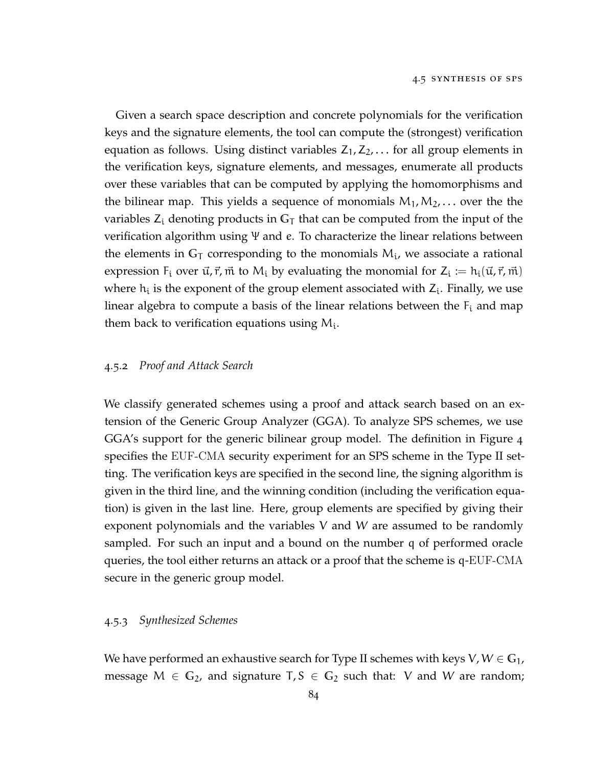Given a search space description and concrete polynomials for the verification keys and the signature elements, the tool can compute the (strongest) verification equation as follows. Using distinct variables  $Z_1, Z_2, \ldots$  for all group elements in the verification keys, signature elements, and messages, enumerate all products over these variables that can be computed by applying the homomorphisms and the bilinear map. This yields a sequence of monomials  $M_1, M_2, \ldots$  over the the variables  $Z_i$  denoting products in  $G_T$  that can be computed from the input of the verification algorithm using Ψ and e. To characterize the linear relations between the elements in  $G_T$  corresponding to the monomials  $M_i$ , we associate a rational expression  $F_i$  over  $\vec{u}, \vec{r}, \vec{m}$  to  $M_i$  by evaluating the monomial for  $Z_i := h_i(\vec{u}, \vec{r}, \vec{m})$ where  $h_i$  is the exponent of the group element associated with  $Z_i$ . Finally, we use linear algebra to compute a basis of the linear relations between the  $F_i$  and map them back to verification equations using  $M_i$ .

#### 4.5.2 *Proof and Attack Search*

We classify generated schemes using a proof and attack search based on an extension of the Generic Group Analyzer (GGA). To analyze SPS schemes, we use GGA's support for the generic bilinear group model. The definition in Figure [4](#page-94-0) specifies the EUF-CMA security experiment for an SPS scheme in the Type II setting. The verification keys are specified in the second line, the signing algorithm is given in the third line, and the winning condition (including the verification equation) is given in the last line. Here, group elements are specified by giving their exponent polynomials and the variables V and W are assumed to be randomly sampled. For such an input and a bound on the number q of performed oracle queries, the tool either returns an attack or a proof that the scheme is q-EUF-CMA secure in the generic group model.

### 4.5.3 *Synthesized Schemes*

We have performed an exhaustive search for Type II schemes with keys  $V, W \in \mathbb{G}_1$ , message  $M \in \mathbb{G}_2$ , and signature  $T, S \in \mathbb{G}_2$  such that: V and W are random;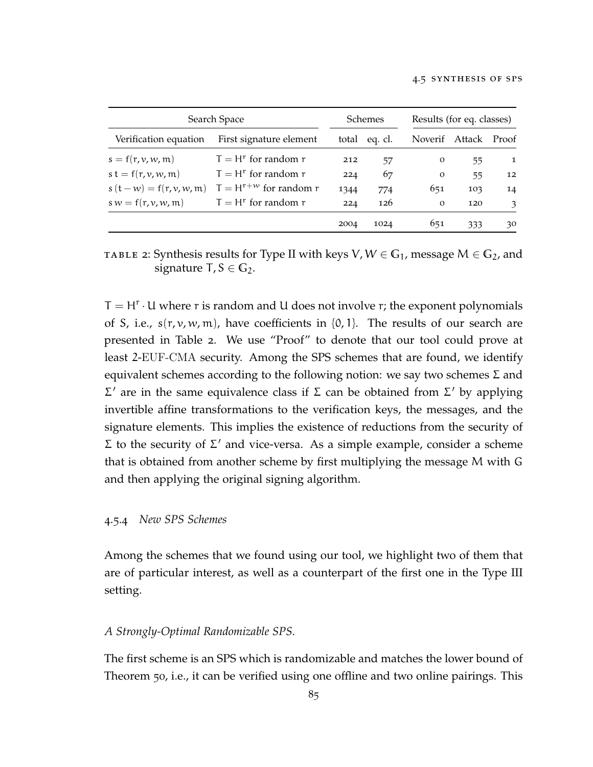<span id="page-96-1"></span>

| Search Space             |                            | <b>Schemes</b> |               | Results (for eq. classes) |     |               |
|--------------------------|----------------------------|----------------|---------------|---------------------------|-----|---------------|
| Verification equation    | First signature element    |                | total eq. cl. | Noverif Attack            |     | Proof         |
| $s = f(r, v, w, m)$      | $T = H^r$ for random r     | 212            | 57            | $\Omega$                  | 55  | 1             |
| $s t = f(r, v, w, m)$    | $T = H^r$ for random r     | 224            | 67            | $\Omega$                  | 55  | 12            |
| $s(t-w) = f(r, v, w, m)$ | $T = H^{r+w}$ for random r | 1344           | 774           | 651                       | 103 | 14            |
| $sw = f(r, v, w, m)$     | $T = Hr$ for random r      | 224            | 126           | $\Omega$                  | 120 | $\mathcal{F}$ |
|                          |                            | 2004           | 1024          | 651                       | 333 | 30            |

TABLE 2: Synthesis results for Type II with keys  $V, W \in G_1$ , message  $M \in G_2$ , and signature  $T, S \in \mathbb{G}_2$ .

 $T = H<sup>r</sup> \cdot U$  where r is random and U does not involve r; the exponent polynomials of S, i.e.,  $s(r, v, w, m)$ , have coefficients in {0,1}. The results of our search are presented in Table [2](#page-96-1). We use "Proof" to denote that our tool could prove at least 2-EUF-CMA security. Among the SPS schemes that are found, we identify equivalent schemes according to the following notion: we say two schemes  $\Sigma$  and  $\Sigma'$  are in the same equivalence class if  $\Sigma$  can be obtained from  $\Sigma'$  by applying invertible affine transformations to the verification keys, the messages, and the signature elements. This implies the existence of reductions from the security of  $Σ$  to the security of  $Σ'$  and vice-versa. As a simple example, consider a scheme that is obtained from another scheme by first multiplying the message M with G and then applying the original signing algorithm.

## <span id="page-96-0"></span>4.5.4 *New SPS Schemes*

Among the schemes that we found using our tool, we highlight two of them that are of particular interest, as well as a counterpart of the first one in the Type III setting.

#### *A Strongly-Optimal Randomizable SPS.*

The first scheme is an SPS which is randomizable and matches the lower bound of Theorem [50](#page-77-1), i.e., it can be verified using one offline and two online pairings. This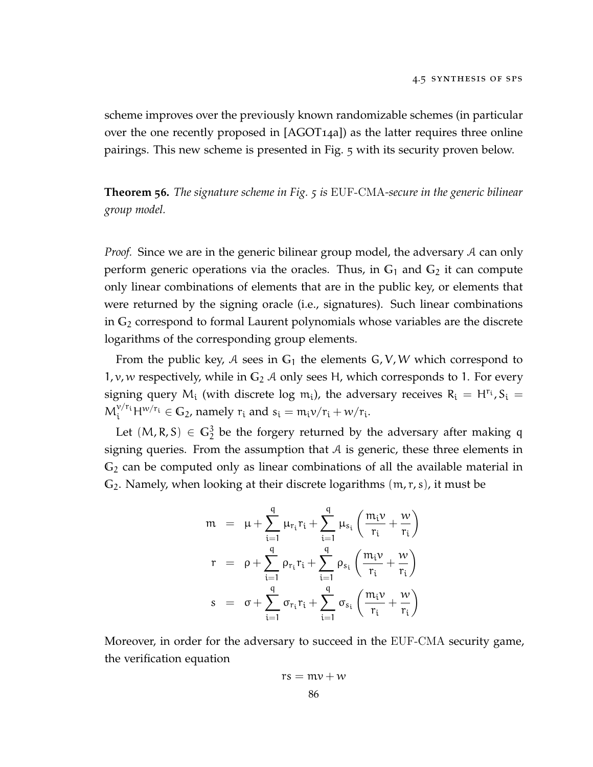scheme improves over the previously known randomizable schemes (in particular over the one recently proposed in [\[AGOT](#page-110-1)14a]) as the latter requires three online pairings. This new scheme is presented in Fig. [5](#page-100-0) with its security proven below.

<span id="page-97-0"></span>**Theorem 56.** *The signature scheme in Fig. [5](#page-100-0) is* EUF-CMA*-secure in the generic bilinear group model.*

*Proof.* Since we are in the generic bilinear group model, the adversary A can only perform generic operations via the oracles. Thus, in  $G_1$  and  $G_2$  it can compute only linear combinations of elements that are in the public key, or elements that were returned by the signing oracle (i.e., signatures). Such linear combinations in **G**<sup>2</sup> correspond to formal Laurent polynomials whose variables are the discrete logarithms of the corresponding group elements.

From the public key,  $A$  sees in  $G_1$  the elements  $G$ ,  $V$ ,  $W$  which correspond to 1,  $v$ , w respectively, while in  $G_2$  A only sees H, which corresponds to 1. For every signing query  $M_i$  (with discrete log  $m_i$ ), the adversary receives  $R_i = H^{r_i}$ ,  $S_i =$  $M_i^{\nu/r_i}H^{\nu/r_i} \in \mathbb{G}_2$ , namely  $r_i$  and  $s_i = m_i \nu/r_i + \nu/r_i$ .

Let  $(M, R, S) \in \mathbb{G}_2^3$  be the forgery returned by the adversary after making q signing queries. From the assumption that  $A$  is generic, these three elements in **G**<sup>2</sup> can be computed only as linear combinations of all the available material in **G**2. Namely, when looking at their discrete logarithms (m, r, s), it must be

$$
m = \mu + \sum_{i=1}^{q} \mu_{r_i} r_i + \sum_{i=1}^{q} \mu_{s_i} \left( \frac{m_i \nu}{r_i} + \frac{\nu}{r_i} \right)
$$
  

$$
r = \rho + \sum_{i=1}^{q} \rho_{r_i} r_i + \sum_{i=1}^{q} \rho_{s_i} \left( \frac{m_i \nu}{r_i} + \frac{\nu}{r_i} \right)
$$
  

$$
s = \sigma + \sum_{i=1}^{q} \sigma_{r_i} r_i + \sum_{i=1}^{q} \sigma_{s_i} \left( \frac{m_i \nu}{r_i} + \frac{\nu}{r_i} \right)
$$

Moreover, in order for the adversary to succeed in the EUF-CMA security game, the verification equation

$$
rs = mv + w
$$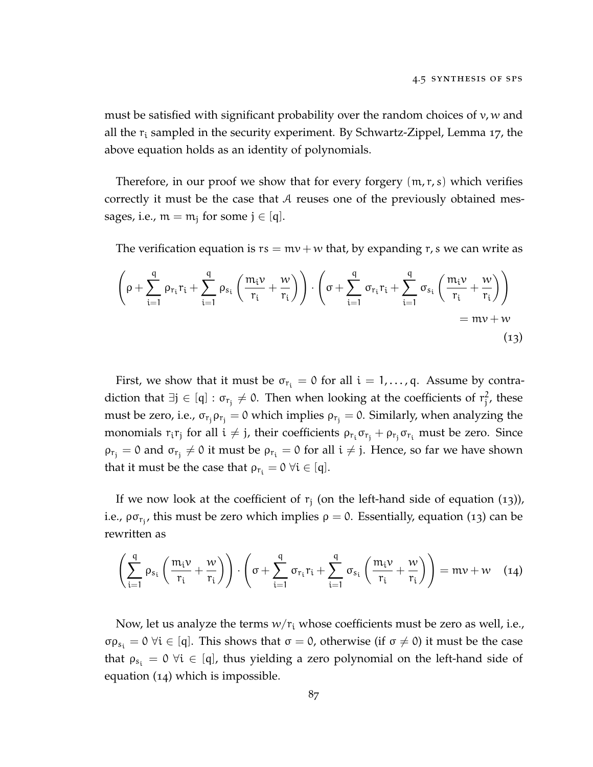must be satisfied with significant probability over the random choices of  $v, w$  and all the  $r_i$  sampled in the security experiment. By Schwartz-Zippel, Lemma [17](#page-27-0), the above equation holds as an identity of polynomials.

Therefore, in our proof we show that for every forgery  $(m, r, s)$  which verifies correctly it must be the case that A reuses one of the previously obtained messages, i.e.,  $m = m_j$  for some  $j \in [q]$ .

The verification equation is  $rs = mv + w$  that, by expanding r, s we can write as

<span id="page-98-0"></span>
$$
\left(\rho + \sum_{i=1}^{q} \rho_{r_i} r_i + \sum_{i=1}^{q} \rho_{s_i} \left(\frac{m_i \nu}{r_i} + \frac{\nu}{r_i}\right)\right) \cdot \left(\sigma + \sum_{i=1}^{q} \sigma_{r_i} r_i + \sum_{i=1}^{q} \sigma_{s_i} \left(\frac{m_i \nu}{r_i} + \frac{\nu}{r_i}\right)\right)
$$
  
=  $m\nu + \nu$  (13)

First, we show that it must be  $\sigma_{r_i} = 0$  for all  $i = 1, \ldots, q$ . Assume by contradiction that  $\exists j \in [q] : \sigma_{r_j} \neq 0$ . Then when looking at the coefficients of  $r_j^2$  $\frac{2}{j}$ , these must be zero, i.e.,  $\sigma_{r_j} \rho_{r_j} = 0$  which implies  $\rho_{r_j} = 0$ . Similarly, when analyzing the monomials  $r_i r_j$  for all  $i \neq j$ , their coefficients  $\rho_{r_i} \sigma_{r_j} + \rho_{r_j} \sigma_{r_i}$  must be zero. Since  $\rho_{r_j} = 0$  and  $\sigma_{r_j} \neq 0$  it must be  $\rho_{r_i} = 0$  for all  $i \neq j$ . Hence, so far we have shown that it must be the case that  $\rho_{r_i} = 0 \ \forall i \in [q]$ .

If we now look at the coefficient of  $r_j$  (on the left-hand side of equation  $(13)$  $(13)$  $(13)$ ), i.e.,  $\rho \sigma_{r_j}$ , this must be zero which implies  $\rho = 0$ . Essentially, equation ([13](#page-98-0)) can be rewritten as

<span id="page-98-1"></span>
$$
\left(\sum_{i=1}^{q} \rho_{s_i}\left(\frac{m_i \nu}{r_i} + \frac{\nu}{r_i}\right)\right) \cdot \left(\sigma + \sum_{i=1}^{q} \sigma_{r_i} r_i + \sum_{i=1}^{q} \sigma_{s_i}\left(\frac{m_i \nu}{r_i} + \frac{\nu}{r_i}\right)\right) = m\nu + \nu \quad (14)
$$

Now, let us analyze the terms  $w/r_i$  whose coefficients must be zero as well, i.e., σρ<sub>s<sub>i</sub></sub> = 0  $\forall i \in [q]$ . This shows that  $\sigma = 0$ , otherwise (if  $\sigma \neq 0$ ) it must be the case that  $\rho_{s_i} = 0 \forall i \in [q]$ , thus yielding a zero polynomial on the left-hand side of equation ([14](#page-98-1)) which is impossible.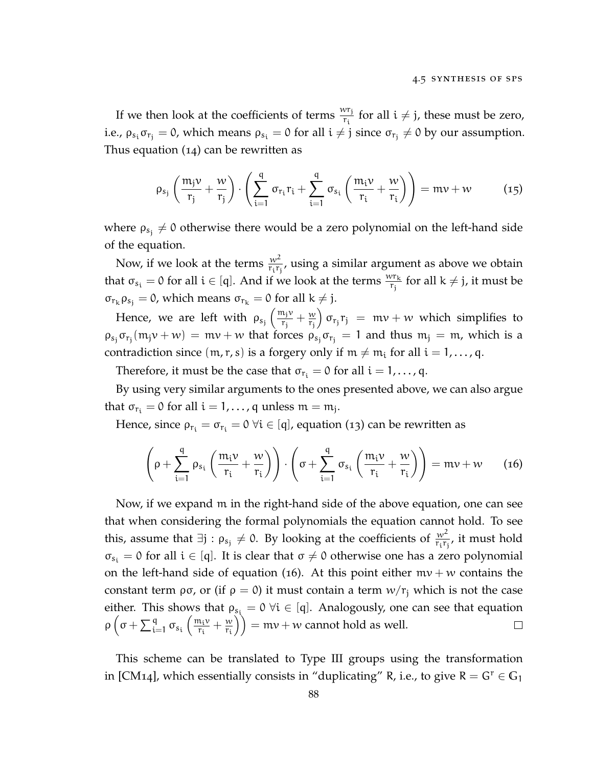If we then look at the coefficients of terms  $\frac{w r_j}{r_i}$  for all  $i \neq j$ , these must be zero, i.e.,  $\rho_{s_i}\sigma_{r_j}=0$ , which means  $\rho_{s_i}=0$  for all  $i\neq j$  since  $\sigma_{r_j}\neq 0$  by our assumption. Thus equation ([14](#page-98-1)) can be rewritten as

$$
\rho_{s_j}\left(\frac{m_j\nu}{r_j} + \frac{\nu}{r_j}\right) \cdot \left(\sum_{i=1}^q \sigma_{r_i}r_i + \sum_{i=1}^q \sigma_{s_i}\left(\frac{m_iv}{r_i} + \frac{\nu}{r_i}\right)\right) = m\nu + \nu \qquad (15)
$$

where  $\rho_{s_j}\neq 0$  otherwise there would be a zero polynomial on the left-hand side of the equation.

Now, if we look at the terms  $\frac{w^2}{r_i r_j}$ , using a similar argument as above we obtain that  $\sigma_{s_i} = 0$  for all  $i \in [q]$ . And if we look at the terms  $\frac{wr_k}{r_j}$  for all  $k \neq j$ , it must be  $\sigma_{r_k} \rho_{s_j} = 0$ , which means  $\sigma_{r_k} = 0$  for all  $k \neq j$ .

Hence, we are left with  $\rho_{s_j} \left( \frac{m_j v}{r_i} \right)$  $\frac{n_j v}{r_j} + \frac{w}{r_j}$  $\overline{r_j}$  $\int \sigma_{r_j} r_j = mv + w$  which simplifies to  $\rho_{s_j}\sigma_{r_j}(m_jv+w) = mv+w$  that forces  $\rho_{s_j}\sigma_{r_j} = 1$  and thus  $m_j = m$ , which is a contradiction since  $(m, r, s)$  is a forgery only if  $m \neq m_i$  for all  $i = 1, ..., q$ .

Therefore, it must be the case that  $\sigma_{r_i} = 0$  for all  $i = 1, \ldots, q$ .

By using very similar arguments to the ones presented above, we can also argue that  $\sigma_{r_i} = 0$  for all  $i = 1, \ldots, q$  unless  $m = m_j$ .

Hence, since  $\rho_{r_i} = \sigma_{r_i} = 0 \ \forall i \in [q]$ , equation ([13](#page-98-0)) can be rewritten as

<span id="page-99-0"></span>
$$
\left(\rho + \sum_{i=1}^{q} \rho_{s_i} \left(\frac{m_i \nu}{r_i} + \frac{\nu}{r_i}\right)\right) \cdot \left(\sigma + \sum_{i=1}^{q} \sigma_{s_i} \left(\frac{m_i \nu}{r_i} + \frac{\nu}{r_i}\right)\right) = m\nu + \nu \qquad (16)
$$

Now, if we expand m in the right-hand side of the above equation, one can see that when considering the formal polynomials the equation cannot hold. To see this, assume that  $\exists j: \rho_{s_j} \neq 0$ . By looking at the coefficients of  $\frac{w^2}{r_i r_j}$ , it must hold  $\sigma_{s_i} = 0$  for all  $i \in [q]$ . It is clear that  $\sigma \neq 0$  otherwise one has a zero polynomial on the left-hand side of equation ([16](#page-99-0)). At this point either  $mv + w$  contains the constant term  $\rho\sigma$ , or (if  $\rho = 0$ ) it must contain a term  $w/r_i$  which is not the case either. This shows that  $\rho_{s_i} = 0 \ \forall i \in [q]$ . Analogously, one can see that equation  $\rho\left(\sigma+\sum_{i=1}^q\sigma_{s_i}\left(\frac{m_iv}{r_i}\right)\right)$  $\left(\frac{w}{r_i}\right)$  = mv + w cannot hold as well.  $\frac{\mathfrak{n}_{i}v}{\mathfrak{r}_{i}} + \frac{w}{\mathfrak{r}_{i}}$  $\Box$ 

This scheme can be translated to Type III groups using the transformation in [\[CM](#page-112-0)14], which essentially consists in "duplicating" R, i.e., to give  $R = G^r \in G_1$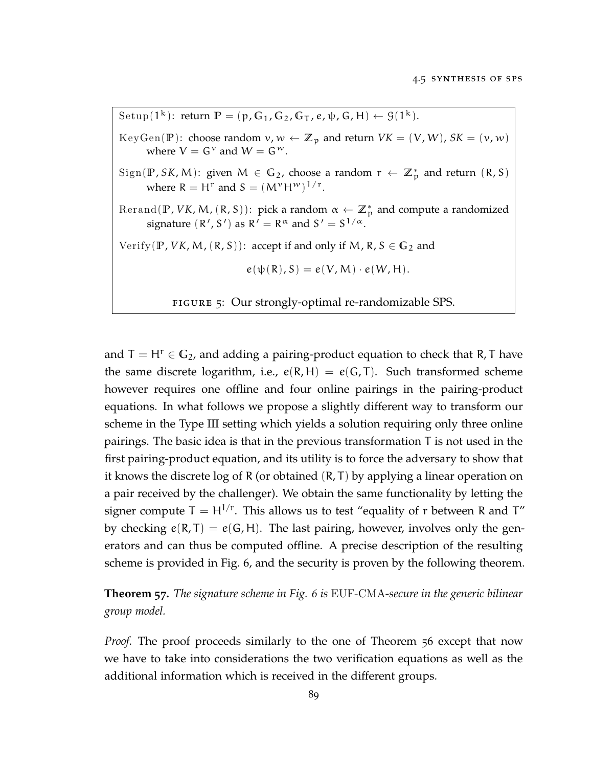<span id="page-100-0"></span>Setup( $1^k$ ): return  $\mathbb{P} = (\mathfrak{p}, \mathbb{G}_1, \mathbb{G}_2, \mathbb{G}_T, e, \psi, \mathbb{G}, \mathbb{H}) \leftarrow \mathfrak{G}(1^k).$ 

KeyGen(P): choose random  $v, w \leftarrow \mathbb{Z}_p$  and return  $VK = (V, W)$ ,  $SK = (v, w)$ where  $V = G^v$  and  $W = G^w$ .

 $Sign(\mathbb{P}, SK, M)$ : given  $M \in \mathbb{G}_2$ , choose a random  $r \leftarrow \mathbb{Z}_p^*$  and return  $(R, S)$ where  $R = H^r$  and  $S = (M^{\nu}H^{\nu})^{1/r}$ .

 $\text{Rerand}(\mathbb{P}, VK, M, (R, S))$ : pick a random  $\alpha \leftarrow \mathbb{Z}_p^*$  and compute a randomized signature  $(R', S')$  as  $R' = R^{\alpha}$  and  $S' = S^{1/\alpha}$ .

Verify( $\mathbb{P}$ , *VK*, *M*, ( $\mathbb{R}$ , *S*)): accept if and only if *M*,  $\mathbb{R}$ ,  $S \in \mathbb{G}_2$  and

 $e(\psi(R), S) = e(V, M) \cdot e(W, H).$ 

figure 5: Our strongly-optimal re-randomizable SPS.

and  $T = H^r \in G_2$ , and adding a pairing-product equation to check that R, T have the same discrete logarithm, i.e.,  $e(R, H) = e(G, T)$ . Such transformed scheme however requires one offline and four online pairings in the pairing-product equations. In what follows we propose a slightly different way to transform our scheme in the Type III setting which yields a solution requiring only three online pairings. The basic idea is that in the previous transformation T is not used in the first pairing-product equation, and its utility is to force the adversary to show that it knows the discrete log of R (or obtained (R, T) by applying a linear operation on a pair received by the challenger). We obtain the same functionality by letting the signer compute  $T = H^{1/r}$ . This allows us to test "equality of r between R and T" by checking  $e(R, T) = e(G, H)$ . The last pairing, however, involves only the generators and can thus be computed offline. A precise description of the resulting scheme is provided in Fig. [6](#page-104-0), and the security is proven by the following theorem.

**Theorem 57.** *The signature scheme in Fig. [6](#page-104-0) is* EUF-CMA*-secure in the generic bilinear group model.*

*Proof.* The proof proceeds similarly to the one of Theorem [56](#page-97-0) except that now we have to take into considerations the two verification equations as well as the additional information which is received in the different groups.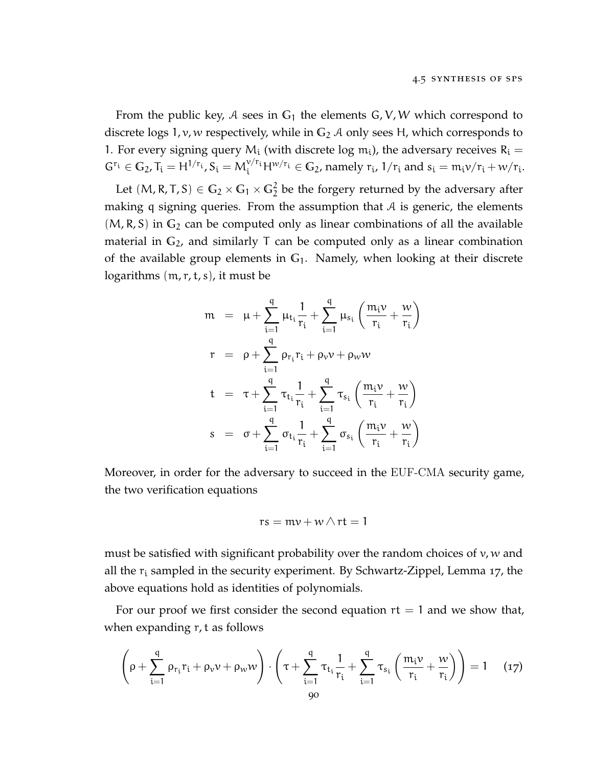From the public key, A sees in  $G_1$  the elements  $G, V, W$  which correspond to discrete logs 1, v, w respectively, while in **G**<sup>2</sup> A only sees H, which corresponds to 1. For every signing query  $M_i$  (with discrete log  $m_i$ ), the adversary receives  $R_i =$  $G^{r_i} \in G_2$ ,  $T_i = H^{1/r_i}$ ,  $S_i = M_i^{v/r_i} H^{w/r_i} \in G_2$ , namely  $r_i$ ,  $1/r_i$  and  $s_i = m_i v/r_i + w/r_i$ .

Let  $(M, R, T, S) \in \mathbb{G}_2 \times \mathbb{G}_1 \times \mathbb{G}_2^2$  be the forgery returned by the adversary after making q signing queries. From the assumption that  $A$  is generic, the elements  $(M, R, S)$  in  $G_2$  can be computed only as linear combinations of all the available material in  $G_2$ , and similarly T can be computed only as a linear combination of the available group elements in **G**1. Namely, when looking at their discrete logarithms  $(m, r, t, s)$ , it must be

$$
m = \mu + \sum_{i=1}^{q} \mu_{t_i} \frac{1}{r_i} + \sum_{i=1}^{q} \mu_{s_i} \left( \frac{m_i \nu}{r_i} + \frac{\nu}{r_i} \right)
$$
  
\n
$$
r = \rho + \sum_{i=1}^{q} \rho_{r_i} r_i + \rho_{\nu} \nu + \rho_{\nu} \nu
$$
  
\n
$$
t = \tau + \sum_{i=1}^{q} \tau_{t_i} \frac{1}{r_i} + \sum_{i=1}^{q} \tau_{s_i} \left( \frac{m_i \nu}{r_i} + \frac{\nu}{r_i} \right)
$$
  
\n
$$
s = \sigma + \sum_{i=1}^{q} \sigma_{t_i} \frac{1}{r_i} + \sum_{i=1}^{q} \sigma_{s_i} \left( \frac{m_i \nu}{r_i} + \frac{\nu}{r_i} \right)
$$

Moreover, in order for the adversary to succeed in the EUF-CMA security game, the two verification equations

$$
rs = mv + w \wedge rt = 1
$$

must be satisfied with significant probability over the random choices of  $v, w$  and all the  $r_i$  sampled in the security experiment. By Schwartz-Zippel, Lemma [17](#page-27-0), the above equations hold as identities of polynomials.

For our proof we first consider the second equation  $rt = 1$  and we show that, when expanding r, t as follows

$$
\left(\rho + \sum_{i=1}^{q} \rho_{r_i} r_i + \rho_{\nu} \nu + \rho_{\nu \nu} \nu \right) \cdot \left( \tau + \sum_{i=1}^{q} \tau_{t_i} \frac{1}{r_i} + \sum_{i=1}^{q} \tau_{s_i} \left( \frac{m_i \nu}{r_i} + \frac{\nu \nu}{r_i} \right) \right) = 1 \quad (17)
$$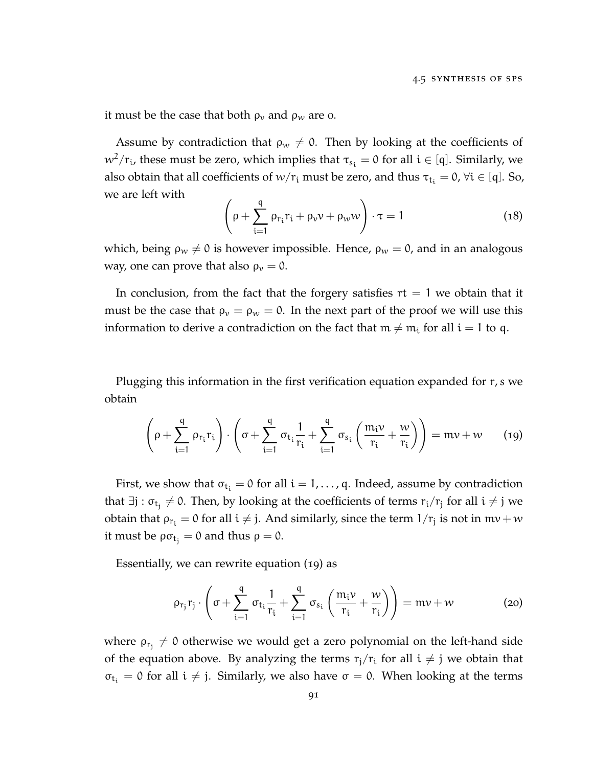it must be the case that both  $\rho_v$  and  $\rho_w$  are o.

Assume by contradiction that  $\rho_w \neq 0$ . Then by looking at the coefficients of  $w^2/r_i$ , these must be zero, which implies that  $\tau_{s_i} = 0$  for all  $i \in [q]$ . Similarly, we also obtain that all coefficients of  $w/r_i$  must be zero, and thus  $\tau_{t_i} = 0$ ,  $\forall i \in [q]$ . So, we are left with

$$
\left(\rho + \sum_{i=1}^{q} \rho_{r_i} r_i + \rho_{\nu} \nu + \rho_{w} w\right) \cdot \tau = 1 \tag{18}
$$

which, being  $\rho_w \neq 0$  is however impossible. Hence,  $\rho_w = 0$ , and in an analogous way, one can prove that also  $\rho_v = 0$ .

In conclusion, from the fact that the forgery satisfies  $rt = 1$  we obtain that it must be the case that  $\rho_v = \rho_w = 0$ . In the next part of the proof we will use this information to derive a contradiction on the fact that  $m \neq m_i$  for all  $i = 1$  to q.

Plugging this information in the first verification equation expanded for r, s we obtain

<span id="page-102-0"></span>
$$
\left(\rho + \sum_{i=1}^{q} \rho_{r_i} r_i\right) \cdot \left(\sigma + \sum_{i=1}^{q} \sigma_{t_i} \frac{1}{r_i} + \sum_{i=1}^{q} \sigma_{s_i} \left(\frac{m_i \nu}{r_i} + \frac{\nu}{r_i}\right)\right) = m\nu + \nu \qquad (19)
$$

First, we show that  $\sigma_{t_i} = 0$  for all  $i = 1, \ldots, q$ . Indeed, assume by contradiction that ∃j :  $\sigma_{t_j}\neq 0$ . Then, by looking at the coefficients of terms  $r_i/r_j$  for all  $i\neq j$  we obtain that  $\rho_{r_i} = 0$  for all  $i \neq j$ . And similarly, since the term  $1/r_j$  is not in  $m\nu + w$ it must be  $\rho \sigma_{t_i} = 0$  and thus  $\rho = 0$ .

Essentially, we can rewrite equation ([19](#page-102-0)) as

<span id="page-102-1"></span>
$$
\rho_{r_j} r_j \cdot \left( \sigma + \sum_{i=1}^q \sigma_{t_i} \frac{1}{r_i} + \sum_{i=1}^q \sigma_{s_i} \left( \frac{m_i \nu}{r_i} + \frac{\nu}{r_i} \right) \right) = m \nu + \nu \qquad (20)
$$

where  $\rho_{\rm r_j}\neq0$  otherwise we would get a zero polynomial on the left-hand side of the equation above. By analyzing the terms  $r_j/r_i$  for all  $i \neq j$  we obtain that  $\sigma_{t_i} = 0$  for all  $i \neq j$ . Similarly, we also have  $\sigma = 0$ . When looking at the terms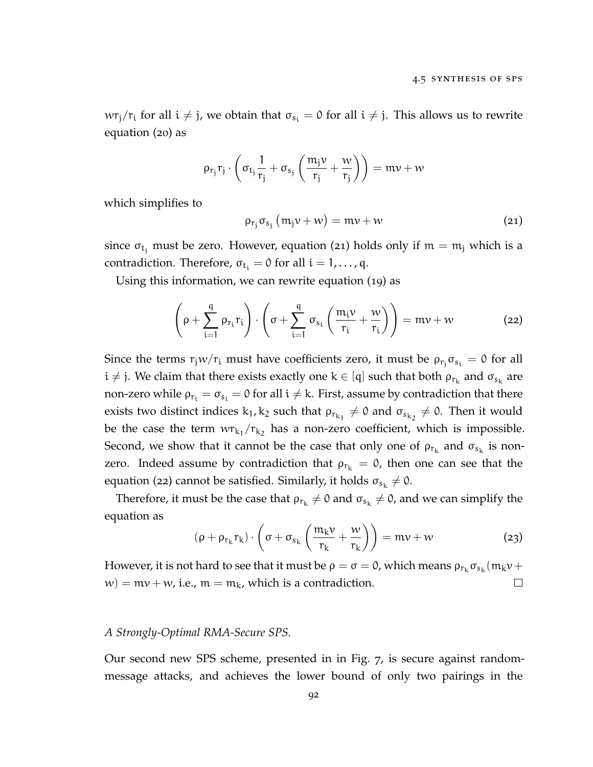$wr_j/r_i$  for all  $i \neq j$ , we obtain that  $\sigma_{s_i} = 0$  for all  $i \neq j$ . This allows us to rewrite equation ([20](#page-102-1)) as

<span id="page-103-0"></span>
$$
\rho_{r_j} r_j \cdot \left( \sigma_{t_j} \frac{1}{r_j} + \sigma_{s_j} \left( \frac{m_j \nu}{r_j} + \frac{\nu}{r_j} \right) \right) = m \nu + \nu
$$

which simplifies to

<span id="page-103-1"></span>
$$
\rho_{r_j} \sigma_{s_j} (m_j v + w) = mv + w \qquad (21)
$$

since  $\sigma_{t_i}$  must be zero. However, equation ([21](#page-103-0)) holds only if  $m = m_i$  which is a contradiction. Therefore,  $\sigma_{t_i} = 0$  for all  $i = 1, \ldots, q$ .

Using this information, we can rewrite equation ([19](#page-102-0)) as

$$
\left(\rho + \sum_{i=1}^{q} \rho_{r_i} r_i\right) \cdot \left(\sigma + \sum_{i=1}^{q} \sigma_{s_i} \left(\frac{m_i \nu}{r_i} + \frac{\nu}{r_i}\right)\right) = m\nu + \nu \tag{22}
$$

Since the terms  $r_jw/r_i$  must have coefficients zero, it must be  $\rho_{r_j}\sigma_{s_i} = 0$  for all  $i \neq j$ . We claim that there exists exactly one  $k \in [q]$  such that both  $\rho_{r_k}$  and  $\sigma_{s_k}$  are non-zero while  $\rho_{r_i} = \sigma_{s_i} = 0$  for all  $i \neq k$ . First, assume by contradiction that there exists two distinct indices  $k_1, k_2$  such that  $\rho_{r_{k_1}} \neq 0$  and  $\sigma_{s_{k_2}} \neq 0$ . Then it would be the case the term  $wr_{k_1}/r_{k_2}$  has a non-zero coefficient, which is impossible. Second, we show that it cannot be the case that only one of  $\rho_{r_k}$  and  $\sigma_{s_k}$  is nonzero. Indeed assume by contradiction that  $\rho_{r_k} = 0$ , then one can see that the equation ([22](#page-103-1)) cannot be satisfied. Similarly, it holds  $\sigma_{s_k} \neq 0$ .

Therefore, it must be the case that  $\rho_{r_k}\neq 0$  and  $\sigma_{s_k}\neq 0$ , and we can simplify the equation as

$$
(\rho + \rho_{r_k} r_k) \cdot \left(\sigma + \sigma_{s_k} \left(\frac{m_k v}{r_k} + \frac{w}{r_k}\right)\right) = mv + w \tag{23}
$$

However, it is not hard to see that it must be  $\rho=\sigma=0$ , which means  $\rho_{r_k}\sigma_{s_k}(m_k\nu+$  $w$ ) = mv + w, i.e., m = m<sub>k</sub>, which is a contradiction.  $\Box$ 

#### *A Strongly-Optimal RMA-Secure SPS.*

Our second new SPS scheme, presented in in Fig. [7](#page-106-0), is secure against randommessage attacks, and achieves the lower bound of only two pairings in the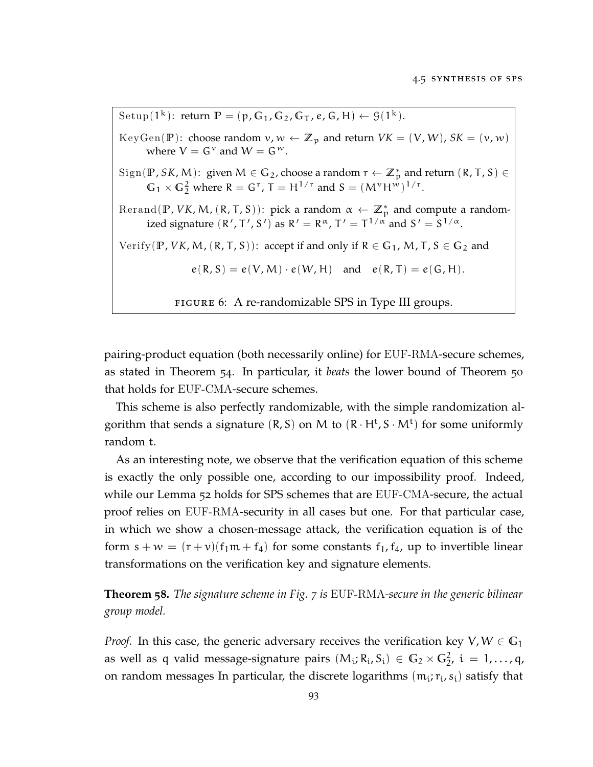<span id="page-104-0"></span>Setup( $1^k$ ): return  $\mathbb{P} = (\mathfrak{p}, \mathbb{G}_1, \mathbb{G}_2, \mathbb{G}_T, \mathbb{e}, \mathbb{G}, \mathbb{H}) \leftarrow \mathfrak{G}(1^k)$ . KeyGen(P): choose random  $v, w \leftarrow \mathbb{Z}_p$  and return  $VK = (V, W)$ ,  $SK = (v, w)$ where  $V = G^v$  and  $W = G^w$ .  $Sign(\mathbb{P}, \mathcal{S}K, \mathcal{M})$ : given  $\mathcal{M} \in \mathbb{G}_2$ , choose a random  $r \leftarrow \mathbb{Z}_p^*$  and return  $(\mathbb{R}, \mathsf{T}, \mathsf{S}) \in$  $G_1 \times G_2^2$  where  $R = G^r$ ,  $T = H^{1/r}$  and  $S = (M^{\nu}H^{\nu})^{1/r}$ . Rerand( $\mathbb{P}$ , *VK*, *M*, ( $\mathsf{R}$ ,  $\mathsf{T}$ ,  $\mathsf{S}$ )): pick a random  $\alpha \leftarrow \mathbb{Z}_p^*$  and compute a randomized signature  $(R', T', S')$  as  $R' = R^{\alpha}, T' = T^{1/\alpha}$  and  $S' = S^{1/\alpha}$ . Verify( $\mathbb{P}$ , *VK*, *M*, ( $\mathbb{R}$ ,  $\mathbb{T}$ ,  $S$ )): accept if and only if  $\mathbb{R} \in \mathbb{G}_1$ , *M*,  $\mathbb{T}$ ,  $S \in \mathbb{G}_2$  and  $e(R, S) = e(V, M) \cdot e(W, H)$  and  $e(R, T) = e(G, H)$ . figure 6: A re-randomizable SPS in Type III groups.

pairing-product equation (both necessarily online) for EUF-RMA-secure schemes, as stated in Theorem [54](#page-79-0). In particular, it *beats* the lower bound of Theorem [50](#page-77-1) that holds for EUF-CMA-secure schemes.

This scheme is also perfectly randomizable, with the simple randomization algorithm that sends a signature  $(R, S)$  on M to  $(R \cdot H^t, S \cdot M^t)$  for some uniformly random t.

As an interesting note, we observe that the verification equation of this scheme is exactly the only possible one, according to our impossibility proof. Indeed, while our Lemma [52](#page-78-0) holds for SPS schemes that are EUF-CMA-secure, the actual proof relies on EUF-RMA-security in all cases but one. For that particular case, in which we show a chosen-message attack, the verification equation is of the form  $s + w = (r + v)(f_1m + f_4)$  for some constants  $f_1, f_4$ , up to invertible linear transformations on the verification key and signature elements.

**Theorem 58.** *The signature scheme in Fig. [7](#page-106-0) is* EUF-RMA*-secure in the generic bilinear group model.*

*Proof.* In this case, the generic adversary receives the verification key  $V, W \in \mathbb{G}_1$ as well as q valid message-signature pairs  $(M_i; R_i, S_i) \in G_2 \times G_2^2$ ,  $i = 1, ..., q$ , on random messages In particular, the discrete logarithms  $(m_i; r_i, s_i)$  satisfy that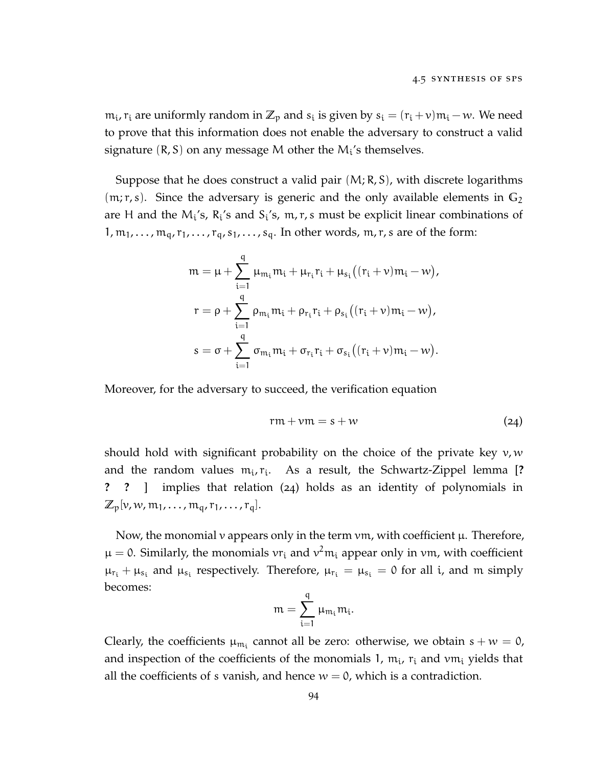$m_i$ ,  $r_i$  are uniformly random in  $\mathbb{Z}_p$  and  $s_i$  is given by  $s_i = (r_i + v)m_i - w$ . We need to prove that this information does not enable the adversary to construct a valid signature  $(R, S)$  on any message M other the  $M_i$ 's themselves.

Suppose that he does construct a valid pair (M; R, S), with discrete logarithms (m; r, s). Since the adversary is generic and the only available elements in **G**<sup>2</sup> are H and the  $M_i$ 's,  $R_i$ 's and  $S_i$ 's,  $m, r, s$  must be explicit linear combinations of  $1, m_1, \ldots, m_q, r_1, \ldots, r_q, s_1, \ldots, s_q$ . In other words, m, r, s are of the form:

$$
m = \mu + \sum_{i=1}^{q} \mu_{m_i} m_i + \mu_{r_i} r_i + \mu_{s_i} ((r_i + \nu) m_i - w),
$$
  
\n
$$
r = \rho + \sum_{i=1}^{q} \rho_{m_i} m_i + \rho_{r_i} r_i + \rho_{s_i} ((r_i + \nu) m_i - w),
$$
  
\n
$$
s = \sigma + \sum_{i=1}^{q} \sigma_{m_i} m_i + \sigma_{r_i} r_i + \sigma_{s_i} ((r_i + \nu) m_i - w).
$$

Moreover, for the adversary to succeed, the verification equation

<span id="page-105-0"></span>
$$
rm + \nu m = s + w \tag{24}
$$

should hold with significant probability on the choice of the private key  $v, w$ and the random values  $m_i$ ,  $r_i$ . As a result, the Schwartz-Zippel lemma [? **? ?** ] implies that relation ([24](#page-105-0)) holds as an identity of polynomials in  $\mathbb{Z}_{p}[v, w, m_{1}, \ldots, m_{q}, r_{1}, \ldots, r_{q}].$ 

Now, the monomial  $\nu$  appears only in the term  $\nu$ m, with coefficient  $\mu$ . Therefore,  $\mu = 0$ . Similarly, the monomials  $vr_i$  and  $v^2m_i$  appear only in vm, with coefficient  $\mu_{r_i} + \mu_{s_i}$  and  $\mu_{s_i}$  respectively. Therefore,  $\mu_{r_i} = \mu_{s_i} = 0$  for all i, and m simply becomes:

$$
m=\sum_{i=1}^q \mu_{m_i} m_i
$$

.

Clearly, the coefficients  $\mu_{m_i}$  cannot all be zero: otherwise, we obtain  $s + w = 0$ , and inspection of the coefficients of the monomials 1,  $m_i$ ,  $r_i$  and  $\nu m_i$  yields that all the coefficients of s vanish, and hence  $w = 0$ , which is a contradiction.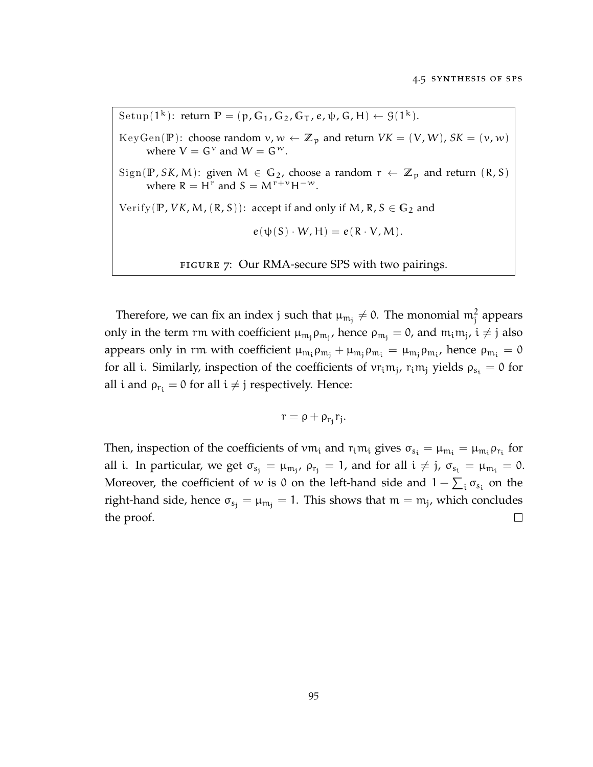<span id="page-106-0"></span>Setup( $1^k$ ): return  $\mathbb{P} = (\mathfrak{p}, \mathbb{G}_1, \mathbb{G}_2, \mathbb{G}_T, e, \psi, \mathbb{G}, \mathbb{H}) \leftarrow \mathfrak{G}(1^k).$ KeyGen(P): choose random  $v, w \leftarrow \mathbb{Z}_p$  and return  $VK = (V, W)$ ,  $SK = (v, w)$ where  $V = G^v$  and  $W = G^w$ .  $Sign(\mathbb{P}, SK, M)$ : given  $M \in \mathbb{G}_2$ , choose a random  $r \leftarrow \mathbb{Z}_p$  and return  $(R, S)$ where  $R = H^r$  and  $S = M^{r+v}H^{-w}$ . Verify( $\mathbb{P}$ , *VK*, *M*, ( $\mathbb{R}$ ,  $S$ )): accept if and only if *M*,  $\mathbb{R}$ ,  $S \in \mathbb{G}_2$  and  $e(\psi(S) \cdot W, H) = e(R \cdot V, M).$ FIGURE 7: Our RMA-secure SPS with two pairings.

Therefore, we can fix an index j such that  $\mu_{m_j}\neq 0$ . The monomial  $m_j^2$  appears only in the term rm with coefficient  $\mu_{m_j}\rho_{m_j}$ , hence  $\rho_{m_j}=0$ , and  $m_i m_j$ ,  $i\neq j$  also appears only in rm with coefficient  $\mu_{m_i}\rho_{m_j}+\mu_{m_j}\rho_{m_i}=\mu_{m_j}\rho_{m_i}$ , hence  $\rho_{m_i}=0$ for all i. Similarly, inspection of the coefficients of  $vr_{i}m_{j}$ ,  $r_{i}m_{j}$  yields  $\rho_{s_{i}} = 0$  for all i and  $\rho_{r_i} = 0$  for all  $i \neq j$  respectively. Hence:

$$
r=\rho+\rho_{r_j}r_j.
$$

Then, inspection of the coefficients of  $vm_i$  and  $r_i m_i$  gives  $\sigma_{s_i} = \mu_{m_i} = \mu_{m_i} \rho_{r_i}$  for all i. In particular, we get  $\sigma_{s_j} = \mu_{\mathfrak{m}_j}$ ,  $\rho_{r_j} = 1$ , and for all  $i \neq j$ ,  $\sigma_{s_i} = \mu_{\mathfrak{m}_i} = 0$ . Moreover, the coefficient of w is 0 on the left-hand side and  $1 - \sum_i \sigma_{s_i}$  on the right-hand side, hence  $\sigma_{s_j} = \mu_{m_j} = 1$ . This shows that  $m = m_j$ , which concludes the proof.  $\Box$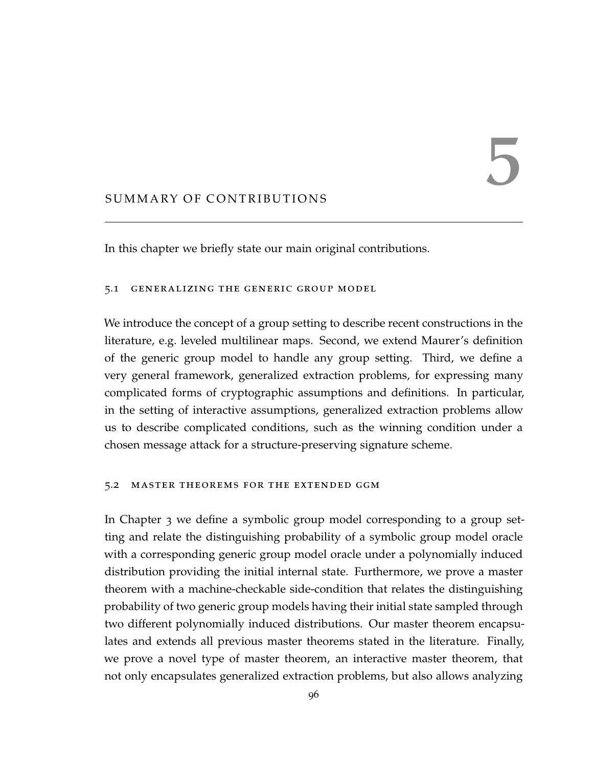## SUMMARY OF CONTRIBUTIONS

In this chapter we briefly state our main original contributions.

### 5.1 generalizing the generic group model

We introduce the concept of a group setting to describe recent constructions in the literature, e.g. leveled multilinear maps. Second, we extend Maurer's definition of the generic group model to handle any group setting. Third, we define a very general framework, generalized extraction problems, for expressing many complicated forms of cryptographic assumptions and definitions. In particular, in the setting of interactive assumptions, generalized extraction problems allow us to describe complicated conditions, such as the winning condition under a chosen message attack for a structure-preserving signature scheme.

### 5.2 master theorems for the extended ggm

In Chapter [3](#page-38-0) we define a symbolic group model corresponding to a group setting and relate the distinguishing probability of a symbolic group model oracle with a corresponding generic group model oracle under a polynomially induced distribution providing the initial internal state. Furthermore, we prove a master theorem with a machine-checkable side-condition that relates the distinguishing probability of two generic group models having their initial state sampled through two different polynomially induced distributions. Our master theorem encapsulates and extends all previous master theorems stated in the literature. Finally, we prove a novel type of master theorem, an interactive master theorem, that not only encapsulates generalized extraction problems, but also allows analyzing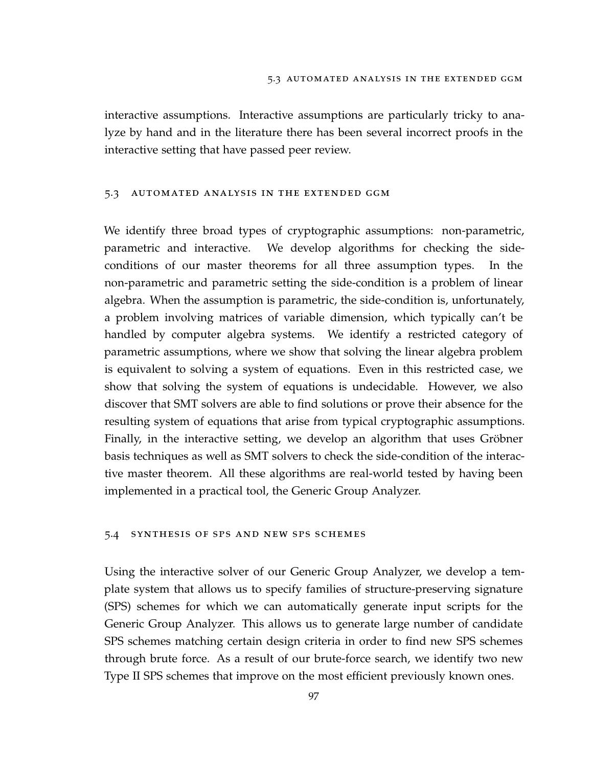interactive assumptions. Interactive assumptions are particularly tricky to analyze by hand and in the literature there has been several incorrect proofs in the interactive setting that have passed peer review.

## 5.3 automated analysis in the extended ggm

We identify three broad types of cryptographic assumptions: non-parametric, parametric and interactive. We develop algorithms for checking the sideconditions of our master theorems for all three assumption types. In the non-parametric and parametric setting the side-condition is a problem of linear algebra. When the assumption is parametric, the side-condition is, unfortunately, a problem involving matrices of variable dimension, which typically can't be handled by computer algebra systems. We identify a restricted category of parametric assumptions, where we show that solving the linear algebra problem is equivalent to solving a system of equations. Even in this restricted case, we show that solving the system of equations is undecidable. However, we also discover that SMT solvers are able to find solutions or prove their absence for the resulting system of equations that arise from typical cryptographic assumptions. Finally, in the interactive setting, we develop an algorithm that uses Gröbner basis techniques as well as SMT solvers to check the side-condition of the interactive master theorem. All these algorithms are real-world tested by having been implemented in a practical tool, the Generic Group Analyzer.

## 5.4 synthesis of sps and new sps schemes

Using the interactive solver of our Generic Group Analyzer, we develop a template system that allows us to specify families of structure-preserving signature (SPS) schemes for which we can automatically generate input scripts for the Generic Group Analyzer. This allows us to generate large number of candidate SPS schemes matching certain design criteria in order to find new SPS schemes through brute force. As a result of our brute-force search, we identify two new Type II SPS schemes that improve on the most efficient previously known ones.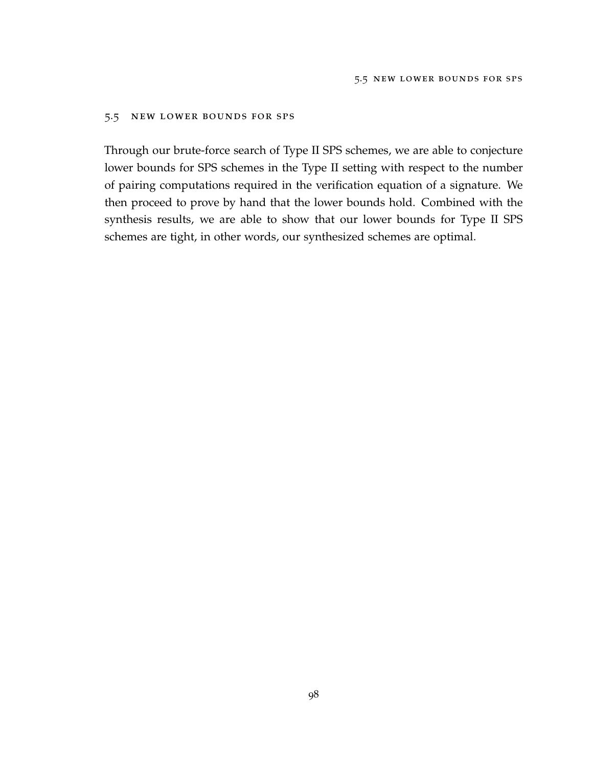## 5.5 new lower bounds for sps

Through our brute-force search of Type II SPS schemes, we are able to conjecture lower bounds for SPS schemes in the Type II setting with respect to the number of pairing computations required in the verification equation of a signature. We then proceed to prove by hand that the lower bounds hold. Combined with the synthesis results, we are able to show that our lower bounds for Type II SPS schemes are tight, in other words, our synthesized schemes are optimal.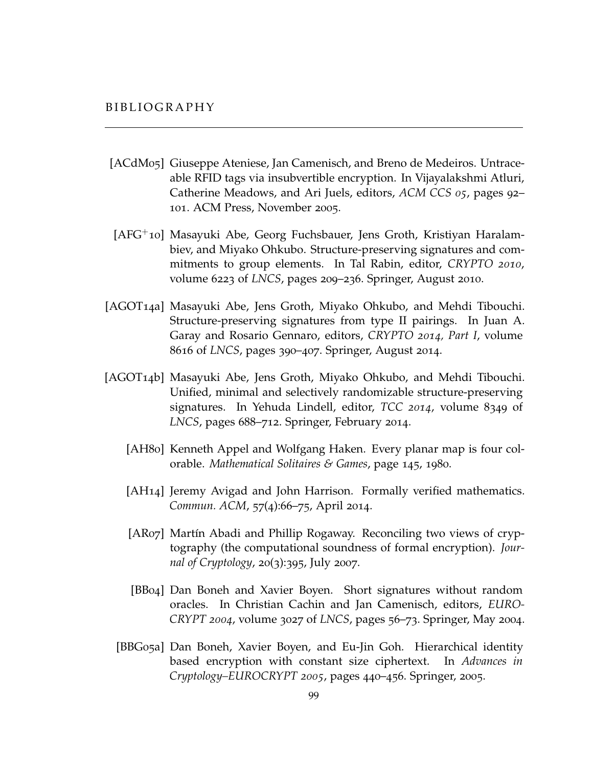- [ACdM05] Giuseppe Ateniese, Jan Camenisch, and Breno de Medeiros. Untraceable RFID tags via insubvertible encryption. In Vijayalakshmi Atluri, Catherine Meadows, and Ari Juels, editors, *ACM CCS 05*, pages 92– 101. ACM Press, November 2005.
- [AFG+10] Masayuki Abe, Georg Fuchsbauer, Jens Groth, Kristiyan Haralambiev, and Miyako Ohkubo. Structure-preserving signatures and commitments to group elements. In Tal Rabin, editor, *CRYPTO 2010*, volume 6223 of *LNCS*, pages 209–236. Springer, August 2010.
- [AGOT14a] Masayuki Abe, Jens Groth, Miyako Ohkubo, and Mehdi Tibouchi. Structure-preserving signatures from type II pairings. In Juan A. Garay and Rosario Gennaro, editors, *CRYPTO 2014, Part I*, volume 8616 of *LNCS*, pages 390–407. Springer, August 2014.
- [AGOT14b] Masayuki Abe, Jens Groth, Miyako Ohkubo, and Mehdi Tibouchi. Unified, minimal and selectively randomizable structure-preserving signatures. In Yehuda Lindell, editor, *TCC 2014*, volume 8349 of *LNCS*, pages 688–712. Springer, February 2014.
	- [AH80] Kenneth Appel and Wolfgang Haken. Every planar map is four colorable. *Mathematical Solitaires & Games*, page 145, 1980.
	- [AH14] Jeremy Avigad and John Harrison. Formally verified mathematics. *Commun. ACM*, 57(4):66–75, April 2014.
	- [AR07] Martín Abadi and Phillip Rogaway. Reconciling two views of cryptography (the computational soundness of formal encryption). *Journal of Cryptology*, 20(3):395, July 2007.
	- [BB04] Dan Boneh and Xavier Boyen. Short signatures without random oracles. In Christian Cachin and Jan Camenisch, editors, *EURO-CRYPT 2004*, volume 3027 of *LNCS*, pages 56–73. Springer, May 2004.
	- [BBG05a] Dan Boneh, Xavier Boyen, and Eu-Jin Goh. Hierarchical identity based encryption with constant size ciphertext. In *Advances in Cryptology–EUROCRYPT 2005*, pages 440–456. Springer, 2005.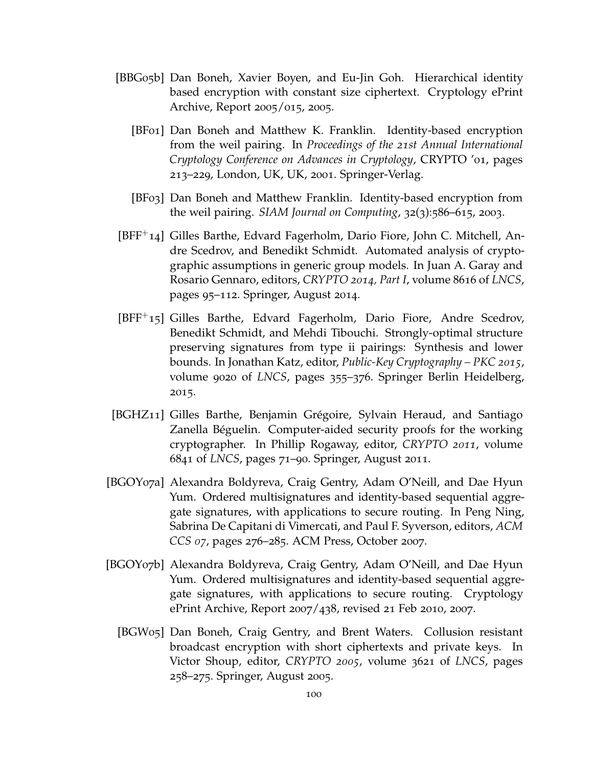- [BBG05b] Dan Boneh, Xavier Boyen, and Eu-Jin Goh. Hierarchical identity based encryption with constant size ciphertext. Cryptology ePrint Archive, Report 2005/015, 2005.
	- [BF01] Dan Boneh and Matthew K. Franklin. Identity-based encryption from the weil pairing. In *Proceedings of the 21st Annual International Cryptology Conference on Advances in Cryptology*, CRYPTO '01, pages 213–229, London, UK, UK, 2001. Springer-Verlag.
	- [BF03] Dan Boneh and Matthew Franklin. Identity-based encryption from the weil pairing. *SIAM Journal on Computing*, 32(3):586–615, 2003.
- [BFF+14] Gilles Barthe, Edvard Fagerholm, Dario Fiore, John C. Mitchell, Andre Scedrov, and Benedikt Schmidt. Automated analysis of cryptographic assumptions in generic group models. In Juan A. Garay and Rosario Gennaro, editors, *CRYPTO 2014, Part I*, volume 8616 of *LNCS*, pages 95–112. Springer, August 2014.
- [BFF+15] Gilles Barthe, Edvard Fagerholm, Dario Fiore, Andre Scedrov, Benedikt Schmidt, and Mehdi Tibouchi. Strongly-optimal structure preserving signatures from type ii pairings: Synthesis and lower bounds. In Jonathan Katz, editor, *Public-Key Cryptography – PKC 2015*, volume 9020 of *LNCS*, pages 355–376. Springer Berlin Heidelberg, 2015.
- [BGHZ11] Gilles Barthe, Benjamin Grégoire, Sylvain Heraud, and Santiago Zanella Béguelin. Computer-aided security proofs for the working cryptographer. In Phillip Rogaway, editor, *CRYPTO 2011*, volume 6841 of *LNCS*, pages 71–90. Springer, August 2011.
- [BGOY07a] Alexandra Boldyreva, Craig Gentry, Adam O'Neill, and Dae Hyun Yum. Ordered multisignatures and identity-based sequential aggregate signatures, with applications to secure routing. In Peng Ning, Sabrina De Capitani di Vimercati, and Paul F. Syverson, editors, *ACM CCS 07*, pages 276–285. ACM Press, October 2007.
- [BGOY07b] Alexandra Boldyreva, Craig Gentry, Adam O'Neill, and Dae Hyun Yum. Ordered multisignatures and identity-based sequential aggregate signatures, with applications to secure routing. Cryptology ePrint Archive, Report 2007/438, revised 21 Feb 2010, 2007.
	- [BGW05] Dan Boneh, Craig Gentry, and Brent Waters. Collusion resistant broadcast encryption with short ciphertexts and private keys. In Victor Shoup, editor, *CRYPTO 2005*, volume 3621 of *LNCS*, pages 258–275. Springer, August 2005.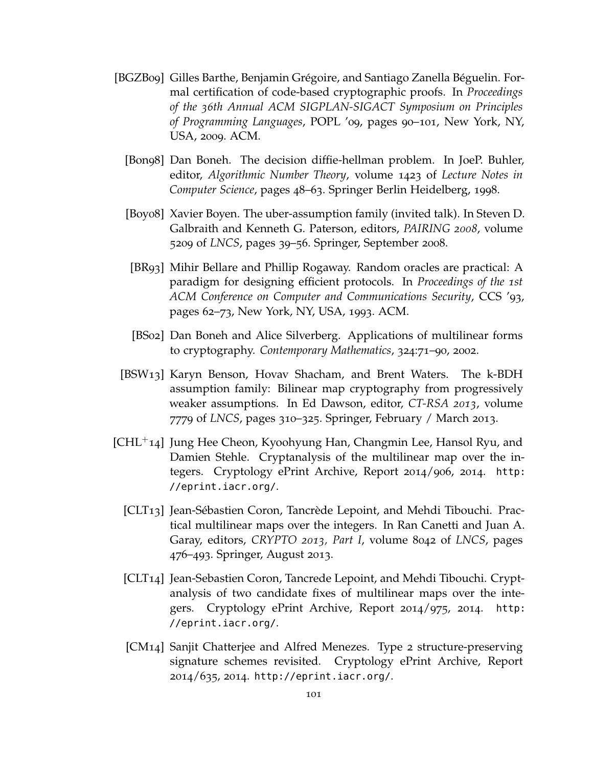- [BGZB09] Gilles Barthe, Benjamin Grégoire, and Santiago Zanella Béguelin. Formal certification of code-based cryptographic proofs. In *Proceedings of the 36th Annual ACM SIGPLAN-SIGACT Symposium on Principles of Programming Languages*, POPL '09, pages 90–101, New York, NY, USA, 2009. ACM.
	- [Bon98] Dan Boneh. The decision diffie-hellman problem. In JoeP. Buhler, editor, *Algorithmic Number Theory*, volume 1423 of *Lecture Notes in Computer Science*, pages 48–63. Springer Berlin Heidelberg, 1998.
	- [Boy08] Xavier Boyen. The uber-assumption family (invited talk). In Steven D. Galbraith and Kenneth G. Paterson, editors, *PAIRING 2008*, volume 5209 of *LNCS*, pages 39–56. Springer, September 2008.
	- [BR93] Mihir Bellare and Phillip Rogaway. Random oracles are practical: A paradigm for designing efficient protocols. In *Proceedings of the 1st ACM Conference on Computer and Communications Security*, CCS '93, pages 62–73, New York, NY, USA, 1993. ACM.
	- [BS02] Dan Boneh and Alice Silverberg. Applications of multilinear forms to cryptography. *Contemporary Mathematics*, 324:71–90, 2002.
- [BSW13] Karyn Benson, Hovav Shacham, and Brent Waters. The k-BDH assumption family: Bilinear map cryptography from progressively weaker assumptions. In Ed Dawson, editor, *CT-RSA 2013*, volume 7779 of *LNCS*, pages 310–325. Springer, February / March 2013.
- $[CHL^+14]$  Jung Hee Cheon, Kyoohyung Han, Changmin Lee, Hansol Ryu, and Damien Stehle. Cryptanalysis of the multilinear map over the integers. Cryptology ePrint Archive, Report 2014/906, 2014. [http:](http://eprint.iacr.org/) [//eprint.iacr.org/](http://eprint.iacr.org/).
	- [CLT13] Jean-Sébastien Coron, Tancrède Lepoint, and Mehdi Tibouchi. Practical multilinear maps over the integers. In Ran Canetti and Juan A. Garay, editors, *CRYPTO 2013, Part I*, volume 8042 of *LNCS*, pages 476–493. Springer, August 2013.
	- [CLT14] Jean-Sebastien Coron, Tancrede Lepoint, and Mehdi Tibouchi. Cryptanalysis of two candidate fixes of multilinear maps over the integers. Cryptology ePrint Archive, Report 2014/975, 2014. [http:](http://eprint.iacr.org/) [//eprint.iacr.org/](http://eprint.iacr.org/).
	- [CM14] Sanjit Chatterjee and Alfred Menezes. Type 2 structure-preserving signature schemes revisited. Cryptology ePrint Archive, Report 2014/635, 2014. <http://eprint.iacr.org/>.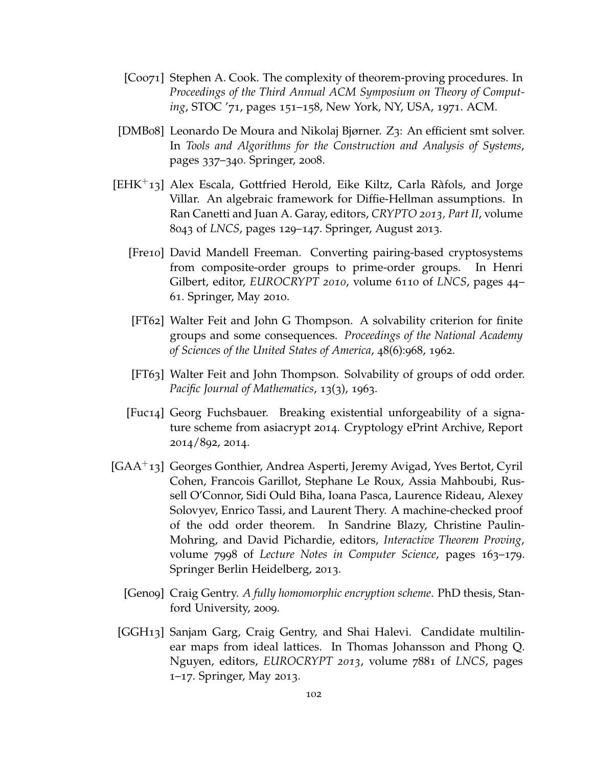- [Coo71] Stephen A. Cook. The complexity of theorem-proving procedures. In *Proceedings of the Third Annual ACM Symposium on Theory of Computing*, STOC '71, pages 151–158, New York, NY, USA, 1971. ACM.
- [DMB08] Leonardo De Moura and Nikolaj Bjørner. Z3: An efficient smt solver. In *Tools and Algorithms for the Construction and Analysis of Systems*, pages 337–340. Springer, 2008.
- [EHK+13] Alex Escala, Gottfried Herold, Eike Kiltz, Carla Ràfols, and Jorge Villar. An algebraic framework for Diffie-Hellman assumptions. In Ran Canetti and Juan A. Garay, editors, *CRYPTO 2013, Part II*, volume 8043 of *LNCS*, pages 129–147. Springer, August 2013.
	- [Fre10] David Mandell Freeman. Converting pairing-based cryptosystems from composite-order groups to prime-order groups. In Henri Gilbert, editor, *EUROCRYPT 2010*, volume 6110 of *LNCS*, pages 44– 61. Springer, May 2010.
	- [FT62] Walter Feit and John G Thompson. A solvability criterion for finite groups and some consequences. *Proceedings of the National Academy of Sciences of the United States of America*, 48(6):968, 1962.
	- [FT63] Walter Feit and John Thompson. Solvability of groups of odd order. *Pacific Journal of Mathematics*, 13(3), 1963.
	- [Fuc14] Georg Fuchsbauer. Breaking existential unforgeability of a signature scheme from asiacrypt 2014. Cryptology ePrint Archive, Report 2014/892, 2014.
- [GAA+13] Georges Gonthier, Andrea Asperti, Jeremy Avigad, Yves Bertot, Cyril Cohen, Francois Garillot, Stephane Le Roux, Assia Mahboubi, Russell O'Connor, Sidi Ould Biha, Ioana Pasca, Laurence Rideau, Alexey Solovyev, Enrico Tassi, and Laurent Thery. A machine-checked proof of the odd order theorem. In Sandrine Blazy, Christine Paulin-Mohring, and David Pichardie, editors, *Interactive Theorem Proving*, volume 7998 of *Lecture Notes in Computer Science*, pages 163–179. Springer Berlin Heidelberg, 2013.
	- [Gen09] Craig Gentry. *A fully homomorphic encryption scheme*. PhD thesis, Stanford University, 2009.
	- [GGH13] Sanjam Garg, Craig Gentry, and Shai Halevi. Candidate multilinear maps from ideal lattices. In Thomas Johansson and Phong Q. Nguyen, editors, *EUROCRYPT 2013*, volume 7881 of *LNCS*, pages 1–17. Springer, May 2013.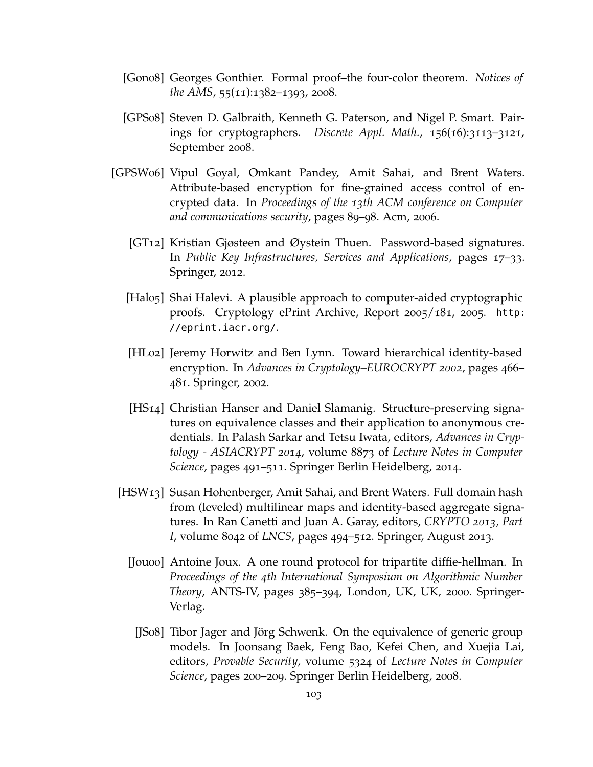- [Gon08] Georges Gonthier. Formal proof–the four-color theorem. *Notices of the AMS*, 55(11):1382–1393, 2008.
- [GPS08] Steven D. Galbraith, Kenneth G. Paterson, and Nigel P. Smart. Pairings for cryptographers. *Discrete Appl. Math.*, 156(16):3113–3121, September 2008.
- [GPSW06] Vipul Goyal, Omkant Pandey, Amit Sahai, and Brent Waters. Attribute-based encryption for fine-grained access control of encrypted data. In *Proceedings of the 13th ACM conference on Computer and communications security*, pages 89–98. Acm, 2006.
	- [GT12] Kristian Gjøsteen and Øystein Thuen. Password-based signatures. In *Public Key Infrastructures, Services and Applications*, pages 17–33. Springer, 2012.
	- [Halo<sub>5</sub>] Shai Halevi. A plausible approach to computer-aided cryptographic proofs. Cryptology ePrint Archive, Report 2005/181, 2005. [http:](http://eprint.iacr.org/) [//eprint.iacr.org/](http://eprint.iacr.org/).
	- [HL02] Jeremy Horwitz and Ben Lynn. Toward hierarchical identity-based encryption. In *Advances in Cryptology–EUROCRYPT 2002*, pages 466– 481. Springer, 2002.
	- [HS14] Christian Hanser and Daniel Slamanig. Structure-preserving signatures on equivalence classes and their application to anonymous credentials. In Palash Sarkar and Tetsu Iwata, editors, *Advances in Cryptology - ASIACRYPT 2014*, volume 8873 of *Lecture Notes in Computer Science*, pages 491–511. Springer Berlin Heidelberg, 2014.
	- [HSW13] Susan Hohenberger, Amit Sahai, and Brent Waters. Full domain hash from (leveled) multilinear maps and identity-based aggregate signatures. In Ran Canetti and Juan A. Garay, editors, *CRYPTO 2013, Part I*, volume 8042 of *LNCS*, pages 494–512. Springer, August 2013.
		- [Jou00] Antoine Joux. A one round protocol for tripartite diffie-hellman. In *Proceedings of the 4th International Symposium on Algorithmic Number Theory*, ANTS-IV, pages 385–394, London, UK, UK, 2000. Springer-Verlag.
			- [JS08] Tibor Jager and Jörg Schwenk. On the equivalence of generic group models. In Joonsang Baek, Feng Bao, Kefei Chen, and Xuejia Lai, editors, *Provable Security*, volume 5324 of *Lecture Notes in Computer Science*, pages 200–209. Springer Berlin Heidelberg, 2008.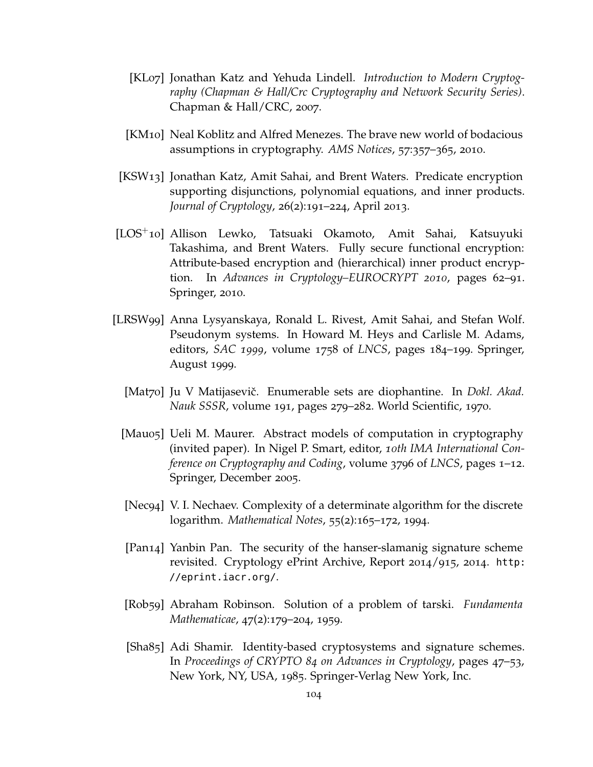- [KL07] Jonathan Katz and Yehuda Lindell. *Introduction to Modern Cryptography (Chapman & Hall/Crc Cryptography and Network Security Series)*. Chapman & Hall/CRC, 2007.
- [KM10] Neal Koblitz and Alfred Menezes. The brave new world of bodacious assumptions in cryptography. *AMS Notices*, 57:357–365, 2010.
- [KSW13] Jonathan Katz, Amit Sahai, and Brent Waters. Predicate encryption supporting disjunctions, polynomial equations, and inner products. *Journal of Cryptology*, 26(2):191–224, April 2013.
- [LOS+10] Allison Lewko, Tatsuaki Okamoto, Amit Sahai, Katsuyuki Takashima, and Brent Waters. Fully secure functional encryption: Attribute-based encryption and (hierarchical) inner product encryption. In *Advances in Cryptology–EUROCRYPT 2010*, pages 62–91. Springer, 2010.
- [LRSW99] Anna Lysyanskaya, Ronald L. Rivest, Amit Sahai, and Stefan Wolf. Pseudonym systems. In Howard M. Heys and Carlisle M. Adams, editors, *SAC 1999*, volume 1758 of *LNCS*, pages 184–199. Springer, August 1999.
	- [Mat70] Ju V Matijasevič. Enumerable sets are diophantine. In *Dokl. Akad. Nauk SSSR*, volume 191, pages 279–282. World Scientific, 1970.
	- [Mau05] Ueli M. Maurer. Abstract models of computation in cryptography (invited paper). In Nigel P. Smart, editor, *10th IMA International Conference on Cryptography and Coding*, volume 3796 of *LNCS*, pages 1–12. Springer, December 2005.
	- [Nec94] V. I. Nechaev. Complexity of a determinate algorithm for the discrete logarithm. *Mathematical Notes*, 55(2):165–172, 1994.
	- [Pan14] Yanbin Pan. The security of the hanser-slamanig signature scheme revisited. Cryptology ePrint Archive, Report 2014/915, 2014. [http:](http://eprint.iacr.org/) [//eprint.iacr.org/](http://eprint.iacr.org/).
	- [Rob59] Abraham Robinson. Solution of a problem of tarski. *Fundamenta Mathematicae*, 47(2):179–204, 1959.
	- [Sha85] Adi Shamir. Identity-based cryptosystems and signature schemes. In *Proceedings of CRYPTO 84 on Advances in Cryptology*, pages 47–53, New York, NY, USA, 1985. Springer-Verlag New York, Inc.